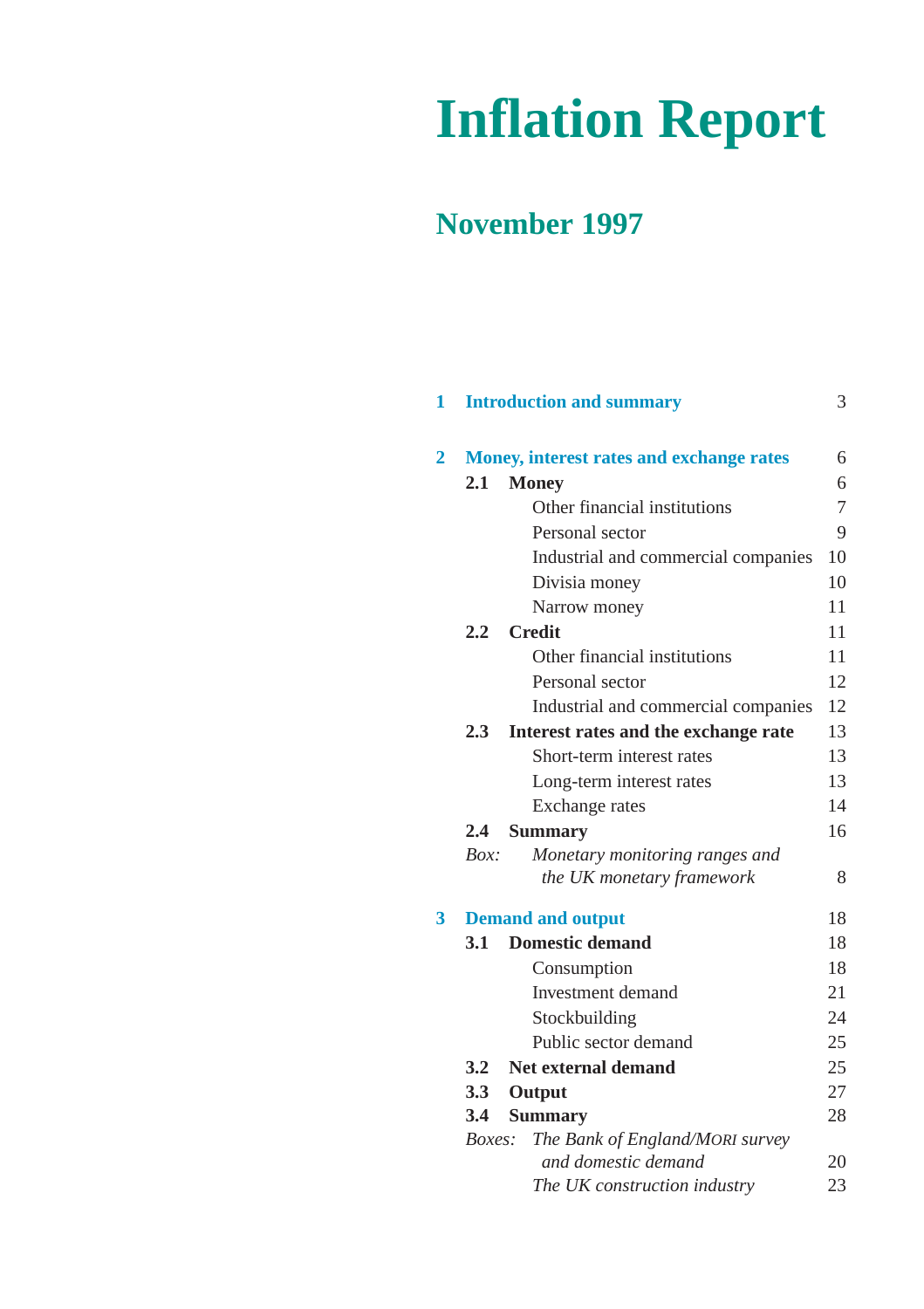# **Inflation Report**

# **November 1997**

| 1              |               | <b>Introduction and summary</b>          | 3  |
|----------------|---------------|------------------------------------------|----|
| $\overline{2}$ |               | Money, interest rates and exchange rates | 6  |
|                | 2.1           | <b>Money</b>                             | 6  |
|                |               | Other financial institutions             | 7  |
|                |               | Personal sector                          | 9  |
|                |               | Industrial and commercial companies      | 10 |
|                |               | Divisia money                            | 10 |
|                |               | Narrow money                             | 11 |
|                |               | 2.2 Credit                               | 11 |
|                |               | Other financial institutions             | 11 |
|                |               | Personal sector                          | 12 |
|                |               | Industrial and commercial companies      | 12 |
|                | 2.3           | Interest rates and the exchange rate     | 13 |
|                |               | Short-term interest rates                | 13 |
|                |               | Long-term interest rates                 | 13 |
|                |               | Exchange rates                           | 14 |
|                | $2.4^{\circ}$ | <b>Summary</b>                           | 16 |
|                | Box:          | Monetary monitoring ranges and           |    |
|                |               | the UK monetary framework                | 8  |
| 3              |               | <b>Demand and output</b>                 | 18 |
|                | 3.1           | <b>Domestic demand</b>                   | 18 |
|                |               | Consumption                              | 18 |
|                |               | <b>Investment</b> demand                 | 21 |
|                |               | Stockbuilding                            | 24 |
|                |               | Public sector demand                     | 25 |
|                | 3.2           | Net external demand                      | 25 |
|                | 3.3           | Output                                   | 27 |
|                | 3.4           | <b>Summary</b>                           | 28 |
|                | <i>Boxes:</i> | The Bank of England/MORI survey          |    |
|                |               | and domestic demand                      | 20 |
|                |               | The UK construction industry             | 23 |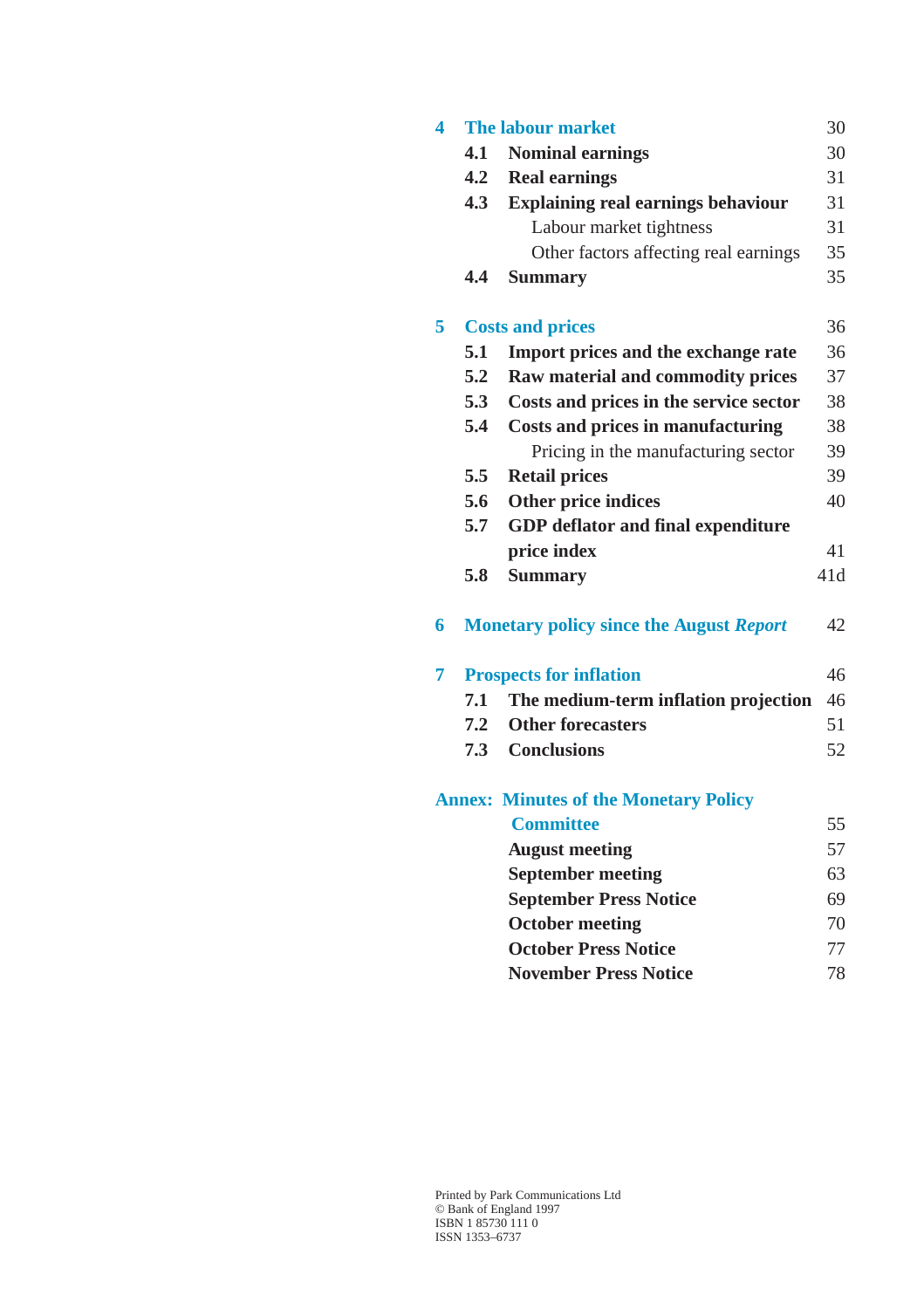| 4 |     | <b>The labour market</b>                       | 30  |
|---|-----|------------------------------------------------|-----|
|   | 4.1 | <b>Nominal earnings</b>                        | 30  |
|   | 4.2 | <b>Real earnings</b>                           | 31  |
|   | 4.3 | <b>Explaining real earnings behaviour</b>      | 31  |
|   |     | Labour market tightness                        | 31  |
|   |     | Other factors affecting real earnings          | 35  |
|   | 4.4 | <b>Summary</b>                                 | 35  |
| 5 |     | <b>Costs and prices</b>                        | 36  |
|   | 5.1 | Import prices and the exchange rate            | 36  |
|   | 5.2 | Raw material and commodity prices              | 37  |
|   | 5.3 | Costs and prices in the service sector         | 38  |
|   | 5.4 | <b>Costs and prices in manufacturing</b>       | 38  |
|   |     | Pricing in the manufacturing sector            | 39  |
|   | 5.5 | <b>Retail prices</b>                           | 39  |
|   | 5.6 | <b>Other price indices</b>                     | 40  |
|   | 5.7 | <b>GDP</b> deflator and final expenditure      |     |
|   |     | price index                                    | 41  |
|   | 5.8 | <b>Summary</b>                                 | 41d |
| 6 |     | <b>Monetary policy since the August Report</b> | 42  |
| 7 |     | <b>Prospects for inflation</b>                 | 46  |
|   | 7.1 | The medium-term inflation projection           | 46  |
|   | 7.2 | <b>Other forecasters</b>                       | 51  |
|   | 7.3 | <b>Conclusions</b>                             | 52  |
|   |     | <b>Annex: Minutes of the Monetary Policy</b>   |     |
|   |     | <b>Committee</b>                               | 55  |
|   |     | <b>August meeting</b>                          | 57  |
|   |     | <b>September meeting</b>                       | 63  |
|   |     | <b>September Press Notice</b>                  | 69  |
|   |     | <b>October meeting</b>                         | 70  |
|   |     | <b>October Press Notice</b>                    | 77  |

**[November Press Notice](#page-77-0)** 78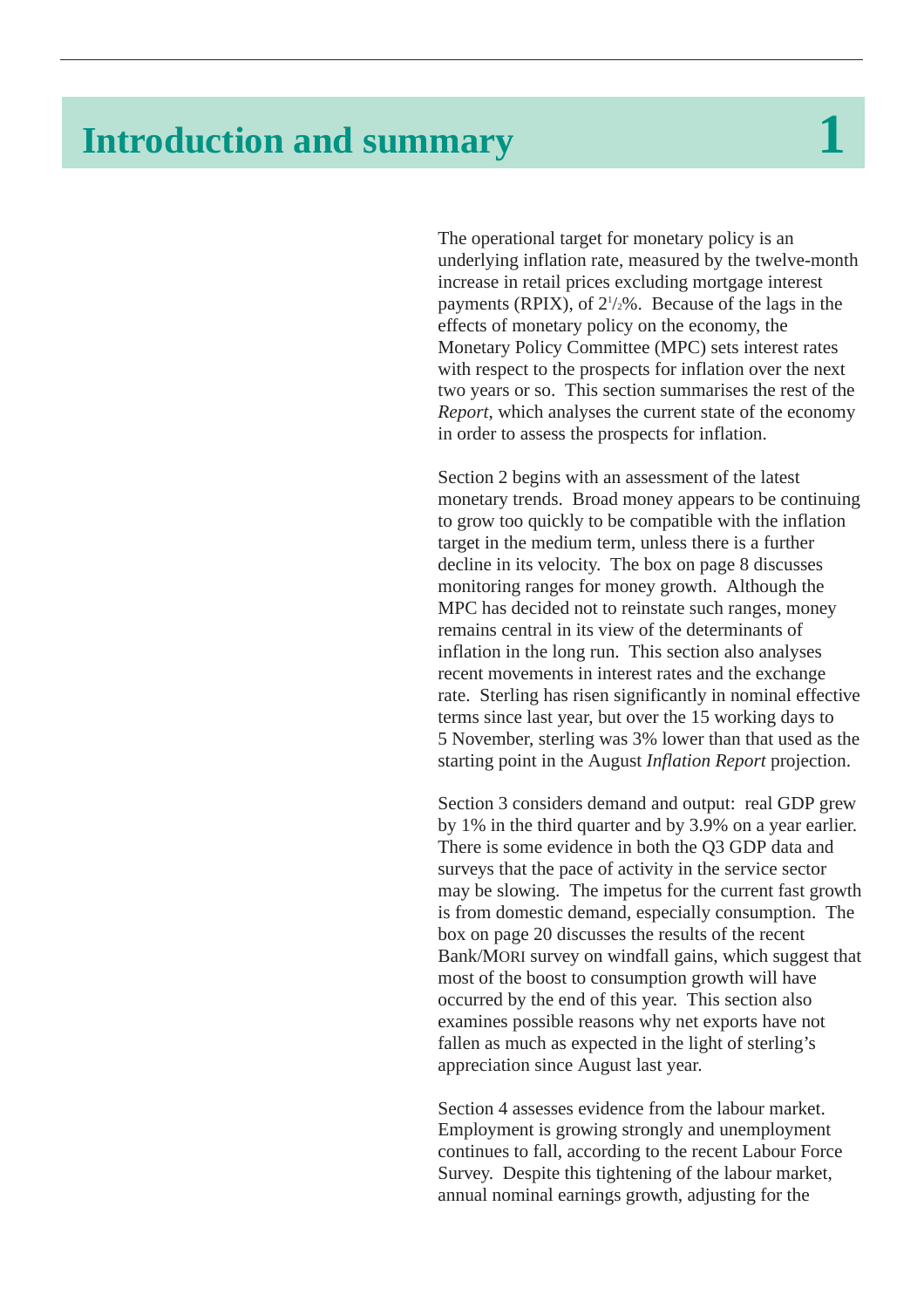# <span id="page-2-0"></span>**Introduction and summary**

The operational target for monetary policy is an underlying inflation rate, measured by the twelve-month increase in retail prices excluding mortgage interest payments (RPIX), of  $2\frac{1}{2}\%$ . Because of the lags in the effects of monetary policy on the economy, the Monetary Policy Committee (MPC) sets interest rates with respect to the prospects for inflation over the next two years or so. This section summarises the rest of the *Report*, which analyses the current state of the economy in order to assess the prospects for inflation.

[Section 2](#page-5-1) begins with an assessment of the latest monetary trends. Broad money appears to be continuing to grow too quickly to be compatible with the inflation target in the medium term, unless there is a further decline in its velocity. [The box](#page-7-0) on page 8 discusses monitoring ranges for money growth. Although the MPC has decided not to reinstate such ranges, money remains central in its view of the determinants of inflation in the long run. This section also analyses recent movements in interest rates and the exchange rate. Sterling has risen significantly in nominal effective terms since last year, but over the 15 working days to 5 November, sterling was 3% lower than that used as the starting point in the August *Inflation Report* projection.

[Section 3](#page-17-0) considers demand and output: real GDP grew by 1% in the third quarter and by 3.9% on a year earlier. There is some evidence in both the Q3 GDP data and surveys that the pace of activity in the service sector may be slowing. The impetus for the current fast growth is from domestic demand, especially consumption. The [box](#page-19-0) on page 20 discusses the results of the recent Bank/MORI survey on windfall gains, which suggest that most of the boost to consumption growth will have occurred by the end of this year. This section also examines possible reasons why net exports have not fallen as much as expected in the light of sterling's appreciation since August last year.

[Section 4](#page-29-0) assesses evidence from the labour market. Employment is growing strongly and unemployment continues to fall, according to the recent Labour Force Survey. Despite this tightening of the labour market, annual nominal earnings growth, adjusting for the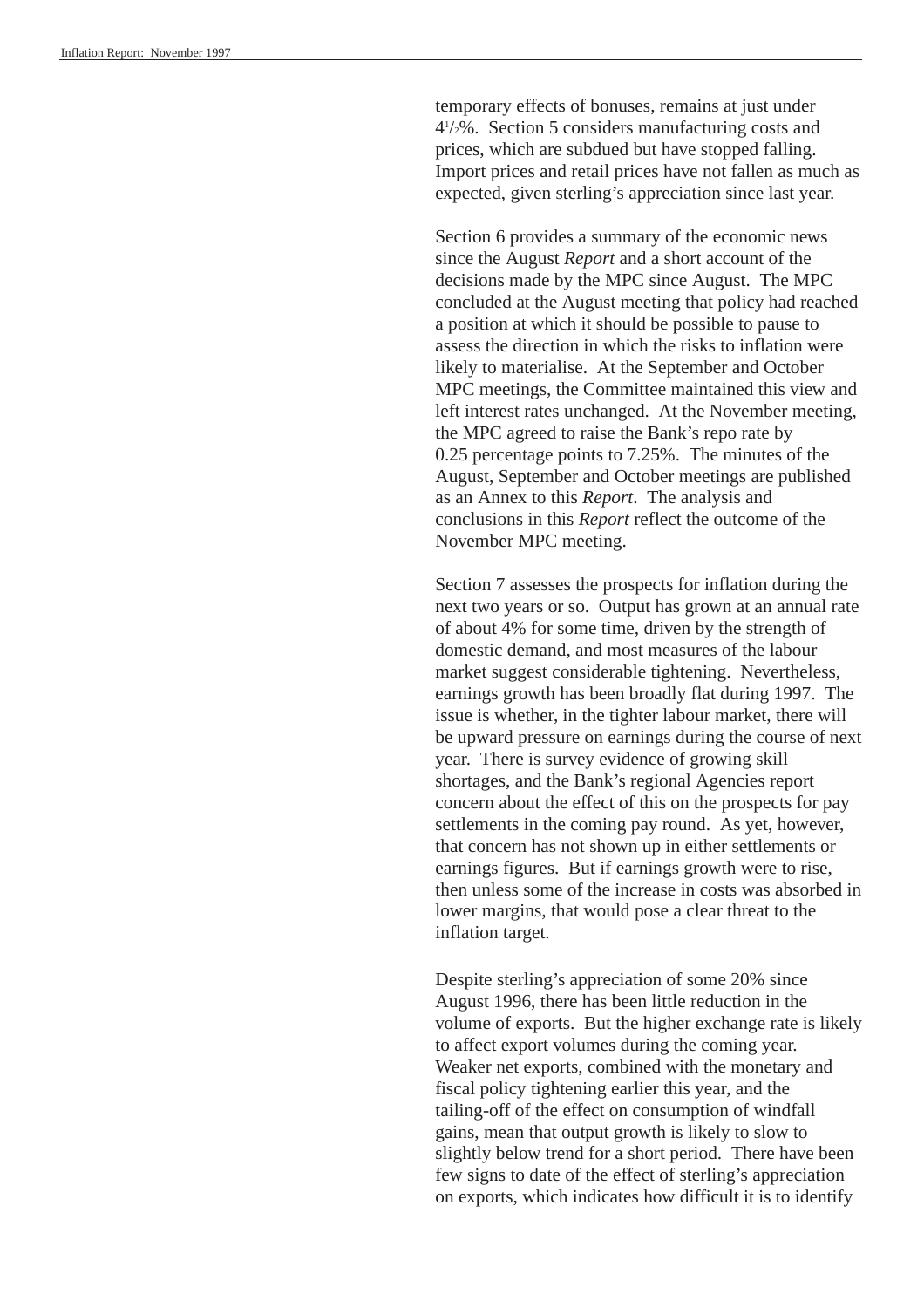temporary effects of bonuses, remains at just under 41 /2%. [Section 5](#page-35-0) considers manufacturing costs and prices, which are subdued but have stopped falling. Import prices and retail prices have not fallen as much as expected, given sterling's appreciation since last year.

[Section 6](#page-41-0) provides a summary of the economic news since the August *Report* and a short account of the decisions made by the MPC since August. The MPC concluded at the August meeting that policy had reached a position at which it should be possible to pause to assess the direction in which the risks to inflation were likely to materialise. At the September and October MPC meetings, the Committee maintained this view and left interest rates unchanged. At the November meeting, the MPC agreed to raise the Bank's repo rate by 0.25 percentage points to 7.25%. The minutes of the August, September and October meetings are published as an [Annex](#page-54-1) to this *Report*. The analysis and conclusions in this *Report* reflect the outcome of the November MPC meeting.

[Section 7](#page-45-0) assesses the prospects for inflation during the next two years or so. Output has grown at an annual rate of about 4% for some time, driven by the strength of domestic demand, and most measures of the labour market suggest considerable tightening. Nevertheless, earnings growth has been broadly flat during 1997. The issue is whether, in the tighter labour market, there will be upward pressure on earnings during the course of next year. There is survey evidence of growing skill shortages, and the Bank's regional Agencies report concern about the effect of this on the prospects for pay settlements in the coming pay round. As yet, however, that concern has not shown up in either settlements or earnings figures. But if earnings growth were to rise, then unless some of the increase in costs was absorbed in lower margins, that would pose a clear threat to the inflation target.

Despite sterling's appreciation of some 20% since August 1996, there has been little reduction in the volume of exports. But the higher exchange rate is likely to affect export volumes during the coming year. Weaker net exports, combined with the monetary and fiscal policy tightening earlier this year, and the tailing-off of the effect on consumption of windfall gains, mean that output growth is likely to slow to slightly below trend for a short period. There have been few signs to date of the effect of sterling's appreciation on exports, which indicates how difficult it is to identify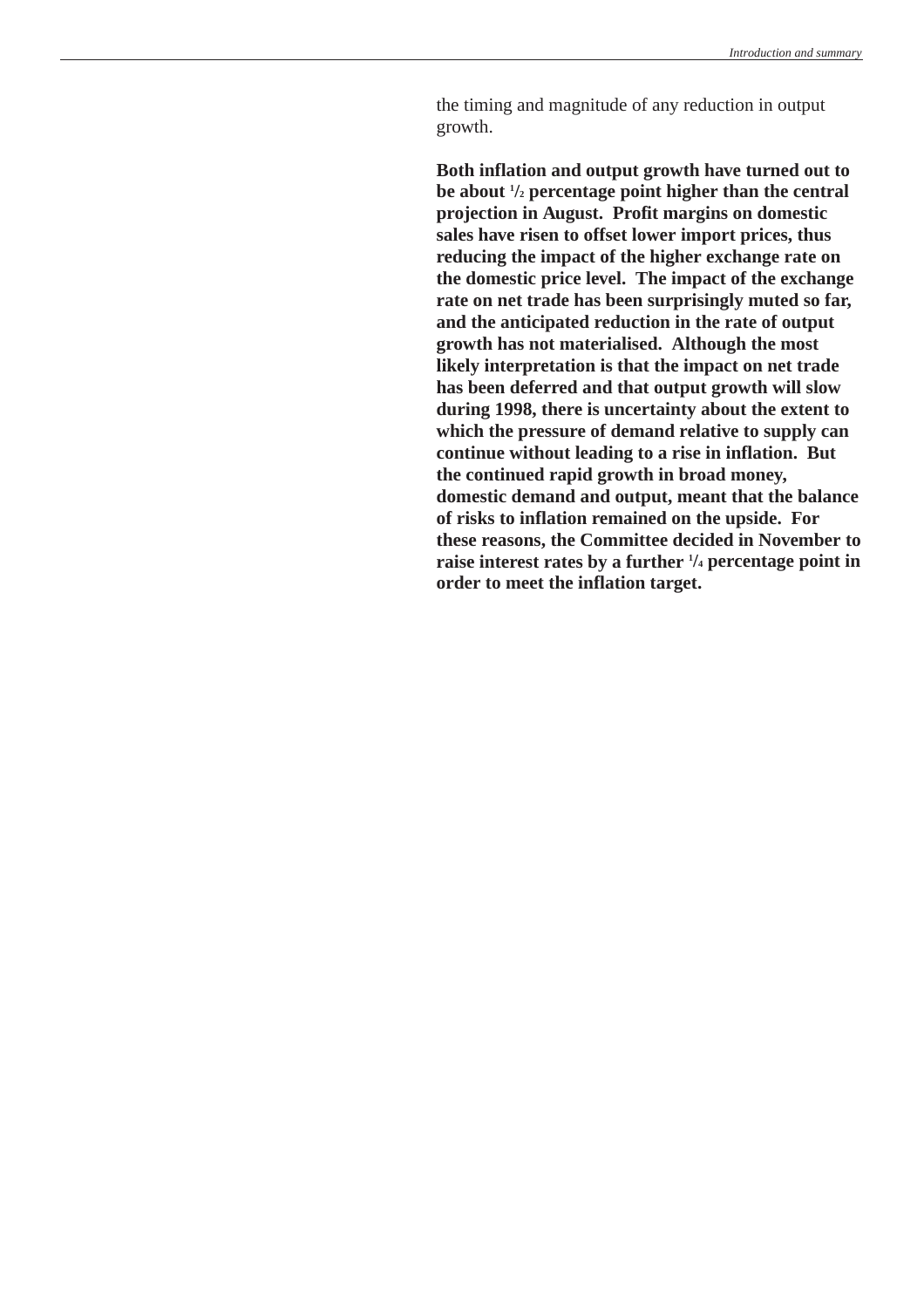the timing and magnitude of any reduction in output growth.

**Both inflation and output growth have turned out to be about 1 /2 percentage point higher than the central projection in August. Profit margins on domestic sales have risen to offset lower import prices, thus reducing the impact of the higher exchange rate on the domestic price level. The impact of the exchange rate on net trade has been surprisingly muted so far, and the anticipated reduction in the rate of output growth has not materialised. Although the most likely interpretation is that the impact on net trade has been deferred and that output growth will slow during 1998, there is uncertainty about the extent to which the pressure of demand relative to supply can continue without leading to a rise in inflation. But the continued rapid growth in broad money, domestic demand and output, meant that the balance of risks to inflation remained on the upside. For these reasons, the Committee decided in November to raise interest rates by a further 1 /4 percentage point in order to meet the inflation target.**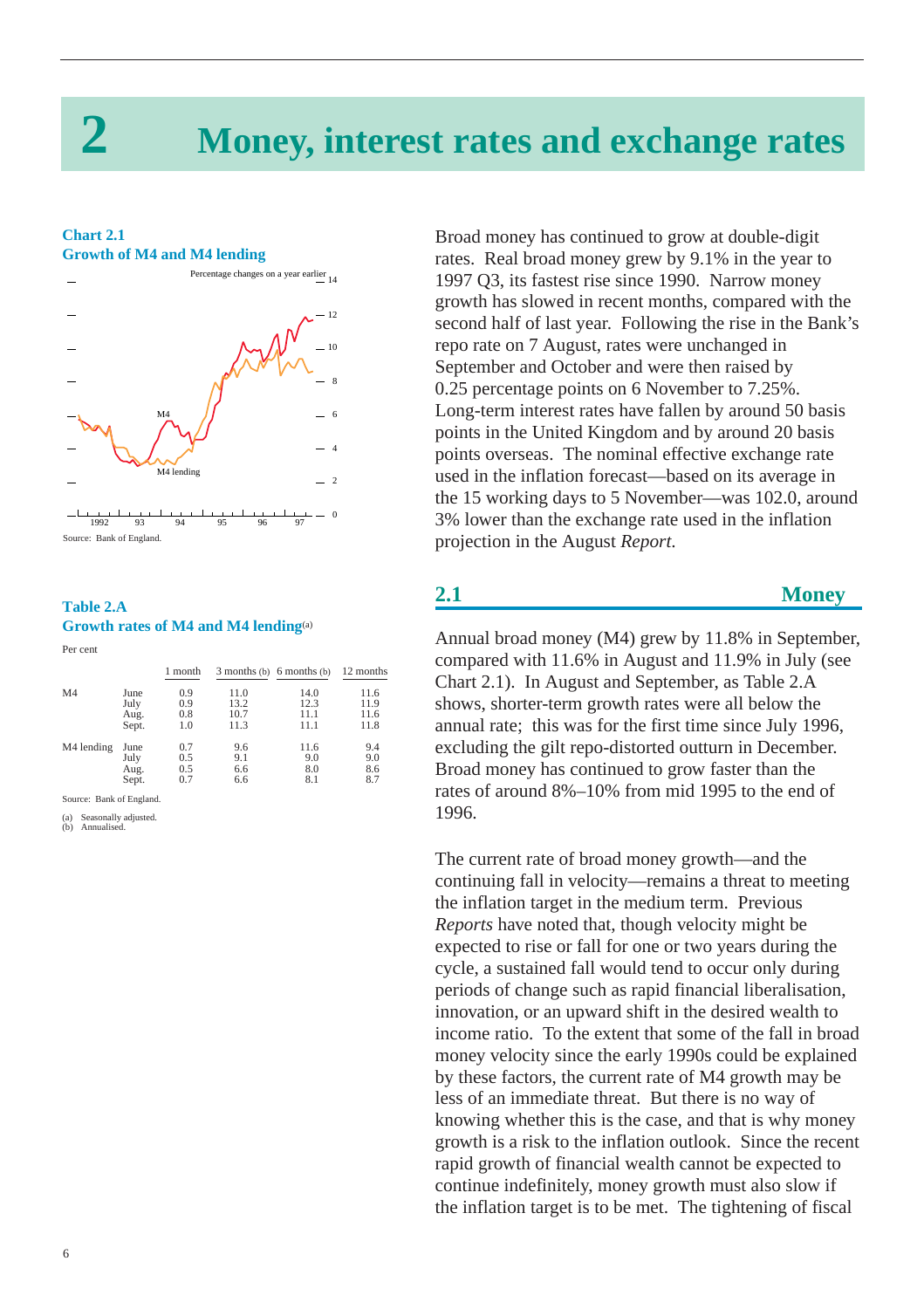# <span id="page-5-2"></span>**2 Money, interest rates and exchange rates**

#### <span id="page-5-3"></span><span id="page-5-1"></span><span id="page-5-0"></span>**Chart 2.1 Growth of M4 and M4 lending**



## **Table 2.A Growth rates of M4 and M4 lending**(a)

#### Per cent

|       | 1 month                      |      |      | 12 months                            |
|-------|------------------------------|------|------|--------------------------------------|
| June  | 0.9                          | 11.0 | 14.0 | 11.6                                 |
|       | 0.9                          | 13.2 | 12.3 | 11.9                                 |
|       | 0.8                          | 10.7 | 11.1 | 11.6                                 |
| Sept. | 1.0                          | 11.3 | 11.1 | 11.8                                 |
| June  | 0.7                          | 9.6  | 11.6 | 9.4                                  |
|       | 0.5                          | 9.1  | 9.0  | 9.0                                  |
|       |                              |      |      | 8.6                                  |
| Sept. | 0.7                          | 6.6  | 8.1  | 8.7                                  |
|       | July<br>Aug.<br>July<br>Aug. | 0.5  | 6.6  | $3$ months (b) $6$ months (b)<br>8.0 |

Source: Bank of England.

(a) Seasonally adjusted. (b) Annualised.

Broad money has continued to grow at double-digit rates. Real broad money grew by 9.1% in the year to 1997 Q3, its fastest rise since 1990. Narrow money growth has slowed in recent months, compared with the second half of last year. Following the rise in the Bank's repo rate on 7 August, rates were unchanged in September and October and were then raised by 0.25 percentage points on 6 November to 7.25%. Long-term interest rates have fallen by around 50 basis points in the United Kingdom and by around 20 basis points overseas. The nominal effective exchange rate used in the inflation forecast—based on its average in the 15 working days to 5 November—was 102.0, around 3% lower than the exchange rate used in the inflation projection in the August *Report*.

## **2.1 Money**

Annual broad money (M4) grew by 11.8% in September, compared with 11.6% in August and 11.9% in July (see Chart 2.1). In August and September, as Table 2.A shows, shorter-term growth rates were all below the annual rate; this was for the first time since July 1996, excluding the gilt repo-distorted outturn in December. Broad money has continued to grow faster than the rates of around 8%–10% from mid 1995 to the end of 1996.

The current rate of broad money growth—and the continuing fall in velocity—remains a threat to meeting the inflation target in the medium term. Previous *Reports* have noted that, though velocity might be expected to rise or fall for one or two years during the cycle, a sustained fall would tend to occur only during periods of change such as rapid financial liberalisation, innovation, or an upward shift in the desired wealth to income ratio. To the extent that some of the fall in broad money velocity since the early 1990s could be explained by these factors, the current rate of M4 growth may be less of an immediate threat. But there is no way of knowing whether this is the case, and that is why money growth is a risk to the inflation outlook. Since the recent rapid growth of financial wealth cannot be expected to continue indefinitely, money growth must also slow if the inflation target is to be met. The tightening of fiscal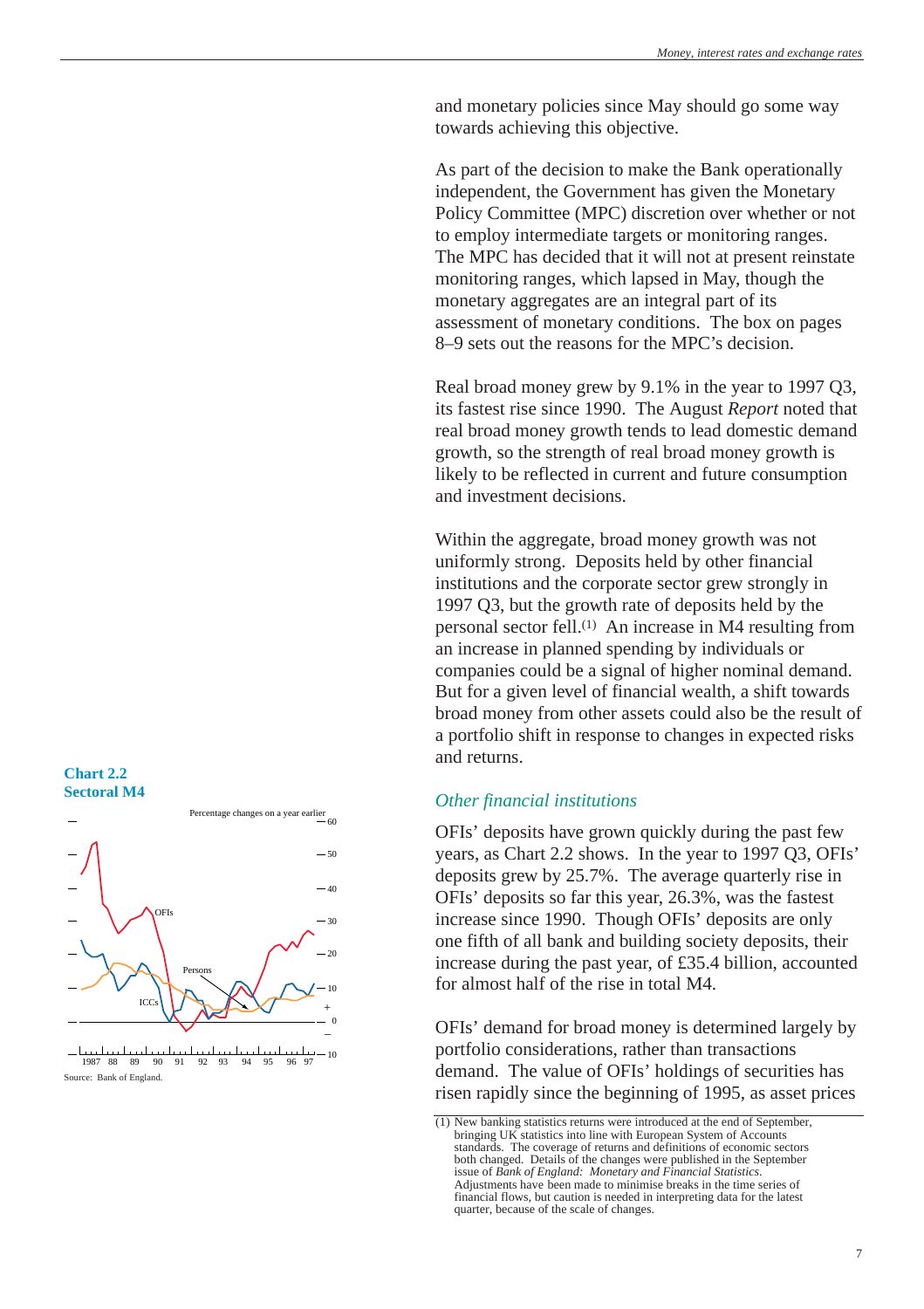<span id="page-6-0"></span>and monetary policies since May should go some way towards achieving this objective.

As part of the decision to make the Bank operationally independent, the Government has given the Monetary Policy Committee (MPC) discretion over whether or not to employ intermediate targets or monitoring ranges. The MPC has decided that it will not at present reinstate monitoring ranges, which lapsed in May, though the monetary aggregates are an integral part of its assessment of monetary conditions. [The box](#page-7-1) on pages 8–9 sets out the reasons for the MPC's decision.

Real broad money grew by 9.1% in the year to 1997 Q3, its fastest rise since 1990. The August *Report* noted that real broad money growth tends to lead domestic demand growth, so the strength of real broad money growth is likely to be reflected in current and future consumption and investment decisions.

Within the aggregate, broad money growth was not uniformly strong. Deposits held by other financial institutions and the corporate sector grew strongly in 1997 Q3, but the growth rate of deposits held by the personal sector fell.(1) An increase in M4 resulting from an increase in planned spending by individuals or companies could be a signal of higher nominal demand. But for a given level of financial wealth, a shift towards broad money from other assets could also be the result of a portfolio shift in response to changes in expected risks and returns.

## *Other financial institutions*

OFIs' deposits have grown quickly during the past few years, as Chart 2.2 shows. In the year to 1997 Q3, OFIs' deposits grew by 25.7%. The average quarterly rise in OFIs' deposits so far this year, 26.3%, was the fastest increase since 1990. Though OFIs' deposits are only one fifth of all bank and building society deposits, their increase during the past year, of £35.4 billion, accounted for almost half of the rise in total M4.

OFIs' demand for broad money is determined largely by portfolio considerations, rather than transactions demand. The value of OFIs' holdings of securities has risen rapidly since the beginning of 1995, as asset prices

## **Chart 2.2 Sectoral M4**



 10 1987 88 89 90 91 92 93 94 95 96 97 Source: Bank of England.

<sup>(1)</sup> New banking statistics returns were introduced at the end of September, bringing UK statistics into line with European System of Accounts standards. The coverage of returns and definitions of economic sectors both changed. Details of the changes were published in the September issue of *Bank of England: Monetary and Financial Statistics*. Adjustments have been made to minimise breaks in the time series of financial flows, but caution is needed in interpreting data for the latest quarter, because of the scale of changes.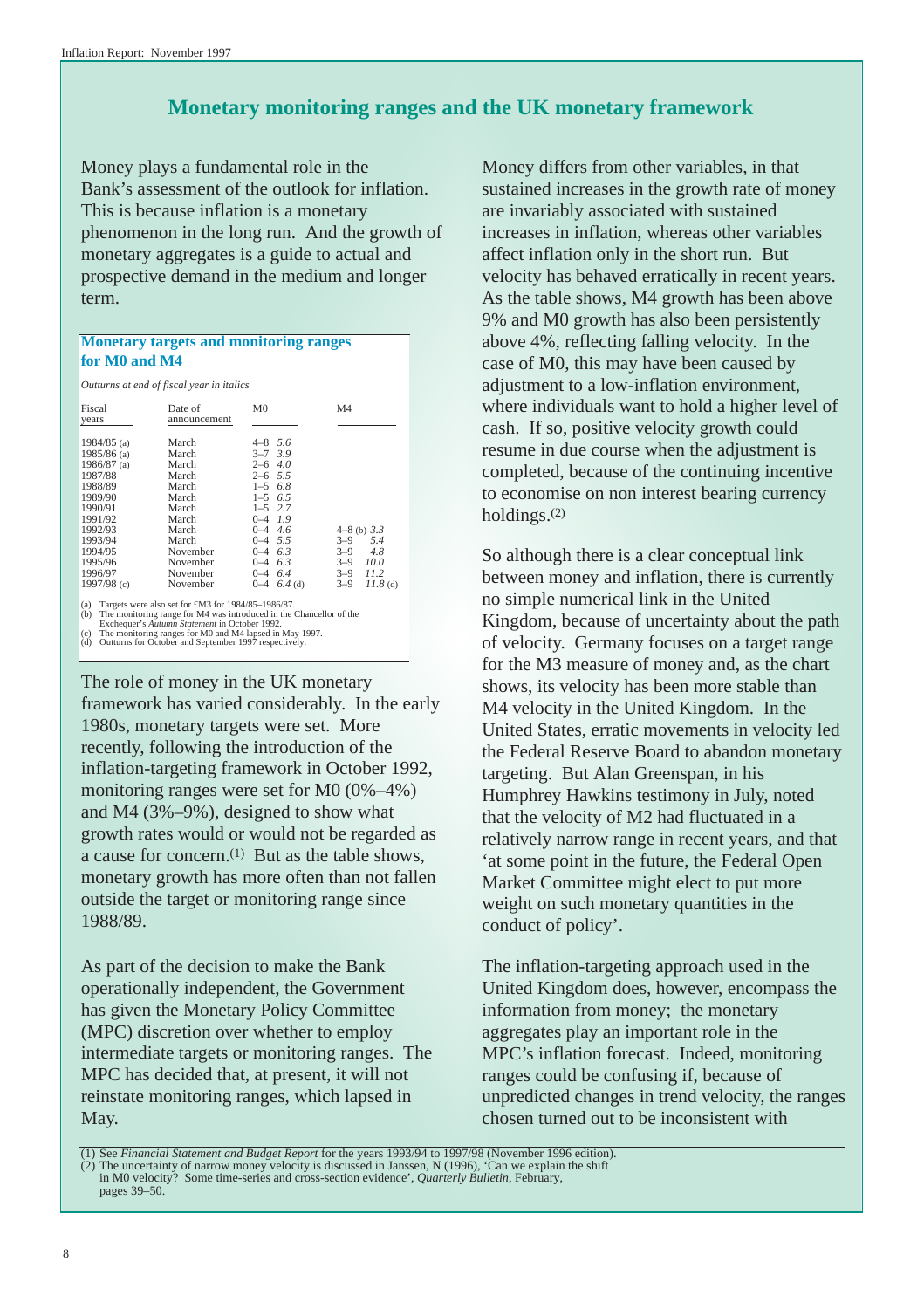## **Monetary monitoring ranges and the UK monetary framework**

<span id="page-7-1"></span><span id="page-7-0"></span>Money plays a fundamental role in the Bank's assessment of the outlook for inflation. This is because inflation is a monetary phenomenon in the long run. And the growth of monetary aggregates is a guide to actual and prospective demand in the medium and longer term.

## **Monetary targets and monitoring ranges for M0 and M4**

*Outturns at end of fiscal year in italics*

| Fiscal<br>years                                                                                                                         | Date of<br>announcement                                                                            | M <sub>0</sub>                                                                                                                                                            | M <sub>4</sub>                                           |
|-----------------------------------------------------------------------------------------------------------------------------------------|----------------------------------------------------------------------------------------------------|---------------------------------------------------------------------------------------------------------------------------------------------------------------------------|----------------------------------------------------------|
| 1984/85 $(a)$<br>$1985/86$ (a)<br>$1986/87$ (a)<br>1987/88<br>1988/89<br>1989/90<br>1990/91<br>1991/92<br>1992/93<br>1993/94<br>1994/95 | March<br>March<br>March<br>March<br>March<br>March<br>March<br>March<br>March<br>March<br>November | $4 - 8$ 5.6<br>$3 - 7$ 3.9<br>4.0<br>$2 - 6$<br>$2 - 6$ 5.5<br>6.8<br>$1 - 5$<br>6.5<br>$1 - 5$<br>$1 - 5$ 2.7<br>$0 - 4$ 1.9<br>$0-4$ 4.6<br>$0-4$ 5.5<br>6.3<br>$0 - 4$ | $4-8$ (b) $3.3$<br>$3 - 9$<br>5.4<br>$3 - 9$<br>4.8      |
| 1995/96<br>1996/97<br>1997/98 $(c)$                                                                                                     | November<br>November<br>November                                                                   | 6.3<br>$0 - 4$<br>6.4<br>$0 - 4$<br>$6.4$ (d)<br>$0 - 4$                                                                                                                  | 10.0<br>$3 - 9$<br>$3 - 9$<br>11.2<br>$3 - 9$<br>11.8(d) |

(a) Targets were also set for EM3 for 1984/85–1986/87.<br>
(b) The monitoring range for M4 was introduced in the Chancellor of the Exchequer's *Autumn Statement* in October 1992.<br>
(c) The monitoring ranges for M0 and M4 laps

The role of money in the UK monetary framework has varied considerably. In the early 1980s, monetary targets were set. More recently, following the introduction of the inflation-targeting framework in October 1992, monitoring ranges were set for M0 (0%–4%) and M4 (3%–9%), designed to show what growth rates would or would not be regarded as a cause for concern.(1) But as the table shows, monetary growth has more often than not fallen outside the target or monitoring range since 1988/89.

As part of the decision to make the Bank operationally independent, the Government has given the Monetary Policy Committee (MPC) discretion over whether to employ intermediate targets or monitoring ranges. The MPC has decided that, at present, it will not reinstate monitoring ranges, which lapsed in May.

Money differs from other variables, in that sustained increases in the growth rate of money are invariably associated with sustained increases in inflation, whereas other variables affect inflation only in the short run. But velocity has behaved erratically in recent years. As the table shows, M4 growth has been above 9% and M0 growth has also been persistently above 4%, reflecting falling velocity. In the case of M0, this may have been caused by adjustment to a low-inflation environment, where individuals want to hold a higher level of cash. If so, positive velocity growth could resume in due course when the adjustment is completed, because of the continuing incentive to economise on non interest bearing currency holdings.(2)

So although there is a clear conceptual link between money and inflation, there is currently no simple numerical link in the United Kingdom, because of uncertainty about the path of velocity. Germany focuses on a target range for the M3 measure of money and, as the chart shows, its velocity has been more stable than M4 velocity in the United Kingdom. In the United States, erratic movements in velocity led the Federal Reserve Board to abandon monetary targeting. But Alan Greenspan, in his Humphrey Hawkins testimony in July, noted that the velocity of M2 had fluctuated in a relatively narrow range in recent years, and that 'at some point in the future, the Federal Open Market Committee might elect to put more weight on such monetary quantities in the conduct of policy'.

The inflation-targeting approach used in the United Kingdom does, however, encompass the information from money; the monetary aggregates play an important role in the MPC's inflation forecast. Indeed, monitoring ranges could be confusing if, because of unpredicted changes in trend velocity, the ranges chosen turned out to be inconsistent with

<sup>(1)</sup> See *Financial Statement and Budget Report* for the years 1993/94 to 1997/98 (November 1996 edition). (2) The uncertainty of narrow money velocity is discussed in Janssen, N (1996), 'Can we explain the shift in M0 velocity? Some time-series and cross-section evidence', *Quarterly Bulletin*, February, pages 39–50.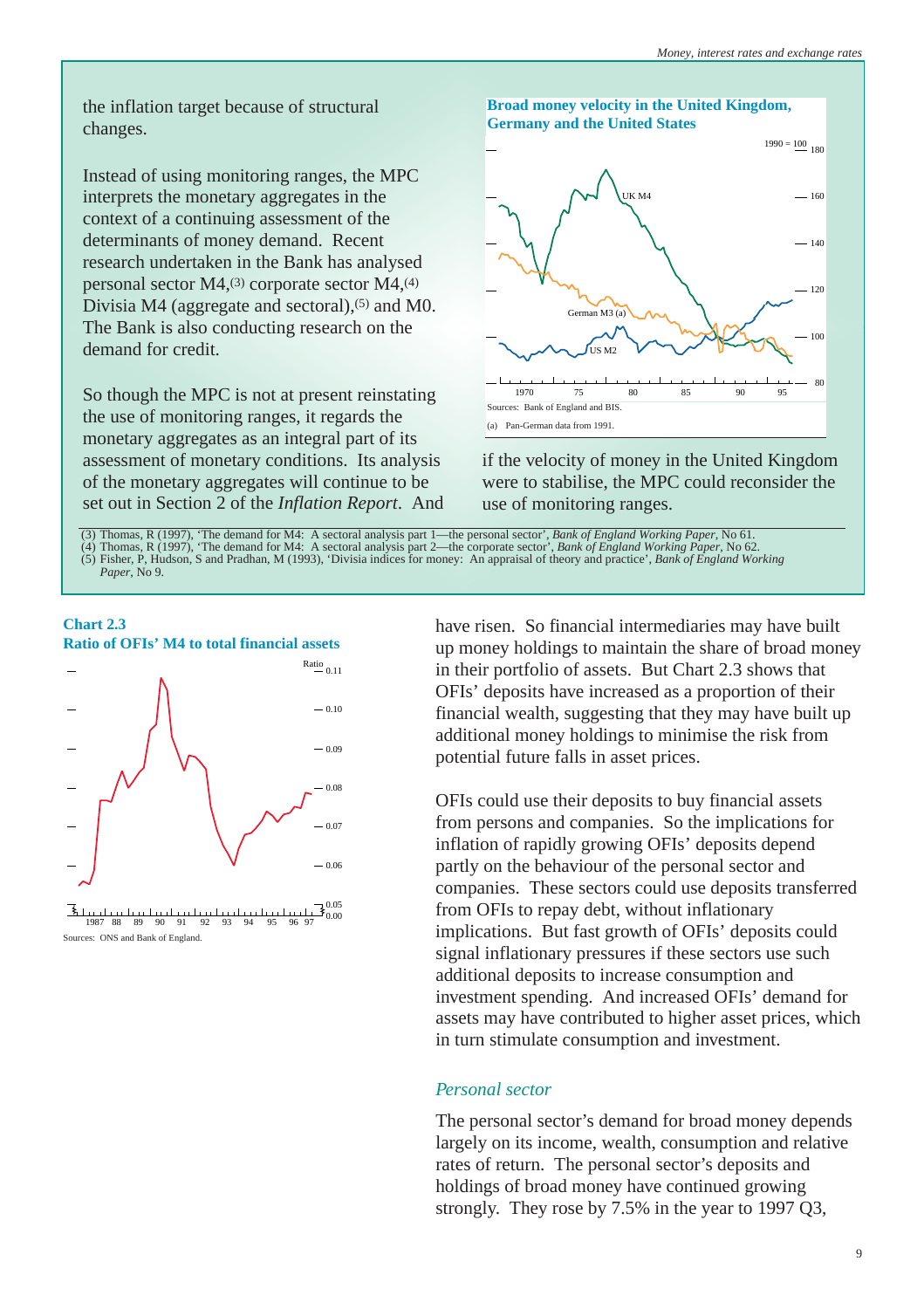<span id="page-8-0"></span>the inflation target because of structural changes.

Instead of using monitoring ranges, the MPC interprets the monetary aggregates in the context of a continuing assessment of the determinants of money demand. Recent research undertaken in the Bank has analysed personal sector M4,(3) corporate sector M4,(4) Divisia M4 (aggregate and sectoral), $(5)$  and M0. The Bank is also conducting research on the demand for credit.

So though the MPC is not at present reinstating the use of monitoring ranges, it regards the monetary aggregates as an integral part of its assessment of monetary conditions. Its analysis of the monetary aggregates will continue to be set out in Section 2 of the *Inflation Report*. And



if the velocity of money in the United Kingdom were to stabilise, the MPC could reconsider the use of monitoring ranges.

(3) Thomas, R (1997), 'The demand for M4: A sectoral analysis part 1—the personal sector', *Bank of England Working Paper*, No 61. (4) Thomas, R (1997), 'The demand for M4: A sectoral analysis part 2—the corporate sector', *Bank of England Working Paper*, No 62. (5) Fisher, P, Hudson, S and Pradhan, M (1993), 'Divisia indices for money: An appraisal of theory and practice', *Bank of England Working Paper*, No 9.



<sup>0.05</sup> 0.00 1987 88 89 90 91 92 93 94 95 96 97 Sources: ONS and Bank of England.

have risen. So financial intermediaries may have built up money holdings to maintain the share of broad money in their portfolio of assets. But Chart 2.3 shows that OFIs' deposits have increased as a proportion of their financial wealth, suggesting that they may have built up additional money holdings to minimise the risk from potential future falls in asset prices.

OFIs could use their deposits to buy financial assets from persons and companies. So the implications for inflation of rapidly growing OFIs' deposits depend partly on the behaviour of the personal sector and companies. These sectors could use deposits transferred from OFIs to repay debt, without inflationary implications. But fast growth of OFIs' deposits could signal inflationary pressures if these sectors use such additional deposits to increase consumption and investment spending. And increased OFIs' demand for assets may have contributed to higher asset prices, which in turn stimulate consumption and investment.

## *Personal sector*

The personal sector's demand for broad money depends largely on its income, wealth, consumption and relative rates of return. The personal sector's deposits and holdings of broad money have continued growing strongly. They rose by 7.5% in the year to 1997 Q3,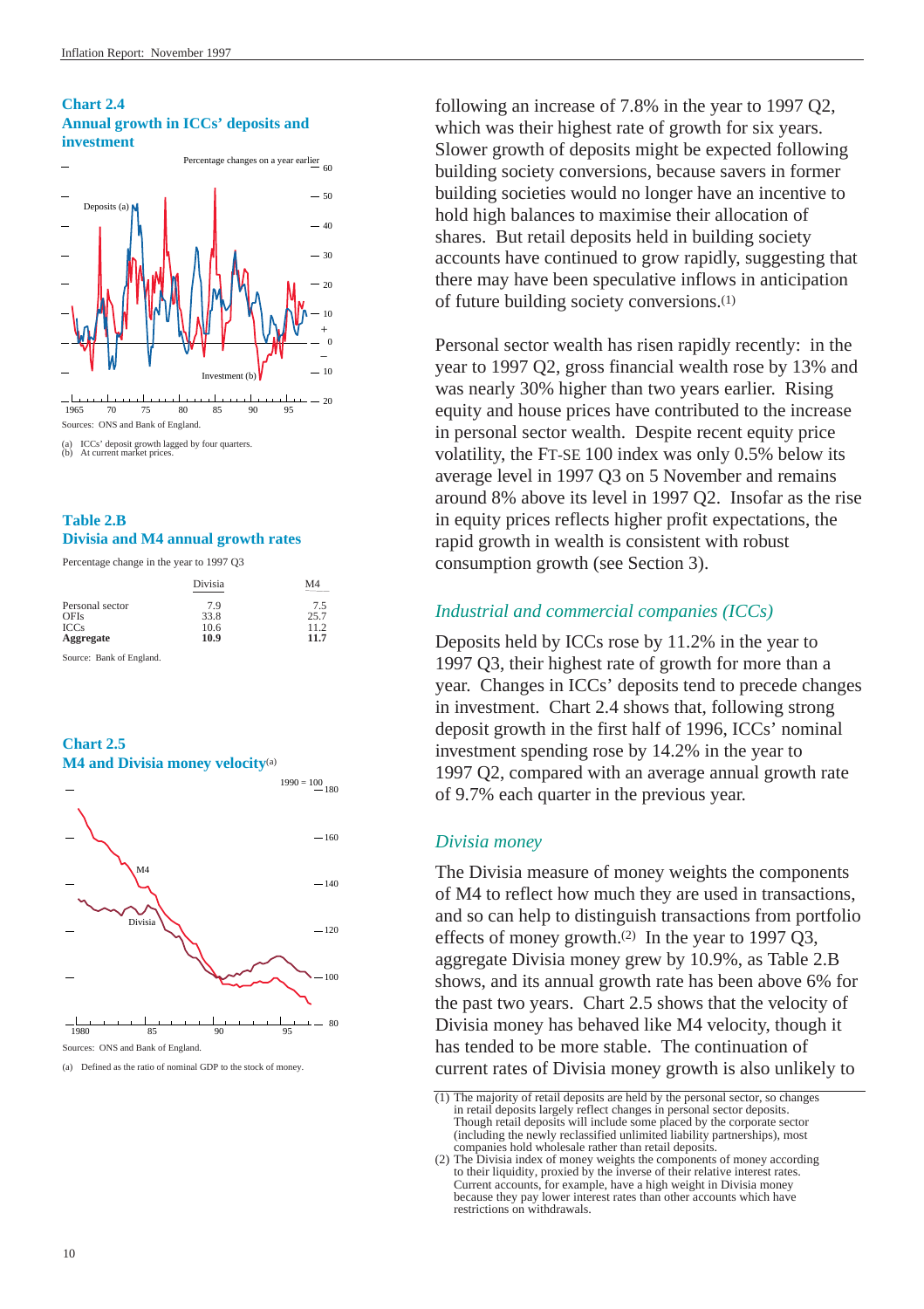## <span id="page-9-0"></span>**Chart 2.4 Annual growth in ICCs' deposits and investment**



(a) ICCs' deposit growth lagged by four quarters. (b) At current market prices.

## **Table 2.B Divisia and M4 annual growth rates**

Percentage change in the year to 1997 Q3

|                 | Divisia | M <sub>4</sub> |
|-----------------|---------|----------------|
| Personal sector | 7.9     | 7.5            |
| <b>OFIs</b>     | 33.8    | 25.7           |
| <b>ICCs</b>     | 10.6    | 11.2           |
| Aggregate       | 10.9    | 11.7           |

Source: Bank of England.

## **Chart 2.5 M4 and Divisia money velocity**(a)



Sources: ONS and Bank of England.

(a) Defined as the ratio of nominal GDP to the stock of money.

following an increase of 7.8% in the year to 1997 Q2, which was their highest rate of growth for six years. Slower growth of deposits might be expected following building society conversions, because savers in former building societies would no longer have an incentive to hold high balances to maximise their allocation of shares. But retail deposits held in building society accounts have continued to grow rapidly, suggesting that there may have been speculative inflows in anticipation of future building society conversions.(1)

Personal sector wealth has risen rapidly recently: in the year to 1997 Q2, gross financial wealth rose by 13% and was nearly 30% higher than two years earlier. Rising equity and house prices have contributed to the increase in personal sector wealth. Despite recent equity price volatility, the FT-SE 100 index was only 0.5% below its average level in 1997 Q3 on 5 November and remains around 8% above its level in 1997 Q2. Insofar as the rise in equity prices reflects higher profit expectations, the rapid growth in wealth is consistent with robust consumption growth (se[e Section 3\)](#page-17-1).

## *Industrial and commercial companies (ICCs)*

Deposits held by ICCs rose by 11.2% in the year to 1997 Q3, their highest rate of growth for more than a year. Changes in ICCs' deposits tend to precede changes in investment. Chart 2.4 shows that, following strong deposit growth in the first half of 1996, ICCs' nominal investment spending rose by 14.2% in the year to 1997 Q2, compared with an average annual growth rate of 9.7% each quarter in the previous year.

## *Divisia money*

The Divisia measure of money weights the components of M4 to reflect how much they are used in transactions, and so can help to distinguish transactions from portfolio effects of money growth.(2) In the year to 1997 Q3, aggregate Divisia money grew by 10.9%, as Table 2.B shows, and its annual growth rate has been above 6% for the past two years. Chart 2.5 shows that the velocity of Divisia money has behaved like M4 velocity, though it has tended to be more stable. The continuation of current rates of Divisia money growth is also unlikely to

 $(1)$  The majority of retail deposits are held by the personal sector, so changes in retail deposits largely reflect changes in personal sector deposits. Though retail deposits will include some placed by the corporate sector (including the newly reclassified unlimited liability partnerships), most companies hold wholesale rather than retail deposits.

<sup>(2)</sup> The Divisia index of money weights the components of money according to their liquidity, proxied by the inverse of their relative interest rates. Current accounts, for example, have a high weight in Divisia money because they pay lower interest rates than other accounts which have restrictions on withdrawals.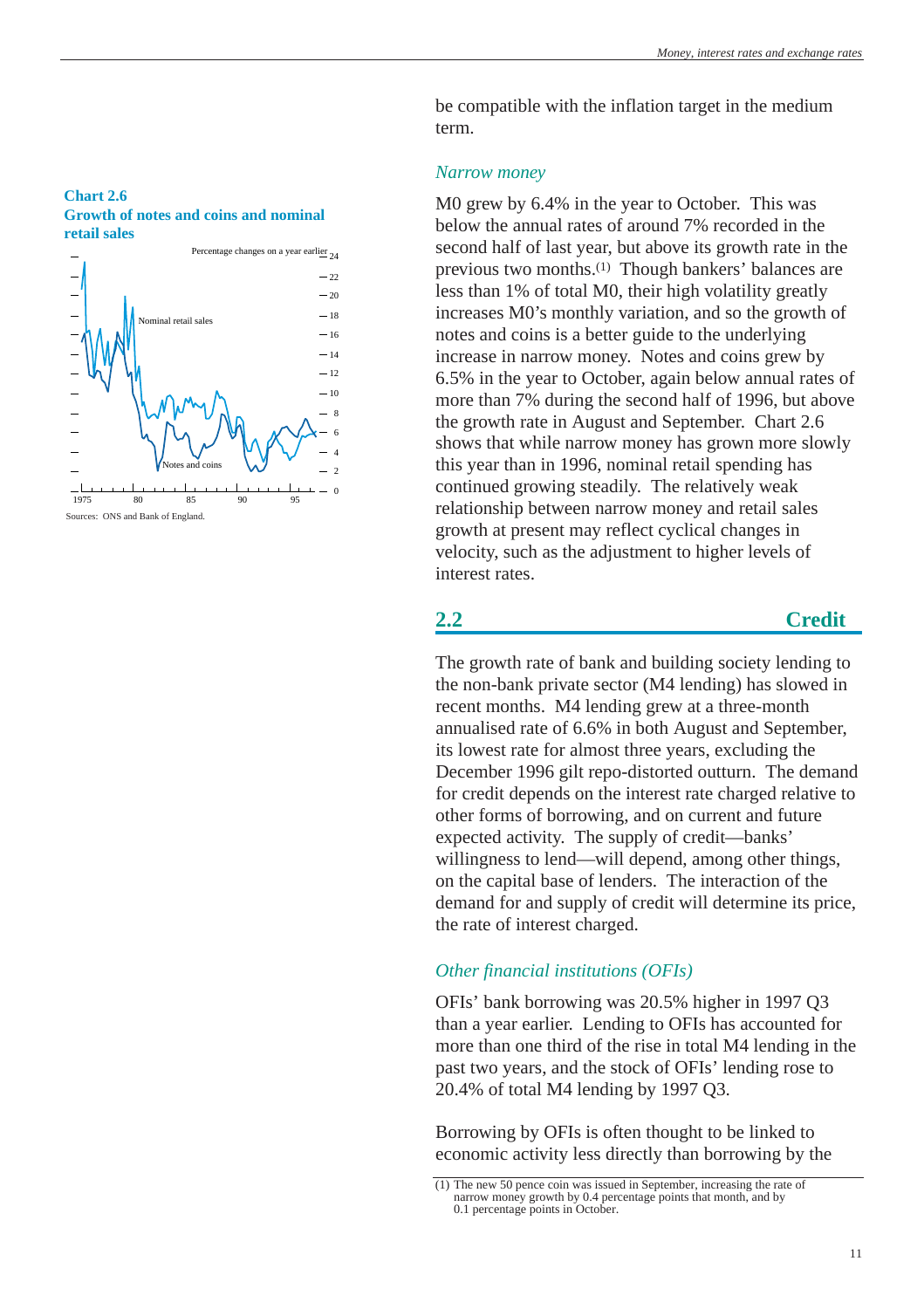### <span id="page-10-0"></span>**Chart 2.6 Growth of notes and coins and nominal retail sales**



be compatible with the inflation target in the medium term.

## *Narrow money*

M0 grew by 6.4% in the year to October. This was below the annual rates of around 7% recorded in the second half of last year, but above its growth rate in the previous two months.(1) Though bankers' balances are less than 1% of total M0, their high volatility greatly increases M0's monthly variation, and so the growth of notes and coins is a better guide to the underlying increase in narrow money. Notes and coins grew by 6.5% in the year to October, again below annual rates of more than 7% during the second half of 1996, but above the growth rate in August and September. Chart 2.6 shows that while narrow money has grown more slowly this year than in 1996, nominal retail spending has continued growing steadily. The relatively weak relationship between narrow money and retail sales growth at present may reflect cyclical changes in velocity, such as the adjustment to higher levels of interest rates.

## **2.2 Credit**

The growth rate of bank and building society lending to the non-bank private sector (M4 lending) has slowed in recent months. M4 lending grew at a three-month annualised rate of 6.6% in both August and September, its lowest rate for almost three years, excluding the December 1996 gilt repo-distorted outturn. The demand for credit depends on the interest rate charged relative to other forms of borrowing, and on current and future expected activity. The supply of credit—banks' willingness to lend—will depend, among other things, on the capital base of lenders. The interaction of the demand for and supply of credit will determine its price, the rate of interest charged.

## *Other financial institutions (OFIs)*

OFIs' bank borrowing was 20.5% higher in 1997 Q3 than a year earlier. Lending to OFIs has accounted for more than one third of the rise in total M4 lending in the past two years, and the stock of OFIs' lending rose to 20.4% of total M4 lending by 1997 Q3.

Borrowing by OFIs is often thought to be linked to economic activity less directly than borrowing by the

<sup>(1)</sup> The new 50 pence coin was issued in September, increasing the rate of narrow money growth by 0.4 percentage points that month, and by 0.1 percentage points in October.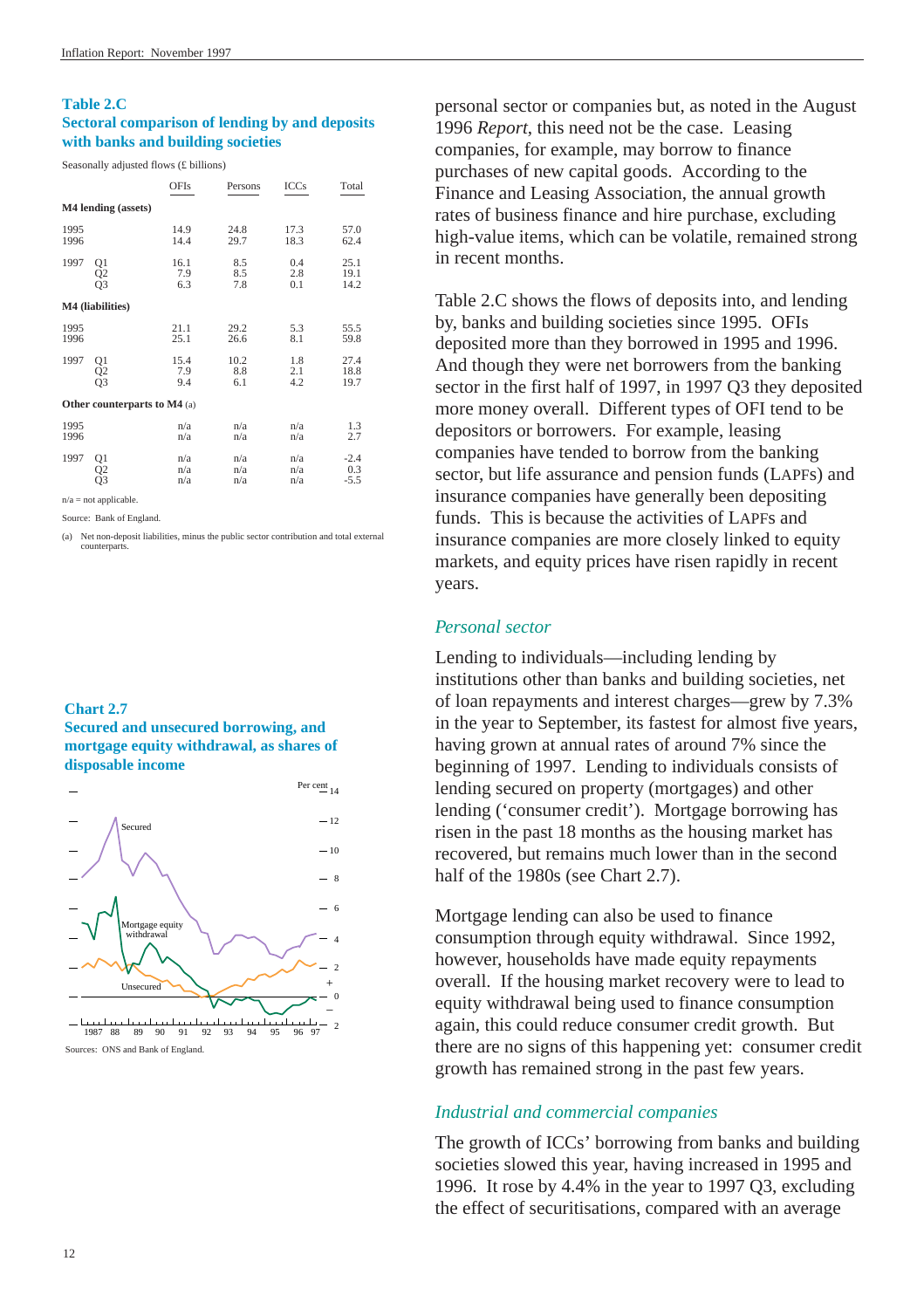#### <span id="page-11-0"></span>**Table 2.C**

## **Sectoral comparison of lending by and deposits with banks and building societies**

Seasonally adjusted flows (£ billions)

|              |                                     | OFIs               | Persons            | <b>ICCs</b>       | Total                   |
|--------------|-------------------------------------|--------------------|--------------------|-------------------|-------------------------|
|              | M4 lending (assets)                 |                    |                    |                   |                         |
| 1995<br>1996 |                                     | 14.9<br>14.4       | 24.8<br>29.7       | 17.3<br>18.3      | 57.0<br>62.4            |
| 1997         | Q1<br>Q2<br>Q3                      | 16.1<br>7.9<br>6.3 | 8.5<br>8.5<br>7.8  | 0.4<br>2.8<br>0.1 | 25.1<br>19.1<br>14.2    |
|              | M4 (liabilities)                    |                    |                    |                   |                         |
| 1995<br>1996 |                                     | 21.1<br>25.1       | 29.2<br>26.6       | 5.3<br>8.1        | 55.5<br>59.8            |
| 1997         | Q1<br>Q2<br>Q3                      | 15.4<br>7.9<br>9.4 | 10.2<br>8.8<br>6.1 | 1.8<br>2.1<br>4.2 | 27.4<br>18.8<br>19.7    |
|              | <b>Other counterparts to M4</b> (a) |                    |                    |                   |                         |
| 1995<br>1996 |                                     | n/a<br>n/a         | n/a<br>n/a         | n/a<br>n/a        | 1.3<br>2.7              |
| 1997         | Q1<br>Q2                            | n/a<br>n/a<br>n/a  | n/a<br>n/a<br>n/a  | n/a<br>n/a<br>n/a | $-2.4$<br>0.3<br>$-5.5$ |

 $n/a = not$  applicable.

Source: Bank of England.

(a) Net non-deposit liabilities, minus the public sector contribution and total external counterparts.

## **Chart 2.7**

**Secured and unsecured borrowing, and mortgage equity withdrawal, as shares of disposable income**



Sources: ONS and Bank of England.

personal sector or companies but, as noted in the August 1996 *Report*, this need not be the case. Leasing companies, for example, may borrow to finance purchases of new capital goods. According to the Finance and Leasing Association, the annual growth rates of business finance and hire purchase, excluding high-value items, which can be volatile, remained strong in recent months.

Table 2.C shows the flows of deposits into, and lending by, banks and building societies since 1995. OFIs deposited more than they borrowed in 1995 and 1996. And though they were net borrowers from the banking sector in the first half of 1997, in 1997 Q3 they deposited more money overall. Different types of OFI tend to be depositors or borrowers. For example, leasing companies have tended to borrow from the banking sector, but life assurance and pension funds (LAPFs) and insurance companies have generally been depositing funds. This is because the activities of LAPFs and insurance companies are more closely linked to equity markets, and equity prices have risen rapidly in recent years.

## *Personal sector*

Lending to individuals—including lending by institutions other than banks and building societies, net of loan repayments and interest charges—grew by 7.3% in the year to September, its fastest for almost five years, having grown at annual rates of around 7% since the beginning of 1997. Lending to individuals consists of lending secured on property (mortgages) and other lending ('consumer credit'). Mortgage borrowing has risen in the past 18 months as the housing market has recovered, but remains much lower than in the second half of the 1980s (see Chart 2.7).

Mortgage lending can also be used to finance consumption through equity withdrawal. Since 1992, however, households have made equity repayments overall. If the housing market recovery were to lead to equity withdrawal being used to finance consumption again, this could reduce consumer credit growth. But there are no signs of this happening yet: consumer credit growth has remained strong in the past few years.

## *Industrial and commercial companies*

The growth of ICCs' borrowing from banks and building societies slowed this year, having increased in 1995 and 1996. It rose by 4.4% in the year to 1997 Q3, excluding the effect of securitisations, compared with an average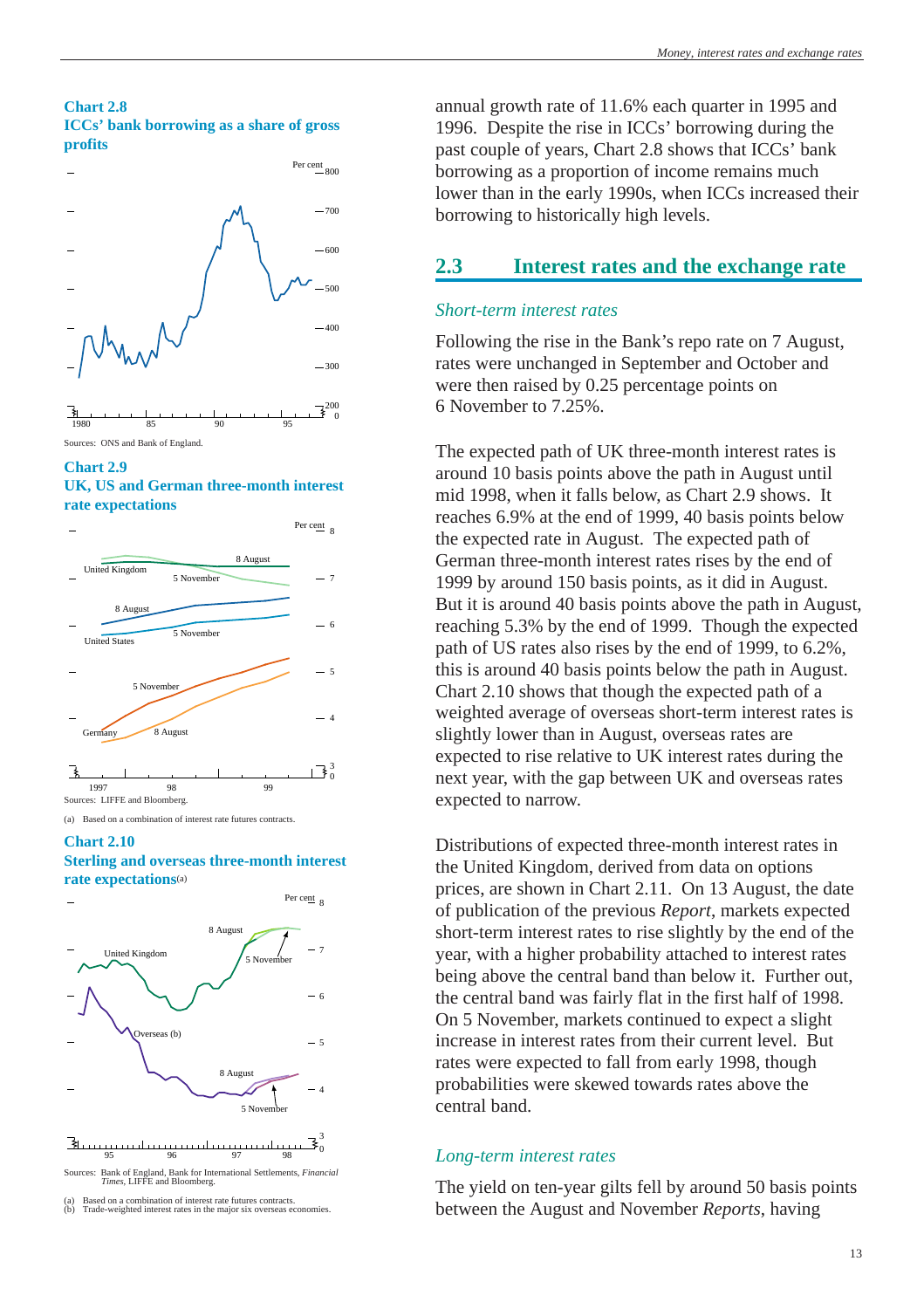### <span id="page-12-0"></span>**Chart 2.8 ICCs' bank borrowing as a share of gross profits**







### **UK, US and German three-month interest rate expectations**



(a) Based on a combination of interest rate futures contracts.

#### **Chart 2.10**

## **Sterling and overseas three-month interest rate expectations**(a)



 95 96 97 98 3 0

Sources: Bank of England, Bank for International Settlements, *Financial Times,* LIFFE and Bloomberg.

(a) Based on a combination of interest rate futures contracts. (b) Trade-weighted interest rates in the major six overseas economies. annual growth rate of 11.6% each quarter in 1995 and 1996. Despite the rise in ICCs' borrowing during the past couple of years, Chart 2.8 shows that ICCs' bank borrowing as a proportion of income remains much lower than in the early 1990s, when ICCs increased their borrowing to historically high levels.

## **2.3 Interest rates and the exchange rate**

## *Short-term interest rates*

Following the rise in the Bank's repo rate on 7 August, rates were unchanged in September and October and were then raised by 0.25 percentage points on 6 November to 7.25%.

The expected path of UK three-month interest rates is around 10 basis points above the path in August until mid 1998, when it falls below, as Chart 2.9 shows. It reaches 6.9% at the end of 1999, 40 basis points below the expected rate in August. The expected path of German three-month interest rates rises by the end of 1999 by around 150 basis points, as it did in August. But it is around 40 basis points above the path in August, reaching 5.3% by the end of 1999. Though the expected path of US rates also rises by the end of 1999, to 6.2%, this is around 40 basis points below the path in August. Chart 2.10 shows that though the expected path of a weighted average of overseas short-term interest rates is slightly lower than in August, overseas rates are expected to rise relative to UK interest rates during the next year, with the gap between UK and overseas rates expected to narrow.

Distributions of expected three-month interest rates in the United Kingdom, derived from data on options prices, are shown in Chart 2.11. On 13 August, the date of publication of the previous *Report*, markets expected short-term interest rates to rise slightly by the end of the year, with a higher probability attached to interest rates being above the central band than below it. Further out, the central band was fairly flat in the first half of 1998. On 5 November, markets continued to expect a slight increase in interest rates from their current level. But rates were expected to fall from early 1998, though probabilities were skewed towards rates above the central band.

## *Long-term interest rates*

The yield on ten-year gilts fell by around 50 basis points between the August and November *Reports*, having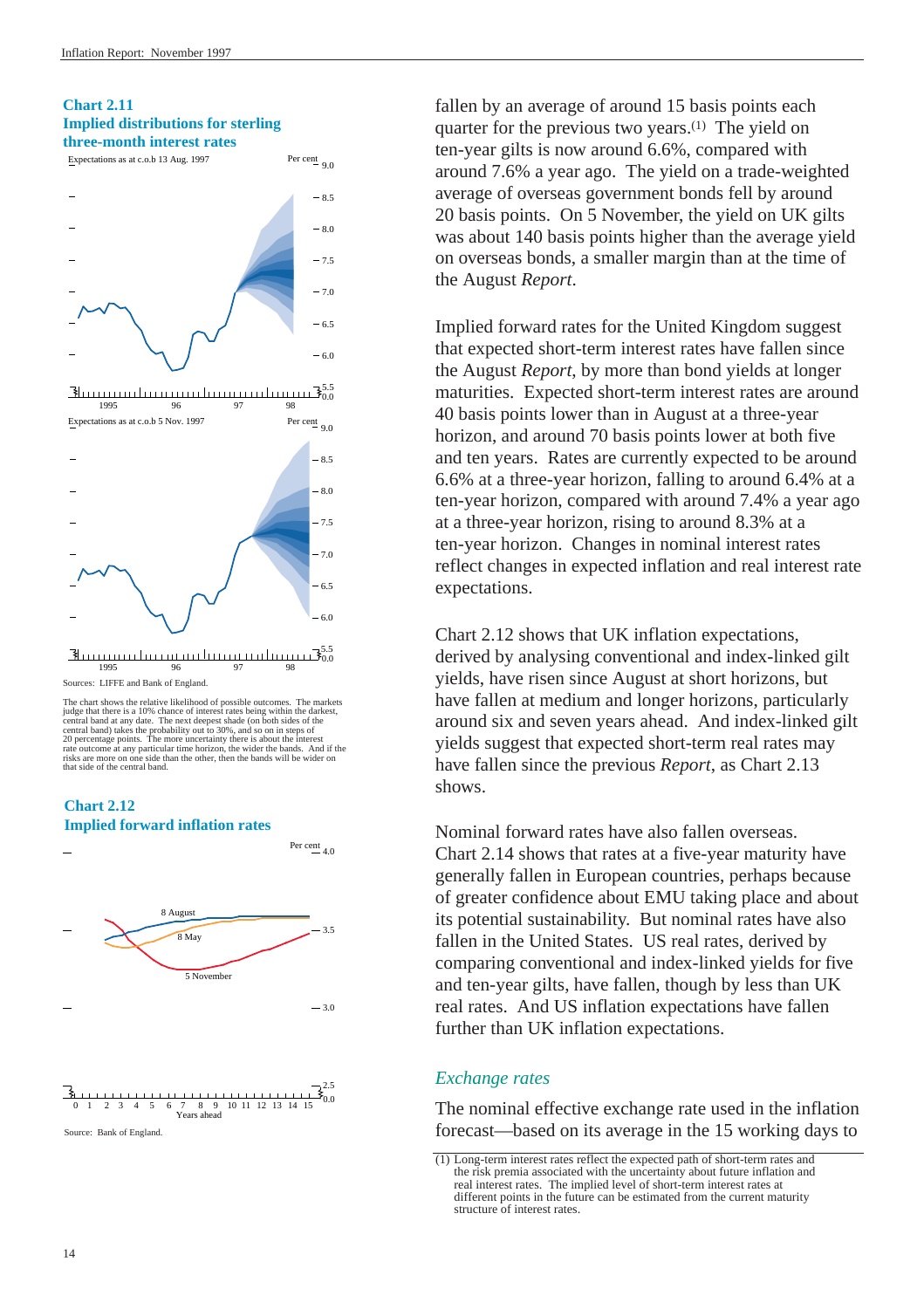## <span id="page-13-0"></span>**Chart 2.11 Implied distributions for sterling three-month interest rates**



### 5.5 0.0 1995 96 97 98

Sources: LIFFE and Bank of England.

The chart shows the relative likelihood of possible outcomes. The markets judge that there is a 10% chance of interest rates being within the darkest, central band at any date. The next deepest shade (on both sides of the central band) takes the probability out to 30%, and so on in steps of<br>20 percentage points. The more uncertainty there is about the interest<br>rate outcome at any particular time horizon, the wider the bands. And if the<br>risk







fallen by an average of around 15 basis points each quarter for the previous two years.(1) The yield on ten-year gilts is now around 6.6%, compared with around 7.6% a year ago. The yield on a trade-weighted average of overseas government bonds fell by around 20 basis points. On 5 November, the yield on UK gilts was about 140 basis points higher than the average yield on overseas bonds, a smaller margin than at the time of the August *Report*.

Implied forward rates for the United Kingdom suggest that expected short-term interest rates have fallen since the August *Report*, by more than bond yields at longer maturities. Expected short-term interest rates are around 40 basis points lower than in August at a three-year horizon, and around 70 basis points lower at both five and ten years. Rates are currently expected to be around 6.6% at a three-year horizon, falling to around 6.4% at a ten-year horizon, compared with around 7.4% a year ago at a three-year horizon, rising to around 8.3% at a ten-year horizon. Changes in nominal interest rates reflect changes in expected inflation and real interest rate expectations.

Chart 2.12 shows that UK inflation expectations, derived by analysing conventional and index-linked gilt yields, have risen since August at short horizons, but have fallen at medium and longer horizons, particularly around six and seven years ahead. And index-linked gilt yields suggest that expected short-term real rates may have fallen since the previous *Report*, as Chart 2.13 shows.

Nominal forward rates have also fallen overseas. Chart 2.14 shows that rates at a five-year maturity have generally fallen in European countries, perhaps because of greater confidence about EMU taking place and about its potential sustainability. But nominal rates have also fallen in the United States. US real rates, derived by comparing conventional and index-linked yields for five and ten-year gilts, have fallen, though by less than UK real rates. And US inflation expectations have fallen further than UK inflation expectations.

## *Exchange rates*

The nominal effective exchange rate used in the inflation forecast—based on its average in the 15 working days to

<sup>(1)</sup> Long-term interest rates reflect the expected path of short-term rates and the risk premia associated with the uncertainty about future inflation and real interest rates. The implied level of short-term interest rates at different points in the future can be estimated from the current maturity structure of interest rates.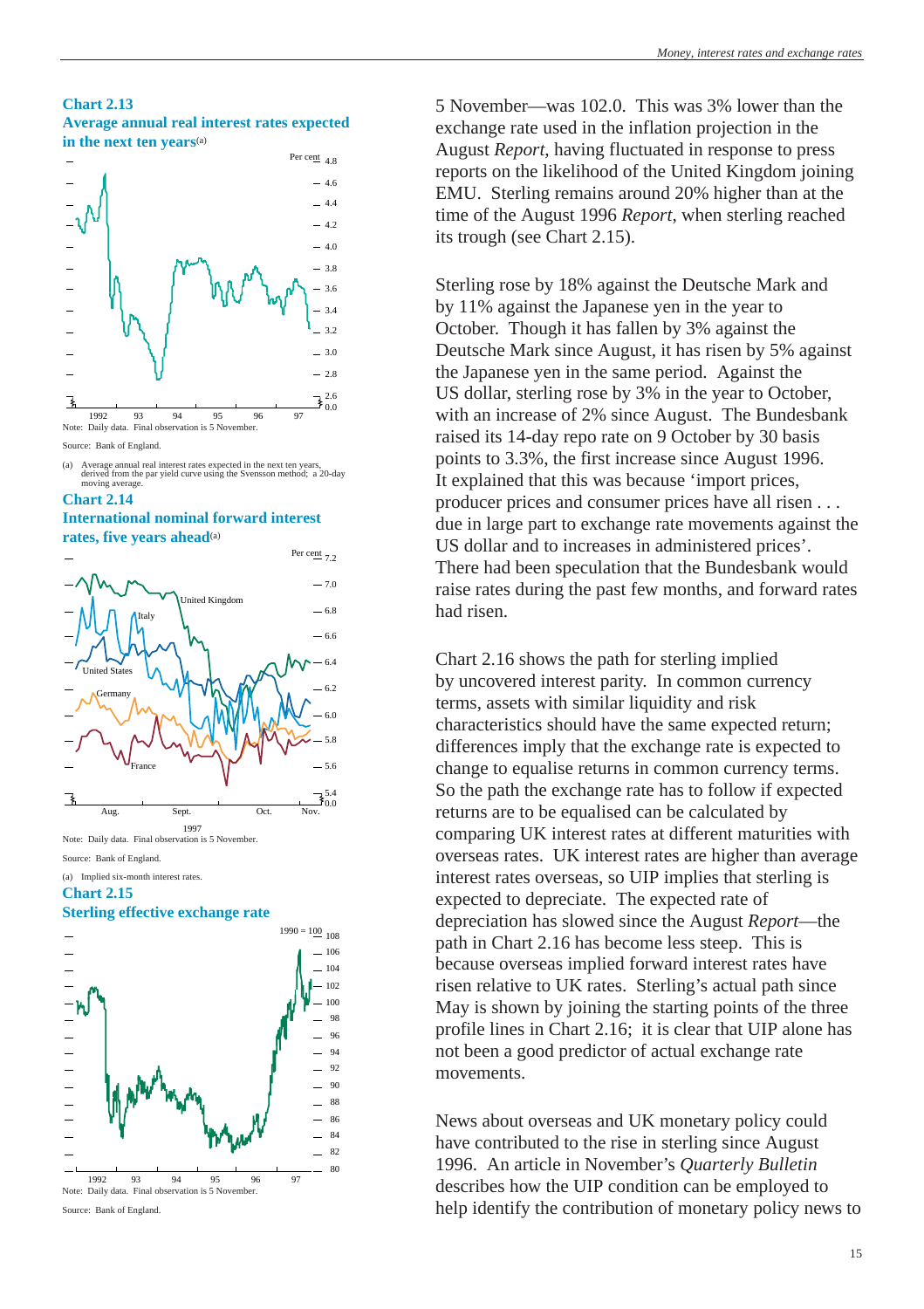#### **Chart 2.13 Average annual real interest rates expected in the next ten years**(a)



<sup>(</sup>a) Average annual real interest rates expected in the next ten years, derived from the par yield curve using the Svensson method; a 20-day







Note: Daily data. Final observation is 5 November. Source: Bank of England.

(a) Implied six-month interest rates.

## **Chart 2.15**





Source: Bank of England.

5 November—was 102.0. This was 3% lower than the exchange rate used in the inflation projection in the August *Report*, having fluctuated in response to press reports on the likelihood of the United Kingdom joining EMU. Sterling remains around 20% higher than at the time of the August 1996 *Report*, when sterling reached its trough (see Chart 2.15).

Sterling rose by 18% against the Deutsche Mark and by 11% against the Japanese yen in the year to October. Though it has fallen by 3% against the Deutsche Mark since August, it has risen by 5% against the Japanese yen in the same period. Against the US dollar, sterling rose by 3% in the year to October, with an increase of 2% since August. The Bundesbank raised its 14-day repo rate on 9 October by 30 basis points to 3.3%, the first increase since August 1996. It explained that this was because 'import prices, producer prices and consumer prices have all risen . . . due in large part to exchange rate movements against the US dollar and to increases in administered prices'. There had been speculation that the Bundesbank would raise rates during the past few months, and forward rates had risen.

Chart 2.16 shows the path for sterling implied by uncovered interest parity. In common currency terms, assets with similar liquidity and risk characteristics should have the same expected return; differences imply that the exchange rate is expected to change to equalise returns in common currency terms. So the path the exchange rate has to follow if expected returns are to be equalised can be calculated by comparing UK interest rates at different maturities with overseas rates. UK interest rates are higher than average interest rates overseas, so UIP implies that sterling is expected to depreciate. The expected rate of depreciation has slowed since the August *Report*—the path in Chart 2.16 has become less steep. This is because overseas implied forward interest rates have risen relative to UK rates. Sterling's actual path since May is shown by joining the starting points of the three profile lines in Chart 2.16; it is clear that UIP alone has not been a good predictor of actual exchange rate movements.

News about overseas and UK monetary policy could have contributed to the rise in sterling since August 1996. An article in November's *Quarterly Bulletin* describes how the UIP condition can be employed to help identify the contribution of monetary policy news to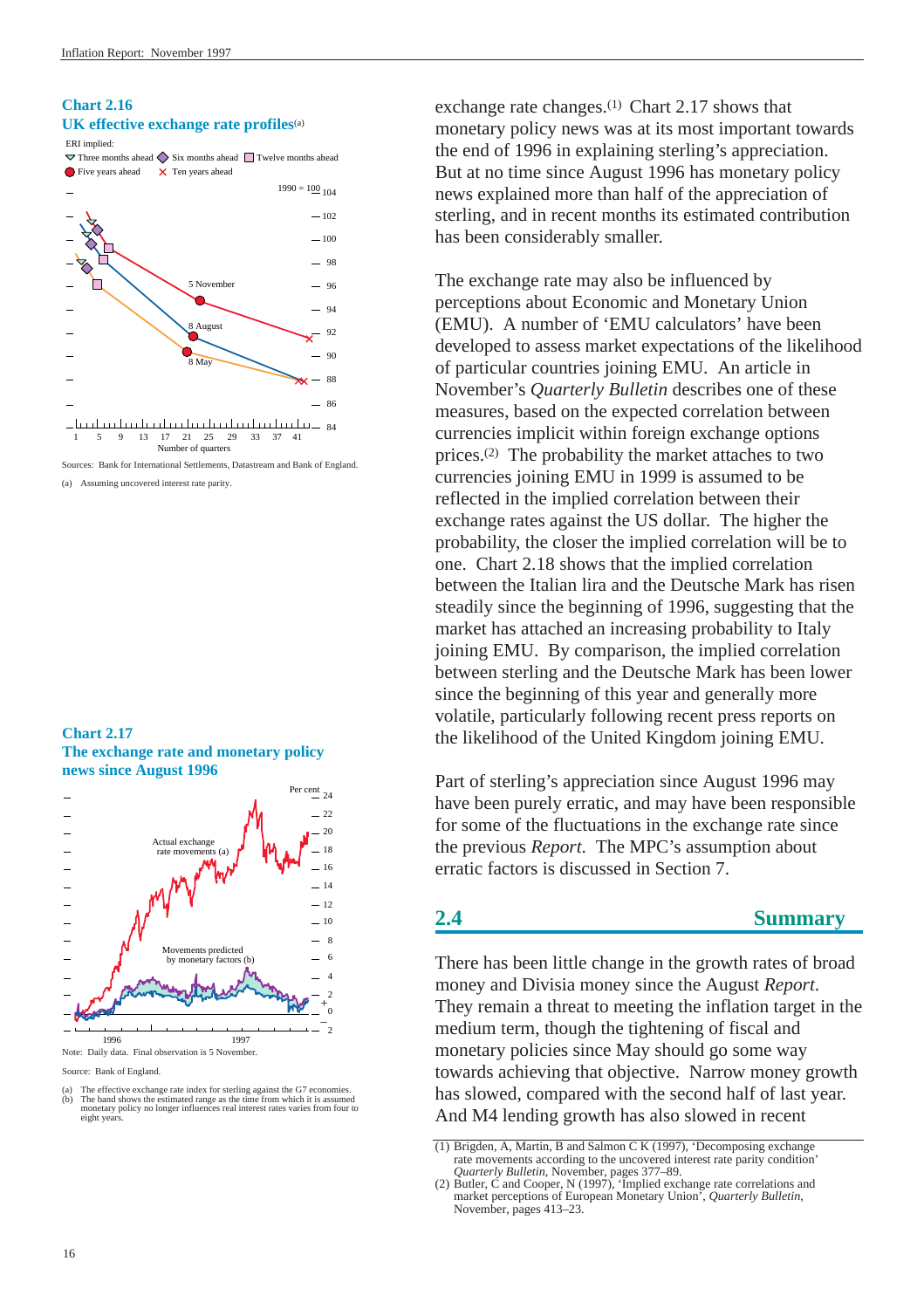## <span id="page-15-0"></span>**Chart 2.16 UK effective exchange rate profiles**(a)



Sources: Bank for International Settlements, Datastream and Bank of England. (a) Assuming uncovered interest rate parity.

### **Chart 2.17 The exchange rate and monetary policy news since August 1996**



Source: Bank of England.

exchange rate changes.<sup>(1)</sup> Chart 2.17 shows that monetary policy news was at its most important towards the end of 1996 in explaining sterling's appreciation. But at no time since August 1996 has monetary policy news explained more than half of the appreciation of sterling, and in recent months its estimated contribution has been considerably smaller.

The exchange rate may also be influenced by perceptions about Economic and Monetary Union (EMU). A number of 'EMU calculators' have been developed to assess market expectations of the likelihood of particular countries joining EMU. An article in November's *Quarterly Bulletin* describes one of these measures, based on the expected correlation between currencies implicit within foreign exchange options prices.(2) The probability the market attaches to two currencies joining EMU in 1999 is assumed to be reflected in the implied correlation between their exchange rates against the US dollar. The higher the probability, the closer the implied correlation will be to one. Chart 2.18 shows that the implied correlation between the Italian lira and the Deutsche Mark has risen steadily since the beginning of 1996, suggesting that the market has attached an increasing probability to Italy joining EMU. By comparison, the implied correlation between sterling and the Deutsche Mark has been lower since the beginning of this year and generally more volatile, particularly following recent press reports on the likelihood of the United Kingdom joining EMU.

Part of sterling's appreciation since August 1996 may have been purely erratic, and may have been responsible for some of the fluctuations in the exchange rate since the previous *Report*. The MPC's assumption about erratic factors is discussed in [Section 7.](#page-45-1)

## **2.4 Summary**

There has been little change in the growth rates of broad money and Divisia money since the August *Report*. They remain a threat to meeting the inflation target in the medium term, though the tightening of fiscal and monetary policies since May should go some way towards achieving that objective. Narrow money growth has slowed, compared with the second half of last year. And M4 lending growth has also slowed in recent

<sup>(</sup>a) The effective exchange rate index for sterling against the G7 economies.<br>(b) The band shows the estimated range as the time from which it is assumed<br>monetary policy no longer influences real interest rates varies from eight years.

<sup>(1)</sup> Brigden, A, Martin, B and Salmon C K (1997), 'Decomposing exchange rate movements according to the uncovered interest rate parity condition'

*Quarterly Bulletin*, November, pages 377–89. (2) Butler, C and Cooper, N (1997), 'Implied exchange rate correlations and market perceptions of European Monetary Union', *Quarterly Bulletin*, November, pages 413–23.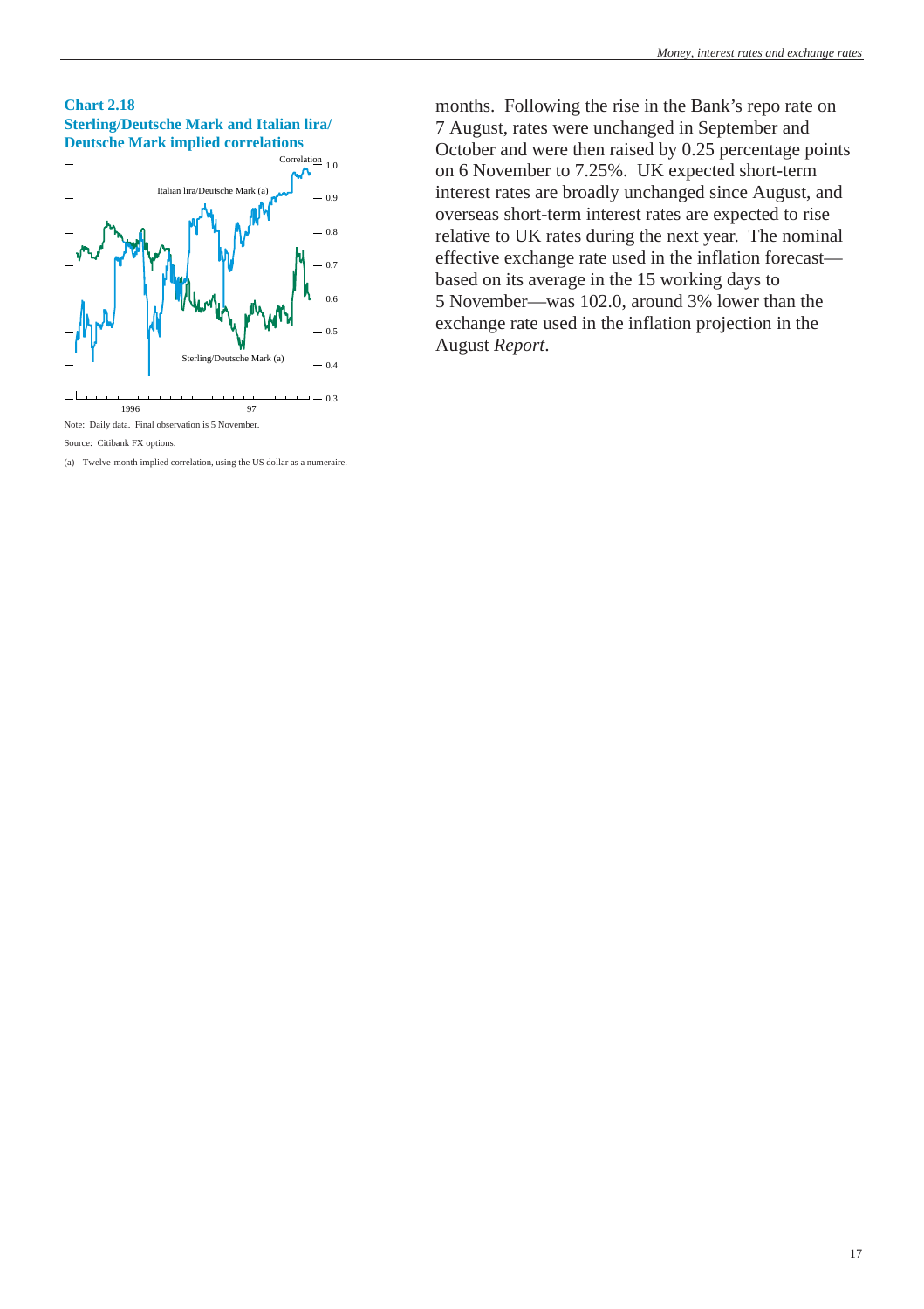



(a) Twelve-month implied correlation, using the US dollar as a numeraire.

months. Following the rise in the Bank's repo rate on 7 August, rates were unchanged in September and October and were then raised by 0.25 percentage points on 6 November to 7.25%. UK expected short-term interest rates are broadly unchanged since August, and overseas short-term interest rates are expected to rise relative to UK rates during the next year. The nominal effective exchange rate used in the inflation forecast based on its average in the 15 working days to 5 November—was 102.0, around 3% lower than the exchange rate used in the inflation projection in the August *Report*.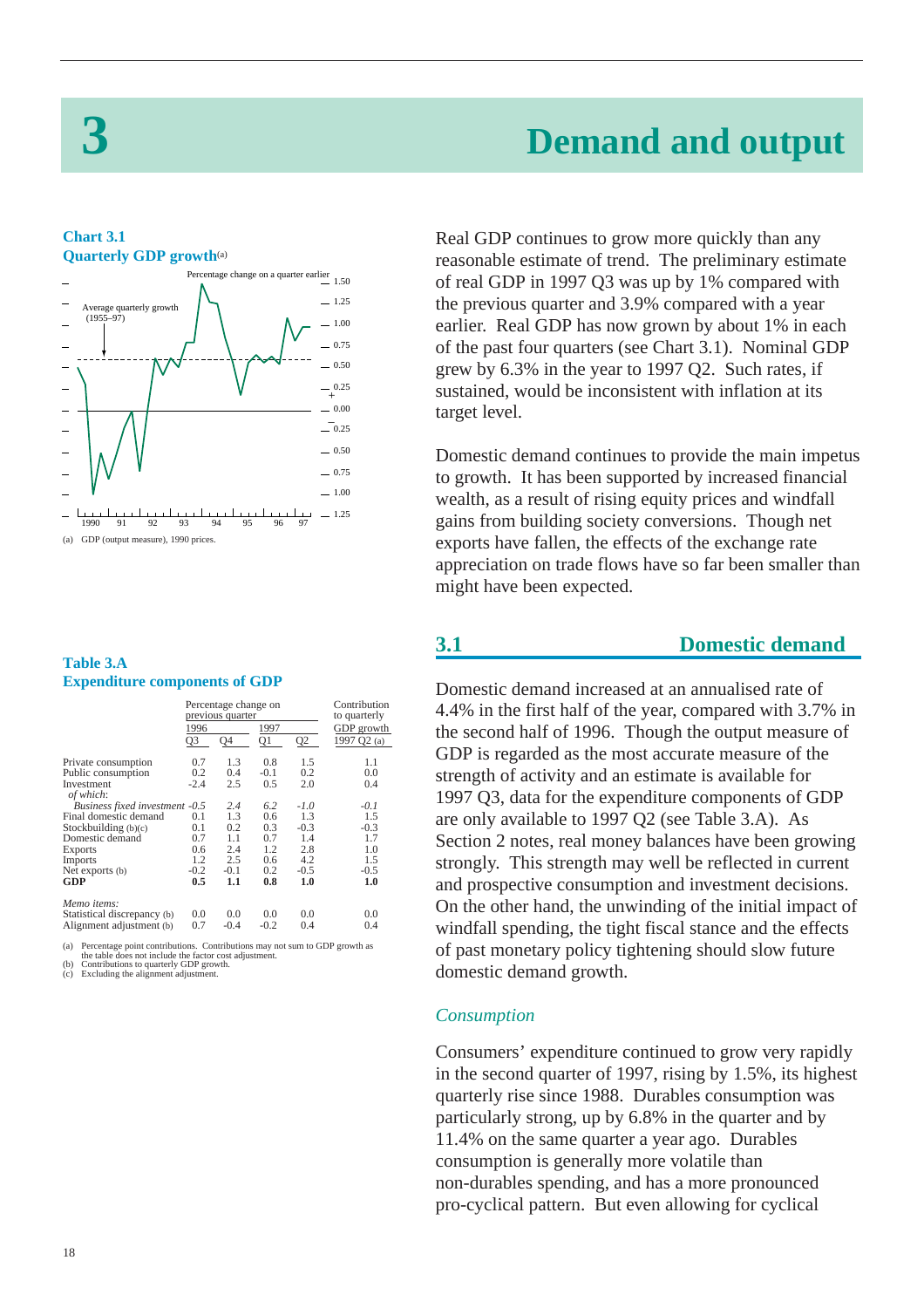# **3 Demand and output**

### <span id="page-17-1"></span><span id="page-17-0"></span>**Chart 3.1 Quarterly GDP growth**(a)



## **Table 3.A Expenditure components of GDP**

|                                                                                    | Percentage change on<br>previous quarter |        |                |                | Contribution<br>to quarterly |  |
|------------------------------------------------------------------------------------|------------------------------------------|--------|----------------|----------------|------------------------------|--|
|                                                                                    | 1996                                     |        | 1997           |                | GDP growth                   |  |
|                                                                                    | Q <sub>3</sub>                           | Q4     | Q <sub>1</sub> | Q <sub>2</sub> | 1997 Q2 (a)                  |  |
| Private consumption                                                                | 0.7                                      | 1.3    | 0.8            | 1.5            | 1.1                          |  |
| Public consumption                                                                 | 0.2                                      | 0.4    | $-0.1$         | 0.2            | 0.0                          |  |
| Investment<br>of which:                                                            | $-2.4$                                   | 2.5    | 0.5            | 2.0            | 0.4                          |  |
| Business fixed investment -0.5                                                     |                                          | 2.4    | 6.2            | $-1.0$         | $-0.1$                       |  |
| Final domestic demand                                                              | 0.1                                      | 1.3    | 0.6            | 1.3            | 1.5                          |  |
| Stockbuilding (b)(c)                                                               | 0.1                                      | 0.2    | 0.3            | $-0.3$         | $-0.3$                       |  |
| Domestic demand                                                                    | 0.7                                      | 1.1    | 0.7            | 1.4            | 1.7                          |  |
| <b>Exports</b>                                                                     | 0.6                                      | 2.4    | 1.2            | 2.8            | 1.0                          |  |
| Imports                                                                            | 1.2                                      | 2.5    | 0.6            | 4.2            | 1.5                          |  |
| Net exports (b)                                                                    | $-0.2$                                   | $-0.1$ | 0.2            | $-0.5$         | $-0.5$                       |  |
| GDP                                                                                | 0.5                                      | 1.1    | 0.8            | 1.0            | 1.0                          |  |
| Memo items:                                                                        |                                          |        |                |                |                              |  |
| Statistical discrepancy (b)                                                        | 0.0                                      | 0.0    | 0.0            | 0.0            | 0.0                          |  |
| Alignment adjustment (b)                                                           | 0.7                                      | $-0.4$ | $-0.2$         | 0.4            | 0.4                          |  |
| (a) Dagaantaan nafint aantiilisidana Cantiilisidana inay nat ayin ta CDD amayda aa |                                          |        |                |                |                              |  |

(a) Percentage point contributions. Contributions may not sum to GDP growth as the table does not include the factor cost adjustment. (b) Contributions to quarterly GDP growth.

Excluding the alignment adjustment.

Real GDP continues to grow more quickly than any reasonable estimate of trend. The preliminary estimate of real GDP in 1997 Q3 was up by 1% compared with the previous quarter and 3.9% compared with a year earlier. Real GDP has now grown by about 1% in each of the past four quarters (see Chart 3.1). Nominal GDP grew by 6.3% in the year to 1997 Q2. Such rates, if sustained, would be inconsistent with inflation at its target level.

Domestic demand continues to provide the main impetus to growth. It has been supported by increased financial wealth, as a result of rising equity prices and windfall gains from building society conversions. Though net exports have fallen, the effects of the exchange rate appreciation on trade flows have so far been smaller than might have been expected.

## **3.1 Domestic demand**

Domestic demand increased at an annualised rate of 4.4% in the first half of the year, compared with 3.7% in the second half of 1996. Though the output measure of GDP is regarded as the most accurate measure of the strength of activity and an estimate is available for 1997 Q3, data for the expenditure components of GDP are only available to 1997 Q2 (see Table 3.A). As [Section 2 n](#page-5-2)otes, real money balances have been growing strongly. This strength may well be reflected in current and prospective consumption and investment decisions. On the other hand, the unwinding of the initial impact of windfall spending, the tight fiscal stance and the effects of past monetary policy tightening should slow future domestic demand growth.

## *Consumption*

Consumers' expenditure continued to grow very rapidly in the second quarter of 1997, rising by 1.5%, its highest quarterly rise since 1988. Durables consumption was particularly strong, up by 6.8% in the quarter and by 11.4% on the same quarter a year ago. Durables consumption is generally more volatile than non-durables spending, and has a more pronounced pro-cyclical pattern. But even allowing for cyclical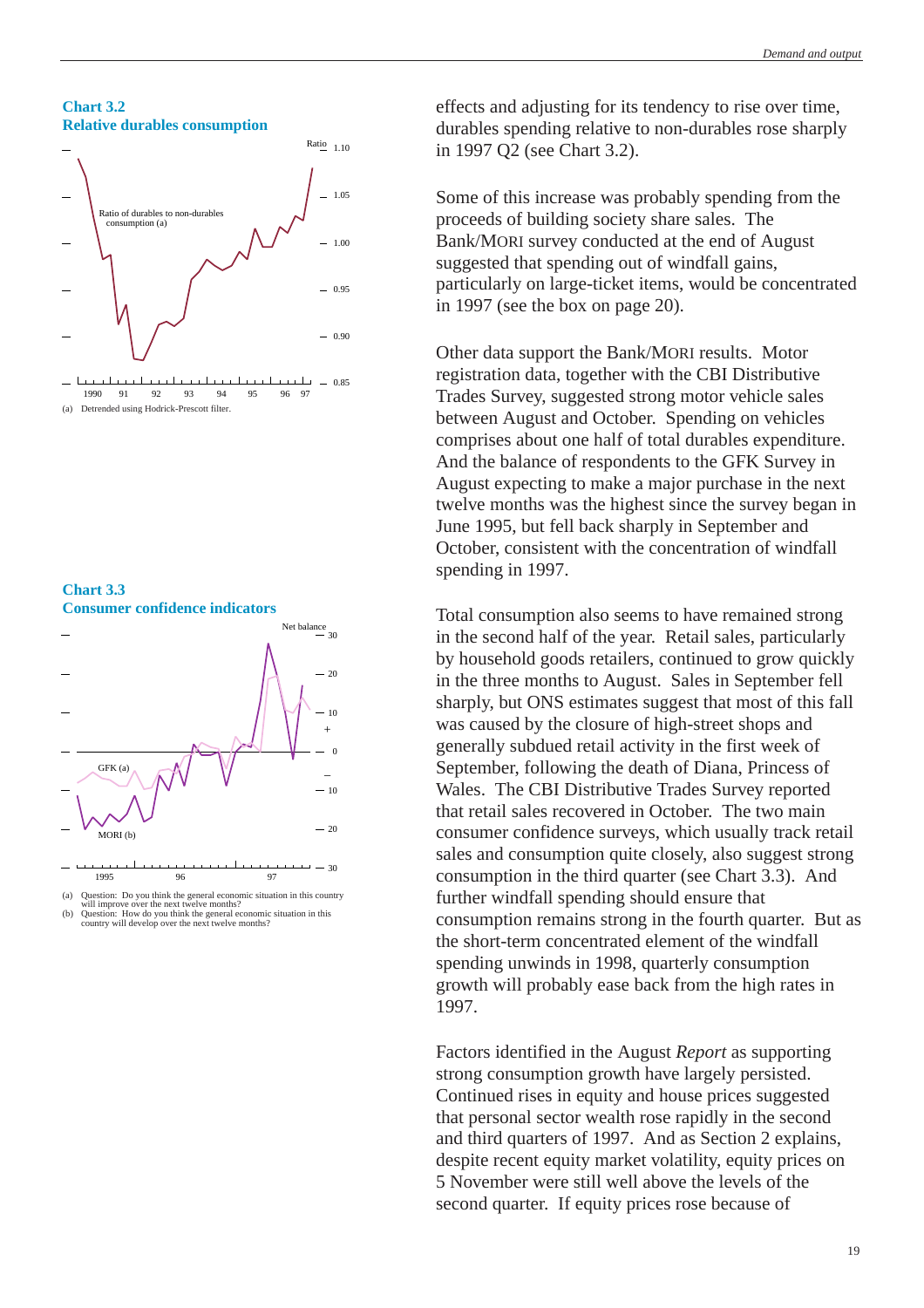#### **Chart 3.2 Relative durables consumption**







- $-30$ 1995 96 97
- (a) Question: Do you think the general economic situation in this country will improve over the next twelve months?
- (b) Question: How do you think the general economic situation in this country will develop over the next twelve months?

effects and adjusting for its tendency to rise over time, durables spending relative to non-durables rose sharply in 1997 Q2 (see Chart 3.2).

Some of this increase was probably spending from the proceeds of building society share sales. The Bank/MORI survey conducted at the end of August suggested that spending out of windfall gains, particularly on large-ticket items, would be concentrated in 1997 (see [the box](#page-19-1) on page 20).

Other data support the Bank/MORI results. Motor registration data, together with the CBI Distributive Trades Survey, suggested strong motor vehicle sales between August and October. Spending on vehicles comprises about one half of total durables expenditure. And the balance of respondents to the GFK Survey in August expecting to make a major purchase in the next twelve months was the highest since the survey began in June 1995, but fell back sharply in September and October, consistent with the concentration of windfall spending in 1997.

Total consumption also seems to have remained strong in the second half of the year. Retail sales, particularly by household goods retailers, continued to grow quickly in the three months to August. Sales in September fell sharply, but ONS estimates suggest that most of this fall was caused by the closure of high-street shops and generally subdued retail activity in the first week of September, following the death of Diana, Princess of Wales. The CBI Distributive Trades Survey reported that retail sales recovered in October. The two main consumer confidence surveys, which usually track retail sales and consumption quite closely, also suggest strong consumption in the third quarter (see Chart 3.3). And further windfall spending should ensure that consumption remains strong in the fourth quarter. But as the short-term concentrated element of the windfall spending unwinds in 1998, quarterly consumption growth will probably ease back from the high rates in 1997.

Factors identified in the August *Report* as supporting strong consumption growth have largely persisted. Continued rises in equity and house prices suggested that personal sector wealth rose rapidly in the second and third quarters of 1997. And as [Section 2](#page-5-3) explains, despite recent equity market volatility, equity prices on 5 November were still well above the levels of the second quarter. If equity prices rose because of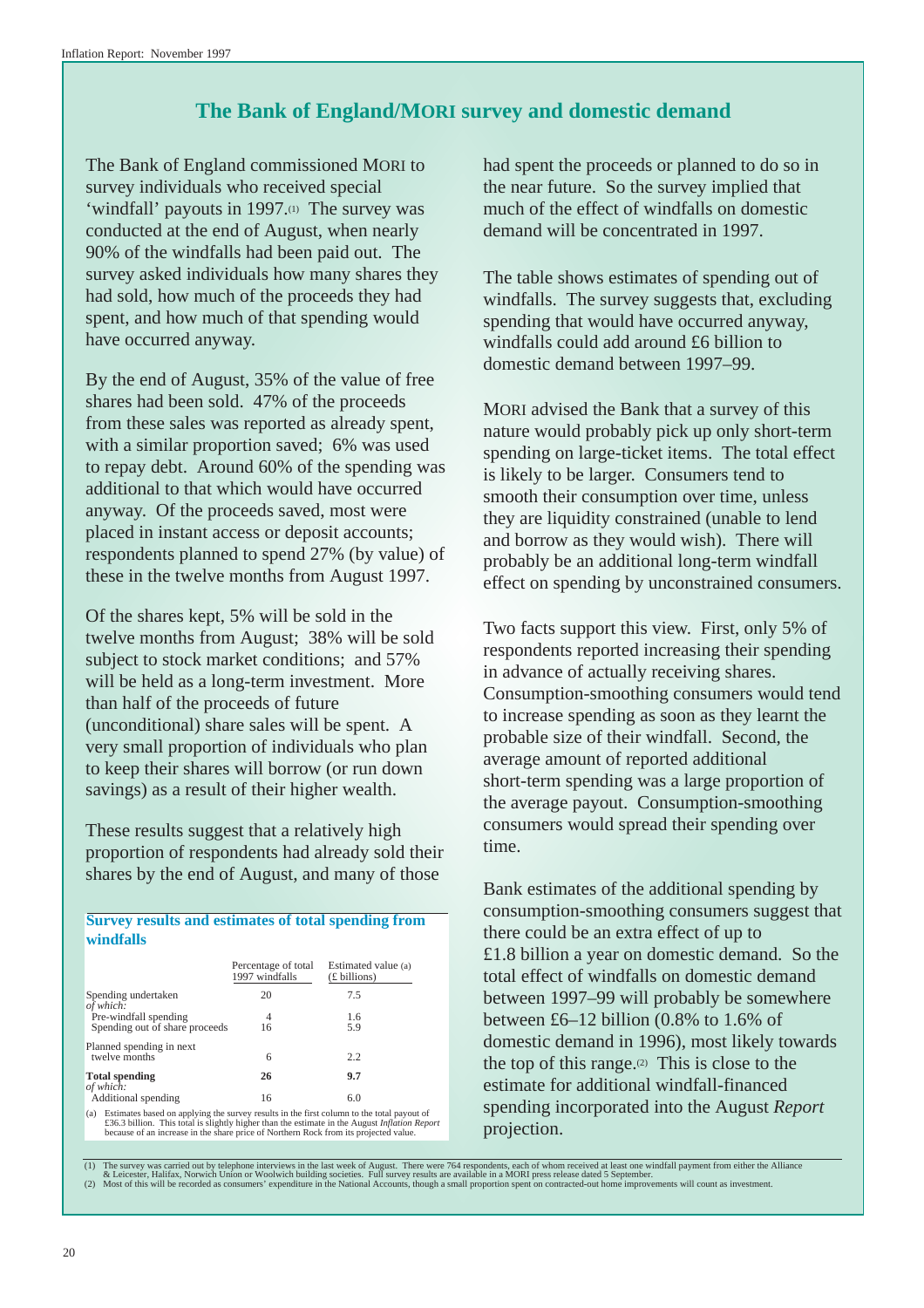## **The Bank of England/MORI survey and domestic demand**

<span id="page-19-1"></span><span id="page-19-0"></span>The Bank of England commissioned MORI to survey individuals who received special 'windfall' payouts in 1997.(1) The survey was conducted at the end of August, when nearly 90% of the windfalls had been paid out. The survey asked individuals how many shares they had sold, how much of the proceeds they had spent, and how much of that spending would have occurred anyway.

By the end of August, 35% of the value of free shares had been sold. 47% of the proceeds from these sales was reported as already spent, with a similar proportion saved; 6% was used to repay debt. Around 60% of the spending was additional to that which would have occurred anyway. Of the proceeds saved, most were placed in instant access or deposit accounts; respondents planned to spend 27% (by value) of these in the twelve months from August 1997.

Of the shares kept, 5% will be sold in the twelve months from August; 38% will be sold subject to stock market conditions; and 57% will be held as a long-term investment. More than half of the proceeds of future (unconditional) share sales will be spent. A very small proportion of individuals who plan to keep their shares will borrow (or run down savings) as a result of their higher wealth.

These results suggest that a relatively high proportion of respondents had already sold their shares by the end of August, and many of those

**Survey results and estimates of total spending from windfalls**

|                                                                                               | Percentage of total<br>1997 windfalls | Estimated value (a)<br>(£ billions) |
|-----------------------------------------------------------------------------------------------|---------------------------------------|-------------------------------------|
| Spending undertaken<br>of which:                                                              | 20                                    | 7.5                                 |
| Pre-windfall spending                                                                         | 4                                     | 1.6                                 |
| Spending out of share proceeds                                                                | 16                                    | 5.9                                 |
| Planned spending in next<br>twelve months                                                     |                                       | 2.2                                 |
|                                                                                               | 6                                     |                                     |
| <b>Total spending</b><br>of which:                                                            | 26                                    | 9.7                                 |
| Additional spending                                                                           | 16                                    | 6.0                                 |
| (a) Estimates based on applying the survey results in the first column to the total payout of |                                       |                                     |

(a) Estimates based on applying the survey results in the first column to the total payout of £36.3 billion. This total is slightly higher than the estimate in the August *Inflation Report* because of an increase in the sh

had spent the proceeds or planned to do so in the near future. So the survey implied that much of the effect of windfalls on domestic demand will be concentrated in 1997.

The table shows estimates of spending out of windfalls. The survey suggests that, excluding spending that would have occurred anyway, windfalls could add around £6 billion to domestic demand between 1997–99.

MORI advised the Bank that a survey of this nature would probably pick up only short-term spending on large-ticket items. The total effect is likely to be larger. Consumers tend to smooth their consumption over time, unless they are liquidity constrained (unable to lend and borrow as they would wish). There will probably be an additional long-term windfall effect on spending by unconstrained consumers.

Two facts support this view. First, only 5% of respondents reported increasing their spending in advance of actually receiving shares. Consumption-smoothing consumers would tend to increase spending as soon as they learnt the probable size of their windfall. Second, the average amount of reported additional short-term spending was a large proportion of the average payout. Consumption-smoothing consumers would spread their spending over time.

Bank estimates of the additional spending by consumption-smoothing consumers suggest that there could be an extra effect of up to £1.8 billion a year on domestic demand. So the total effect of windfalls on domestic demand between 1997–99 will probably be somewhere between £6–12 billion (0.8% to 1.6% of domestic demand in 1996), most likely towards the top of this range. $(2)$  This is close to the estimate for additional windfall-financed spending incorporated into the August *Report* projection.

The survey was carried out by telephone interviews in the last week of August. There were 764 respondents, each of whom received at least one windfall payment from either the Alliance<br>A clicester, Halifax, Norwich Union or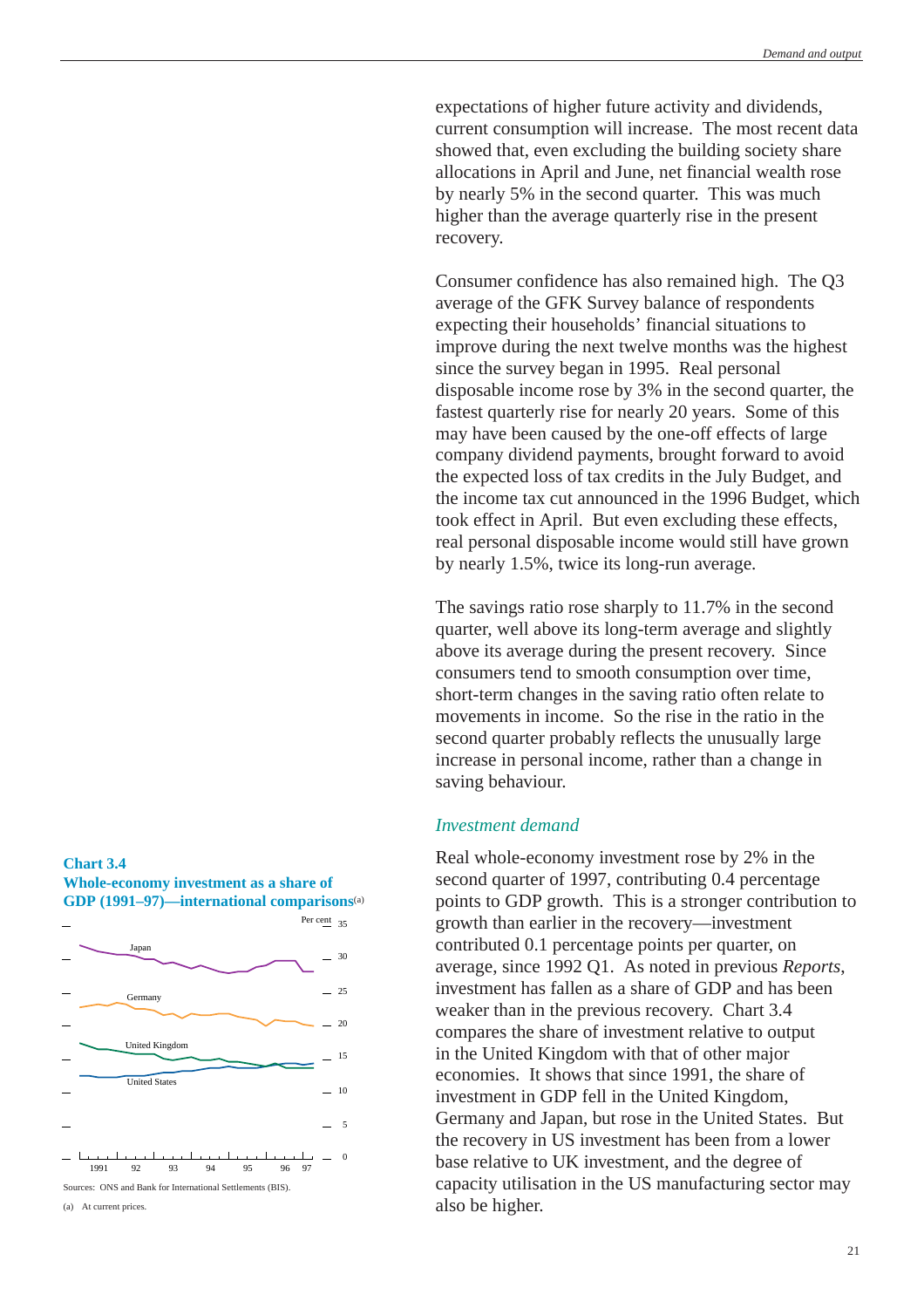<span id="page-20-0"></span>expectations of higher future activity and dividends, current consumption will increase. The most recent data showed that, even excluding the building society share allocations in April and June, net financial wealth rose by nearly 5% in the second quarter. This was much higher than the average quarterly rise in the present recovery.

Consumer confidence has also remained high. The Q3 average of the GFK Survey balance of respondents expecting their households' financial situations to improve during the next twelve months was the highest since the survey began in 1995. Real personal disposable income rose by 3% in the second quarter, the fastest quarterly rise for nearly 20 years. Some of this may have been caused by the one-off effects of large company dividend payments, brought forward to avoid the expected loss of tax credits in the July Budget, and the income tax cut announced in the 1996 Budget, which took effect in April. But even excluding these effects, real personal disposable income would still have grown by nearly 1.5%, twice its long-run average.

The savings ratio rose sharply to 11.7% in the second quarter, well above its long-term average and slightly above its average during the present recovery. Since consumers tend to smooth consumption over time, short-term changes in the saving ratio often relate to movements in income. So the rise in the ratio in the second quarter probably reflects the unusually large increase in personal income, rather than a change in saving behaviour.

## *Investment demand*

Real whole-economy investment rose by 2% in the second quarter of 1997, contributing 0.4 percentage points to GDP growth. This is a stronger contribution to growth than earlier in the recovery—investment contributed 0.1 percentage points per quarter, on average, since 1992 Q1. As noted in previous *Reports*, investment has fallen as a share of GDP and has been weaker than in the previous recovery. Chart 3.4 compares the share of investment relative to output in the United Kingdom with that of other major economies. It shows that since 1991, the share of investment in GDP fell in the United Kingdom, Germany and Japan, but rose in the United States. But the recovery in US investment has been from a lower base relative to UK investment, and the degree of capacity utilisation in the US manufacturing sector may also be higher.



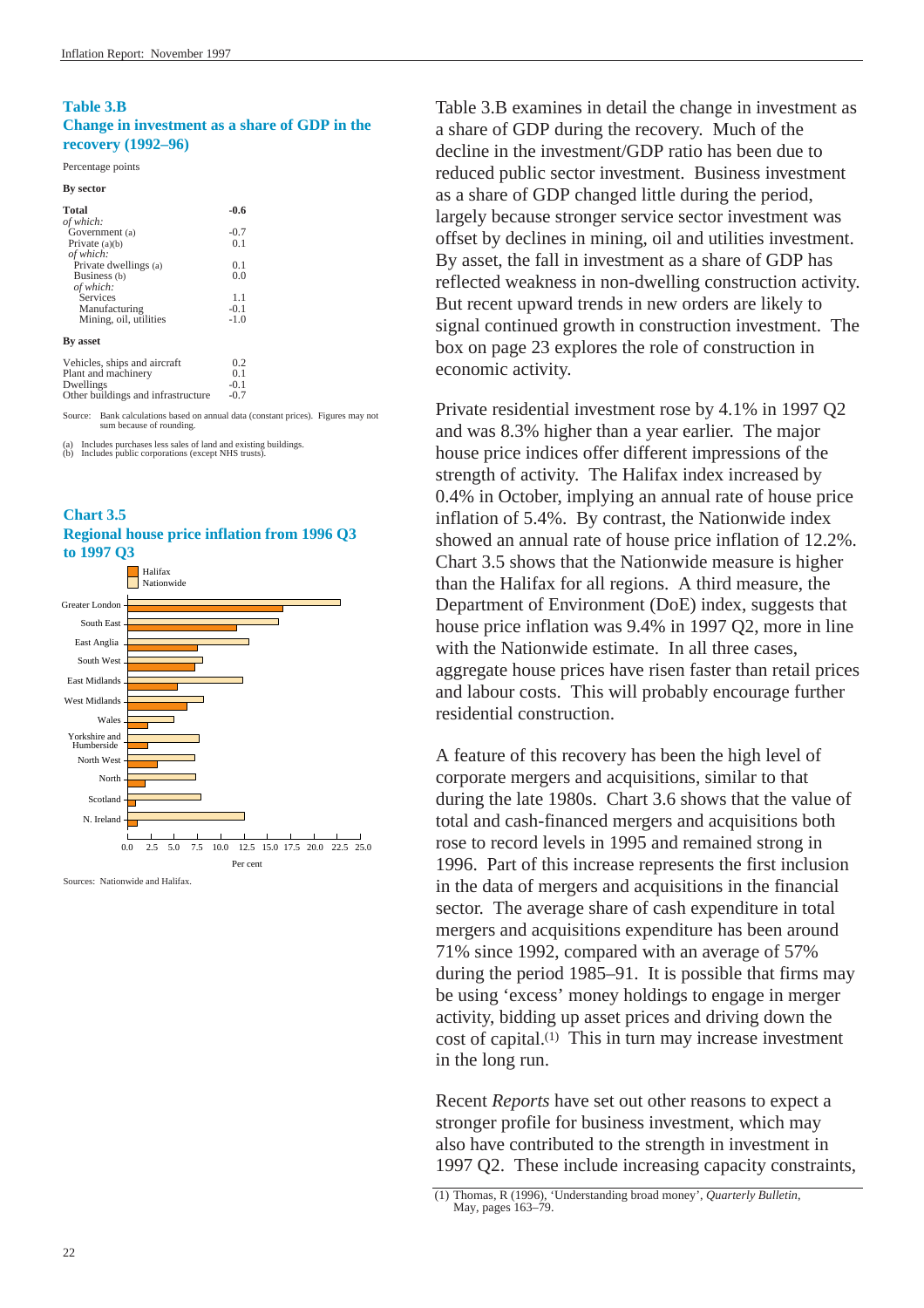### **Table 3.B Change in investment as a share of GDP in the recovery (1992–96)**

#### Percentage points

| <b>By sector</b>                   |        |  |
|------------------------------------|--------|--|
| <b>Total</b>                       | $-0.6$ |  |
| of which:                          |        |  |
| Government (a)                     | $-0.7$ |  |
| Private $(a)(b)$                   | 0.1    |  |
| of which:                          |        |  |
| Private dwellings (a)              | 0.1    |  |
| Business (b)                       | 0.0    |  |
| of which:                          |        |  |
| Services                           | 1.1    |  |
| Manufacturing                      | $-0.1$ |  |
| Mining, oil, utilities             | $-1.0$ |  |
| <b>By asset</b>                    |        |  |
| Vehicles, ships and aircraft       | 0.2    |  |
| Plant and machinery                | 0.1    |  |
| Dwellings                          | $-0.1$ |  |
| Other buildings and infrastructure | $-0.7$ |  |

Source: Bank calculations based on annual data (constant prices). Figures may not sum because of rounding.

(a) Includes purchases less sales of land and existing buildings. (b) Includes public corporations (except NHS trusts).





Sources: Nationwide and Halifax.

Table 3.B examines in detail the change in investment as a share of GDP during the recovery. Much of the decline in the investment/GDP ratio has been due to reduced public sector investment. Business investment as a share of GDP changed little during the period, largely because stronger service sector investment was offset by declines in mining, oil and utilities investment. By asset, the fall in investment as a share of GDP has reflected weakness in non-dwelling construction activity. But recent upward trends in new orders are likely to signal continued growth in construction investment. The [box](#page-22-1) on page 23 explores the role of construction in economic activity.

Private residential investment rose by 4.1% in 1997 Q2 and was 8.3% higher than a year earlier. The major house price indices offer different impressions of the strength of activity. The Halifax index increased by 0.4% in October, implying an annual rate of house price inflation of 5.4%. By contrast, the Nationwide index showed an annual rate of house price inflation of 12.2%. Chart 3.5 shows that the Nationwide measure is higher than the Halifax for all regions. A third measure, the Department of Environment (DoE) index, suggests that house price inflation was 9.4% in 1997 Q2, more in line with the Nationwide estimate. In all three cases, aggregate house prices have risen faster than retail prices and labour costs. This will probably encourage further residential construction.

A feature of this recovery has been the high level of corporate mergers and acquisitions, similar to that during the late 1980s. Chart 3.6 shows that the value of total and cash-financed mergers and acquisitions both rose to record levels in 1995 and remained strong in 1996. Part of this increase represents the first inclusion in the data of mergers and acquisitions in the financial sector. The average share of cash expenditure in total mergers and acquisitions expenditure has been around 71% since 1992, compared with an average of 57% during the period 1985–91. It is possible that firms may be using 'excess' money holdings to engage in merger activity, bidding up asset prices and driving down the cost of capital.(1) This in turn may increase investment in the long run.

Recent *Reports* have set out other reasons to expect a stronger profile for business investment, which may also have contributed to the strength in investment in 1997 Q2. These include increasing capacity constraints,

<sup>(1)</sup> Thomas, R (1996), 'Understanding broad money', *Quarterly Bulletin*, May, pages 163–79.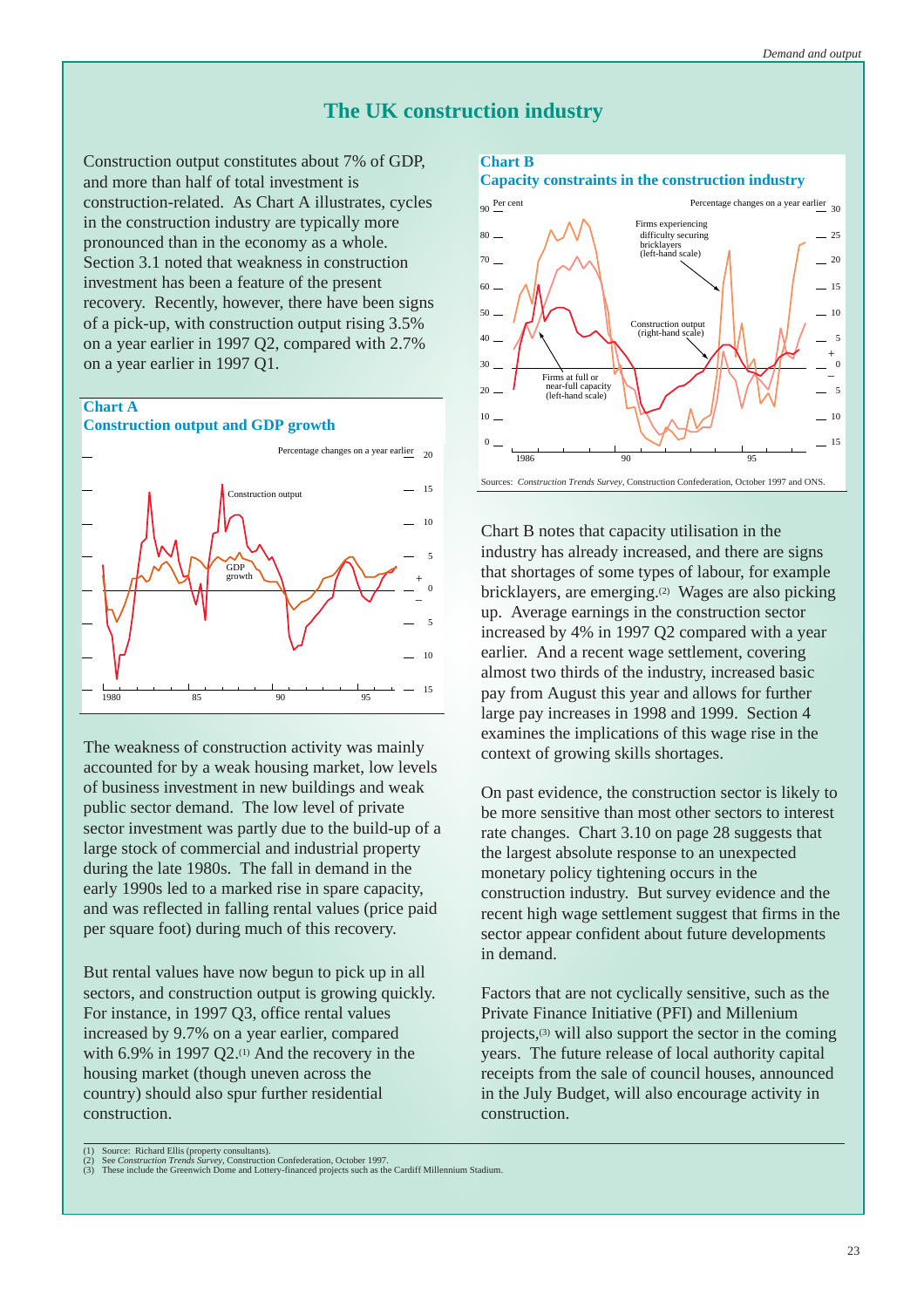## **The UK construction industry**

<span id="page-22-1"></span><span id="page-22-0"></span>Construction output constitutes about 7% of GDP, and more than half of total investment is construction-related. As Chart A illustrates, cycles in the construction industry are typically more pronounced than in the economy as a whole. [Section 3.1](#page-17-1) noted that weakness in construction investment has been a feature of the present recovery. Recently, however, there have been signs of a pick-up, with construction output rising 3.5% on a year earlier in 1997 Q2, compared with 2.7% on a year earlier in 1997 Q1.

## **Chart A**

**Construction output and GDP growth**



The weakness of construction activity was mainly accounted for by a weak housing market, low levels of business investment in new buildings and weak public sector demand. The low level of private sector investment was partly due to the build-up of a large stock of commercial and industrial property during the late 1980s. The fall in demand in the early 1990s led to a marked rise in spare capacity, and was reflected in falling rental values (price paid per square foot) during much of this recovery.

But rental values have now begun to pick up in all sectors, and construction output is growing quickly. For instance, in 1997 Q3, office rental values increased by 9.7% on a year earlier, compared with  $6.9\%$  in 1997 Q2.<sup>(1)</sup> And the recovery in the housing market (though uneven across the country) should also spur further residential construction.

## **Chart B**

## **Capacity constraints in the construction industry**



Chart B notes that capacity utilisation in the industry has already increased, and there are signs that shortages of some types of labour, for example bricklayers, are emerging.(2) Wages are also picking up. Average earnings in the construction sector increased by 4% in 1997 Q2 compared with a year earlier. And a recent wage settlement, covering almost two thirds of the industry, increased basic pay from August this year and allows for further large pay increases in 1998 and 1999. [Section 4](#page-29-1) examines the implications of this wage rise in the context of growing skills shortages.

On past evidence, the construction sector is likely to be more sensitive than most other sectors to interest rate changes. [Chart 3.10](#page-27-1) on page 28 suggests that the largest absolute response to an unexpected monetary policy tightening occurs in the construction industry. But survey evidence and the recent high wage settlement suggest that firms in the sector appear confident about future developments in demand.

Factors that are not cyclically sensitive, such as the Private Finance Initiative (PFI) and Millenium projects,(3) will also support the sector in the coming years. The future release of local authority capital receipts from the sale of council houses, announced in the July Budget, will also encourage activity in construction.

<sup>(1)</sup> Source: Richard Ellis (property consultants).<br>(2) See Construction Trends Survey, Construction Confederation, October 1997.<br>(3) These include the Greenwich Dome and Lottery-financed projects such as the Cardiff Millenn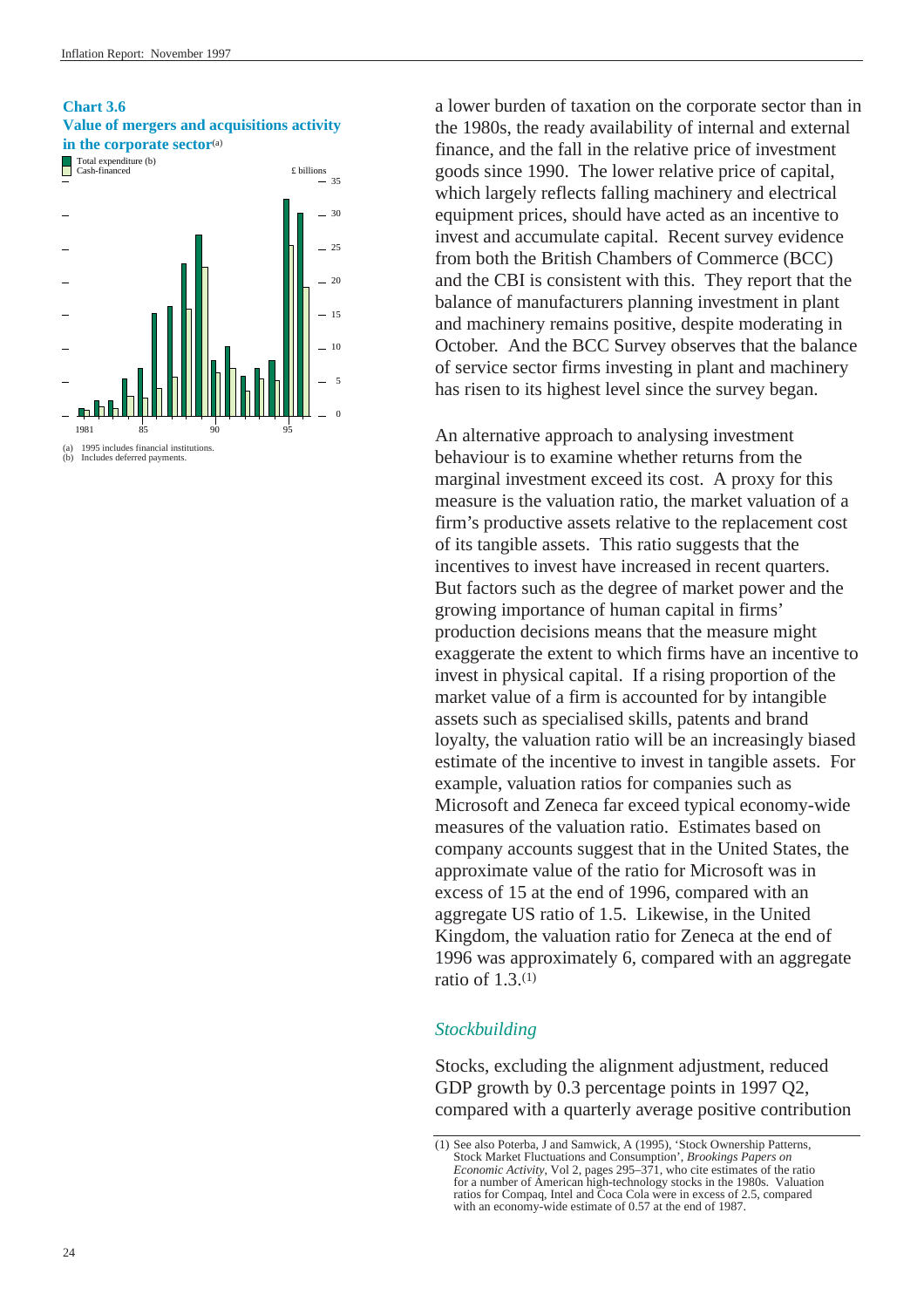### <span id="page-23-0"></span>**Chart 3.6 Value of mergers and acquisitions activity in the corporate sector**<sup>(a)</sup>



a lower burden of taxation on the corporate sector than in the 1980s, the ready availability of internal and external finance, and the fall in the relative price of investment goods since 1990. The lower relative price of capital, which largely reflects falling machinery and electrical equipment prices, should have acted as an incentive to invest and accumulate capital. Recent survey evidence from both the British Chambers of Commerce (BCC) and the CBI is consistent with this. They report that the balance of manufacturers planning investment in plant and machinery remains positive, despite moderating in October. And the BCC Survey observes that the balance of service sector firms investing in plant and machinery has risen to its highest level since the survey began.

An alternative approach to analysing investment behaviour is to examine whether returns from the marginal investment exceed its cost. A proxy for this measure is the valuation ratio, the market valuation of a firm's productive assets relative to the replacement cost of its tangible assets. This ratio suggests that the incentives to invest have increased in recent quarters. But factors such as the degree of market power and the growing importance of human capital in firms' production decisions means that the measure might exaggerate the extent to which firms have an incentive to invest in physical capital. If a rising proportion of the market value of a firm is accounted for by intangible assets such as specialised skills, patents and brand loyalty, the valuation ratio will be an increasingly biased estimate of the incentive to invest in tangible assets. For example, valuation ratios for companies such as Microsoft and Zeneca far exceed typical economy-wide measures of the valuation ratio. Estimates based on company accounts suggest that in the United States, the approximate value of the ratio for Microsoft was in excess of 15 at the end of 1996, compared with an aggregate US ratio of 1.5. Likewise, in the United Kingdom, the valuation ratio for Zeneca at the end of 1996 was approximately 6, compared with an aggregate ratio of  $1.3(1)$ 

## *Stockbuilding*

Stocks, excluding the alignment adjustment, reduced GDP growth by 0.3 percentage points in 1997 Q2, compared with a quarterly average positive contribution

<sup>(1)</sup> See also Poterba, J and Samwick, A (1995), 'Stock Ownership Patterns, Stock Market Fluctuations and Consumption', *Brookings Papers on Economic Activity*, Vol 2, pages 295–371, who cite estimates of the ratio for a number of American high-technology stocks in the 1980s. Valuation ratios for Compaq, Intel and Coca Cola were in excess of 2.5, compared with an economy-wide estimate of 0.57 at the end of 1987.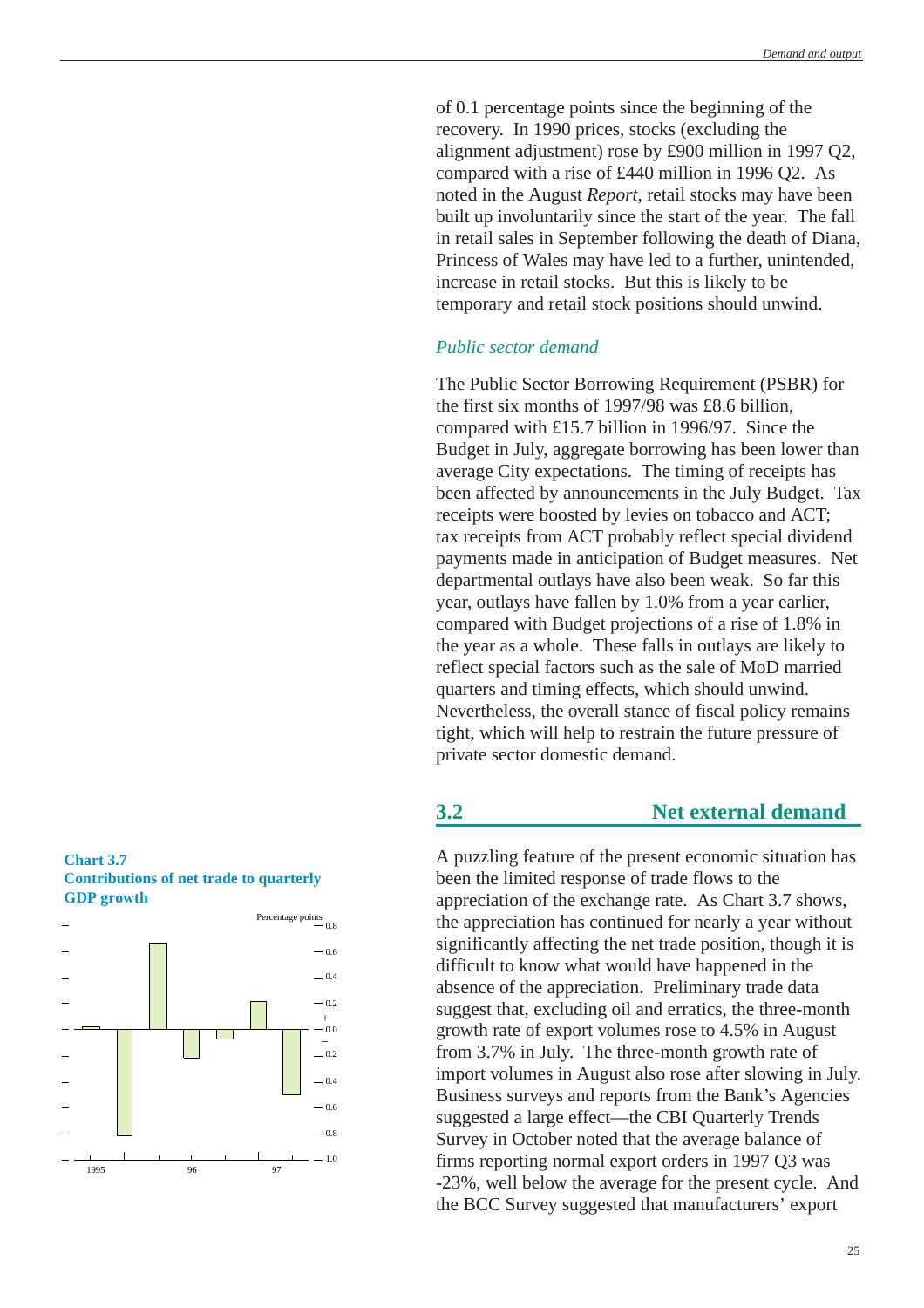<span id="page-24-0"></span>of 0.1 percentage points since the beginning of the recovery. In 1990 prices, stocks (excluding the alignment adjustment) rose by £900 million in 1997 Q2, compared with a rise of £440 million in 1996 Q2. As noted in the August *Report*, retail stocks may have been built up involuntarily since the start of the year. The fall in retail sales in September following the death of Diana, Princess of Wales may have led to a further, unintended, increase in retail stocks. But this is likely to be temporary and retail stock positions should unwind.

## *Public sector demand*

The Public Sector Borrowing Requirement (PSBR) for the first six months of 1997/98 was £8.6 billion, compared with £15.7 billion in 1996/97. Since the Budget in July, aggregate borrowing has been lower than average City expectations. The timing of receipts has been affected by announcements in the July Budget. Tax receipts were boosted by levies on tobacco and ACT; tax receipts from ACT probably reflect special dividend payments made in anticipation of Budget measures. Net departmental outlays have also been weak. So far this year, outlays have fallen by 1.0% from a year earlier, compared with Budget projections of a rise of 1.8% in the year as a whole. These falls in outlays are likely to reflect special factors such as the sale of MoD married quarters and timing effects, which should unwind. Nevertheless, the overall stance of fiscal policy remains tight, which will help to restrain the future pressure of private sector domestic demand.

## **3.2 Net external demand**

A puzzling feature of the present economic situation has been the limited response of trade flows to the appreciation of the exchange rate. As Chart 3.7 shows, the appreciation has continued for nearly a year without significantly affecting the net trade position, though it is difficult to know what would have happened in the absence of the appreciation. Preliminary trade data suggest that, excluding oil and erratics, the three-month growth rate of export volumes rose to 4.5% in August from 3.7% in July. The three-month growth rate of import volumes in August also rose after slowing in July. Business surveys and reports from the Bank's Agencies suggested a large effect—the CBI Quarterly Trends Survey in October noted that the average balance of firms reporting normal export orders in 1997 Q3 was -23%, well below the average for the present cycle. And the BCC Survey suggested that manufacturers' export

## **Chart 3.7 Contributions of net trade to quarterly GDP growth**

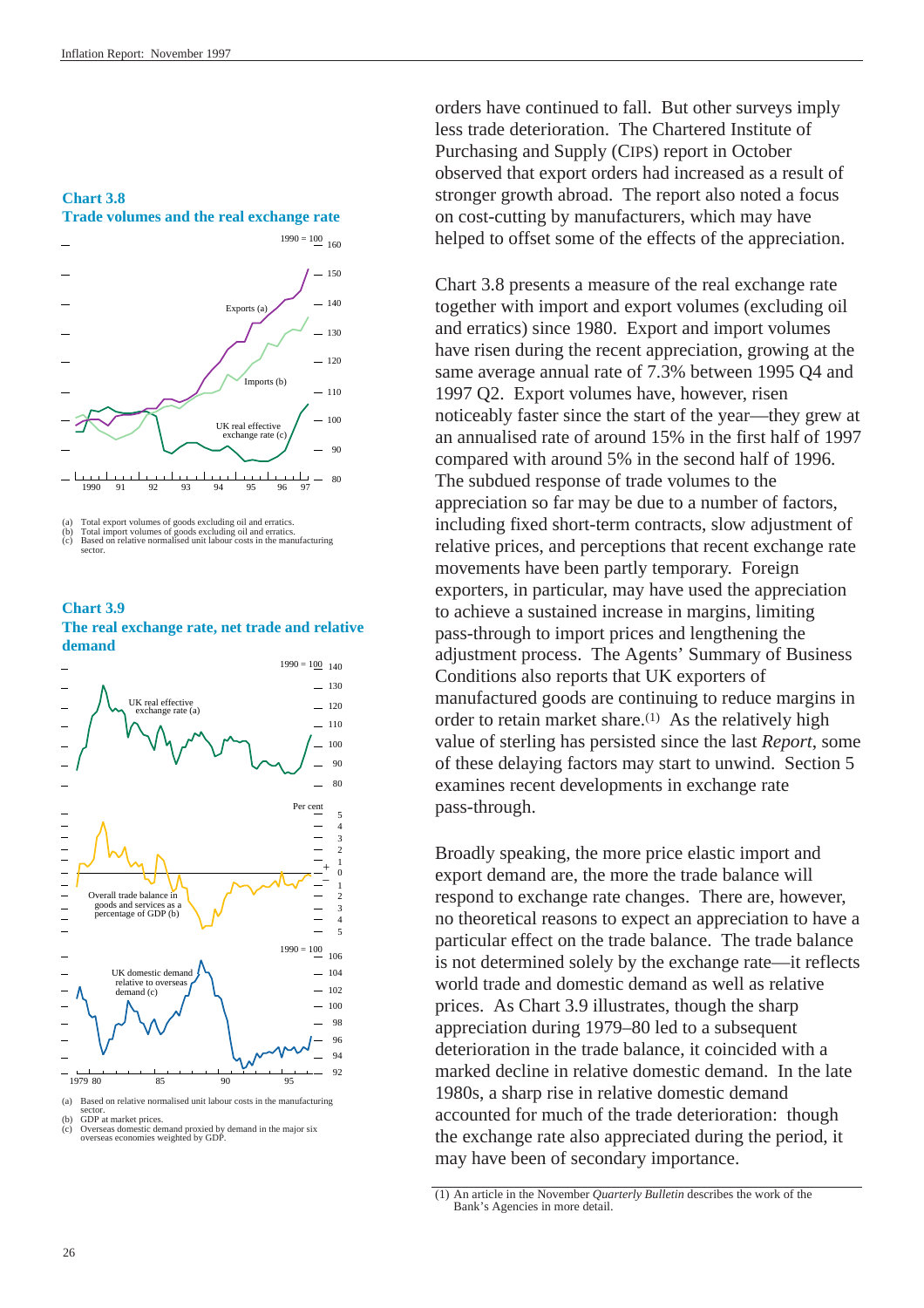#### **Chart 3.8**





(a) Total export volumes of goods excluding oil and erratics. (b) Total import volumes of goods excluding oil and erratics. (c) Based on relative normalised unit labour costs in the manufacturing sector.

**Chart 3.9 The real exchange rate, net trade and relative demand**



orders have continued to fall. But other surveys imply less trade deterioration. The Chartered Institute of Purchasing and Supply (CIPS) report in October observed that export orders had increased as a result of stronger growth abroad. The report also noted a focus on cost-cutting by manufacturers, which may have helped to offset some of the effects of the appreciation.

Chart 3.8 presents a measure of the real exchange rate together with import and export volumes (excluding oil and erratics) since 1980. Export and import volumes have risen during the recent appreciation, growing at the same average annual rate of 7.3% between 1995 Q4 and 1997 Q2. Export volumes have, however, risen noticeably faster since the start of the year—they grew at an annualised rate of around 15% in the first half of 1997 compared with around 5% in the second half of 1996. The subdued response of trade volumes to the appreciation so far may be due to a number of factors, including fixed short-term contracts, slow adjustment of relative prices, and perceptions that recent exchange rate movements have been partly temporary. Foreign exporters, in particular, may have used the appreciation to achieve a sustained increase in margins, limiting pass-through to import prices and lengthening the adjustment process. The Agents' Summary of Business Conditions also reports that UK exporters of manufactured goods are continuing to reduce margins in order to retain market share.(1) As the relatively high value of sterling has persisted since the last *Report*, some of these delaying factors may start to unwind. [Section 5](#page-35-1) examines recent developments in exchange rate pass-through.

Broadly speaking, the more price elastic import and export demand are, the more the trade balance will respond to exchange rate changes. There are, however, no theoretical reasons to expect an appreciation to have a particular effect on the trade balance. The trade balance is not determined solely by the exchange rate—it reflects world trade and domestic demand as well as relative prices. As Chart 3.9 illustrates, though the sharp appreciation during 1979–80 led to a subsequent deterioration in the trade balance, it coincided with a marked decline in relative domestic demand. In the late 1980s, a sharp rise in relative domestic demand accounted for much of the trade deterioration: though the exchange rate also appreciated during the period, it may have been of secondary importance.

sector. (b) GDP at market prices. (c) Overseas domestic demand proxied by demand in the major six overseas economies weighted by GDP.

<sup>(1)</sup> An article in the November *Quarterly Bulletin* describes the work of the Bank's Agencies in more detail.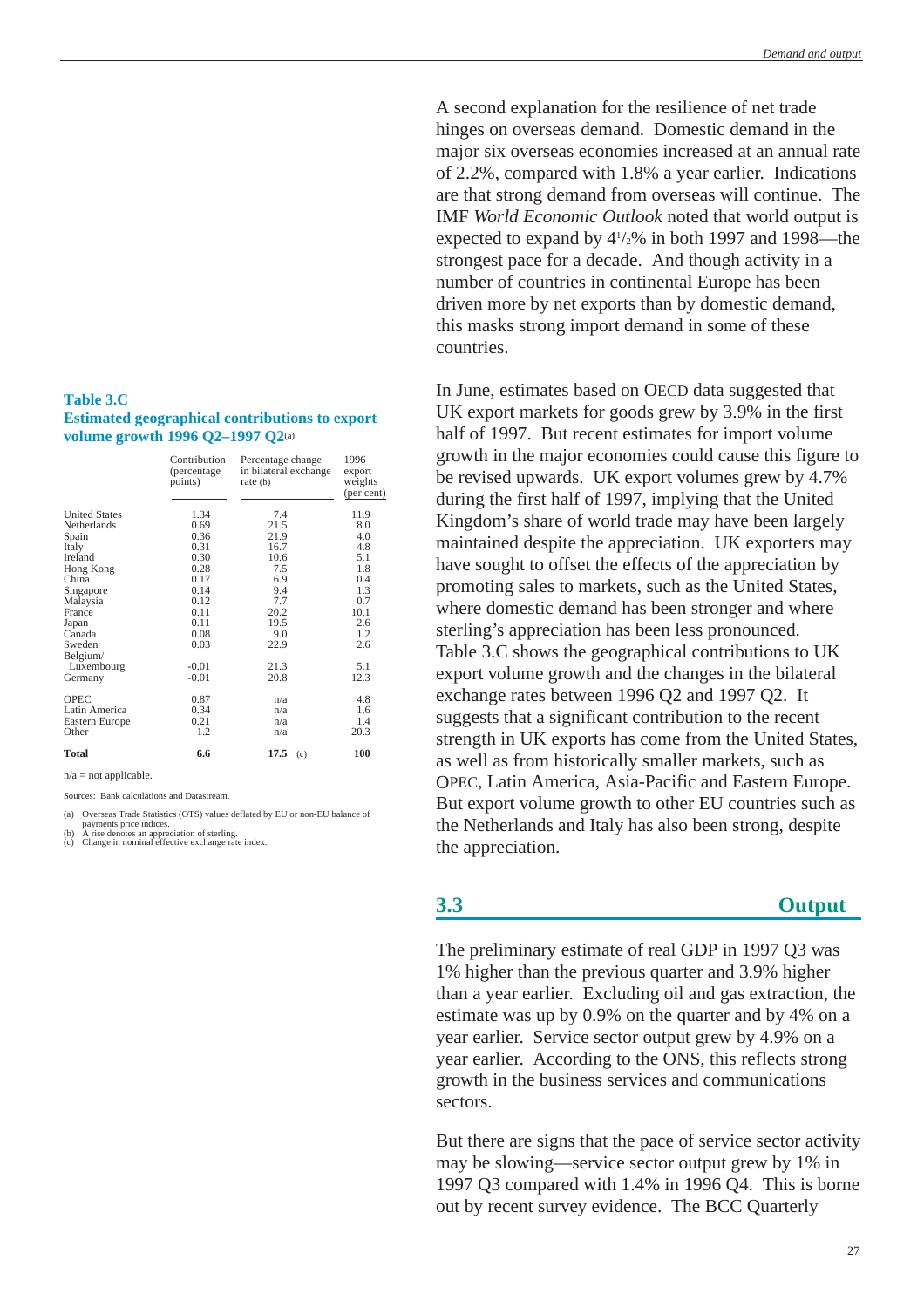### <span id="page-26-0"></span>**Table 3.C Estimated geographical contributions to export volume growth 1996 Q2–1997 Q2**(a)

|                      | Contribution<br>(percentage<br>points) | Percentage change<br>in bilateral exchange<br>rate (b) | 1996<br>export<br>weights<br>(per cent) |
|----------------------|----------------------------------------|--------------------------------------------------------|-----------------------------------------|
| <b>United States</b> | 1.34                                   | 7.4                                                    | 11.9                                    |
| Netherlands          | 0.69                                   | 21.5                                                   | 8.0                                     |
| Spain                | 0.36                                   | 21.9                                                   | 4.0                                     |
| Italy                | 0.31                                   | 16.7                                                   | 4.8                                     |
| Ireland              | 0.30                                   | 10.6                                                   | 5.1                                     |
| Hong Kong            | 0.28                                   | 7.5                                                    | 1.8                                     |
| China                | 0.17                                   | 6.9                                                    | 0.4                                     |
| Singapore            | 0.14                                   | 9.4                                                    | 1.3                                     |
| Malaysia             | 0.12                                   | 7.7                                                    | 0.7                                     |
| France               | 0.11                                   | 20.2                                                   | 10.1                                    |
| Japan                | 0.11                                   | 19.5                                                   | 2.6                                     |
| Canada               | 0.08                                   | 9.0                                                    | 1.2                                     |
| Sweden               | 0.03                                   | 22.9                                                   | 2.6                                     |
| Belgium/             |                                        |                                                        |                                         |
| Luxembourg           | $-0.01$                                | 21.3                                                   | 5.1                                     |
| Germany              | $-0.01$                                | 20.8                                                   | 12.3                                    |
| <b>OPEC</b>          | 0.87                                   | n/a                                                    | 4.8                                     |
| Latin America        | 0.34                                   | n/a                                                    | 1.6                                     |
| Eastern Europe       | 0.21                                   | n/a                                                    | 1.4                                     |
| Other                | 1.2                                    | n/a                                                    | 20.3                                    |
| <b>Total</b>         | 6.6                                    | 17.5<br>(c)                                            | 100                                     |

 $n/a = not$  applicable.

Sources: Bank calculations and Datastream.

(a) Overseas Trade Statistics (OTS) values deflated by EU or non-EU balance of

payments price indices. (b) A rise denotes an appreciation of sterling. (c) Change in nominal effective exchange rate index.

A second explanation for the resilience of net trade hinges on overseas demand. Domestic demand in the major six overseas economies increased at an annual rate of 2.2%, compared with 1.8% a year earlier. Indications are that strong demand from overseas will continue. The IMF *World Economic Outlook* noted that world output is expected to expand by  $4\frac{1}{2}\%$  in both 1997 and 1998—the strongest pace for a decade. And though activity in a number of countries in continental Europe has been driven more by net exports than by domestic demand, this masks strong import demand in some of these countries.

In June, estimates based on OECD data suggested that UK export markets for goods grew by 3.9% in the first half of 1997. But recent estimates for import volume growth in the major economies could cause this figure to be revised upwards. UK export volumes grew by 4.7% during the first half of 1997, implying that the United Kingdom's share of world trade may have been largely maintained despite the appreciation. UK exporters may have sought to offset the effects of the appreciation by promoting sales to markets, such as the United States, where domestic demand has been stronger and where sterling's appreciation has been less pronounced. Table 3.C shows the geographical contributions to UK export volume growth and the changes in the bilateral exchange rates between 1996 Q2 and 1997 Q2. It suggests that a significant contribution to the recent strength in UK exports has come from the United States, as well as from historically smaller markets, such as OPEC, Latin America, Asia-Pacific and Eastern Europe. But export volume growth to other EU countries such as the Netherlands and Italy has also been strong, despite the appreciation.

## **3.3 Output**

The preliminary estimate of real GDP in 1997 Q3 was 1% higher than the previous quarter and 3.9% higher than a year earlier. Excluding oil and gas extraction, the estimate was up by 0.9% on the quarter and by 4% on a year earlier. Service sector output grew by 4.9% on a year earlier. According to the ONS, this reflects strong growth in the business services and communications sectors.

But there are signs that the pace of service sector activity may be slowing—service sector output grew by 1% in 1997 Q3 compared with 1.4% in 1996 Q4. This is borne out by recent survey evidence. The BCC Quarterly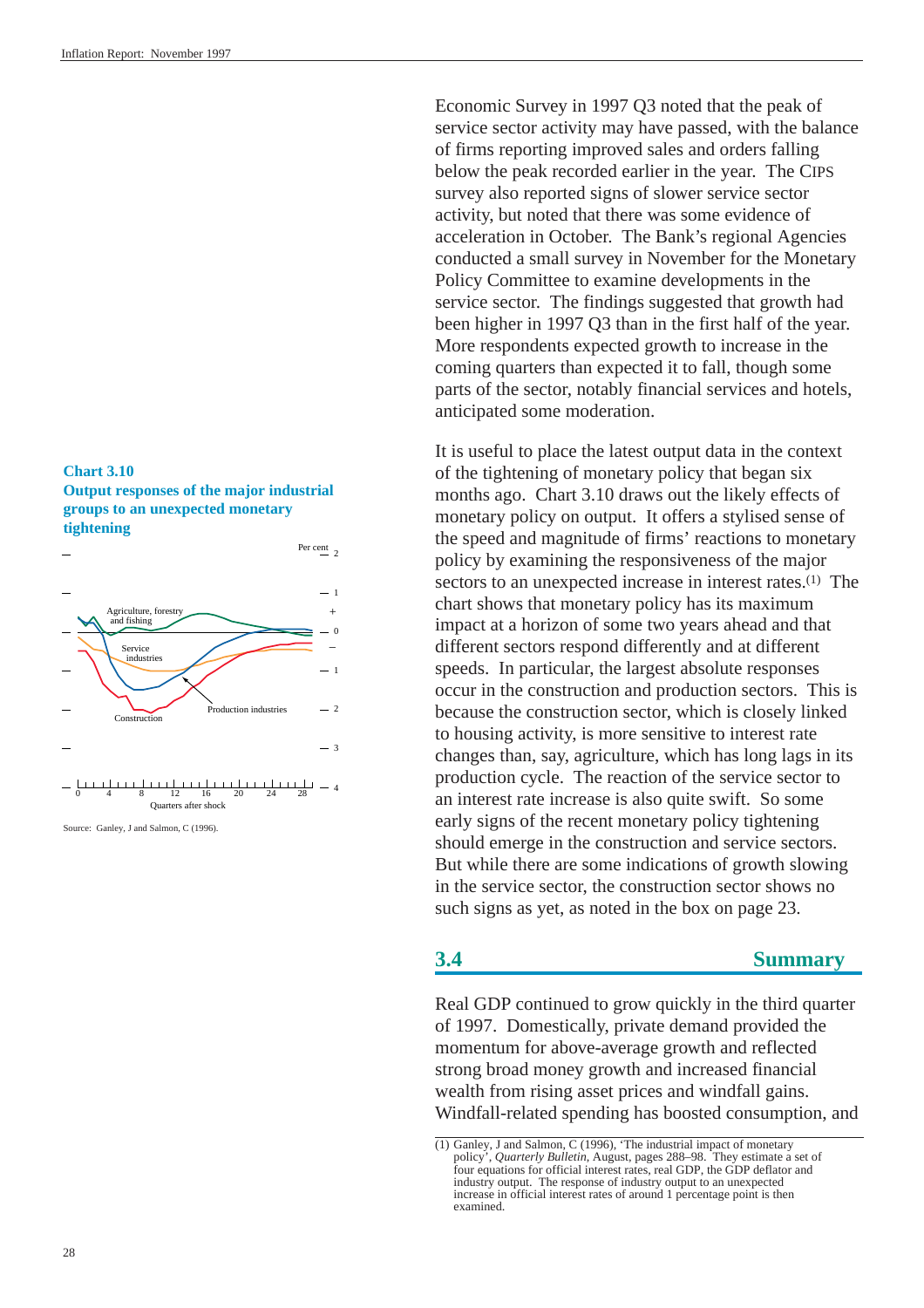### <span id="page-27-1"></span><span id="page-27-0"></span>**Chart 3.10**

**Output responses of the major industrial groups to an unexpected monetary tightening**



Source: Ganley, J and Salmon, C (1996).

Economic Survey in 1997 Q3 noted that the peak of service sector activity may have passed, with the balance of firms reporting improved sales and orders falling below the peak recorded earlier in the year. The CIPS survey also reported signs of slower service sector activity, but noted that there was some evidence of acceleration in October. The Bank's regional Agencies conducted a small survey in November for the Monetary Policy Committee to examine developments in the service sector. The findings suggested that growth had been higher in 1997 Q3 than in the first half of the year. More respondents expected growth to increase in the coming quarters than expected it to fall, though some parts of the sector, notably financial services and hotels, anticipated some moderation.

It is useful to place the latest output data in the context of the tightening of monetary policy that began six months ago. Chart 3.10 draws out the likely effects of monetary policy on output. It offers a stylised sense of the speed and magnitude of firms' reactions to monetary policy by examining the responsiveness of the major sectors to an unexpected increase in interest rates.<sup>(1)</sup> The chart shows that monetary policy has its maximum impact at a horizon of some two years ahead and that different sectors respond differently and at different speeds. In particular, the largest absolute responses occur in the construction and production sectors. This is because the construction sector, which is closely linked to housing activity, is more sensitive to interest rate changes than, say, agriculture, which has long lags in its production cycle. The reaction of the service sector to an interest rate increase is also quite swift. So some early signs of the recent monetary policy tightening should emerge in the construction and service sectors. But while there are some indications of growth slowing in the service sector, the construction sector shows no such signs as yet, as noted in th[e box](#page-22-1) on page 23.

## **3.4 Summary**

Real GDP continued to grow quickly in the third quarter of 1997. Domestically, private demand provided the momentum for above-average growth and reflected strong broad money growth and increased financial wealth from rising asset prices and windfall gains. Windfall-related spending has boosted consumption, and

<sup>(1)</sup> Ganley, J and Salmon, C (1996), 'The industrial impact of monetary policy', *Quarterly Bulletin*, August, pages 288–98. They estimate a set of four equations for official interest rates, real GDP, the GDP deflator and industry output. The response of industry output to an unexpected increase in official interest rates of around 1 percentage point is then examined.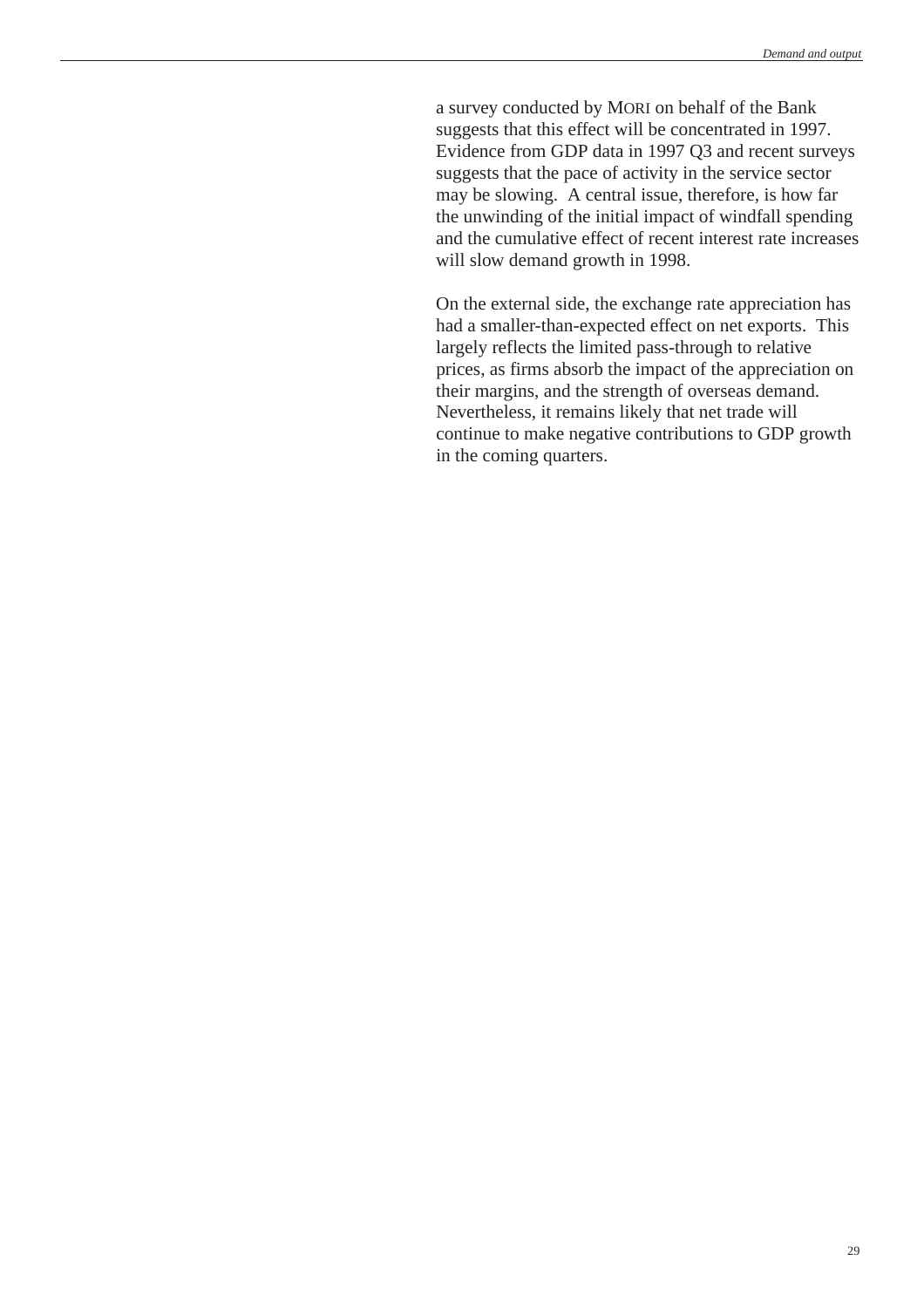a survey conducted by MORI on behalf of the Bank suggests that this effect will be concentrated in 1997. Evidence from GDP data in 1997 Q3 and recent surveys suggests that the pace of activity in the service sector may be slowing. A central issue, therefore, is how far the unwinding of the initial impact of windfall spending and the cumulative effect of recent interest rate increases will slow demand growth in 1998.

On the external side, the exchange rate appreciation has had a smaller-than-expected effect on net exports. This largely reflects the limited pass-through to relative prices, as firms absorb the impact of the appreciation on their margins, and the strength of overseas demand. Nevertheless, it remains likely that net trade will continue to make negative contributions to GDP growth in the coming quarters.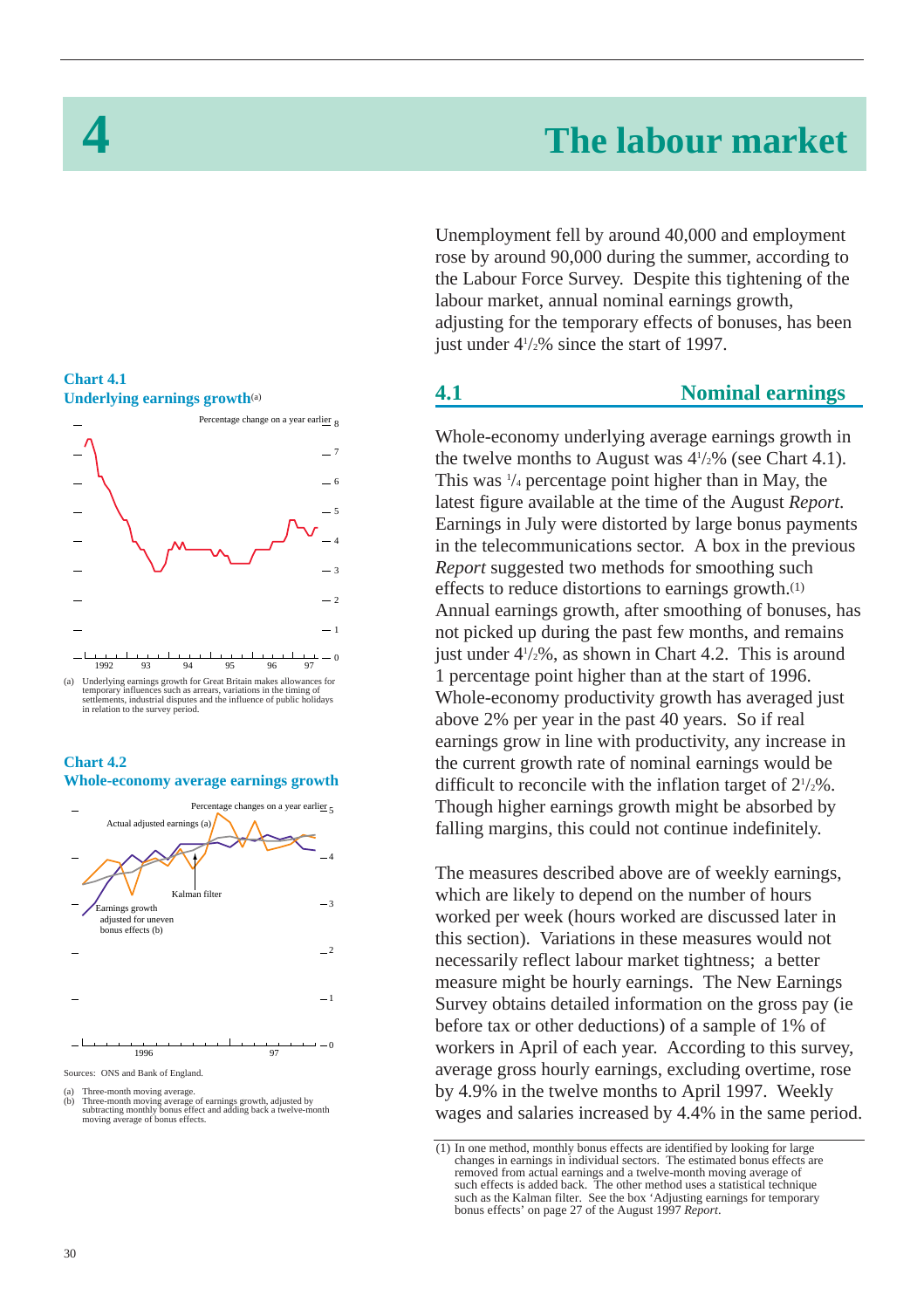# **4 The labour market**

## <span id="page-29-1"></span><span id="page-29-0"></span>**Chart 4.1 Underlying earnings growth**(a)







arces: ONS and Bank of England.

Unemployment fell by around 40,000 and employment rose by around 90,000 during the summer, according to the Labour Force Survey. Despite this tightening of the labour market, annual nominal earnings growth, adjusting for the temporary effects of bonuses, has been just under  $4\frac{1}{2}\%$  since the start of 1997.

## **4.1 Nominal earnings**

Whole-economy underlying average earnings growth in the twelve months to August was  $4\frac{1}{2}\%$  (see Chart 4.1). This was 1 /4 percentage point higher than in May, the latest figure available at the time of the August *Report*. Earnings in July were distorted by large bonus payments in the telecommunications sector. A box in the previous *Report* suggested two methods for smoothing such effects to reduce distortions to earnings growth.(1) Annual earnings growth, after smoothing of bonuses, has not picked up during the past few months, and remains just under 41 /2%, as shown in Chart 4.2. This is around 1 percentage point higher than at the start of 1996. Whole-economy productivity growth has averaged just above 2% per year in the past 40 years. So if real earnings grow in line with productivity, any increase in the current growth rate of nominal earnings would be difficult to reconcile with the inflation target of  $2\frac{1}{2}\%$ . Though higher earnings growth might be absorbed by falling margins, this could not continue indefinitely.

The measures described above are of weekly earnings, which are likely to depend on the number of hours worked per week (hours worked are discussed later in this section). Variations in these measures would not necessarily reflect labour market tightness; a better measure might be hourly earnings. The New Earnings Survey obtains detailed information on the gross pay (ie before tax or other deductions) of a sample of 1% of workers in April of each year. According to this survey, average gross hourly earnings, excluding overtime, rose by 4.9% in the twelve months to April 1997. Weekly wages and salaries increased by 4.4% in the same period.

<sup>(</sup>a) Three-month moving average. (b) Three-month moving average of earnings growth, adjusted by subtracting monthly bonus effect and adding back a twelve-month moving average of bonus effects.

<sup>(1)</sup> In one method, monthly bonus effects are identified by looking for large changes in earnings in individual sectors. The estimated bonus effects are removed from actual earnings and a twelve-month moving average of such effects is added back. The other method uses a statistical technique such as the Kalman filter. See the box 'Adjusting earnings for temporary bonus effects' on page 27 of the August 1997 *Report*.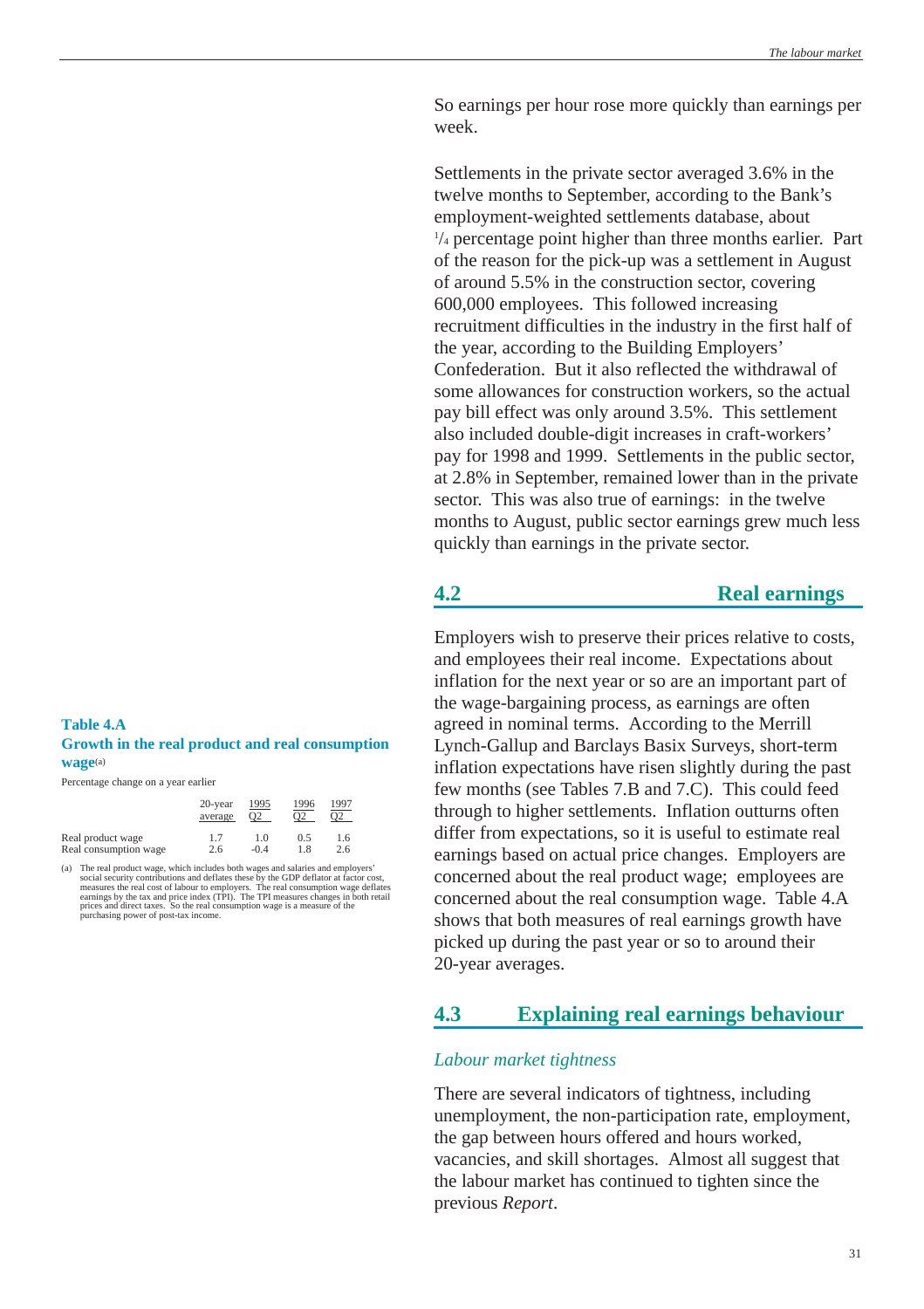<span id="page-30-0"></span>So earnings per hour rose more quickly than earnings per week.

Settlements in the private sector averaged 3.6% in the twelve months to September, according to the Bank's employment-weighted settlements database, about 1 /4 percentage point higher than three months earlier. Part of the reason for the pick-up was a settlement in August of around 5.5% in the construction sector, covering 600,000 employees. This followed increasing recruitment difficulties in the industry in the first half of the year, according to the Building Employers' Confederation. But it also reflected the withdrawal of some allowances for construction workers, so the actual pay bill effect was only around 3.5%. This settlement also included double-digit increases in craft-workers' pay for 1998 and 1999. Settlements in the public sector, at 2.8% in September, remained lower than in the private sector. This was also true of earnings: in the twelve months to August, public sector earnings grew much less quickly than earnings in the private sector.

## **4.2 Real earnings**

Employers wish to preserve their prices relative to costs, and employees their real income. Expectations about inflation for the next year or so are an important part of the wage-bargaining process, as earnings are often agreed in nominal terms. According to the Merrill Lynch-Gallup and Barclays Basix Surveys, short-term inflation expectations have risen slightly during the past few months (see Tables 7.B and 7.C). This could feed through to higher settlements. Inflation outturns often differ from expectations, so it is useful to estimate real earnings based on actual price changes. Employers are concerned about the real product wage; employees are concerned about the real consumption wage. Table 4.A shows that both measures of real earnings growth have picked up during the past year or so to around their 20-year averages.

## **4.3 Explaining real earnings behaviour**

### *Labour market tightness*

There are several indicators of tightness, including unemployment, the non-participation rate, employment, the gap between hours offered and hours worked, vacancies, and skill shortages. Almost all suggest that the labour market has continued to tighten since the previous *Report*.

## **Table 4.A Growth in the real product and real consumption wage**(a)

Percentage change on a year earlier

|                       | $20$ -year | 1995           | 1996 | 1997     |
|-----------------------|------------|----------------|------|----------|
|                       | average    | O <sub>2</sub> | O2   | $\Omega$ |
| Real product wage     | 1.7        | 1.0            | 0.5  | 1.6      |
| Real consumption wage | 2.6        | $-0.4$         | 18   | 2.6      |

(a) The real product wage, which includes both wages and salaries and employers' social security contributions and deflates these by the GDP deflator at factor cost, measures the real cost of labour to employers. The real consumption wage deflates<br>earnings by the tax and price index (TPI). The TPI measures changes in both retail<br>prices and direct taxes. So the real consumption wage is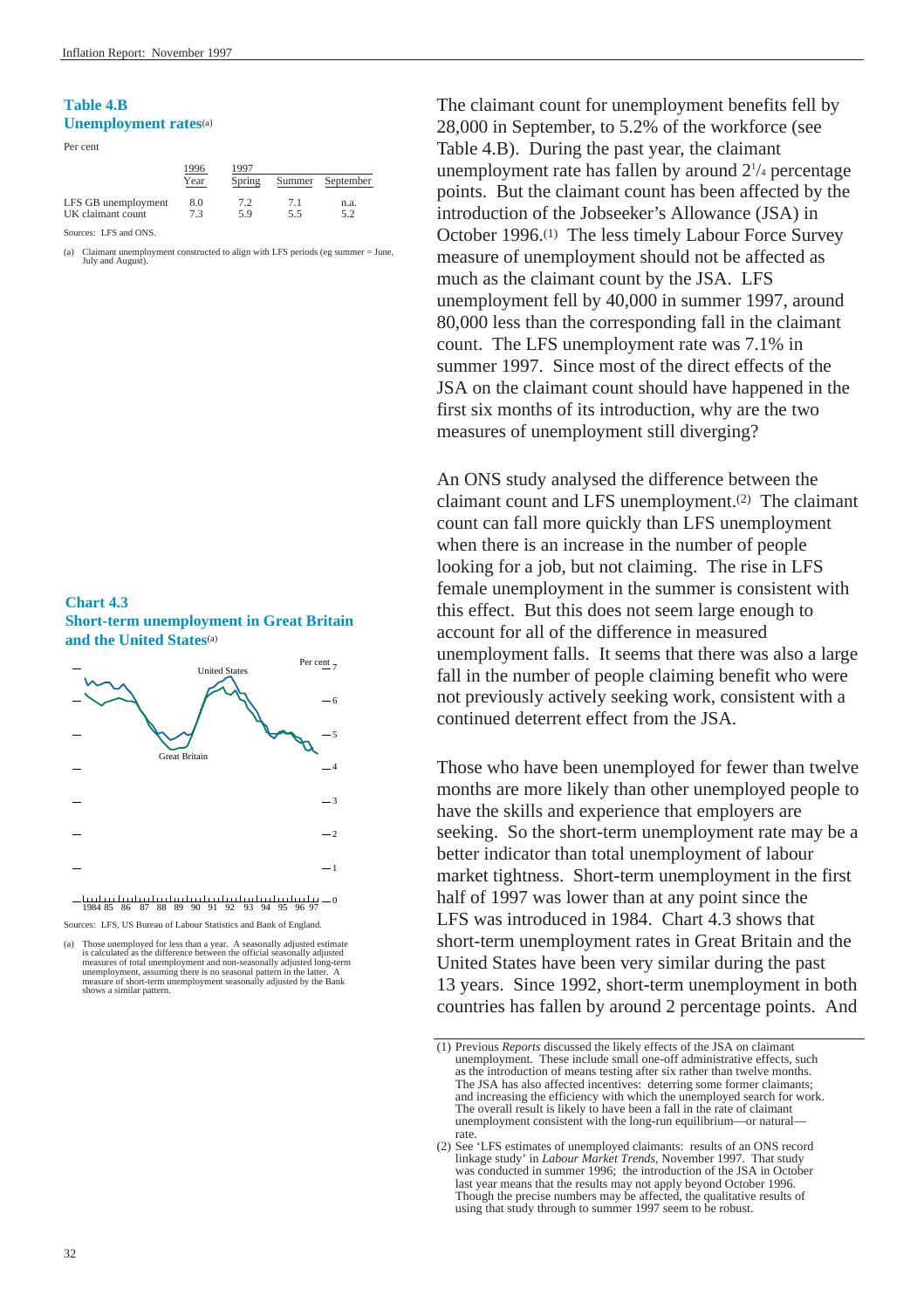## **Table 4.B Unemployment rates**(a)



|                     | 1996<br>Year | 1997<br>Spring | Summer | September |
|---------------------|--------------|----------------|--------|-----------|
| LFS GB unemployment | 8.0          | 72             | 71     | n.a.      |
| UK claimant count   | 73           | 59             | 55     | 52        |

Sources: LFS and ONS.

(a) Claimant unemployment constructed to align with LFS periods (eg summer = June, July and August)

## **Chart 4.3 Short-term unemployment in Great Britain and the United States**(a)



Sources: LFS, US Bureau of Labour Statistics and Bank of England.

The claimant count for unemployment benefits fell by 28,000 in September, to 5.2% of the workforce (see Table 4.B). During the past year, the claimant unemployment rate has fallen by around 21 /4 percentage points. But the claimant count has been affected by the introduction of the Jobseeker's Allowance (JSA) in October 1996.(1) The less timely Labour Force Survey measure of unemployment should not be affected as much as the claimant count by the JSA. LFS unemployment fell by 40,000 in summer 1997, around 80,000 less than the corresponding fall in the claimant count. The LFS unemployment rate was 7.1% in summer 1997. Since most of the direct effects of the JSA on the claimant count should have happened in the first six months of its introduction, why are the two measures of unemployment still diverging?

An ONS study analysed the difference between the claimant count and LFS unemployment.(2) The claimant count can fall more quickly than LFS unemployment when there is an increase in the number of people looking for a job, but not claiming. The rise in LFS female unemployment in the summer is consistent with this effect. But this does not seem large enough to account for all of the difference in measured unemployment falls. It seems that there was also a large fall in the number of people claiming benefit who were not previously actively seeking work, consistent with a continued deterrent effect from the JSA.

Those who have been unemployed for fewer than twelve months are more likely than other unemployed people to have the skills and experience that employers are seeking. So the short-term unemployment rate may be a better indicator than total unemployment of labour market tightness. Short-term unemployment in the first half of 1997 was lower than at any point since the LFS was introduced in 1984. Chart 4.3 shows that short-term unemployment rates in Great Britain and the United States have been very similar during the past 13 years. Since 1992, short-term unemployment in both countries has fallen by around 2 percentage points. And

<sup>(</sup>a) Those unemployed for less than a year. A seasonally adjusted estimate is calculated as the difference between the official seasonally adjusted measures of total unemployment and non-seasonally adjusted long-term unemployment, assuming there is no seasonal pattern in the latter. A measure of short-term unemployment seasonally adjusted by the Bank shows a similar pattern.

<sup>(1)</sup> Previous *Reports* discussed the likely effects of the JSA on claimant unemployment. These include small one-off administrative effects, such as the introduction of means testing after six rather than twelve months. The JSA has also affected incentives: deterring some former claimants; and increasing the efficiency with which the unemployed search for work. The overall result is likely to have been a fall in the rate of claimant unemployment consistent with the long-run equilibrium—or natural rate.

<sup>(2)</sup> See 'LFS estimates of unemployed claimants: results of an ONS record linkage study' in *Labour Market Trends*, November 1997. That study was conducted in summer 1996; the introduction of the JSA in October last year means that the results may not apply beyond October 1996. Though the precise numbers may be affected, the qualitative results of using that study through to summer 1997 seem to be robust.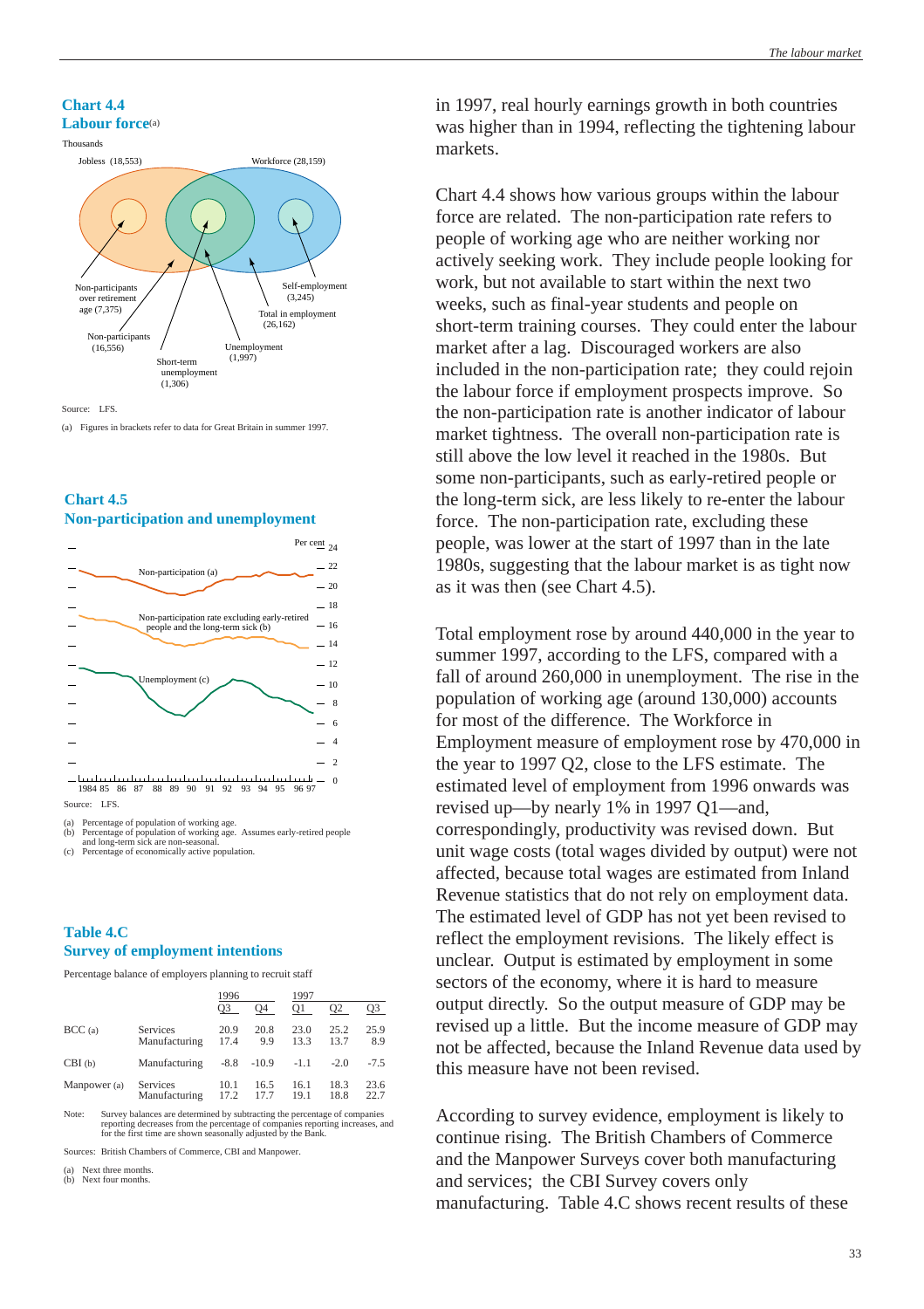#### **Chart 4.4 Labour force**(a)



#### Source: LFS.

(a) Figures in brackets refer to data for Great Britain in summer 1997.

## **Chart 4.5 Non-participation and unemployment**



(a) Percentage of population of working age. (b) Percentage of population of working age. Assumes early-retired people and long-term sick are non-seasonal. (c) Percentage of economically active population.

## **Table 4.C Survey of employment intentions**

Percentage balance of employers planning to recruit staff

|              |                           | 1996           |              | 1997         |              |              |  |
|--------------|---------------------------|----------------|--------------|--------------|--------------|--------------|--|
|              |                           | O <sub>3</sub> | O4           | O1           | Q2           | Q3           |  |
| BCC(a)       | Services<br>Manufacturing | 20.9<br>17.4   | 20.8<br>9.9  | 23.0<br>13.3 | 25.2<br>13.7 | 25.9<br>8.9  |  |
| CBI(b)       | Manufacturing             | $-8.8$         | $-10.9$      | $-1.1$       | $-2.0$       | $-7.5$       |  |
| Manpower (a) | Services<br>Manufacturing | 10.1<br>17.2   | 16.5<br>17.7 | 16.1<br>19.1 | 18.3<br>18.8 | 23.6<br>22.7 |  |

Note: Survey balances are determined by subtracting the percentage of companies reporting decreases from the percentage of companies reporting increases, and for the first time are shown seasonally adjusted by the Bank.

Sources: British Chambers of Commerce, CBI and Manpower.

(a) Next three months. (b) Next four months.

in 1997, real hourly earnings growth in both countries was higher than in 1994, reflecting the tightening labour markets.

Chart 4.4 shows how various groups within the labour force are related. The non-participation rate refers to people of working age who are neither working nor actively seeking work. They include people looking for work, but not available to start within the next two weeks, such as final-year students and people on short-term training courses. They could enter the labour market after a lag. Discouraged workers are also included in the non-participation rate; they could rejoin the labour force if employment prospects improve. So the non-participation rate is another indicator of labour market tightness. The overall non-participation rate is still above the low level it reached in the 1980s. But some non-participants, such as early-retired people or the long-term sick, are less likely to re-enter the labour force. The non-participation rate, excluding these people, was lower at the start of 1997 than in the late 1980s, suggesting that the labour market is as tight now as it was then (see Chart 4.5).

Total employment rose by around 440,000 in the year to summer 1997, according to the LFS, compared with a fall of around 260,000 in unemployment. The rise in the population of working age (around 130,000) accounts for most of the difference. The Workforce in Employment measure of employment rose by 470,000 in the year to 1997 Q2, close to the LFS estimate. The estimated level of employment from 1996 onwards was revised up—by nearly 1% in 1997 Q1—and, correspondingly, productivity was revised down. But unit wage costs (total wages divided by output) were not affected, because total wages are estimated from Inland Revenue statistics that do not rely on employment data. The estimated level of GDP has not yet been revised to reflect the employment revisions. The likely effect is unclear. Output is estimated by employment in some sectors of the economy, where it is hard to measure output directly. So the output measure of GDP may be revised up a little. But the income measure of GDP may not be affected, because the Inland Revenue data used by this measure have not been revised.

According to survey evidence, employment is likely to continue rising. The British Chambers of Commerce and the Manpower Surveys cover both manufacturing and services; the CBI Survey covers only manufacturing. Table 4.C shows recent results of these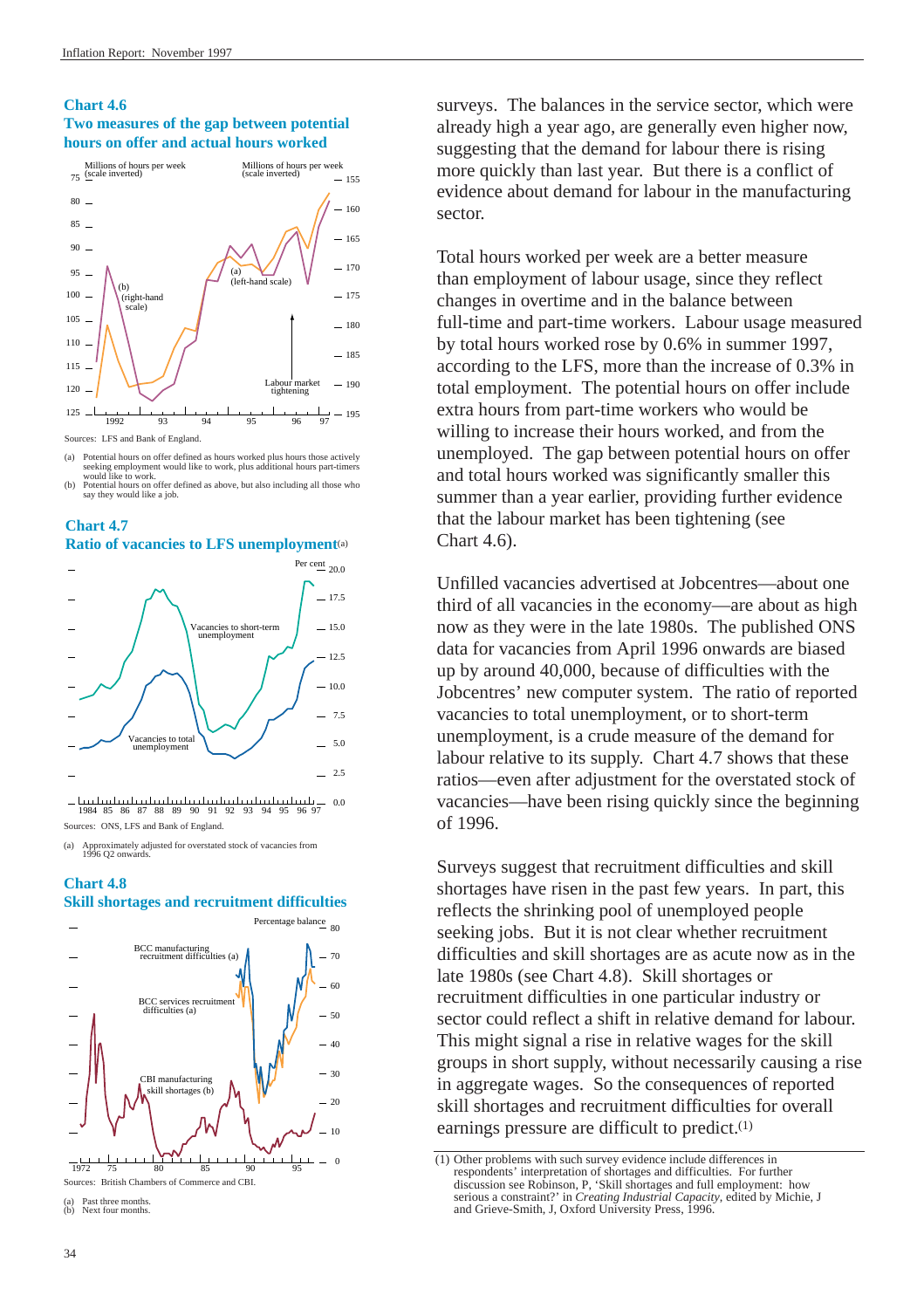### **Chart 4.6 Two measures of the gap between potential hours on offer and actual hours worked**



- (a) Potential hours on offer defined as hours worked plus hours those actively seeking employment would like to work, plus additional hours part-timers
- would like to work.<br>(b) Potential hours on offer defined as above, but also including all those who say they would like a job.



**Chart 4.7**

<u>but hutministraturinistraturinistraturini</u> 0.0 1984 85 86 87 88 89 90 91 92 93 94 95 96 97 Sources: ONS, LFS and Bank of England.

(a) Approximately adjusted for overstated stock of vacancies from 1996 Q2 onwards.

## **Chart 4.8**



Next four months.

surveys. The balances in the service sector, which were already high a year ago, are generally even higher now, suggesting that the demand for labour there is rising more quickly than last year. But there is a conflict of evidence about demand for labour in the manufacturing sector.

Total hours worked per week are a better measure than employment of labour usage, since they reflect changes in overtime and in the balance between full-time and part-time workers. Labour usage measured by total hours worked rose by 0.6% in summer 1997, according to the LFS, more than the increase of 0.3% in total employment. The potential hours on offer include extra hours from part-time workers who would be willing to increase their hours worked, and from the unemployed. The gap between potential hours on offer and total hours worked was significantly smaller this summer than a year earlier, providing further evidence that the labour market has been tightening (see Chart 4.6).

Unfilled vacancies advertised at Jobcentres—about one third of all vacancies in the economy—are about as high now as they were in the late 1980s. The published ONS data for vacancies from April 1996 onwards are biased up by around 40,000, because of difficulties with the Jobcentres' new computer system. The ratio of reported vacancies to total unemployment, or to short-term unemployment, is a crude measure of the demand for labour relative to its supply. Chart 4.7 shows that these ratios—even after adjustment for the overstated stock of vacancies—have been rising quickly since the beginning of 1996.

Surveys suggest that recruitment difficulties and skill shortages have risen in the past few years. In part, this reflects the shrinking pool of unemployed people seeking jobs. But it is not clear whether recruitment difficulties and skill shortages are as acute now as in the late 1980s (see Chart 4.8). Skill shortages or recruitment difficulties in one particular industry or sector could reflect a shift in relative demand for labour. This might signal a rise in relative wages for the skill groups in short supply, without necessarily causing a rise in aggregate wages. So the consequences of reported skill shortages and recruitment difficulties for overall earnings pressure are difficult to predict.(1)

<sup>(1)</sup> Other problems with such survey evidence include differences in respondents' interpretation of shortages and difficulties. For further discussion see Robinson, P, 'Skill shortages and full employment: how serious a constraint?' in *Creating Industrial Capacity*, edited by Michie, J and Grieve-Smith, J, Oxford University Press, 1996.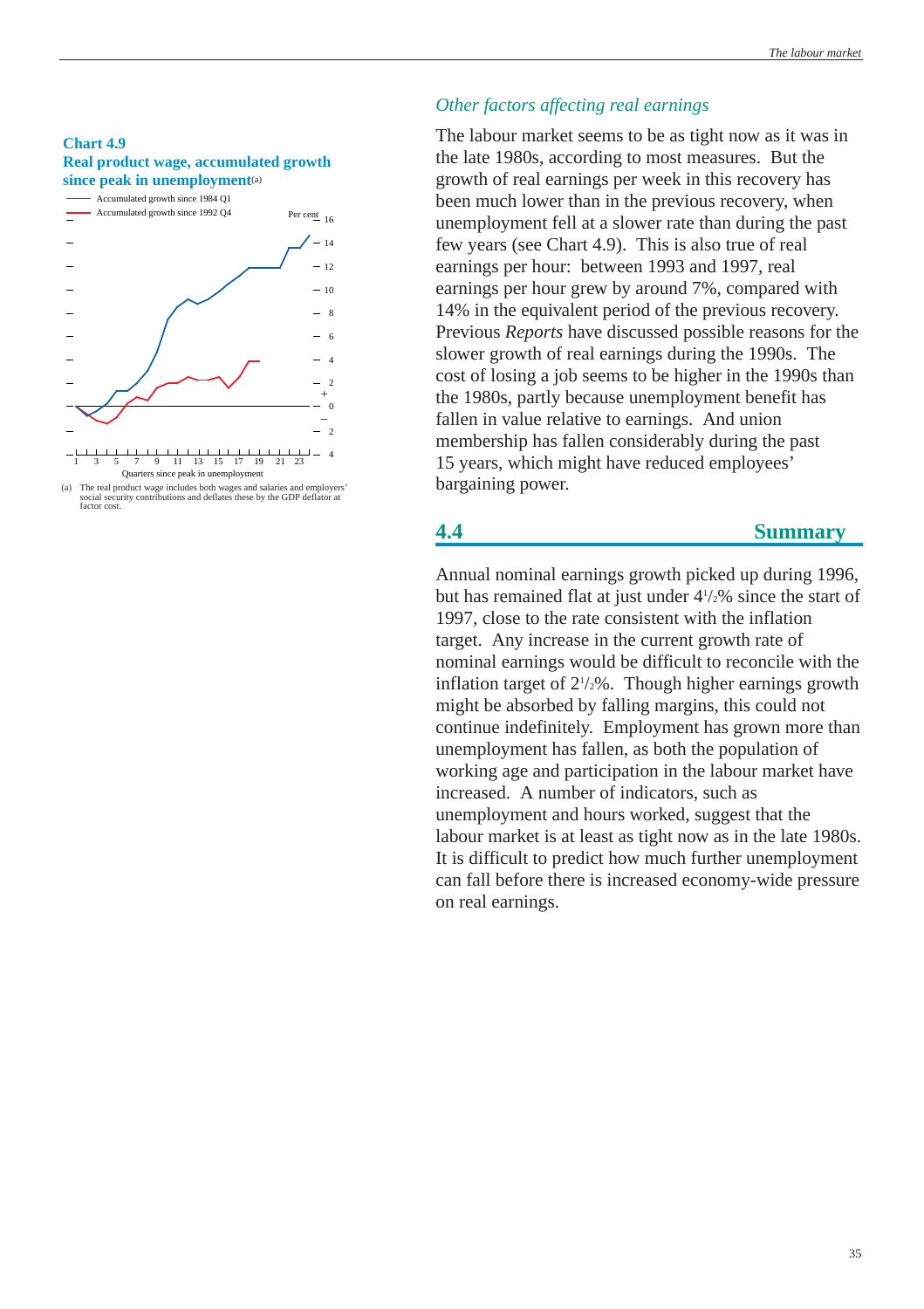### <span id="page-34-0"></span>**Chart 4.9 Real product wage, accumulated growth since peak in unemployment**(a)



<sup>(</sup>a) The real product wage includes both wages and salaries and employers' social security contributions and deflates these by the GDP deflator at factor cost.

## *Other factors affecting real earnings*

The labour market seems to be as tight now as it was in the late 1980s, according to most measures. But the growth of real earnings per week in this recovery has been much lower than in the previous recovery, when unemployment fell at a slower rate than during the past few years (see Chart 4.9). This is also true of real earnings per hour: between 1993 and 1997, real earnings per hour grew by around 7%, compared with 14% in the equivalent period of the previous recovery. Previous *Reports* have discussed possible reasons for the slower growth of real earnings during the 1990s. The cost of losing a job seems to be higher in the 1990s than the 1980s, partly because unemployment benefit has fallen in value relative to earnings. And union membership has fallen considerably during the past 15 years, which might have reduced employees' bargaining power.

## **4.4 Summary**

Annual nominal earnings growth picked up during 1996, but has remained flat at just under 41 /2% since the start of 1997, close to the rate consistent with the inflation target. Any increase in the current growth rate of nominal earnings would be difficult to reconcile with the inflation target of  $2^{1/2}\%$ . Though higher earnings growth might be absorbed by falling margins, this could not continue indefinitely. Employment has grown more than unemployment has fallen, as both the population of working age and participation in the labour market have increased. A number of indicators, such as unemployment and hours worked, suggest that the labour market is at least as tight now as in the late 1980s. It is difficult to predict how much further unemployment can fall before there is increased economy-wide pressure on real earnings.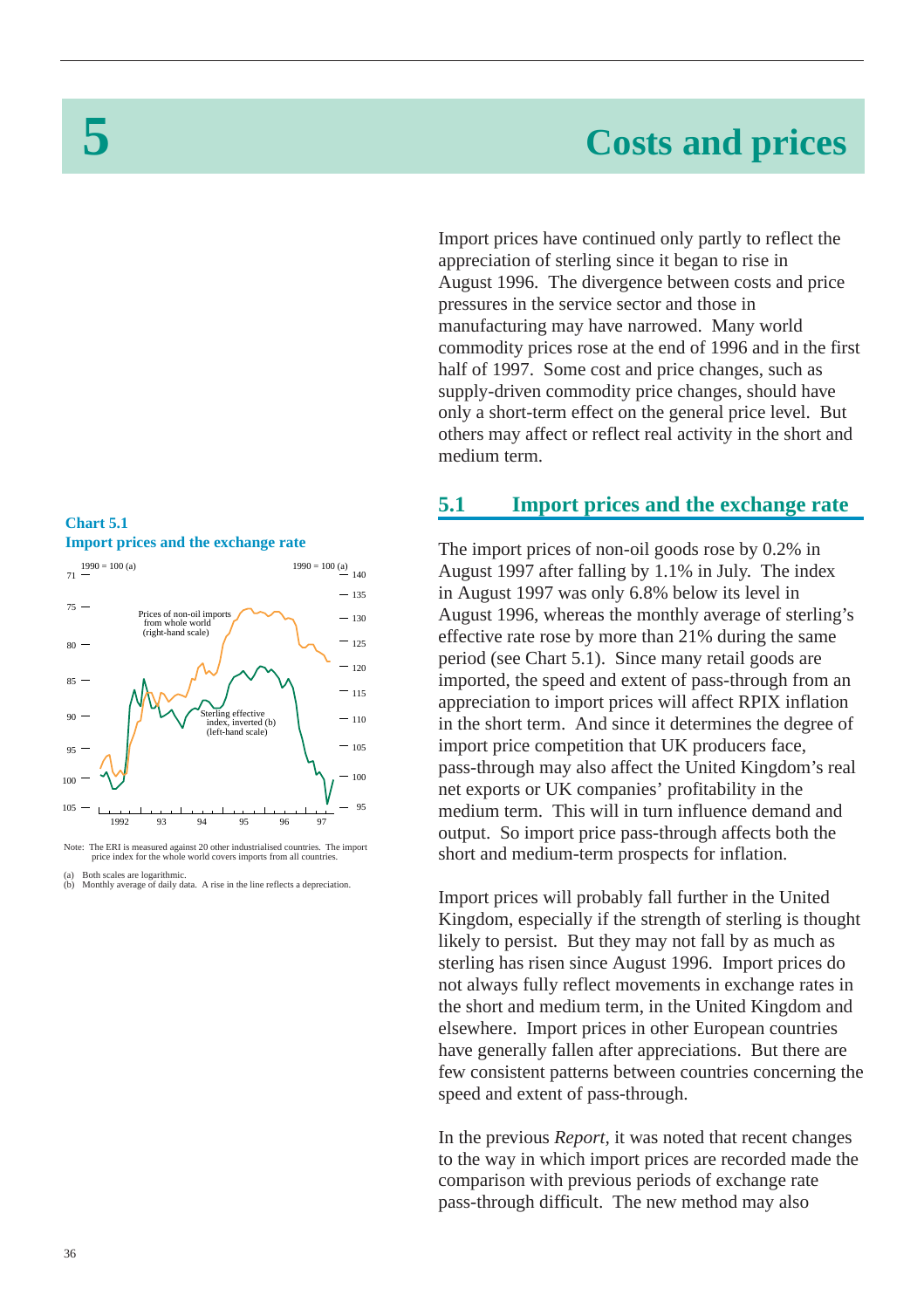# **5 Costs and prices**

Import prices have continued only partly to reflect the appreciation of sterling since it began to rise in August 1996. The divergence between costs and price pressures in the service sector and those in manufacturing may have narrowed. Many world commodity prices rose at the end of 1996 and in the first half of 1997. Some cost and price changes, such as supply-driven commodity price changes, should have only a short-term effect on the general price level. But others may affect or reflect real activity in the short and medium term.

## <span id="page-35-1"></span><span id="page-35-0"></span>**Chart 5.1 Import prices and the exchange rate**



Note: The ERI is measured against 20 other industrialised countries. The import price index for the whole world covers imports from all countries.

(a) Both scales are logarithmic. (b) Monthly average of daily data. A rise in the line reflects a depreciation.

## **5.1 Import prices and the exchange rate**

The import prices of non-oil goods rose by 0.2% in August 1997 after falling by 1.1% in July. The index in August 1997 was only 6.8% below its level in August 1996, whereas the monthly average of sterling's effective rate rose by more than 21% during the same period (see Chart 5.1). Since many retail goods are imported, the speed and extent of pass-through from an appreciation to import prices will affect RPIX inflation in the short term. And since it determines the degree of import price competition that UK producers face, pass-through may also affect the United Kingdom's real net exports or UK companies' profitability in the medium term. This will in turn influence demand and output. So import price pass-through affects both the short and medium-term prospects for inflation.

Import prices will probably fall further in the United Kingdom, especially if the strength of sterling is thought likely to persist. But they may not fall by as much as sterling has risen since August 1996. Import prices do not always fully reflect movements in exchange rates in the short and medium term, in the United Kingdom and elsewhere. Import prices in other European countries have generally fallen after appreciations. But there are few consistent patterns between countries concerning the speed and extent of pass-through.

In the previous *Report,* it was noted that recent changes to the way in which import prices are recorded made the comparison with previous periods of exchange rate pass-through difficult. The new method may also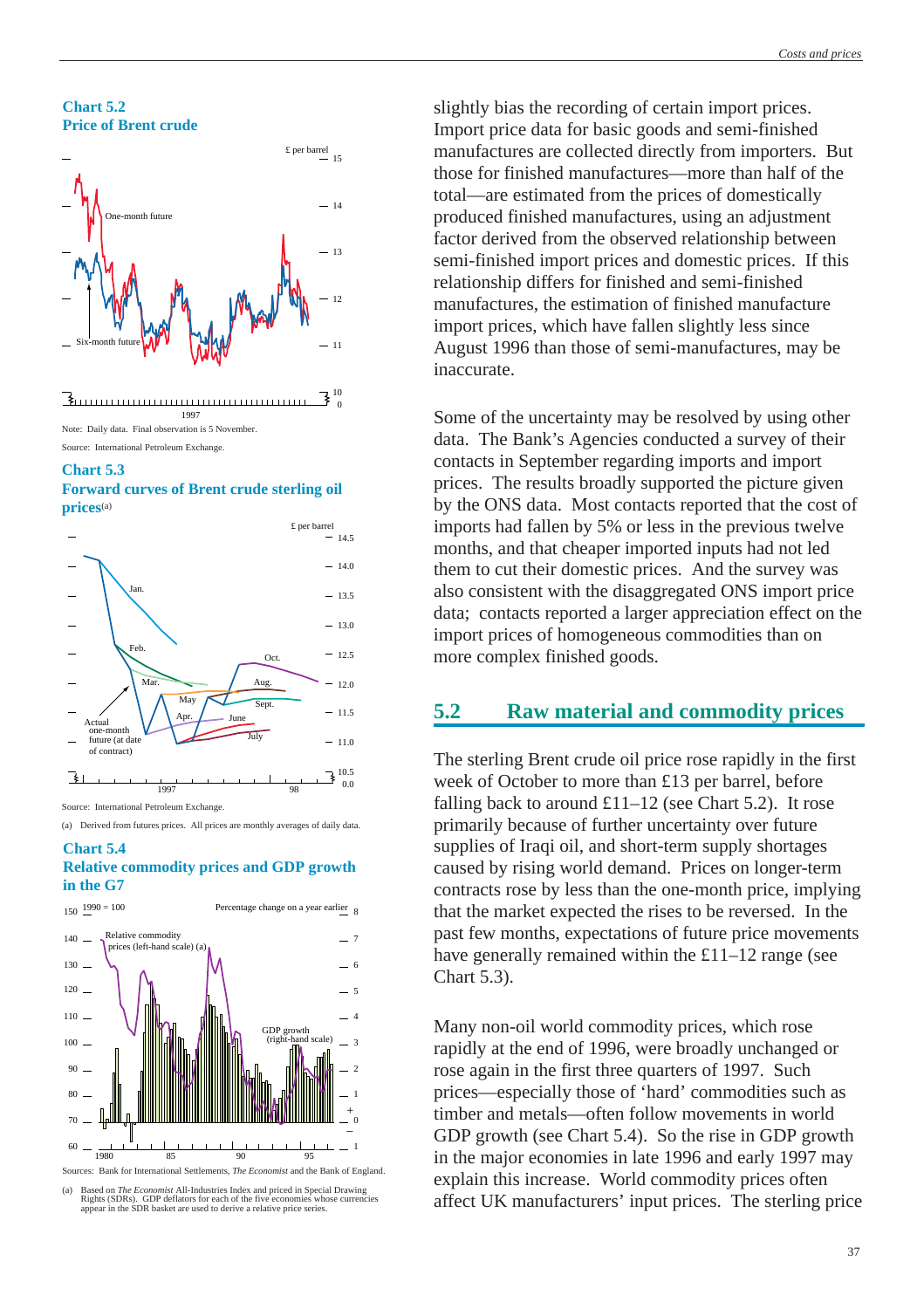**Chart 5.2 Price of Brent crude**



1997 Note: Daily data. Final observation is 5 November. Source: International Petroleum Exchange.

#### **Chart 5.3**

**Forward curves of Brent crude sterling oil prices**(a)

 $\mathbf{0}$ 



Source: International Petroleum Exchange.

(a) Derived from futures prices. All prices are monthly averages of daily data.

#### **Chart 5.4 Relative commodity prices and GDP growth in the G7**



<sup>(</sup>a) Based on *The Economist* All-Industries Index and priced in Special Drawing Rights (SDRs). GDP deflators for each of the five economies whose currencies appear in the SDR basket are used to derive a relative price seri

slightly bias the recording of certain import prices. Import price data for basic goods and semi-finished manufactures are collected directly from importers. But those for finished manufactures—more than half of the total—are estimated from the prices of domestically produced finished manufactures, using an adjustment factor derived from the observed relationship between semi-finished import prices and domestic prices. If this relationship differs for finished and semi-finished manufactures, the estimation of finished manufacture import prices, which have fallen slightly less since August 1996 than those of semi-manufactures, may be inaccurate.

Some of the uncertainty may be resolved by using other data. The Bank's Agencies conducted a survey of their contacts in September regarding imports and import prices. The results broadly supported the picture given by the ONS data. Most contacts reported that the cost of imports had fallen by 5% or less in the previous twelve months, and that cheaper imported inputs had not led them to cut their domestic prices. And the survey was also consistent with the disaggregated ONS import price data; contacts reported a larger appreciation effect on the import prices of homogeneous commodities than on more complex finished goods.

# **5.2 Raw material and commodity prices**

The sterling Brent crude oil price rose rapidly in the first week of October to more than £13 per barrel, before falling back to around  $£11-12$  (see Chart 5.2). It rose primarily because of further uncertainty over future supplies of Iraqi oil, and short-term supply shortages caused by rising world demand. Prices on longer-term contracts rose by less than the one-month price, implying that the market expected the rises to be reversed. In the past few months, expectations of future price movements have generally remained within the £11–12 range (see Chart 5.3).

Many non-oil world commodity prices, which rose rapidly at the end of 1996, were broadly unchanged or rose again in the first three quarters of 1997. Such prices—especially those of 'hard' commodities such as timber and metals—often follow movements in world GDP growth (see Chart 5.4). So the rise in GDP growth in the major economies in late 1996 and early 1997 may explain this increase. World commodity prices often affect UK manufacturers' input prices. The sterling price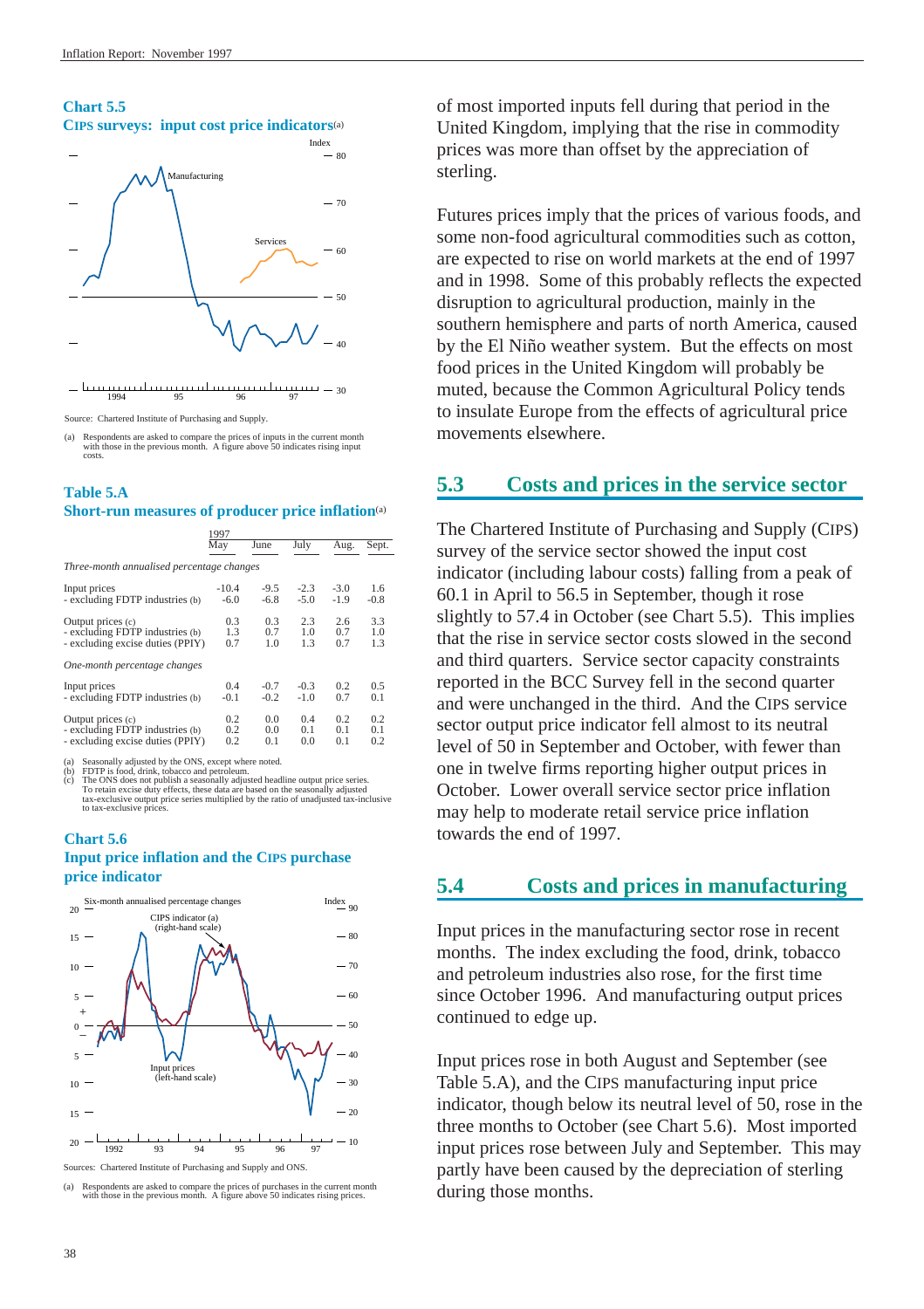# **Chart 5.5 CIPS surveys: input cost price indicators**(a)  $-70$ 80 Index Manufacturing



#### 1994 95 96 97

Source: Chartered Institute of Purchasing and Supply.

(a) Respondents are asked to compare the prices of inputs in the current month with those in the previous month. A figure above 50 indicates rising input costs.

 $-30$ 

#### **Table 5.A Short-run measures of producer price inflation**(a)

|                                           | 1997    |        |        |        |        |
|-------------------------------------------|---------|--------|--------|--------|--------|
|                                           | May     | June   | July   | Aug.   | Sept.  |
| Three-month annualised percentage changes |         |        |        |        |        |
| Input prices                              | $-10.4$ | $-9.5$ | $-2.3$ | $-3.0$ | 1.6    |
| - excluding FDTP industries (b)           | $-6.0$  | $-6.8$ | $-5.0$ | $-1.9$ | $-0.8$ |
| Output prices (c)                         | 0.3     | 0.3    | 2.3    | 2.6    | 3.3    |
| - excluding FDTP industries (b)           | 1.3     | 0.7    | 1.0    | 0.7    | 1.0    |
| - excluding excise duties (PPIY)          | 0.7     | 1.0    | 1.3    | 0.7    | 1.3    |
| One-month percentage changes              |         |        |        |        |        |
| Input prices                              | 0.4     | $-0.7$ | $-0.3$ | 0.2    | 0.5    |
| - excluding FDTP industries (b)           | $-0.1$  | $-0.2$ | $-1.0$ | 0.7    | 0.1    |
| Output prices (c)                         | 0.2     | 0.0    | 0.4    | 0.2    | 0.2    |
| - excluding FDTP industries (b)           | 0.2     | 0.0    | 0.1    | 0.1    | 0.1    |
| - excluding excise duties (PPIY)          | 0.2     | 0.1    | 0.0    | 0.1    | 0.2    |

(a) Seasonally adjusted by the ONS, except where noted<br>(b) FDTP is food, drink, tobacco and netroleum.

(b) FDTP is food, drink, tobacco and petroleum.<br>
(c) The ONS does not publish a seasonally adjusted headline output price series.<br>
To retain excise duty effects, these data are based on the seasonally adjusted<br>
tax-exclusi to tax-exclusive prices.

#### **Chart 5.6 Input price inflation and the CIPS purchase price indicator**



Sources: Chartered Institute of Purchasing and Supply and ONS.

(a) Respondents are asked to compare the prices of purchases in the current month with those in the previous month. A figure above 50 indicates rising prices.

of most imported inputs fell during that period in the United Kingdom, implying that the rise in commodity prices was more than offset by the appreciation of sterling.

Futures prices imply that the prices of various foods, and some non-food agricultural commodities such as cotton, are expected to rise on world markets at the end of 1997 and in 1998. Some of this probably reflects the expected disruption to agricultural production, mainly in the southern hemisphere and parts of north America, caused by the El Niño weather system. But the effects on most food prices in the United Kingdom will probably be muted, because the Common Agricultural Policy tends to insulate Europe from the effects of agricultural price movements elsewhere.

# **5.3 Costs and prices in the service sector**

The Chartered Institute of Purchasing and Supply (CIPS) survey of the service sector showed the input cost indicator (including labour costs) falling from a peak of 60.1 in April to 56.5 in September, though it rose slightly to 57.4 in October (see Chart 5.5). This implies that the rise in service sector costs slowed in the second and third quarters. Service sector capacity constraints reported in the BCC Survey fell in the second quarter and were unchanged in the third. And the CIPS service sector output price indicator fell almost to its neutral level of 50 in September and October, with fewer than one in twelve firms reporting higher output prices in October. Lower overall service sector price inflation may help to moderate retail service price inflation towards the end of 1997.

# **5.4 Costs and prices in manufacturing**

Input prices in the manufacturing sector rose in recent months. The index excluding the food, drink, tobacco and petroleum industries also rose, for the first time since October 1996. And manufacturing output prices continued to edge up.

Input prices rose in both August and September (see Table 5.A), and the CIPS manufacturing input price indicator, though below its neutral level of 50, rose in the three months to October (see Chart 5.6). Most imported input prices rose between July and September. This may partly have been caused by the depreciation of sterling during those months.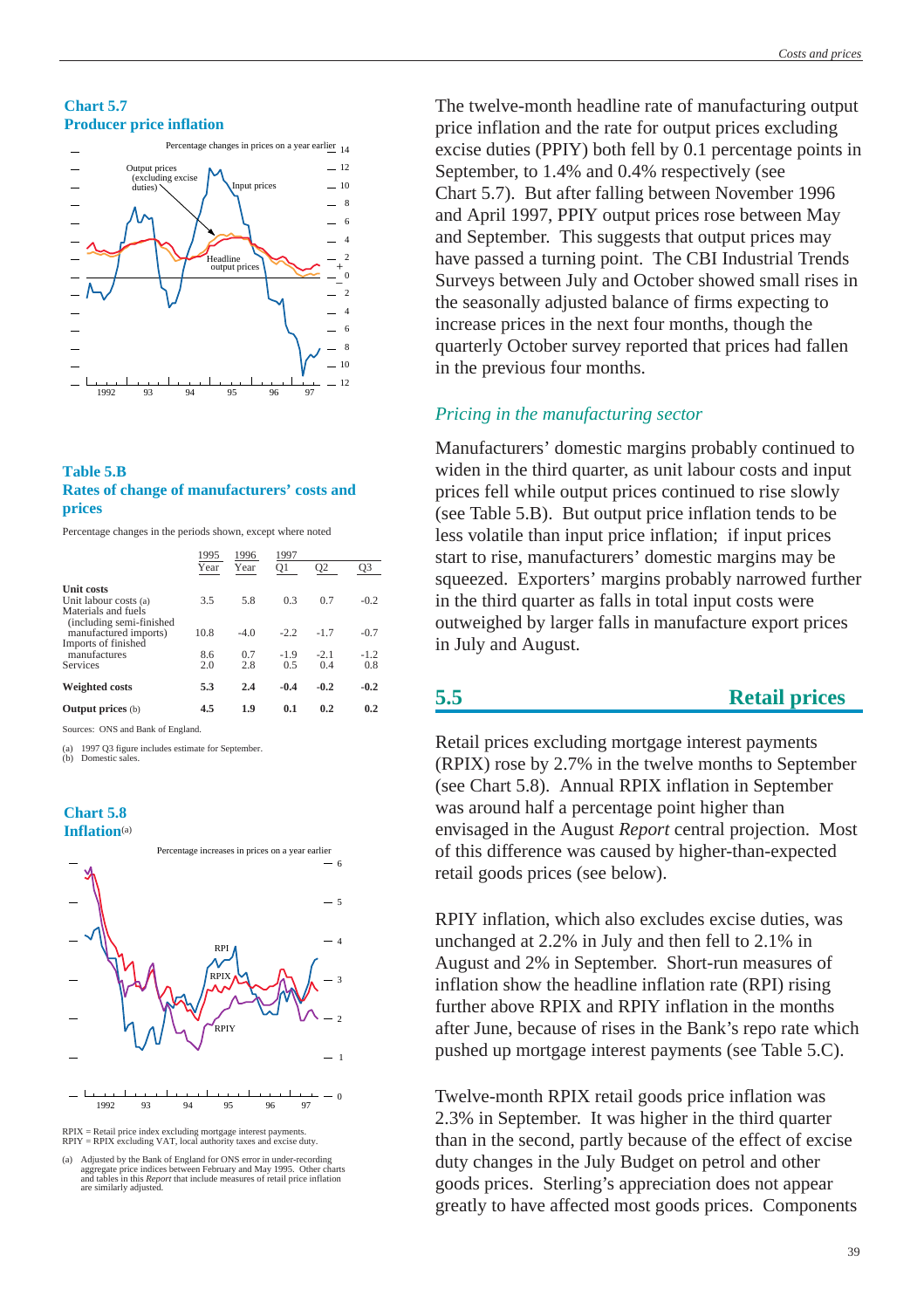#### **Chart 5.7 Producer price inflation**



#### **Table 5.B Rates of change of manufacturers' costs and prices**

Percentage changes in the periods shown, except where noted

|                                                 | 1995 | 1996   | 1997   |                |        |
|-------------------------------------------------|------|--------|--------|----------------|--------|
|                                                 | Year | Year   | Q1     | Q <sub>2</sub> | Q3     |
| <b>Unit costs</b><br>Unit labour costs (a)      | 3.5  | 5.8    | 0.3    | 0.7            | $-0.2$ |
| Materials and fuels<br>(including semi-finished |      |        |        |                |        |
| manufactured imports)                           | 10.8 | $-4.0$ | $-2.2$ | $-1.7$         | $-0.7$ |
| Imports of finished                             |      |        |        |                |        |
| manufactures                                    | 8.6  | 0.7    | $-1.9$ | $-2.1$         | $-1.2$ |
| <b>Services</b>                                 | 2.0  | 2.8    | 0.5    | 0.4            | 0.8    |
| <b>Weighted costs</b>                           | 5.3  | 2.4    | $-0.4$ | $-0.2$         | $-0.2$ |
| <b>Output prices</b> (b)                        | 4.5  | 1.9    | 0.1    | 0.2            | 0.2    |
| Sources: ONS and Bank of England.               |      |        |        |                |        |

(a) 1997 Q3 figure includes estimate for September. (b) Domestic sales.

#### **Chart 5.8 Inflation**(a)



RPIX = Retail price index excluding mortgage interest payments. RPIY = RPIX excluding VAT, local authority taxes and excise duty.

(a) Adjusted by the Bank of England for ONS error in under-recording aggregate price indices between February and May 1995. Other charts and tables in this *Report* that include measures of retail price inflation are similarly adjusted.

The twelve-month headline rate of manufacturing output price inflation and the rate for output prices excluding excise duties (PPIY) both fell by 0.1 percentage points in September, to 1.4% and 0.4% respectively (see Chart 5.7). But after falling between November 1996 and April 1997, PPIY output prices rose between May and September. This suggests that output prices may have passed a turning point. The CBI Industrial Trends Surveys between July and October showed small rises in the seasonally adjusted balance of firms expecting to increase prices in the next four months, though the quarterly October survey reported that prices had fallen in the previous four months.

#### *Pricing in the manufacturing sector*

Manufacturers' domestic margins probably continued to widen in the third quarter, as unit labour costs and input prices fell while output prices continued to rise slowly (see Table 5.B). But output price inflation tends to be less volatile than input price inflation; if input prices start to rise, manufacturers' domestic margins may be squeezed. Exporters' margins probably narrowed further in the third quarter as falls in total input costs were outweighed by larger falls in manufacture export prices in July and August.

### **5.5 Retail prices**

Retail prices excluding mortgage interest payments (RPIX) rose by 2.7% in the twelve months to September (see Chart 5.8). Annual RPIX inflation in September was around half a percentage point higher than envisaged in the August *Report* central projection. Most of this difference was caused by higher-than-expected retail goods prices (see below).

RPIY inflation, which also excludes excise duties, was unchanged at 2.2% in July and then fell to 2.1% in August and 2% in September. Short-run measures of inflation show the headline inflation rate (RPI) rising further above RPIX and RPIY inflation in the months after June, because of rises in the Bank's repo rate which pushed up mortgage interest payments (see Table 5.C).

Twelve-month RPIX retail goods price inflation was 2.3% in September. It was higher in the third quarter than in the second, partly because of the effect of excise duty changes in the July Budget on petrol and other goods prices. Sterling's appreciation does not appear greatly to have affected most goods prices. Components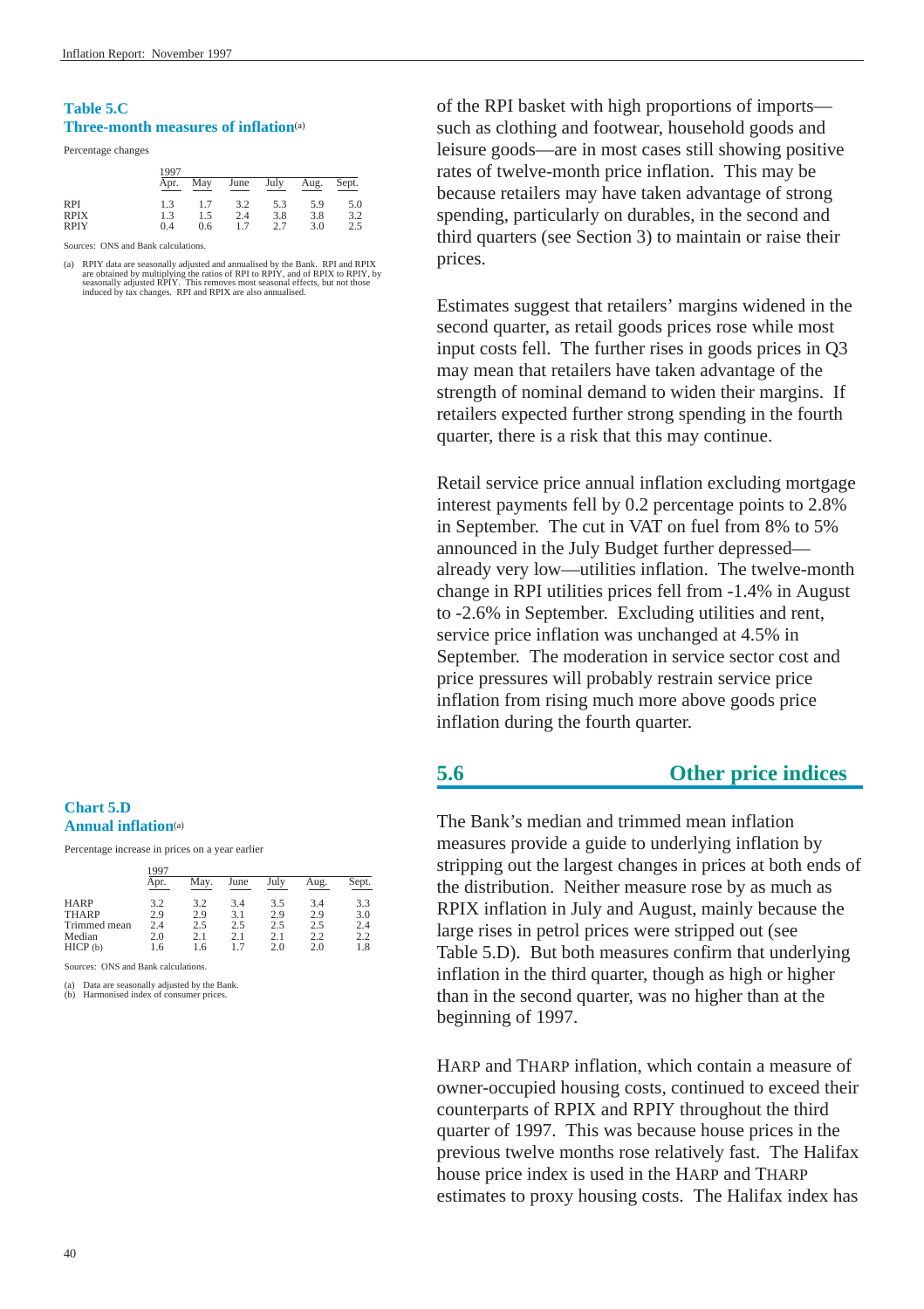#### **Table 5.C Three-month measures of inflation**(a)

Percentage changes

|                                          | 1997              |                   |                   |                   |                   |                   |
|------------------------------------------|-------------------|-------------------|-------------------|-------------------|-------------------|-------------------|
|                                          | Apr.              | May               | June              | July              | Aug.              | Sept.             |
| <b>RPI</b><br><b>RPIX</b><br><b>RPIY</b> | 1.3<br>1.3<br>0.4 | 1.7<br>1.5<br>0.6 | 3.2<br>2.4<br>1.7 | 5.3<br>3.8<br>2.7 | 5.9<br>3.8<br>3.0 | 5.0<br>3.2<br>2.5 |

Sources: ONS and Bank calculations.

(a) RPIY data are seasonally adjusted and annualised by the Bank. RPI and RPIX are obtained by multiplying the ratios of RPI to RPIY, and of RPIX to RPIY, by seasonally adjusted RPIY. This removes most seasonal effects, bu

#### **Chart 5.D Annual inflation**(a)

Percentage increase in prices on a year earlier

|              | 1997 |      |      |      |      |       |
|--------------|------|------|------|------|------|-------|
|              | Apr. | May. | June | July | Aug. | Sept. |
| <b>HARP</b>  | 3.2  | 3.2  | 3.4  | 3.5  | 3.4  | 3.3   |
| <b>THARP</b> | 2.9  | 2.9  | 3.1  | 2.9  | 2.9  | 3.0   |
| Trimmed mean | 2.4  | 2.5  | 2.5  | 2.5  | 2.5  | 2.4   |
| Median       | 2.0  | 2.1  | 2.1  | 2.1  | 2.2  | 2.2   |
| HICP (b)     | 1.6  | 1.6  | 17   | 2.0  | 2.0  | 1.8   |

Sources: ONS and Bank calculations.

(a) Data are seasonally adjusted by the Bank. (b) Harmonised index of consumer prices.

of the RPI basket with high proportions of imports such as clothing and footwear, household goods and leisure goods—are in most cases still showing positive rates of twelve-month price inflation. This may be because retailers may have taken advantage of strong spending, particularly on durables, in the second and third quarters (see [Section 3\)](#page-17-0) to maintain or raise their prices.

Estimates suggest that retailers' margins widened in the second quarter, as retail goods prices rose while most input costs fell. The further rises in goods prices in Q3 may mean that retailers have taken advantage of the strength of nominal demand to widen their margins. If retailers expected further strong spending in the fourth quarter, there is a risk that this may continue.

Retail service price annual inflation excluding mortgage interest payments fell by 0.2 percentage points to 2.8% in September. The cut in VAT on fuel from 8% to 5% announced in the July Budget further depressed already very low—utilities inflation. The twelve-month change in RPI utilities prices fell from -1.4% in August to -2.6% in September. Excluding utilities and rent, service price inflation was unchanged at 4.5% in September. The moderation in service sector cost and price pressures will probably restrain service price inflation from rising much more above goods price inflation during the fourth quarter.

# **5.6 Other price indices**

The Bank's median and trimmed mean inflation measures provide a guide to underlying inflation by stripping out the largest changes in prices at both ends of the distribution. Neither measure rose by as much as RPIX inflation in July and August, mainly because the large rises in petrol prices were stripped out (see Table 5.D). But both measures confirm that underlying inflation in the third quarter, though as high or higher than in the second quarter, was no higher than at the beginning of 1997.

HARP and THARP inflation, which contain a measure of owner-occupied housing costs, continued to exceed their counterparts of RPIX and RPIY throughout the third quarter of 1997. This was because house prices in the previous twelve months rose relatively fast. The Halifax house price index is used in the HARP and THARP estimates to proxy housing costs. The Halifax index has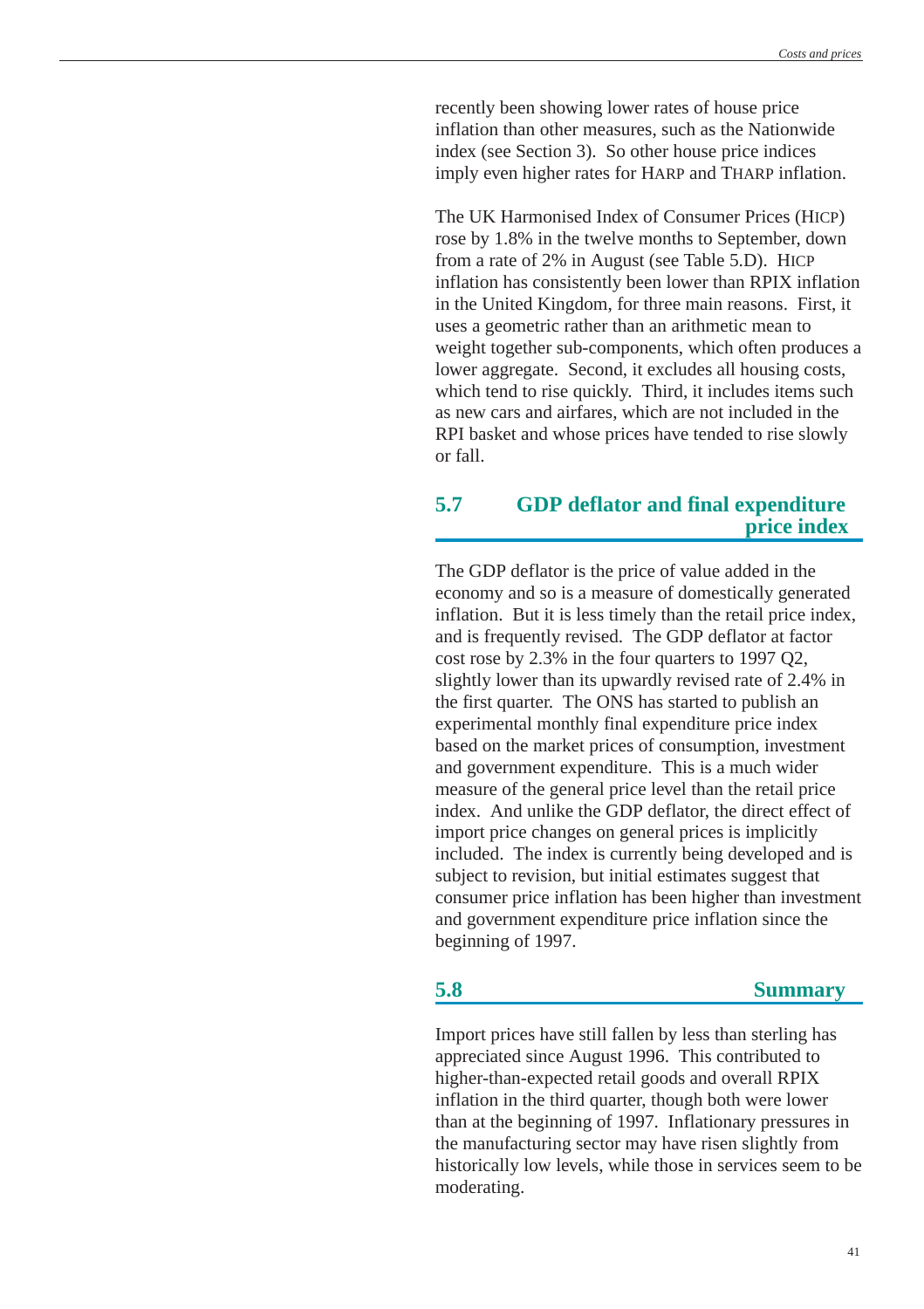recently been showing lower rates of house price inflation than other measures, such as the Nationwide index (see [Section 3\)](#page-17-0). So other house price indices imply even higher rates for HARP and THARP inflation.

The UK Harmonised Index of Consumer Prices (HICP) rose by 1.8% in the twelve months to September, down from a rate of 2% in August (see Table 5.D). HICP inflation has consistently been lower than RPIX inflation in the United Kingdom, for three main reasons. First, it uses a geometric rather than an arithmetic mean to weight together sub-components, which often produces a lower aggregate. Second, it excludes all housing costs, which tend to rise quickly. Third, it includes items such as new cars and airfares, which are not included in the RPI basket and whose prices have tended to rise slowly or fall.

# **5.7 GDP deflator and final expenditure price index**

The GDP deflator is the price of value added in the economy and so is a measure of domestically generated inflation. But it is less timely than the retail price index, and is frequently revised. The GDP deflator at factor cost rose by 2.3% in the four quarters to 1997 Q2, slightly lower than its upwardly revised rate of 2.4% in the first quarter. The ONS has started to publish an experimental monthly final expenditure price index based on the market prices of consumption, investment and government expenditure. This is a much wider measure of the general price level than the retail price index. And unlike the GDP deflator, the direct effect of import price changes on general prices is implicitly included. The index is currently being developed and is subject to revision, but initial estimates suggest that consumer price inflation has been higher than investment and government expenditure price inflation since the beginning of 1997.

### **5.8 Summary**

Import prices have still fallen by less than sterling has appreciated since August 1996. This contributed to higher-than-expected retail goods and overall RPIX inflation in the third quarter, though both were lower than at the beginning of 1997. Inflationary pressures in the manufacturing sector may have risen slightly from historically low levels, while those in services seem to be moderating.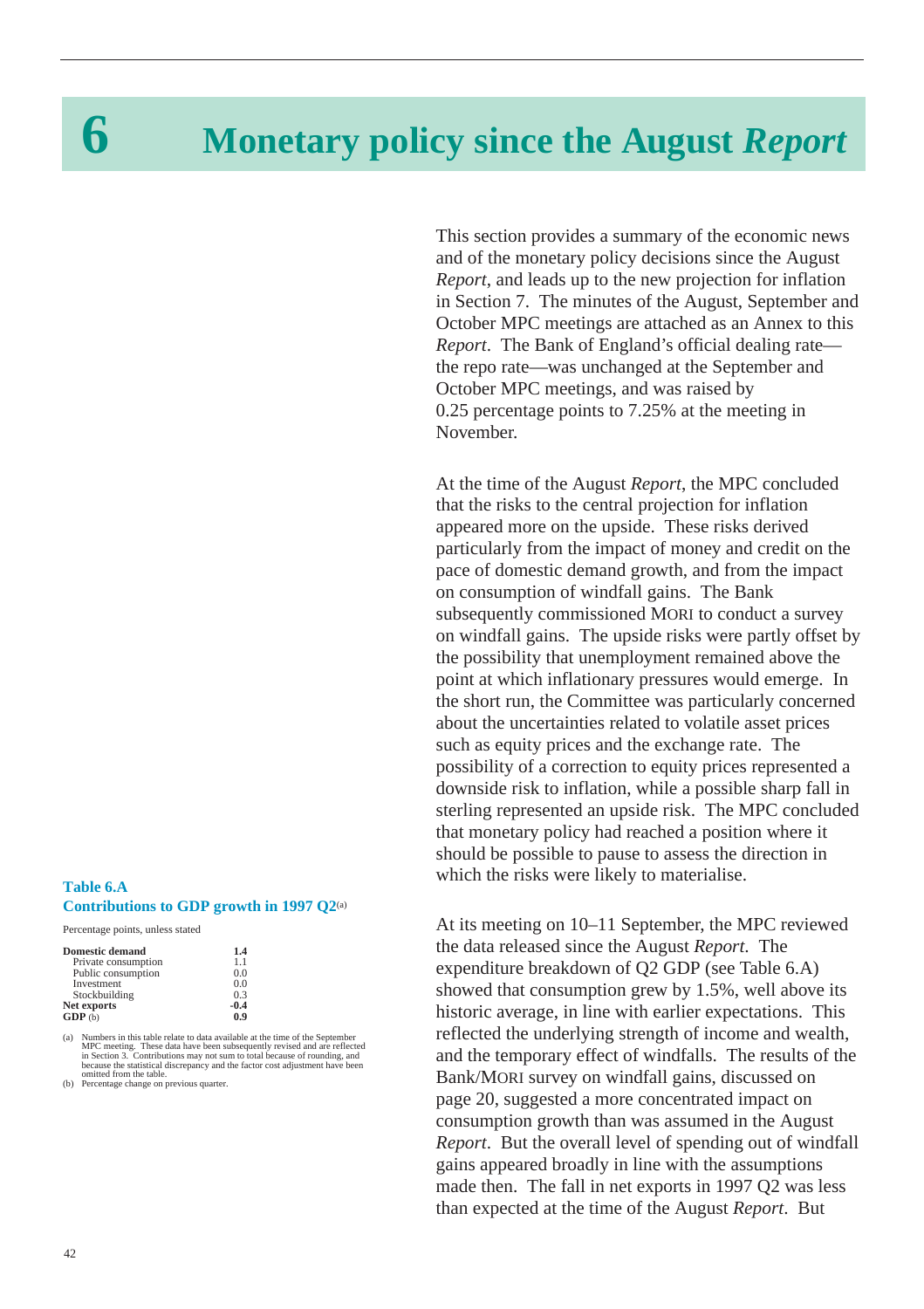# **6 Monetary policy since the August** *Report*

This section provides a summary of the economic news and of the monetary policy decisions since the August *Report*, and leads up to the new projection for inflation in [Section 7.](#page-45-0) The minutes of the August, September and October MPC meetings are attached as an [Annex](#page-54-0) to this *Report*. The Bank of England's official dealing rate the repo rate—was unchanged at the September and October MPC meetings, and was raised by 0.25 percentage points to 7.25% at the meeting in November.

At the time of the August *Report*, the MPC concluded that the risks to the central projection for inflation appeared more on the upside. These risks derived particularly from the impact of money and credit on the pace of domestic demand growth, and from the impact on consumption of windfall gains. The Bank subsequently commissioned MORI to conduct a survey on windfall gains. The upside risks were partly offset by the possibility that unemployment remained above the point at which inflationary pressures would emerge. In the short run, the Committee was particularly concerned about the uncertainties related to volatile asset prices such as equity prices and the exchange rate. The possibility of a correction to equity prices represented a downside risk to inflation, while a possible sharp fall in sterling represented an upside risk. The MPC concluded that monetary policy had reached a position where it should be possible to pause to assess the direction in which the risks were likely to materialise.

#### **Table 6.A Contributions to GDP growth in 1997 Q2**(a)

Percentage points, unless stated

| <b>Domestic demand</b> | 1.4    |
|------------------------|--------|
| Private consumption    | 11     |
| Public consumption     | 0.0    |
| Investment             | 0.0    |
| Stockbuilding          | 0.3    |
| Net exports            | $-0.4$ |
| GDP(b)                 | 0.9    |

(a) Numbers in this table relate to data available at the time of the September<br>MPC meeting. These data have been subsequently revised and are reflected<br>in Section 3. Contributions may not sum to total because of rounding, omitted from the table.

(b) Percentage change on previous quarter.

At its meeting on 10–11 September, the MPC reviewed the data released since the August *Report*. The expenditure breakdown of Q2 GDP (see Table 6.A) showed that consumption grew by 1.5%, well above its historic average, in line with earlier expectations. This reflected the underlying strength of income and wealth, and the temporary effect of windfalls. The results of the Bank/MORI survey on windfall gains, discussed on [page 20,](#page-19-0) suggested a more concentrated impact on consumption growth than was assumed in the August *Report*. But the overall level of spending out of windfall gains appeared broadly in line with the assumptions made then. The fall in net exports in 1997 Q2 was less than expected at the time of the August *Report*. But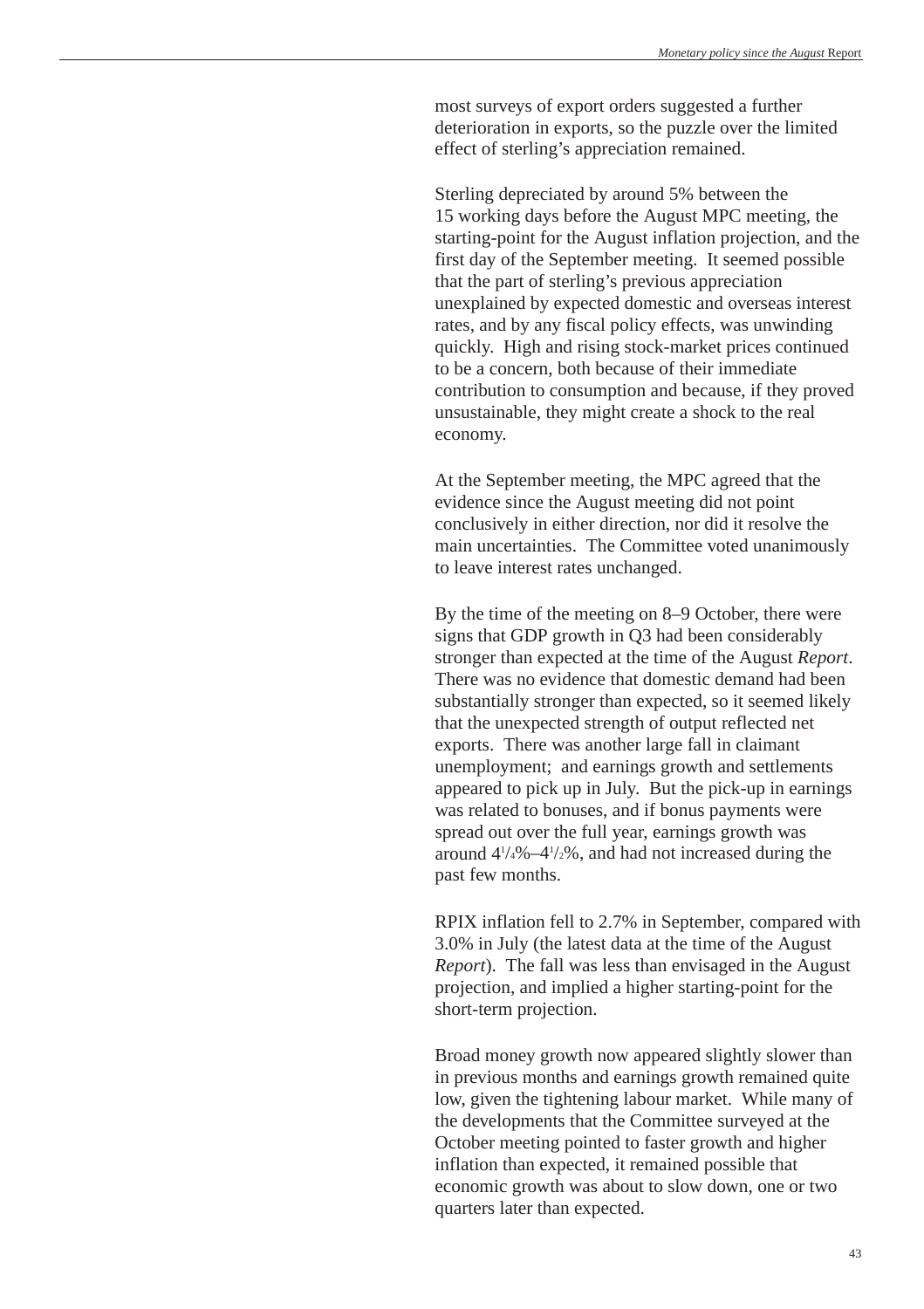most surveys of export orders suggested a further deterioration in exports, so the puzzle over the limited effect of sterling's appreciation remained.

Sterling depreciated by around 5% between the 15 working days before the August MPC meeting, the starting-point for the August inflation projection, and the first day of the September meeting. It seemed possible that the part of sterling's previous appreciation unexplained by expected domestic and overseas interest rates, and by any fiscal policy effects, was unwinding quickly. High and rising stock-market prices continued to be a concern, both because of their immediate contribution to consumption and because, if they proved unsustainable, they might create a shock to the real economy.

At the September meeting, the MPC agreed that the evidence since the August meeting did not point conclusively in either direction, nor did it resolve the main uncertainties. The Committee voted unanimously to leave interest rates unchanged.

By the time of the meeting on 8–9 October, there were signs that GDP growth in Q3 had been considerably stronger than expected at the time of the August *Report*. There was no evidence that domestic demand had been substantially stronger than expected, so it seemed likely that the unexpected strength of output reflected net exports. There was another large fall in claimant unemployment; and earnings growth and settlements appeared to pick up in July. But the pick-up in earnings was related to bonuses, and if bonus payments were spread out over the full year, earnings growth was around 41 /4%–41 /2%, and had not increased during the past few months.

RPIX inflation fell to 2.7% in September, compared with 3.0% in July (the latest data at the time of the August *Report*). The fall was less than envisaged in the August projection, and implied a higher starting-point for the short-term projection.

Broad money growth now appeared slightly slower than in previous months and earnings growth remained quite low, given the tightening labour market. While many of the developments that the Committee surveyed at the October meeting pointed to faster growth and higher inflation than expected, it remained possible that economic growth was about to slow down, one or two quarters later than expected.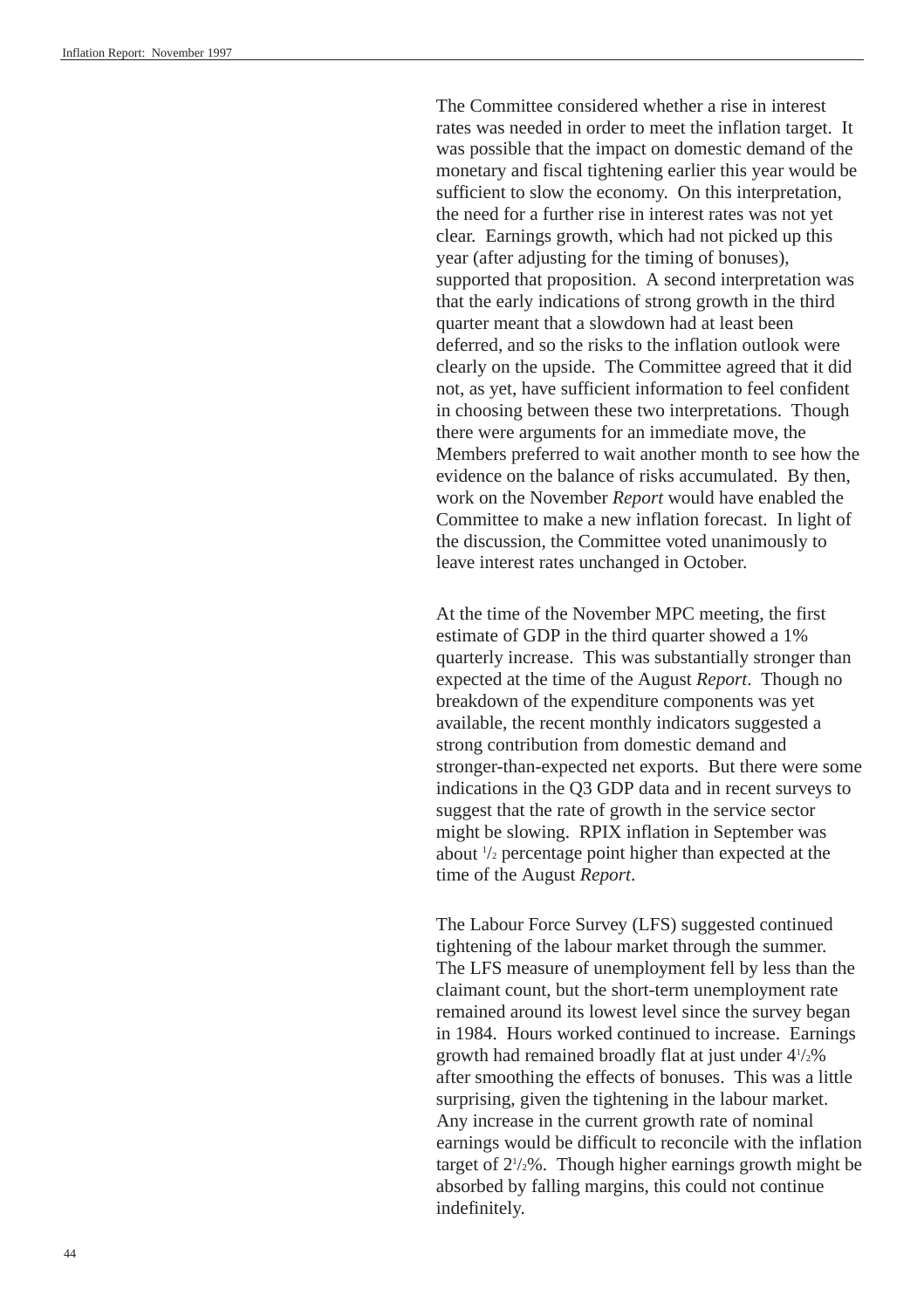The Committee considered whether a rise in interest rates was needed in order to meet the inflation target. It was possible that the impact on domestic demand of the monetary and fiscal tightening earlier this year would be sufficient to slow the economy. On this interpretation, the need for a further rise in interest rates was not yet clear. Earnings growth, which had not picked up this year (after adjusting for the timing of bonuses), supported that proposition. A second interpretation was that the early indications of strong growth in the third quarter meant that a slowdown had at least been deferred, and so the risks to the inflation outlook were clearly on the upside. The Committee agreed that it did not, as yet, have sufficient information to feel confident in choosing between these two interpretations. Though there were arguments for an immediate move, the Members preferred to wait another month to see how the evidence on the balance of risks accumulated. By then, work on the November *Report* would have enabled the Committee to make a new inflation forecast. In light of the discussion, the Committee voted unanimously to leave interest rates unchanged in October.

At the time of the November MPC meeting, the first estimate of GDP in the third quarter showed a 1% quarterly increase. This was substantially stronger than expected at the time of the August *Report*. Though no breakdown of the expenditure components was yet available, the recent monthly indicators suggested a strong contribution from domestic demand and stronger-than-expected net exports. But there were some indications in the Q3 GDP data and in recent surveys to suggest that the rate of growth in the service sector might be slowing. RPIX inflation in September was about 1 /2 percentage point higher than expected at the time of the August *Report*.

The Labour Force Survey (LFS) suggested continued tightening of the labour market through the summer. The LFS measure of unemployment fell by less than the claimant count, but the short-term unemployment rate remained around its lowest level since the survey began in 1984. Hours worked continued to increase. Earnings growth had remained broadly flat at just under 41 /2% after smoothing the effects of bonuses. This was a little surprising, given the tightening in the labour market. Any increase in the current growth rate of nominal earnings would be difficult to reconcile with the inflation target of 21 /2%. Though higher earnings growth might be absorbed by falling margins, this could not continue indefinitely.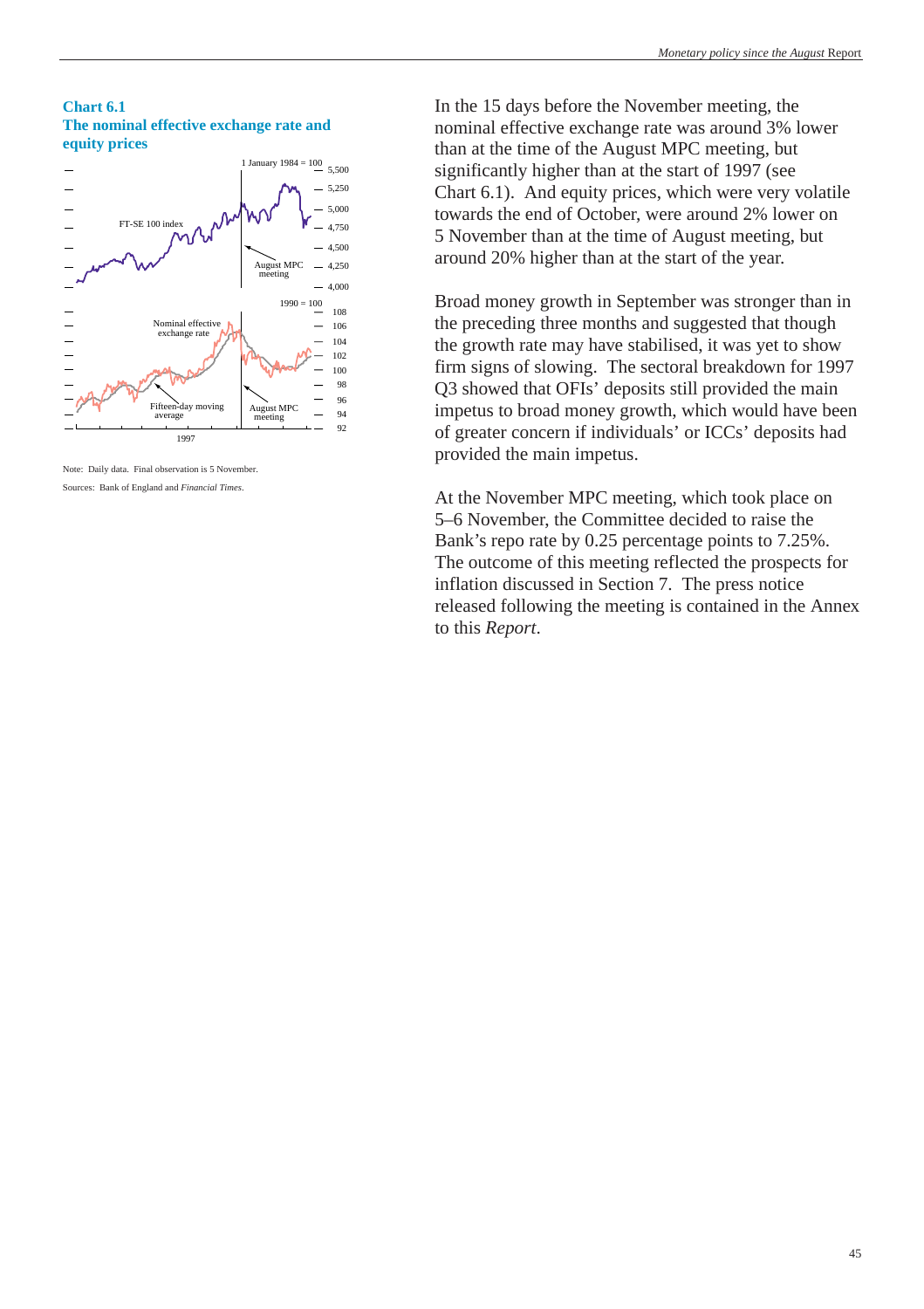

Note: Daily data. Final observation is 5 November. Sources: Bank of England and *Financial Times*.

**Chart 6.1**

In the 15 days before the November meeting, the nominal effective exchange rate was around 3% lower than at the time of the August MPC meeting, but significantly higher than at the start of 1997 (see Chart 6.1). And equity prices, which were very volatile towards the end of October, were around 2% lower on 5 November than at the time of August meeting, but around 20% higher than at the start of the year.

Broad money growth in September was stronger than in the preceding three months and suggested that though the growth rate may have stabilised, it was yet to show firm signs of slowing. The sectoral breakdown for 1997 Q3 showed that OFIs' deposits still provided the main impetus to broad money growth, which would have been of greater concern if individuals' or ICCs' deposits had provided the main impetus.

At the November MPC meeting, which took place on 5–6 November, the Committee decided to raise the Bank's repo rate by 0.25 percentage points to 7.25%. The outcome of this meeting reflected the prospects for inflation discussed in [Section 7.](#page-45-0) The press notice released following the meeting is contained in the [Annex](#page-54-0) to this *Report*.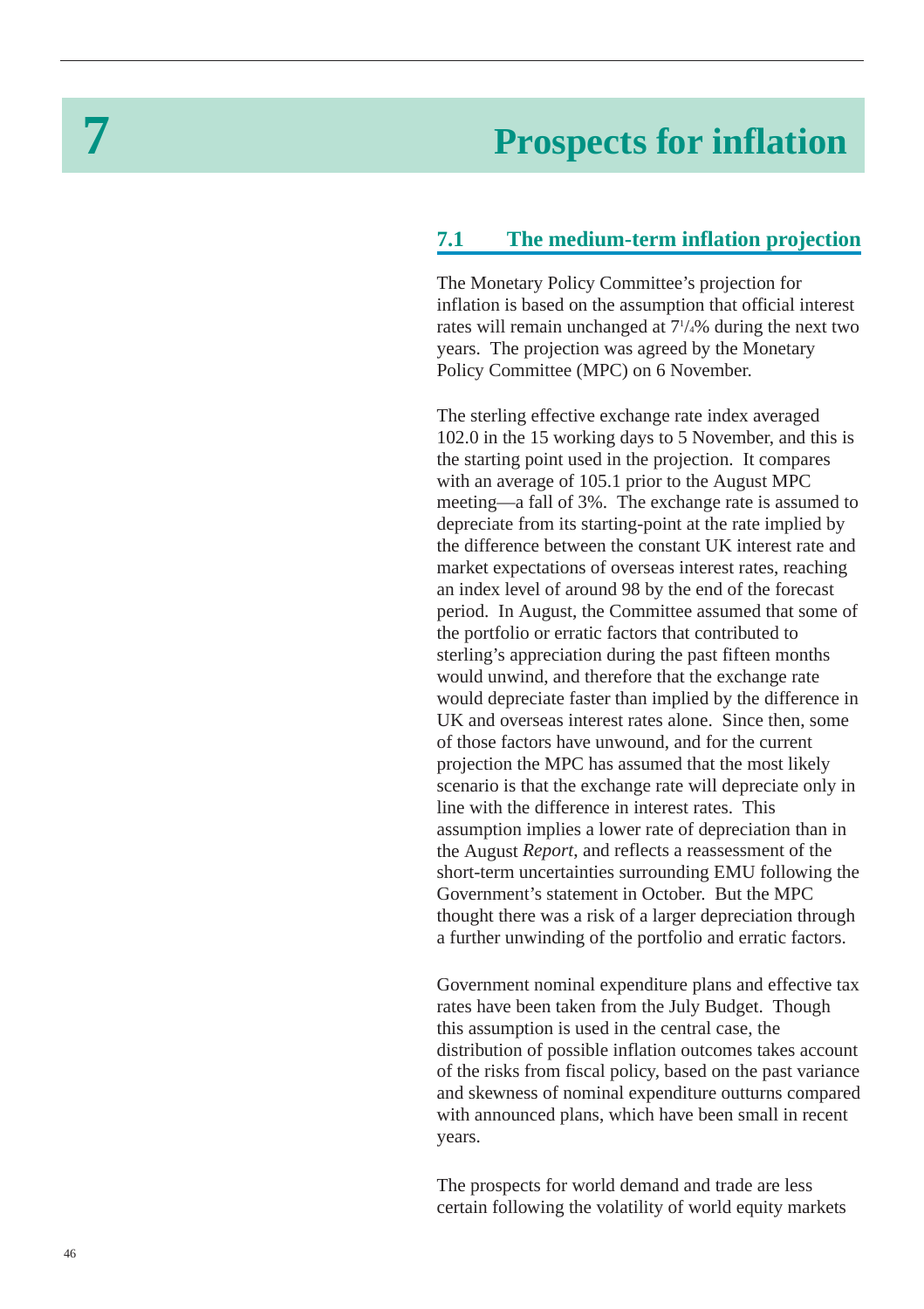# **7 Prospects for inflation**

## **7.1 The medium-term inflation projection**

The Monetary Policy Committee's projection for inflation is based on the assumption that official interest rates will remain unchanged at 7<sup>1</sup>/4% during the next two years. The projection was agreed by the Monetary Policy Committee (MPC) on 6 November.

The sterling effective exchange rate index averaged 102.0 in the 15 working days to 5 November, and this is the starting point used in the projection. It compares with an average of 105.1 prior to the August MPC meeting—a fall of 3%. The exchange rate is assumed to depreciate from its starting-point at the rate implied by the difference between the constant UK interest rate and market expectations of overseas interest rates, reaching an index level of around 98 by the end of the forecast period. In August, the Committee assumed that some of the portfolio or erratic factors that contributed to sterling's appreciation during the past fifteen months would unwind, and therefore that the exchange rate would depreciate faster than implied by the difference in UK and overseas interest rates alone. Since then, some of those factors have unwound, and for the current projection the MPC has assumed that the most likely scenario is that the exchange rate will depreciate only in line with the difference in interest rates. This assumption implies a lower rate of depreciation than in the August *Report*, and reflects a reassessment of the short-term uncertainties surrounding EMU following the Government's statement in October. But the MPC thought there was a risk of a larger depreciation through a further unwinding of the portfolio and erratic factors.

Government nominal expenditure plans and effective tax rates have been taken from the July Budget. Though this assumption is used in the central case, the distribution of possible inflation outcomes takes account of the risks from fiscal policy, based on the past variance and skewness of nominal expenditure outturns compared with announced plans, which have been small in recent years.

The prospects for world demand and trade are less certain following the volatility of world equity markets

<span id="page-45-0"></span>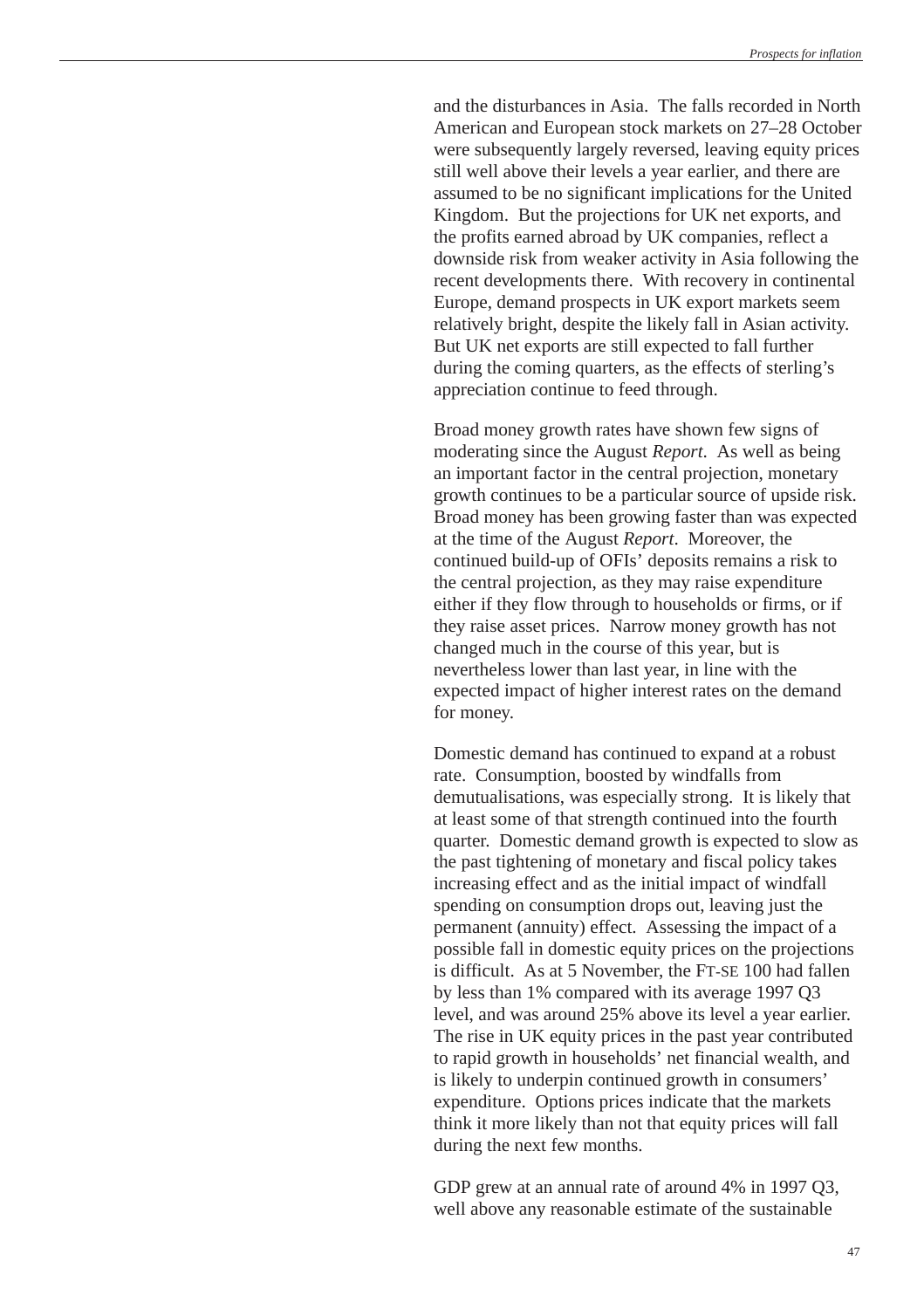and the disturbances in Asia. The falls recorded in North American and European stock markets on 27–28 October were subsequently largely reversed, leaving equity prices still well above their levels a year earlier, and there are assumed to be no significant implications for the United Kingdom. But the projections for UK net exports, and the profits earned abroad by UK companies, reflect a downside risk from weaker activity in Asia following the recent developments there. With recovery in continental Europe, demand prospects in UK export markets seem relatively bright, despite the likely fall in Asian activity. But UK net exports are still expected to fall further during the coming quarters, as the effects of sterling's appreciation continue to feed through.

Broad money growth rates have shown few signs of moderating since the August *Report*. As well as being an important factor in the central projection, monetary growth continues to be a particular source of upside risk. Broad money has been growing faster than was expected at the time of the August *Report*. Moreover, the continued build-up of OFIs' deposits remains a risk to the central projection, as they may raise expenditure either if they flow through to households or firms, or if they raise asset prices. Narrow money growth has not changed much in the course of this year, but is nevertheless lower than last year, in line with the expected impact of higher interest rates on the demand for money.

Domestic demand has continued to expand at a robust rate. Consumption, boosted by windfalls from demutualisations, was especially strong. It is likely that at least some of that strength continued into the fourth quarter. Domestic demand growth is expected to slow as the past tightening of monetary and fiscal policy takes increasing effect and as the initial impact of windfall spending on consumption drops out, leaving just the permanent (annuity) effect. Assessing the impact of a possible fall in domestic equity prices on the projections is difficult. As at 5 November, the FT-SE 100 had fallen by less than 1% compared with its average 1997 Q3 level, and was around 25% above its level a year earlier. The rise in UK equity prices in the past year contributed to rapid growth in households' net financial wealth, and is likely to underpin continued growth in consumers' expenditure. Options prices indicate that the markets think it more likely than not that equity prices will fall during the next few months.

GDP grew at an annual rate of around 4% in 1997 Q3, well above any reasonable estimate of the sustainable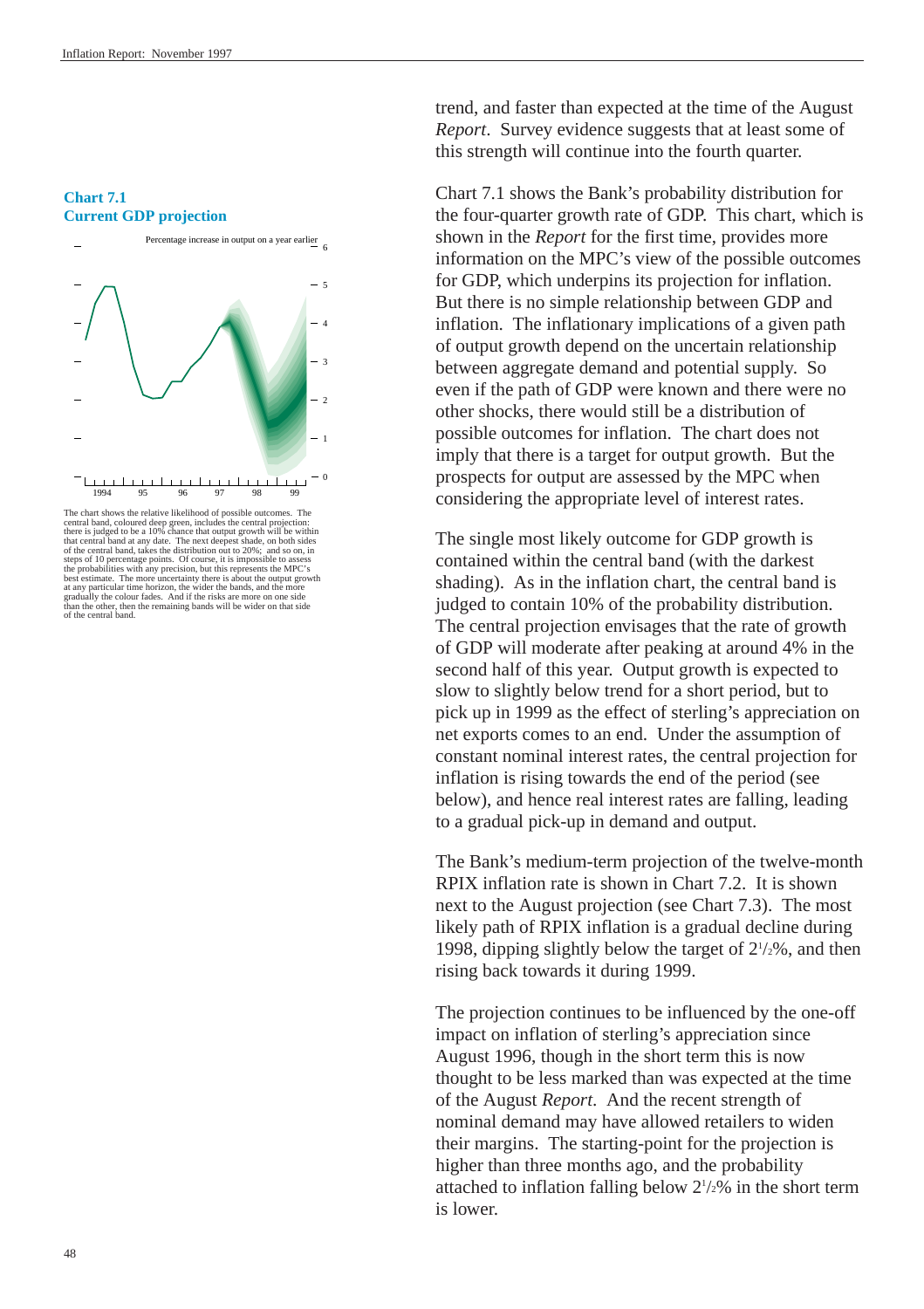#### **Chart 7.1 Current GDP projection**



The chart shows the relative likelihood of possible outcomes. The<br>central band, coloured deep green, includes the central projection:<br>there is judged to be a 10% chance that output growth will be within<br>that central band a steps of 10 percentage points. Of course, it is impossible to assess<br>the probabilities with any precision, but this represents the MPC's<br>best estimate. The more uncertainty there is about the output growth<br>at any particula of the central band.

trend, and faster than expected at the time of the August *Report*. Survey evidence suggests that at least some of this strength will continue into the fourth quarter.

Chart 7.1 shows the Bank's probability distribution for the four-quarter growth rate of GDP. This chart, which is shown in the *Report* for the first time, provides more information on the MPC's view of the possible outcomes for GDP, which underpins its projection for inflation. But there is no simple relationship between GDP and inflation. The inflationary implications of a given path of output growth depend on the uncertain relationship between aggregate demand and potential supply. So even if the path of GDP were known and there were no other shocks, there would still be a distribution of possible outcomes for inflation. The chart does not imply that there is a target for output growth. But the prospects for output are assessed by the MPC when considering the appropriate level of interest rates.

The single most likely outcome for GDP growth is contained within the central band (with the darkest shading). As in the inflation chart, the central band is judged to contain 10% of the probability distribution. The central projection envisages that the rate of growth of GDP will moderate after peaking at around 4% in the second half of this year. Output growth is expected to slow to slightly below trend for a short period, but to pick up in 1999 as the effect of sterling's appreciation on net exports comes to an end. Under the assumption of constant nominal interest rates, the central projection for inflation is rising towards the end of the period (see below), and hence real interest rates are falling, leading to a gradual pick-up in demand and output.

The Bank's medium-term projection of the twelve-month RPIX inflation rate is shown in Chart 7.2. It is shown next to the August projection (see Chart 7.3). The most likely path of RPIX inflation is a gradual decline during 1998, dipping slightly below the target of  $2\frac{1}{2}\%$ , and then rising back towards it during 1999.

The projection continues to be influenced by the one-off impact on inflation of sterling's appreciation since August 1996, though in the short term this is now thought to be less marked than was expected at the time of the August *Report*. And the recent strength of nominal demand may have allowed retailers to widen their margins. The starting-point for the projection is higher than three months ago, and the probability attached to inflation falling below  $2\frac{1}{2}\%$  in the short term is lower.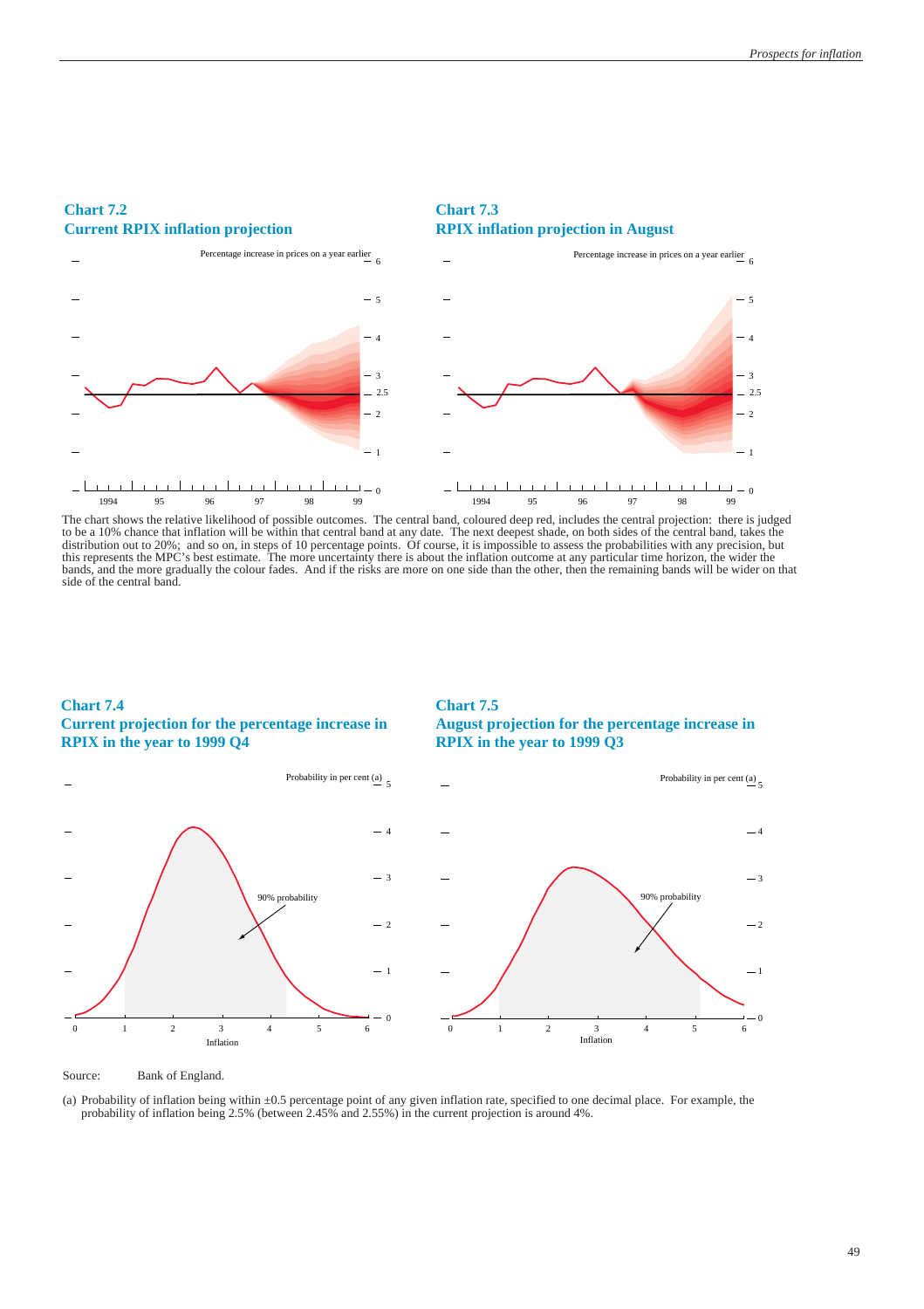

**Chart 7.3**

#### **Chart 7.2 Current RPIX inflation projection**

The chart shows the relative likelihood of possible outcomes. The central band, coloured deep red, includes the central projection: there is judged to be a 10% chance that inflation will be within that central band at any date. The next deepest shade, on both sides of the central band, takes the distribution out to 20%; and so on, in steps of 10 percentage points. Of course, it is impossible to assess the probabilities with any precision, but this represents the MPC's best estimate. The more uncertainty there is about the inflation outcome at any particular time horizon, the wider the bands, and the more gradually the colour fades. And if the risks are more on one side than the other, then the remaining bands will be wider on that side of the central band.

#### **Chart 7.4 Current projection for the percentage increase in RPIX in the year to 1999 Q4**

#### **Chart 7.5 August projection for the percentage increase in RPIX in the year to 1999 Q3**



Source: Bank of England.

(a) Probability of inflation being within ±0.5 percentage point of any given inflation rate, specified to one decimal place. For example, the probability of inflation being 2.5% (between 2.45% and 2.55%) in the current projection is around 4%.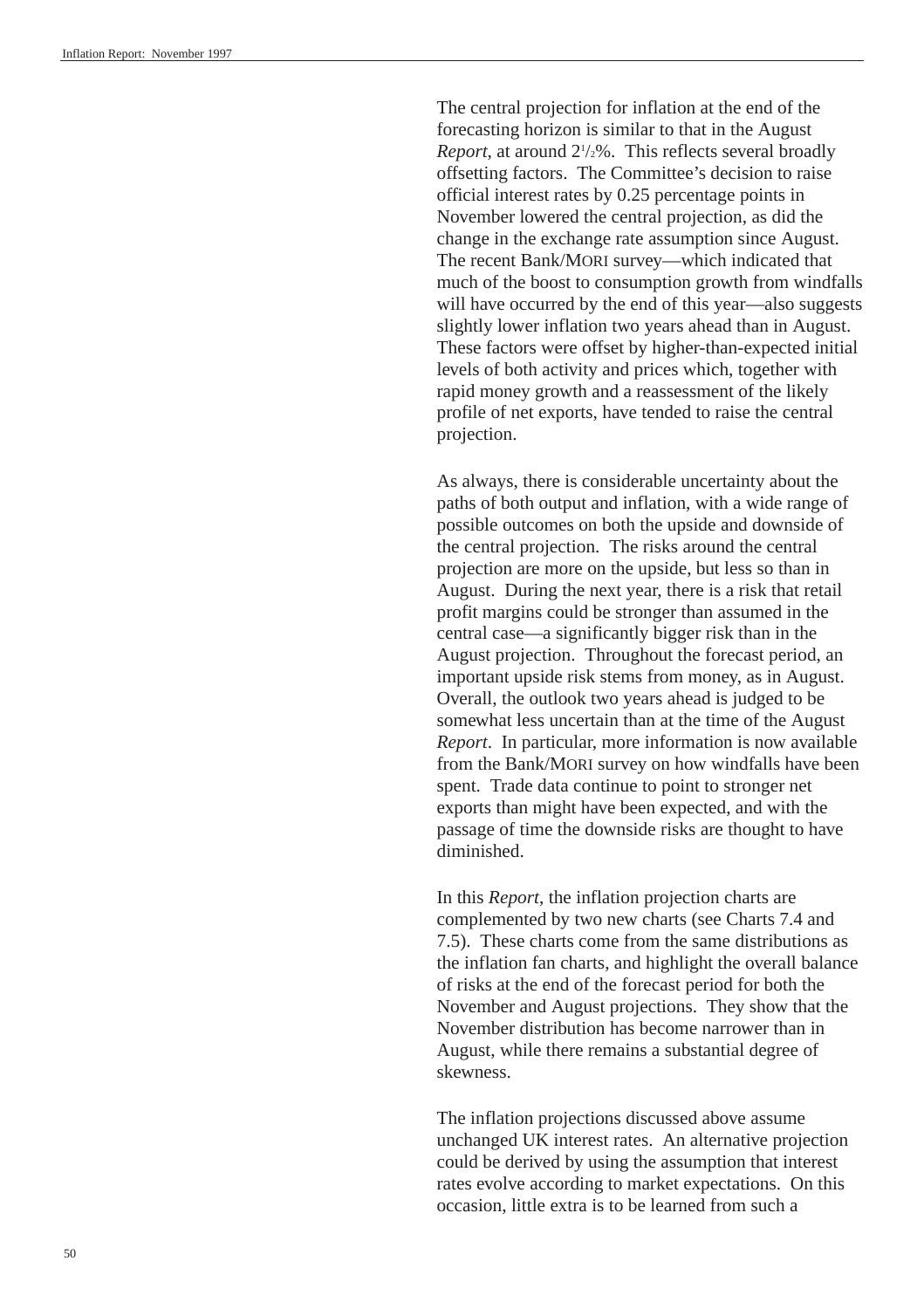The central projection for inflation at the end of the forecasting horizon is similar to that in the August Report, at around  $2\frac{1}{2}\%$ . This reflects several broadly offsetting factors. The Committee's decision to raise official interest rates by 0.25 percentage points in November lowered the central projection, as did the change in the exchange rate assumption since August. The recent Bank/MORI survey—which indicated that much of the boost to consumption growth from windfalls will have occurred by the end of this year—also suggests slightly lower inflation two years ahead than in August. These factors were offset by higher-than-expected initial levels of both activity and prices which, together with rapid money growth and a reassessment of the likely profile of net exports, have tended to raise the central projection.

As always, there is considerable uncertainty about the paths of both output and inflation, with a wide range of possible outcomes on both the upside and downside of the central projection. The risks around the central projection are more on the upside, but less so than in August. During the next year, there is a risk that retail profit margins could be stronger than assumed in the central case—a significantly bigger risk than in the August projection. Throughout the forecast period, an important upside risk stems from money, as in August. Overall, the outlook two years ahead is judged to be somewhat less uncertain than at the time of the August *Report*. In particular, more information is now available from the Bank/MORI survey on how windfalls have been spent. Trade data continue to point to stronger net exports than might have been expected, and with the passage of time the downside risks are thought to have diminished.

In this *Report*, the inflation projection charts are complemented by two new charts (see Charts 7.4 and 7.5). These charts come from the same distributions as the inflation fan charts, and highlight the overall balance of risks at the end of the forecast period for both the November and August projections. They show that the November distribution has become narrower than in August, while there remains a substantial degree of skewness.

The inflation projections discussed above assume unchanged UK interest rates. An alternative projection could be derived by using the assumption that interest rates evolve according to market expectations. On this occasion, little extra is to be learned from such a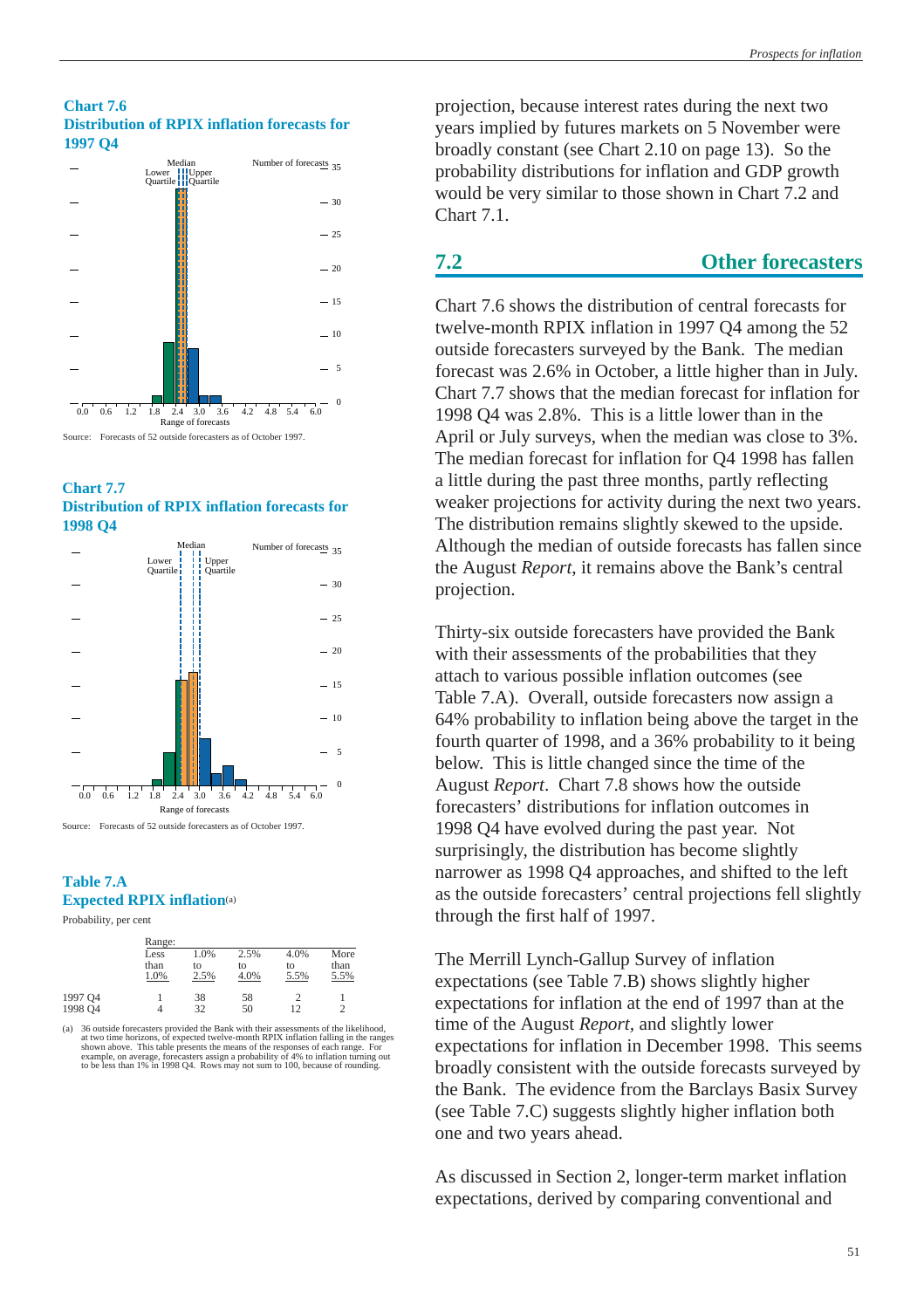#### **Chart 7.6 Distribution of RPIX inflation forecasts for 1997 Q4**







Source: Forecasts of 52 outside forecasters as of October 1997.

#### **Table 7.A Expected RPIX inflation**(a)

Probability, per cent

|                    | Range:               |                    |                    |                    |                      |
|--------------------|----------------------|--------------------|--------------------|--------------------|----------------------|
|                    | Less<br>than<br>1.0% | 1.0%<br>to<br>2.5% | 2.5%<br>to<br>4.0% | 4.0%<br>to<br>5.5% | More<br>than<br>5.5% |
| 1997 Q4<br>1998 Q4 |                      | 38<br>32           | 58<br>50           | 12                 | $\mathcal{D}$        |

(a) 36 outside forecasters provided the Bank with their assessments of the likelihood, at two time horizons, of expected twelve-month RPIX inflation falling in the ranges, forecasters assign a probability of 4% to inflati

projection, because interest rates during the next two years implied by futures markets on 5 November were broadly constant (see [Chart 2.10](#page-12-0) on page 13). So the probability distributions for inflation and GDP growth would be very similar to those shown in Chart 7.2 and Chart 7.1.

### **7.2 Other forecasters**

Chart 7.6 shows the distribution of central forecasts for twelve-month RPIX inflation in 1997 Q4 among the 52 outside forecasters surveyed by the Bank. The median forecast was 2.6% in October, a little higher than in July. Chart 7.7 shows that the median forecast for inflation for 1998 Q4 was 2.8%. This is a little lower than in the April or July surveys, when the median was close to 3%. The median forecast for inflation for Q4 1998 has fallen a little during the past three months, partly reflecting weaker projections for activity during the next two years. The distribution remains slightly skewed to the upside. Although the median of outside forecasts has fallen since the August *Report*, it remains above the Bank's central projection.

Thirty-six outside forecasters have provided the Bank with their assessments of the probabilities that they attach to various possible inflation outcomes (see Table 7.A). Overall, outside forecasters now assign a 64% probability to inflation being above the target in the fourth quarter of 1998, and a 36% probability to it being below. This is little changed since the time of the August *Report*. Chart 7.8 shows how the outside forecasters' distributions for inflation outcomes in 1998 Q4 have evolved during the past year. Not surprisingly, the distribution has become slightly narrower as 1998 Q4 approaches, and shifted to the left as the outside forecasters' central projections fell slightly through the first half of 1997.

The Merrill Lynch-Gallup Survey of inflation expectations (see Table 7.B) shows slightly higher expectations for inflation at the end of 1997 than at the time of the August *Report,* and slightly lower expectations for inflation in December 1998. This seems broadly consistent with the outside forecasts surveyed by the Bank. The evidence from the Barclays Basix Survey (see Table 7.C) suggests slightly higher inflation both one and two years ahead.

As discussed in [Section 2,](#page-5-0) longer-term market inflation expectations, derived by comparing conventional and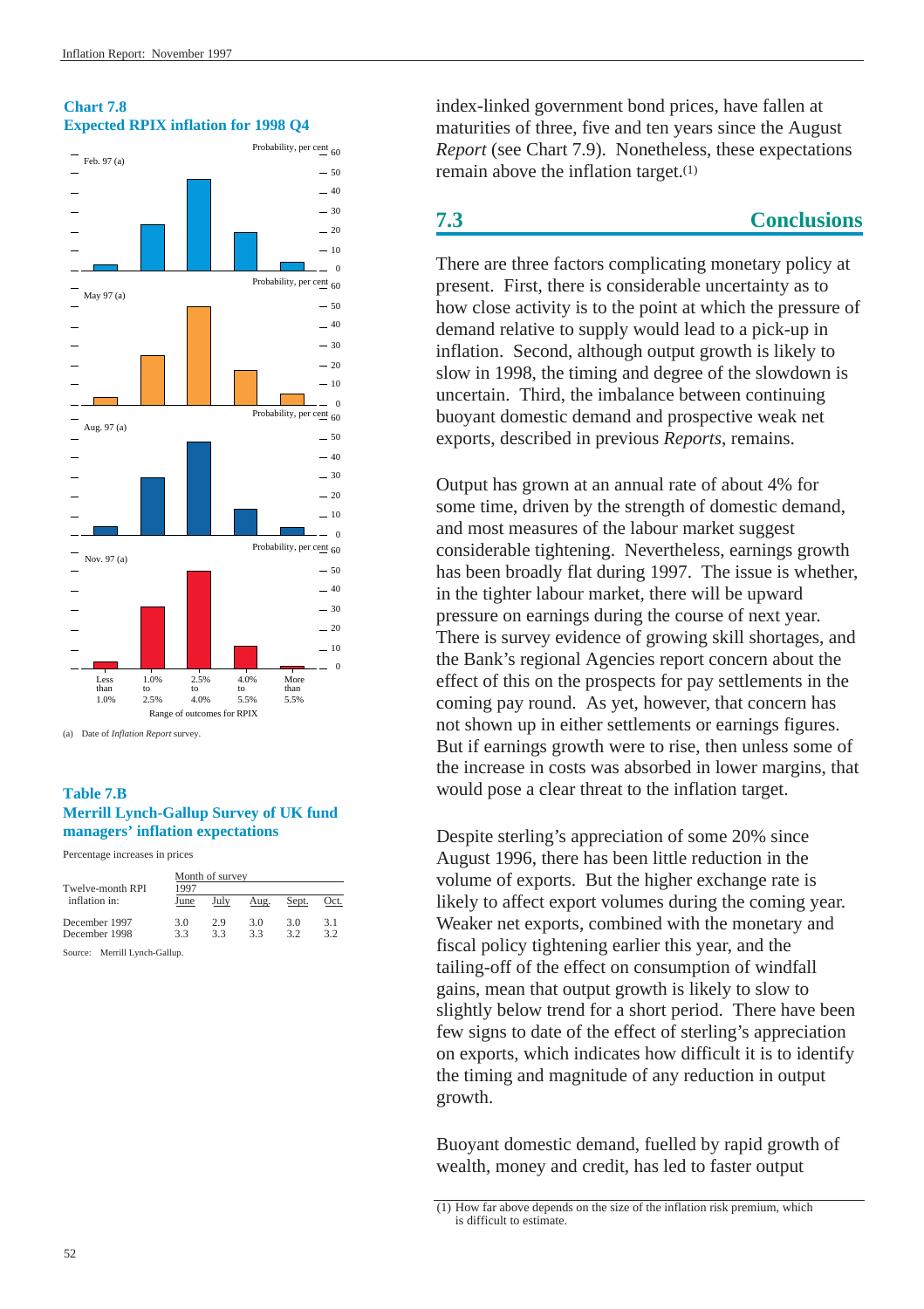

#### **Chart 7.8 Expected RPIX inflation for 1998 Q4**

(a) Date of *Inflation Report* survey.

#### **Table 7.B Merrill Lynch-Gallup Survey of UK fund managers' inflation expectations**

Percentage increases in prices

| Twelve-month RPI | Month of survey<br>1997 |      |      |       |      |  |
|------------------|-------------------------|------|------|-------|------|--|
| inflation in:    | June                    | July | Aug. | Sept. | Oct. |  |
| December 1997    | 3.0                     | 2.9  | 3.0  | 3.0   | 3.1  |  |
| December 1998    | 33                      | 33   | 33   | 32    | 3.2  |  |
|                  |                         |      |      |       |      |  |

Source: Merrill Lynch-Gallup.

index-linked government bond prices, have fallen at maturities of three, five and ten years since the August *Report* (see Chart 7.9). Nonetheless, these expectations remain above the inflation target.(1)

# **7.3 Conclusions**

There are three factors complicating monetary policy at present. First, there is considerable uncertainty as to how close activity is to the point at which the pressure of demand relative to supply would lead to a pick-up in inflation. Second, although output growth is likely to slow in 1998, the timing and degree of the slowdown is uncertain. Third, the imbalance between continuing buoyant domestic demand and prospective weak net exports, described in previous *Reports*, remains.

Output has grown at an annual rate of about 4% for some time, driven by the strength of domestic demand, and most measures of the labour market suggest considerable tightening. Nevertheless, earnings growth has been broadly flat during 1997. The issue is whether, in the tighter labour market, there will be upward pressure on earnings during the course of next year. There is survey evidence of growing skill shortages, and the Bank's regional Agencies report concern about the effect of this on the prospects for pay settlements in the coming pay round. As yet, however, that concern has not shown up in either settlements or earnings figures. But if earnings growth were to rise, then unless some of the increase in costs was absorbed in lower margins, that would pose a clear threat to the inflation target.

Despite sterling's appreciation of some 20% since August 1996, there has been little reduction in the volume of exports. But the higher exchange rate is likely to affect export volumes during the coming year. Weaker net exports, combined with the monetary and fiscal policy tightening earlier this year, and the tailing-off of the effect on consumption of windfall gains, mean that output growth is likely to slow to slightly below trend for a short period. There have been few signs to date of the effect of sterling's appreciation on exports, which indicates how difficult it is to identify the timing and magnitude of any reduction in output growth.

Buoyant domestic demand, fuelled by rapid growth of wealth, money and credit, has led to faster output

<sup>(1)</sup> How far above depends on the size of the inflation risk premium, which is difficult to estimate.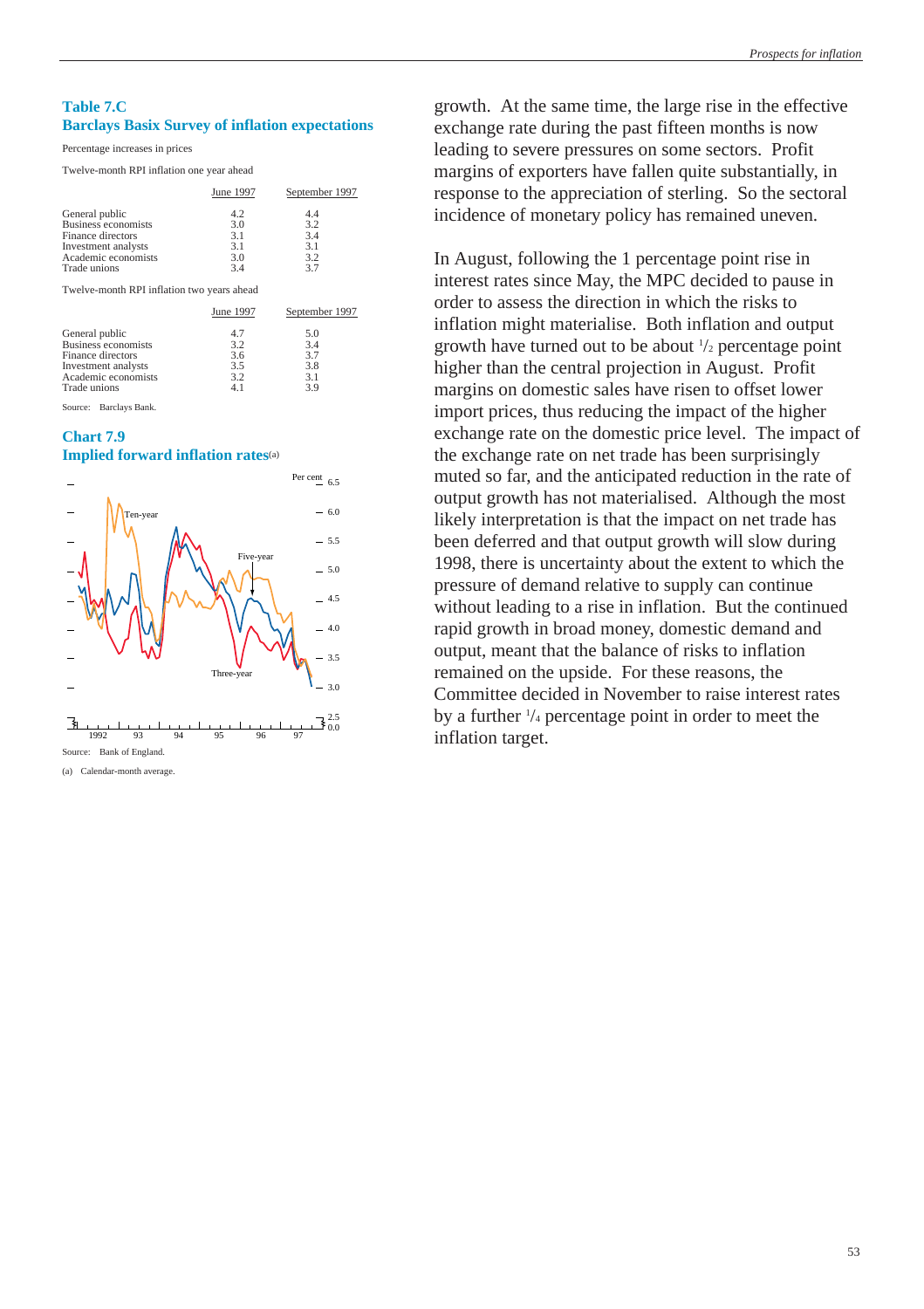#### **Table 7.C Barclays Basix Survey of inflation expectations**

Percentage increases in prices

Twelve-month RPI inflation one year ahead

|                     | June 1997 | September 1997 |
|---------------------|-----------|----------------|
| General public      | 4.2       | 4.4            |
| Business economists | 3.0       | 3.2            |
| Finance directors   | 3.1       | 3.4            |
| Investment analysts | 3.1       | 3.1            |
| Academic economists | 3.0       | 3.2            |
| Trade unions        | 34        | 37             |

Twelve-month RPI inflation two years ahead

|                     | June 1997 | September 1997 |
|---------------------|-----------|----------------|
| General public      | 4.7       | 5.0            |
| Business economists | 3.2       | 3.4            |
| Finance directors   | 3.6       | 3.7            |
| Investment analysts | 3.5       | 3.8            |
| Academic economists | 3.2       | 3.1            |
| Trade unions        | 4.1       | 3.9            |

Source: Barclays Bank.

#### **Chart 7.9**





(a) Calendar-month average.

growth. At the same time, the large rise in the effective exchange rate during the past fifteen months is now leading to severe pressures on some sectors. Profit margins of exporters have fallen quite substantially, in response to the appreciation of sterling. So the sectoral incidence of monetary policy has remained uneven.

In August, following the 1 percentage point rise in interest rates since May, the MPC decided to pause in order to assess the direction in which the risks to inflation might materialise. Both inflation and output growth have turned out to be about 1 /2 percentage point higher than the central projection in August. Profit margins on domestic sales have risen to offset lower import prices, thus reducing the impact of the higher exchange rate on the domestic price level. The impact of the exchange rate on net trade has been surprisingly muted so far, and the anticipated reduction in the rate of output growth has not materialised. Although the most likely interpretation is that the impact on net trade has been deferred and that output growth will slow during 1998, there is uncertainty about the extent to which the pressure of demand relative to supply can continue without leading to a rise in inflation. But the continued rapid growth in broad money, domestic demand and output, meant that the balance of risks to inflation remained on the upside. For these reasons, the Committee decided in November to raise interest rates by a further  $\frac{1}{4}$  percentage point in order to meet the inflation target.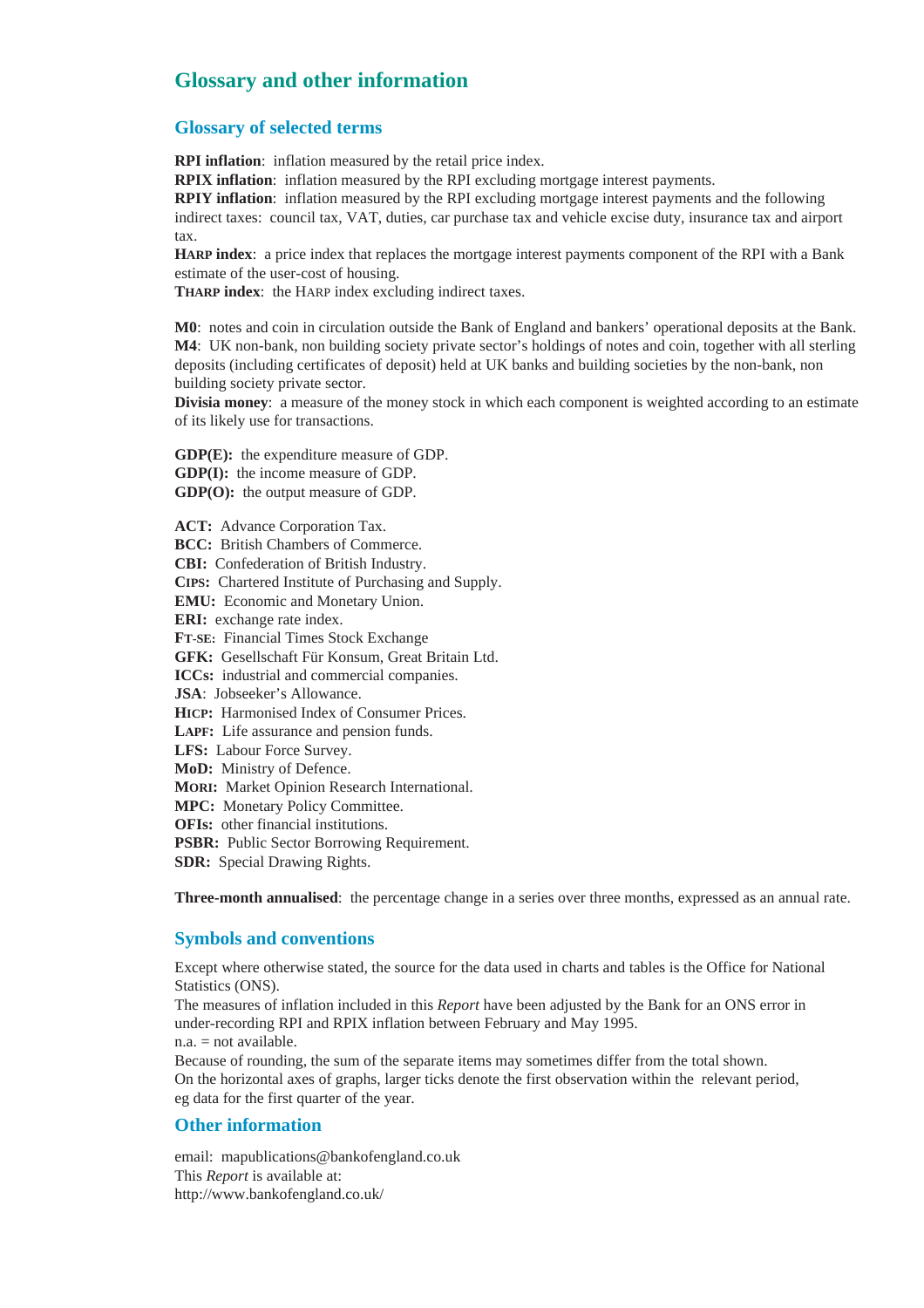# **Glossary and other information**

#### **Glossary of selected terms**

**RPI inflation**: inflation measured by the retail price index.

**RPIX inflation**: inflation measured by the RPI excluding mortgage interest payments.

**RPIY inflation**: inflation measured by the RPI excluding mortgage interest payments and the following indirect taxes: council tax, VAT, duties, car purchase tax and vehicle excise duty, insurance tax and airport tax.

**HARP index**: a price index that replaces the mortgage interest payments component of the RPI with a Bank estimate of the user-cost of housing.

**THARP index**: the HARP index excluding indirect taxes.

**M0**: notes and coin in circulation outside the Bank of England and bankers' operational deposits at the Bank. **M4**: UK non-bank, non building society private sector's holdings of notes and coin, together with all sterling deposits (including certificates of deposit) held at UK banks and building societies by the non-bank, non building society private sector.

**Divisia money**: a measure of the money stock in which each component is weighted according to an estimate of its likely use for transactions.

**GDP(E):** the expenditure measure of GDP. **GDP(I):** the income measure of GDP. **GDP(O):** the output measure of GDP.

**ACT:** Advance Corporation Tax. **BCC:** British Chambers of Commerce. **CBI:** Confederation of British Industry. **CIPS:** Chartered Institute of Purchasing and Supply. **EMU:** Economic and Monetary Union. **ERI:** exchange rate index. **FT-SE:** Financial Times Stock Exchange **GFK:** Gesellschaft Für Konsum, Great Britain Ltd. **ICCs:** industrial and commercial companies. **JSA**: Jobseeker's Allowance. **HICP:** Harmonised Index of Consumer Prices. **LAPF:** Life assurance and pension funds. **LFS:** Labour Force Survey. **MoD:** Ministry of Defence. **MORI:** Market Opinion Research International. **MPC:** Monetary Policy Committee. **OFIs:** other financial institutions.

**PSBR:** Public Sector Borrowing Requirement.

**SDR:** Special Drawing Rights.

**Three-month annualised**: the percentage change in a series over three months, expressed as an annual rate.

### **Symbols and conventions**

Except where otherwise stated, the source for the data used in charts and tables is the Office for National Statistics (ONS).

The measures of inflation included in this *Report* have been adjusted by the Bank for an ONS error in under-recording RPI and RPIX inflation between February and May 1995. n.a. = not available.

Because of rounding, the sum of the separate items may sometimes differ from the total shown. On the horizontal axes of graphs, larger ticks denote the first observation within the relevant period, eg data for the first quarter of the year.

#### **Other information**

email: mapublications@bankofengland.co.uk This *Report* is available at: http://www.bankofengland.co.uk/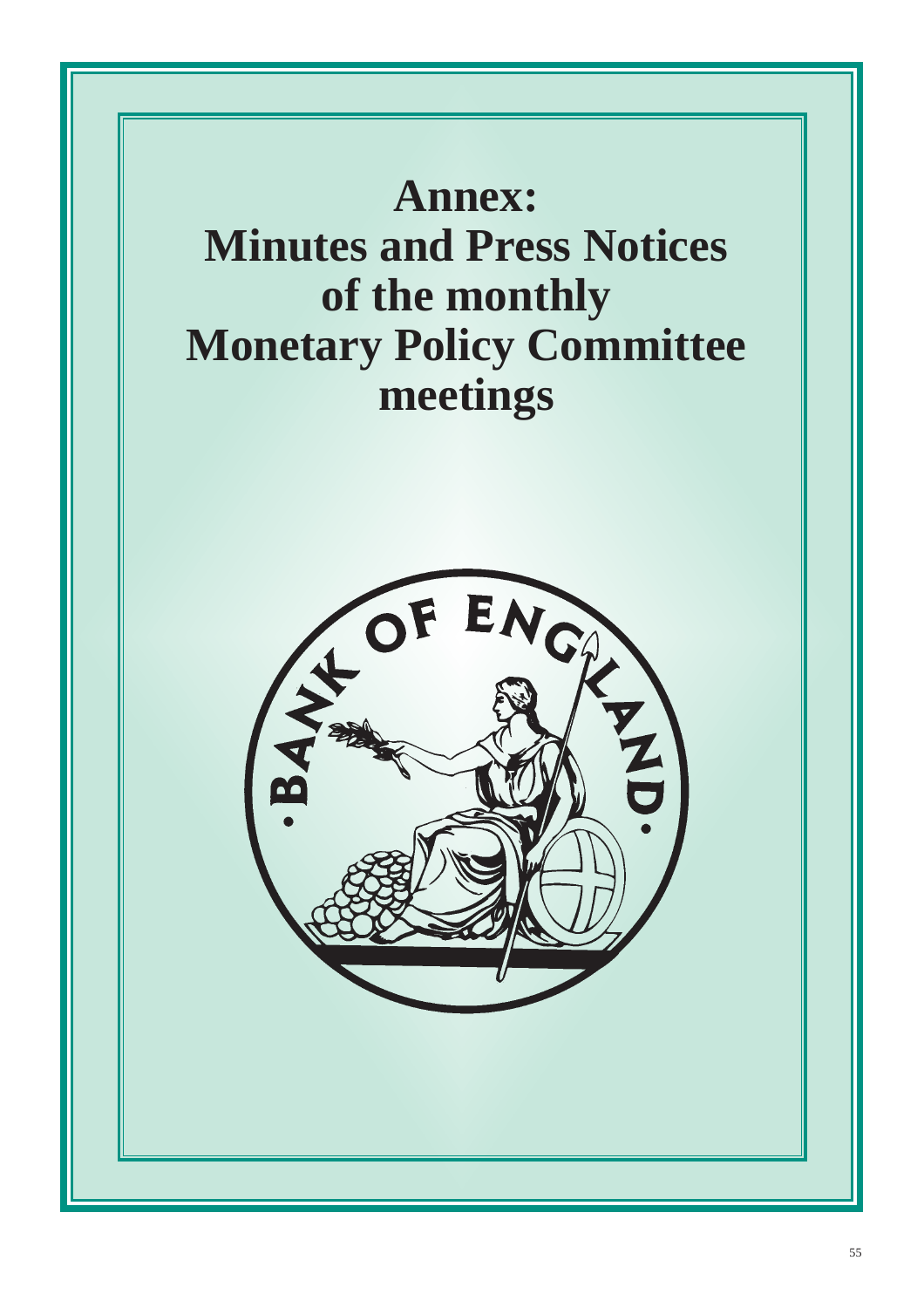<span id="page-54-0"></span>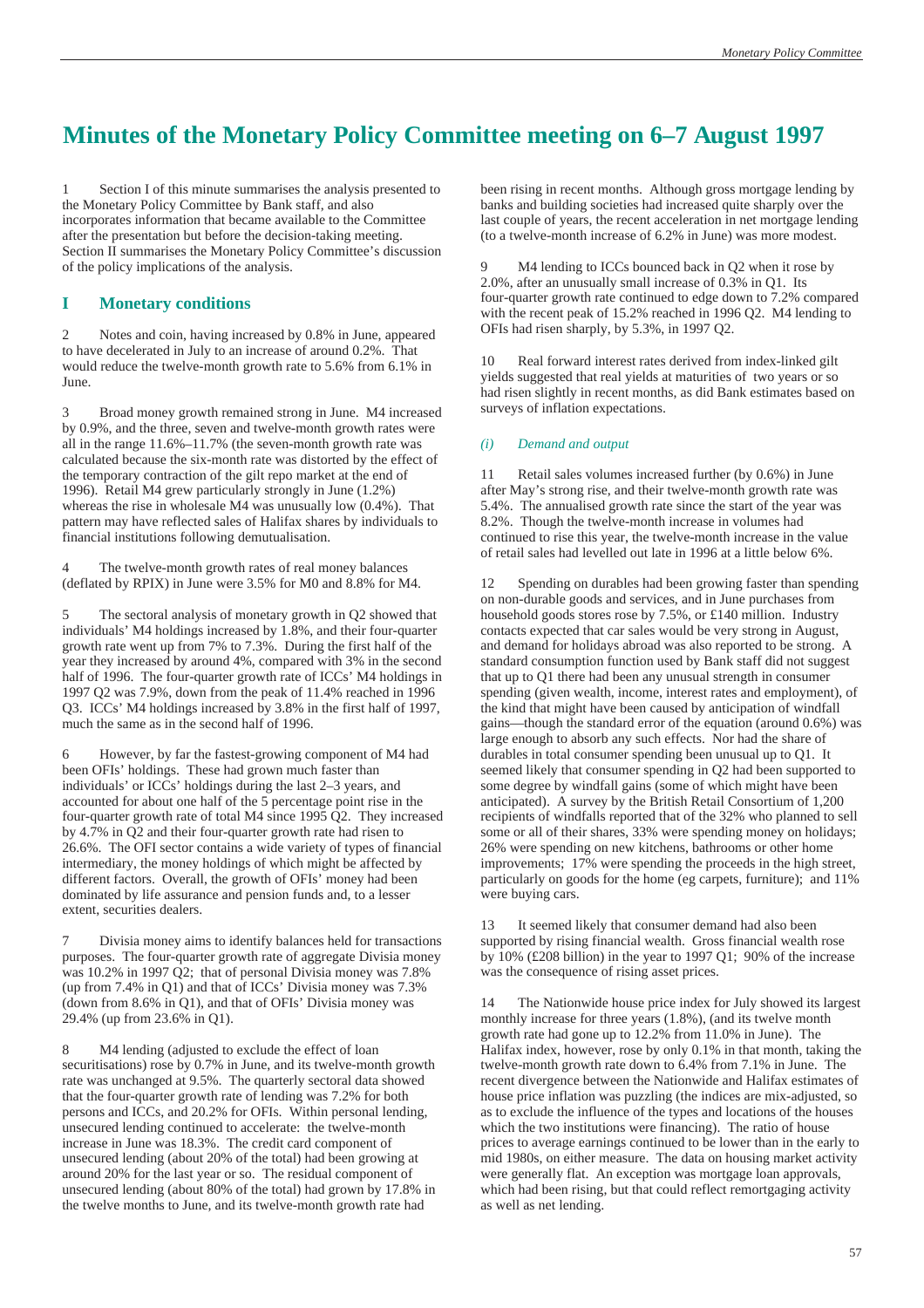# **Minutes of the Monetary Policy Committee meeting on 6–7 August 1997**

1 Section I of this minute summarises the analysis presented to the Monetary Policy Committee by Bank staff, and also incorporates information that became available to the Committee after the presentation but before the decision-taking meeting. Section II summarises the Monetary Policy Committee's discussion of the policy implications of the analysis.

#### **I Monetary conditions**

2 Notes and coin, having increased by 0.8% in June, appeared to have decelerated in July to an increase of around 0.2%. That would reduce the twelve-month growth rate to 5.6% from 6.1% in June.

3 Broad money growth remained strong in June. M4 increased by 0.9%, and the three, seven and twelve-month growth rates were all in the range 11.6%–11.7% (the seven-month growth rate was calculated because the six-month rate was distorted by the effect of the temporary contraction of the gilt repo market at the end of 1996). Retail M4 grew particularly strongly in June (1.2%) whereas the rise in wholesale M4 was unusually low (0.4%). That pattern may have reflected sales of Halifax shares by individuals to financial institutions following demutualisation.

4 The twelve-month growth rates of real money balances (deflated by RPIX) in June were 3.5% for M0 and 8.8% for M4.

5 The sectoral analysis of monetary growth in Q2 showed that individuals' M4 holdings increased by 1.8%, and their four-quarter growth rate went up from 7% to 7.3%. During the first half of the year they increased by around 4%, compared with 3% in the second half of 1996. The four-quarter growth rate of ICCs' M4 holdings in 1997 Q2 was 7.9%, down from the peak of 11.4% reached in 1996 Q3. ICCs' M4 holdings increased by 3.8% in the first half of 1997, much the same as in the second half of 1996.

6 However, by far the fastest-growing component of M4 had been OFIs' holdings. These had grown much faster than individuals' or ICCs' holdings during the last 2–3 years, and accounted for about one half of the 5 percentage point rise in the four-quarter growth rate of total M4 since 1995  $Q2$ . They increased by 4.7% in Q2 and their four-quarter growth rate had risen to 26.6%. The OFI sector contains a wide variety of types of financial intermediary, the money holdings of which might be affected by different factors. Overall, the growth of OFIs' money had been dominated by life assurance and pension funds and, to a lesser extent, securities dealers.

7 Divisia money aims to identify balances held for transactions purposes. The four-quarter growth rate of aggregate Divisia money was 10.2% in 1997 Q2; that of personal Divisia money was 7.8% (up from 7.4% in Q1) and that of ICCs' Divisia money was 7.3% (down from 8.6% in Q1), and that of OFIs' Divisia money was 29.4% (up from 23.6% in Q1).

8 M4 lending (adjusted to exclude the effect of loan securitisations) rose by 0.7% in June, and its twelve-month growth rate was unchanged at 9.5%. The quarterly sectoral data showed that the four-quarter growth rate of lending was 7.2% for both persons and ICCs, and 20.2% for OFIs. Within personal lending, unsecured lending continued to accelerate: the twelve-month increase in June was 18.3%. The credit card component of unsecured lending (about 20% of the total) had been growing at around 20% for the last year or so. The residual component of unsecured lending (about 80% of the total) had grown by 17.8% in the twelve months to June, and its twelve-month growth rate had

been rising in recent months. Although gross mortgage lending by banks and building societies had increased quite sharply over the last couple of years, the recent acceleration in net mortgage lending (to a twelve-month increase of 6.2% in June) was more modest.

M4 lending to ICCs bounced back in O2 when it rose by 2.0%, after an unusually small increase of 0.3% in Q1. Its four-quarter growth rate continued to edge down to 7.2% compared with the recent peak of 15.2% reached in 1996 Q2. M4 lending to OFIs had risen sharply, by 5.3%, in 1997 Q2.

10 Real forward interest rates derived from index-linked gilt yields suggested that real yields at maturities of two years or so had risen slightly in recent months, as did Bank estimates based on surveys of inflation expectations.

#### *(i) Demand and output*

11 Retail sales volumes increased further (by 0.6%) in June after May's strong rise, and their twelve-month growth rate was 5.4%. The annualised growth rate since the start of the year was 8.2%. Though the twelve-month increase in volumes had continued to rise this year, the twelve-month increase in the value of retail sales had levelled out late in 1996 at a little below 6%.

12 Spending on durables had been growing faster than spending on non-durable goods and services, and in June purchases from household goods stores rose by 7.5%, or £140 million. Industry contacts expected that car sales would be very strong in August, and demand for holidays abroad was also reported to be strong. A standard consumption function used by Bank staff did not suggest that up to Q1 there had been any unusual strength in consumer spending (given wealth, income, interest rates and employment), of the kind that might have been caused by anticipation of windfall gains—though the standard error of the equation (around 0.6%) was large enough to absorb any such effects. Nor had the share of durables in total consumer spending been unusual up to Q1. It seemed likely that consumer spending in Q2 had been supported to some degree by windfall gains (some of which might have been anticipated). A survey by the British Retail Consortium of 1,200 recipients of windfalls reported that of the 32% who planned to sell some or all of their shares, 33% were spending money on holidays; 26% were spending on new kitchens, bathrooms or other home improvements; 17% were spending the proceeds in the high street, particularly on goods for the home (eg carpets, furniture); and 11% were buying cars.

13 It seemed likely that consumer demand had also been supported by rising financial wealth. Gross financial wealth rose by 10% (£208 billion) in the year to 1997 Q1; 90% of the increase was the consequence of rising asset prices.

14 The Nationwide house price index for July showed its largest monthly increase for three years (1.8%), (and its twelve month growth rate had gone up to 12.2% from 11.0% in June). The Halifax index, however, rose by only 0.1% in that month, taking the twelve-month growth rate down to 6.4% from 7.1% in June. The recent divergence between the Nationwide and Halifax estimates of house price inflation was puzzling (the indices are mix-adjusted, so as to exclude the influence of the types and locations of the houses which the two institutions were financing). The ratio of house prices to average earnings continued to be lower than in the early to mid 1980s, on either measure. The data on housing market activity were generally flat. An exception was mortgage loan approvals, which had been rising, but that could reflect remortgaging activity as well as net lending.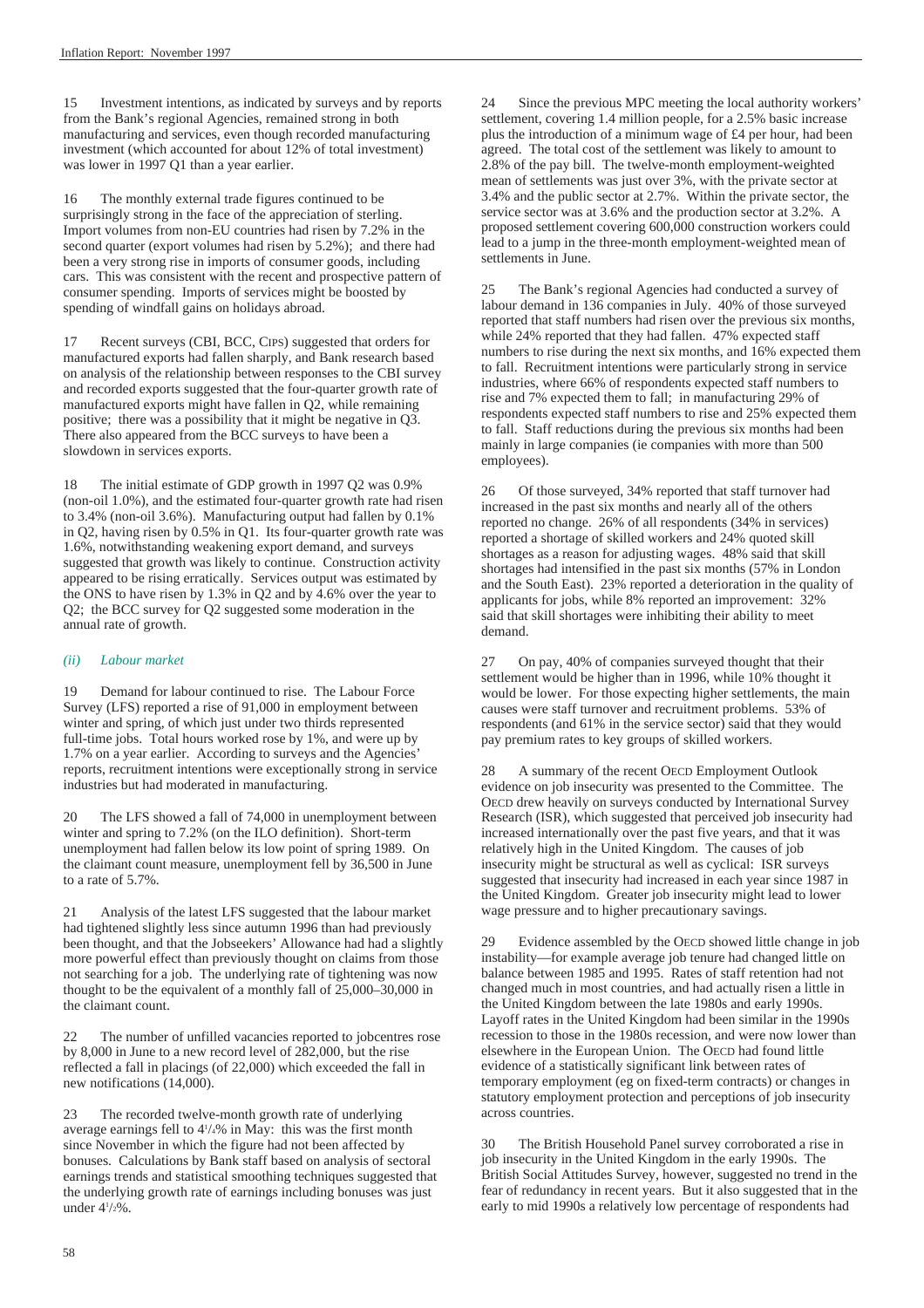15 Investment intentions, as indicated by surveys and by reports from the Bank's regional Agencies, remained strong in both manufacturing and services, even though recorded manufacturing investment (which accounted for about 12% of total investment) was lower in 1997 Q1 than a year earlier.

16 The monthly external trade figures continued to be surprisingly strong in the face of the appreciation of sterling. Import volumes from non-EU countries had risen by 7.2% in the second quarter (export volumes had risen by 5.2%); and there had been a very strong rise in imports of consumer goods, including cars. This was consistent with the recent and prospective pattern of consumer spending. Imports of services might be boosted by spending of windfall gains on holidays abroad.

17 Recent surveys (CBI, BCC, CIPS) suggested that orders for manufactured exports had fallen sharply, and Bank research based on analysis of the relationship between responses to the CBI survey and recorded exports suggested that the four-quarter growth rate of manufactured exports might have fallen in Q2, while remaining positive; there was a possibility that it might be negative in Q3. There also appeared from the BCC surveys to have been a slowdown in services exports.

18 The initial estimate of GDP growth in 1997 Q2 was 0.9% (non-oil 1.0%), and the estimated four-quarter growth rate had risen to 3.4% (non-oil 3.6%). Manufacturing output had fallen by 0.1% in Q2, having risen by 0.5% in Q1. Its four-quarter growth rate was 1.6%, notwithstanding weakening export demand, and surveys suggested that growth was likely to continue. Construction activity appeared to be rising erratically. Services output was estimated by the ONS to have risen by 1.3% in Q2 and by 4.6% over the year to Q2; the BCC survey for Q2 suggested some moderation in the annual rate of growth.

#### *(ii) Labour market*

19 Demand for labour continued to rise. The Labour Force Survey (LFS) reported a rise of 91,000 in employment between winter and spring, of which just under two thirds represented full-time jobs. Total hours worked rose by 1%, and were up by 1.7% on a year earlier. According to surveys and the Agencies' reports, recruitment intentions were exceptionally strong in service industries but had moderated in manufacturing.

20 The LFS showed a fall of 74,000 in unemployment between winter and spring to 7.2% (on the ILO definition). Short-term unemployment had fallen below its low point of spring 1989. On the claimant count measure, unemployment fell by 36,500 in June to a rate of 5.7%.

21 Analysis of the latest LFS suggested that the labour market had tightened slightly less since autumn 1996 than had previously been thought, and that the Jobseekers' Allowance had had a slightly more powerful effect than previously thought on claims from those not searching for a job. The underlying rate of tightening was now thought to be the equivalent of a monthly fall of 25,000–30,000 in the claimant count.

22 The number of unfilled vacancies reported to jobcentres rose by 8,000 in June to a new record level of 282,000, but the rise reflected a fall in placings (of 22,000) which exceeded the fall in new notifications (14,000).

23 The recorded twelve-month growth rate of underlying average earnings fell to 41 /4% in May: this was the first month since November in which the figure had not been affected by bonuses. Calculations by Bank staff based on analysis of sectoral earnings trends and statistical smoothing techniques suggested that the underlying growth rate of earnings including bonuses was just under 41 /2%.

24 Since the previous MPC meeting the local authority workers' settlement, covering 1.4 million people, for a 2.5% basic increase plus the introduction of a minimum wage of £4 per hour, had been agreed. The total cost of the settlement was likely to amount to 2.8% of the pay bill. The twelve-month employment-weighted mean of settlements was just over 3%, with the private sector at 3.4% and the public sector at 2.7%. Within the private sector, the service sector was at 3.6% and the production sector at 3.2%. A proposed settlement covering 600,000 construction workers could lead to a jump in the three-month employment-weighted mean of settlements in June.

25 The Bank's regional Agencies had conducted a survey of labour demand in 136 companies in July. 40% of those surveyed reported that staff numbers had risen over the previous six months, while 24% reported that they had fallen. 47% expected staff numbers to rise during the next six months, and 16% expected them to fall. Recruitment intentions were particularly strong in service industries, where 66% of respondents expected staff numbers to rise and 7% expected them to fall; in manufacturing 29% of respondents expected staff numbers to rise and 25% expected them to fall. Staff reductions during the previous six months had been mainly in large companies (ie companies with more than 500 employees).

26 Of those surveyed, 34% reported that staff turnover had increased in the past six months and nearly all of the others reported no change. 26% of all respondents (34% in services) reported a shortage of skilled workers and 24% quoted skill shortages as a reason for adjusting wages. 48% said that skill shortages had intensified in the past six months (57% in London and the South East). 23% reported a deterioration in the quality of applicants for jobs, while 8% reported an improvement: 32% said that skill shortages were inhibiting their ability to meet demand.

27 On pay, 40% of companies surveyed thought that their settlement would be higher than in 1996, while 10% thought it would be lower. For those expecting higher settlements, the main causes were staff turnover and recruitment problems. 53% of respondents (and 61% in the service sector) said that they would pay premium rates to key groups of skilled workers.

28 A summary of the recent OECD Employment Outlook evidence on job insecurity was presented to the Committee. The OECD drew heavily on surveys conducted by International Survey Research (ISR), which suggested that perceived job insecurity had increased internationally over the past five years, and that it was relatively high in the United Kingdom. The causes of job insecurity might be structural as well as cyclical: ISR surveys suggested that insecurity had increased in each year since 1987 in the United Kingdom. Greater job insecurity might lead to lower wage pressure and to higher precautionary savings.

29 Evidence assembled by the OECD showed little change in job instability—for example average job tenure had changed little on balance between 1985 and 1995. Rates of staff retention had not changed much in most countries, and had actually risen a little in the United Kingdom between the late 1980s and early 1990s. Layoff rates in the United Kingdom had been similar in the 1990s recession to those in the 1980s recession, and were now lower than elsewhere in the European Union. The OECD had found little evidence of a statistically significant link between rates of temporary employment (eg on fixed-term contracts) or changes in statutory employment protection and perceptions of job insecurity across countries.

30 The British Household Panel survey corroborated a rise in job insecurity in the United Kingdom in the early 1990s. The British Social Attitudes Survey, however, suggested no trend in the fear of redundancy in recent years. But it also suggested that in the early to mid 1990s a relatively low percentage of respondents had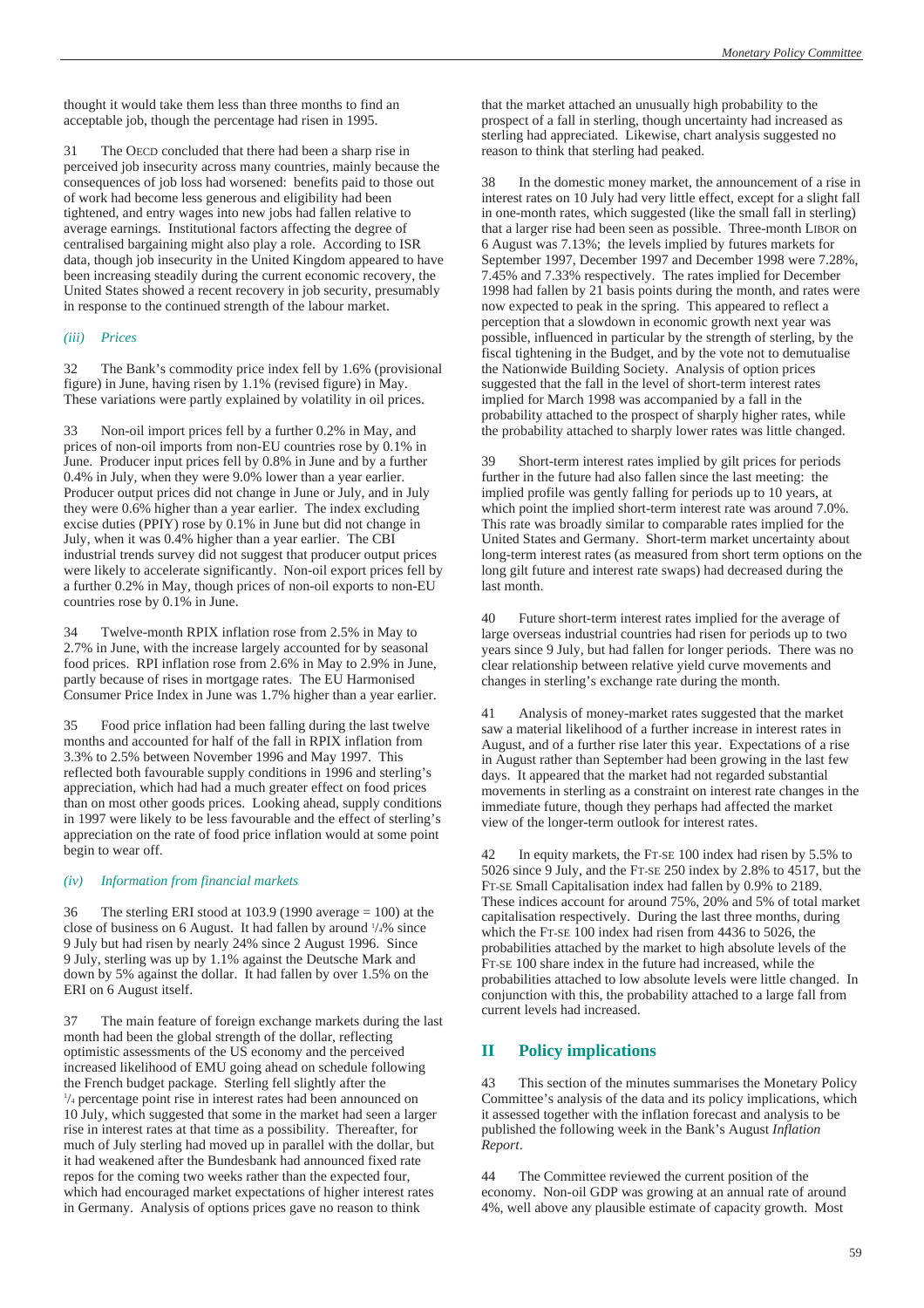thought it would take them less than three months to find an acceptable job, though the percentage had risen in 1995.

31 The OECD concluded that there had been a sharp rise in perceived job insecurity across many countries, mainly because the consequences of job loss had worsened: benefits paid to those out of work had become less generous and eligibility had been tightened, and entry wages into new jobs had fallen relative to average earnings. Institutional factors affecting the degree of centralised bargaining might also play a role. According to ISR data, though job insecurity in the United Kingdom appeared to have been increasing steadily during the current economic recovery, the United States showed a recent recovery in job security, presumably in response to the continued strength of the labour market.

#### *(iii) Prices*

32 The Bank's commodity price index fell by 1.6% (provisional figure) in June, having risen by 1.1% (revised figure) in May. These variations were partly explained by volatility in oil prices.

33 Non-oil import prices fell by a further 0.2% in May, and prices of non-oil imports from non-EU countries rose by 0.1% in June. Producer input prices fell by 0.8% in June and by a further 0.4% in July, when they were 9.0% lower than a year earlier. Producer output prices did not change in June or July, and in July they were 0.6% higher than a year earlier. The index excluding excise duties (PPIY) rose by 0.1% in June but did not change in July, when it was 0.4% higher than a year earlier. The CBI industrial trends survey did not suggest that producer output prices were likely to accelerate significantly. Non-oil export prices fell by a further 0.2% in May, though prices of non-oil exports to non-EU countries rose by 0.1% in June.

34 Twelve-month RPIX inflation rose from 2.5% in May to 2.7% in June, with the increase largely accounted for by seasonal food prices. RPI inflation rose from 2.6% in May to 2.9% in June, partly because of rises in mortgage rates. The EU Harmonised Consumer Price Index in June was 1.7% higher than a year earlier.

35 Food price inflation had been falling during the last twelve months and accounted for half of the fall in RPIX inflation from 3.3% to 2.5% between November 1996 and May 1997. This reflected both favourable supply conditions in 1996 and sterling's appreciation, which had had a much greater effect on food prices than on most other goods prices. Looking ahead, supply conditions in 1997 were likely to be less favourable and the effect of sterling's appreciation on the rate of food price inflation would at some point begin to wear off.

#### *(iv) Information from financial markets*

36 The sterling ERI stood at 103.9 (1990 average = 100) at the close of business on 6 August. It had fallen by around 1 /4% since 9 July but had risen by nearly 24% since 2 August 1996. Since 9 July, sterling was up by 1.1% against the Deutsche Mark and down by 5% against the dollar. It had fallen by over 1.5% on the ERI on 6 August itself.

37 The main feature of foreign exchange markets during the last month had been the global strength of the dollar, reflecting optimistic assessments of the US economy and the perceived increased likelihood of EMU going ahead on schedule following the French budget package. Sterling fell slightly after the 1 /4 percentage point rise in interest rates had been announced on 10 July, which suggested that some in the market had seen a larger rise in interest rates at that time as a possibility. Thereafter, for much of July sterling had moved up in parallel with the dollar, but it had weakened after the Bundesbank had announced fixed rate repos for the coming two weeks rather than the expected four, which had encouraged market expectations of higher interest rates in Germany. Analysis of options prices gave no reason to think

that the market attached an unusually high probability to the prospect of a fall in sterling, though uncertainty had increased as sterling had appreciated. Likewise, chart analysis suggested no reason to think that sterling had peaked.

38 In the domestic money market, the announcement of a rise in interest rates on 10 July had very little effect, except for a slight fall in one-month rates, which suggested (like the small fall in sterling) that a larger rise had been seen as possible. Three-month LIBOR on 6 August was 7.13%; the levels implied by futures markets for September 1997, December 1997 and December 1998 were 7.28%, 7.45% and 7.33% respectively. The rates implied for December 1998 had fallen by 21 basis points during the month, and rates were now expected to peak in the spring. This appeared to reflect a perception that a slowdown in economic growth next year was possible, influenced in particular by the strength of sterling, by the fiscal tightening in the Budget, and by the vote not to demutualise the Nationwide Building Society. Analysis of option prices suggested that the fall in the level of short-term interest rates implied for March 1998 was accompanied by a fall in the probability attached to the prospect of sharply higher rates, while the probability attached to sharply lower rates was little changed.

39 Short-term interest rates implied by gilt prices for periods further in the future had also fallen since the last meeting: the implied profile was gently falling for periods up to 10 years, at which point the implied short-term interest rate was around 7.0%. This rate was broadly similar to comparable rates implied for the United States and Germany. Short-term market uncertainty about long-term interest rates (as measured from short term options on the long gilt future and interest rate swaps) had decreased during the last month.

40 Future short-term interest rates implied for the average of large overseas industrial countries had risen for periods up to two years since 9 July, but had fallen for longer periods. There was no clear relationship between relative yield curve movements and changes in sterling's exchange rate during the month.

41 Analysis of money-market rates suggested that the market saw a material likelihood of a further increase in interest rates in August, and of a further rise later this year. Expectations of a rise in August rather than September had been growing in the last few days. It appeared that the market had not regarded substantial movements in sterling as a constraint on interest rate changes in the immediate future, though they perhaps had affected the market view of the longer-term outlook for interest rates.

42 In equity markets, the FT-SE 100 index had risen by 5.5% to 5026 since 9 July, and the FT-SE 250 index by 2.8% to 4517, but the FT-SE Small Capitalisation index had fallen by 0.9% to 2189. These indices account for around 75%, 20% and 5% of total market capitalisation respectively. During the last three months, during which the FT-SE 100 index had risen from 4436 to 5026, the probabilities attached by the market to high absolute levels of the FT-SE 100 share index in the future had increased, while the probabilities attached to low absolute levels were little changed. In conjunction with this, the probability attached to a large fall from current levels had increased.

#### **II Policy implications**

43 This section of the minutes summarises the Monetary Policy Committee's analysis of the data and its policy implications, which it assessed together with the inflation forecast and analysis to be published the following week in the Bank's August *Inflation Report*.

44 The Committee reviewed the current position of the economy. Non-oil GDP was growing at an annual rate of around 4%, well above any plausible estimate of capacity growth. Most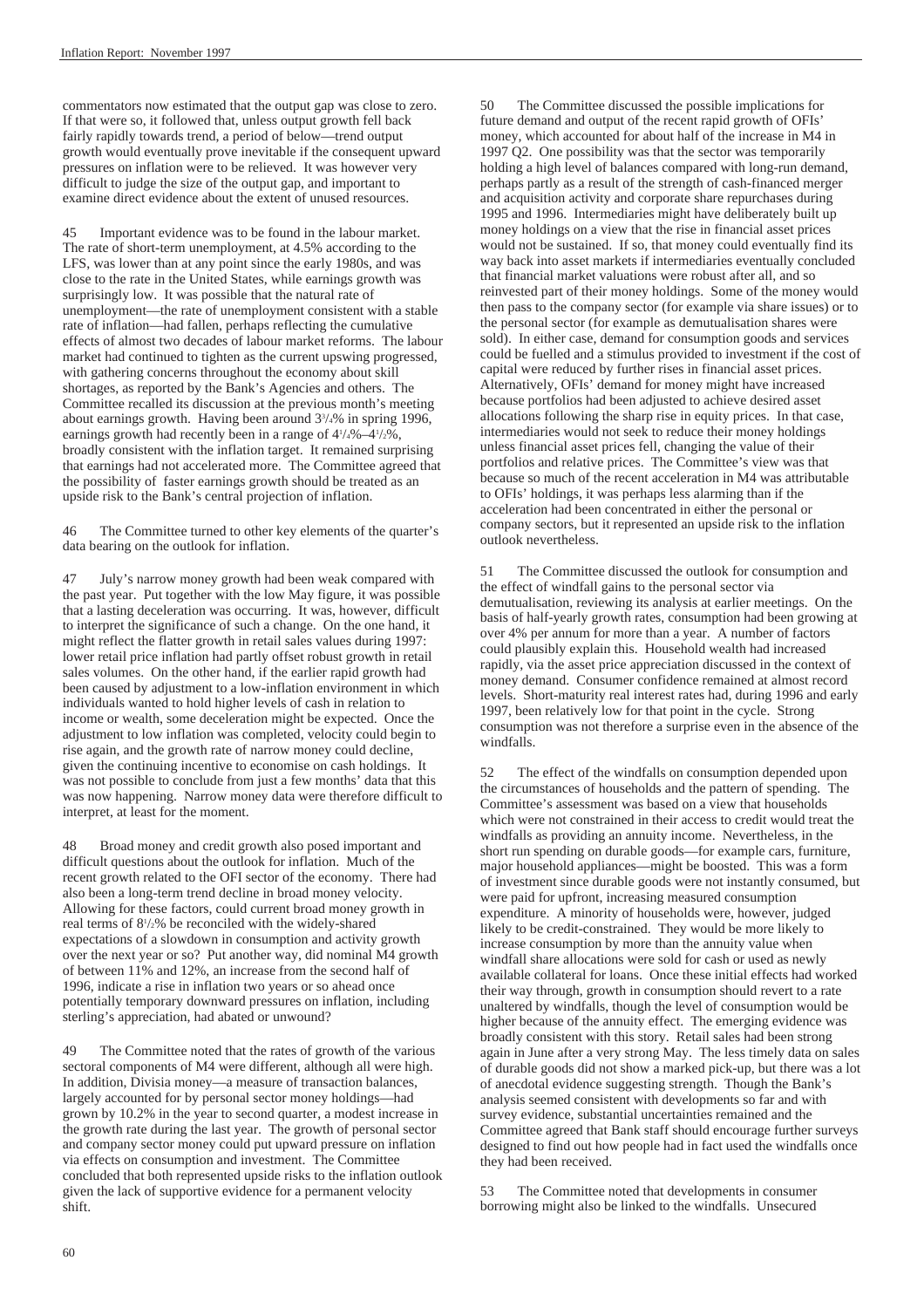commentators now estimated that the output gap was close to zero. If that were so, it followed that, unless output growth fell back fairly rapidly towards trend, a period of below—trend output growth would eventually prove inevitable if the consequent upward pressures on inflation were to be relieved. It was however very difficult to judge the size of the output gap, and important to examine direct evidence about the extent of unused resources.

45 Important evidence was to be found in the labour market. The rate of short-term unemployment, at 4.5% according to the LFS, was lower than at any point since the early 1980s, and was close to the rate in the United States, while earnings growth was surprisingly low. It was possible that the natural rate of unemployment—the rate of unemployment consistent with a stable rate of inflation—had fallen, perhaps reflecting the cumulative effects of almost two decades of labour market reforms. The labour market had continued to tighten as the current upswing progressed, with gathering concerns throughout the economy about skill shortages, as reported by the Bank's Agencies and others. The Committee recalled its discussion at the previous month's meeting about earnings growth. Having been around  $3\frac{3}{4}\%$  in spring 1996, earnings growth had recently been in a range of  $4\frac{1}{4}\% - 4\frac{1}{2}\%$ , broadly consistent with the inflation target. It remained surprising that earnings had not accelerated more. The Committee agreed that the possibility of faster earnings growth should be treated as an upside risk to the Bank's central projection of inflation.

46 The Committee turned to other key elements of the quarter's data bearing on the outlook for inflation.

47 July's narrow money growth had been weak compared with the past year. Put together with the low May figure, it was possible that a lasting deceleration was occurring. It was, however, difficult to interpret the significance of such a change. On the one hand, it might reflect the flatter growth in retail sales values during 1997: lower retail price inflation had partly offset robust growth in retail sales volumes. On the other hand, if the earlier rapid growth had been caused by adjustment to a low-inflation environment in which individuals wanted to hold higher levels of cash in relation to income or wealth, some deceleration might be expected. Once the adjustment to low inflation was completed, velocity could begin to rise again, and the growth rate of narrow money could decline, given the continuing incentive to economise on cash holdings. It was not possible to conclude from just a few months' data that this was now happening. Narrow money data were therefore difficult to interpret, at least for the moment.

48 Broad money and credit growth also posed important and difficult questions about the outlook for inflation. Much of the recent growth related to the OFI sector of the economy. There had also been a long-term trend decline in broad money velocity. Allowing for these factors, could current broad money growth in real terms of 81 /2% be reconciled with the widely-shared expectations of a slowdown in consumption and activity growth over the next year or so? Put another way, did nominal M4 growth of between 11% and 12%, an increase from the second half of 1996, indicate a rise in inflation two years or so ahead once potentially temporary downward pressures on inflation, including sterling's appreciation, had abated or unwound?

49 The Committee noted that the rates of growth of the various sectoral components of M4 were different, although all were high. In addition, Divisia money—a measure of transaction balances, largely accounted for by personal sector money holdings—had grown by 10.2% in the year to second quarter, a modest increase in the growth rate during the last year. The growth of personal sector and company sector money could put upward pressure on inflation via effects on consumption and investment. The Committee concluded that both represented upside risks to the inflation outlook given the lack of supportive evidence for a permanent velocity shift.

50 The Committee discussed the possible implications for future demand and output of the recent rapid growth of OFIs' money, which accounted for about half of the increase in M4 in 1997 Q2. One possibility was that the sector was temporarily holding a high level of balances compared with long-run demand, perhaps partly as a result of the strength of cash-financed merger and acquisition activity and corporate share repurchases during 1995 and 1996. Intermediaries might have deliberately built up money holdings on a view that the rise in financial asset prices would not be sustained. If so, that money could eventually find its way back into asset markets if intermediaries eventually concluded that financial market valuations were robust after all, and so reinvested part of their money holdings. Some of the money would then pass to the company sector (for example via share issues) or to the personal sector (for example as demutualisation shares were sold). In either case, demand for consumption goods and services could be fuelled and a stimulus provided to investment if the cost of capital were reduced by further rises in financial asset prices. Alternatively, OFIs' demand for money might have increased because portfolios had been adjusted to achieve desired asset allocations following the sharp rise in equity prices. In that case, intermediaries would not seek to reduce their money holdings unless financial asset prices fell, changing the value of their portfolios and relative prices. The Committee's view was that because so much of the recent acceleration in M4 was attributable to OFIs' holdings, it was perhaps less alarming than if the acceleration had been concentrated in either the personal or company sectors, but it represented an upside risk to the inflation outlook nevertheless.

51 The Committee discussed the outlook for consumption and the effect of windfall gains to the personal sector via demutualisation, reviewing its analysis at earlier meetings. On the basis of half-yearly growth rates, consumption had been growing at over 4% per annum for more than a year. A number of factors could plausibly explain this. Household wealth had increased rapidly, via the asset price appreciation discussed in the context of money demand. Consumer confidence remained at almost record levels. Short-maturity real interest rates had, during 1996 and early 1997, been relatively low for that point in the cycle. Strong consumption was not therefore a surprise even in the absence of the windfalls.

52 The effect of the windfalls on consumption depended upon the circumstances of households and the pattern of spending. The Committee's assessment was based on a view that households which were not constrained in their access to credit would treat the windfalls as providing an annuity income. Nevertheless, in the short run spending on durable goods—for example cars, furniture, major household appliances—might be boosted. This was a form of investment since durable goods were not instantly consumed, but were paid for upfront, increasing measured consumption expenditure. A minority of households were, however, judged likely to be credit-constrained. They would be more likely to increase consumption by more than the annuity value when windfall share allocations were sold for cash or used as newly available collateral for loans. Once these initial effects had worked their way through, growth in consumption should revert to a rate unaltered by windfalls, though the level of consumption would be higher because of the annuity effect. The emerging evidence was broadly consistent with this story. Retail sales had been strong again in June after a very strong May. The less timely data on sales of durable goods did not show a marked pick-up, but there was a lot of anecdotal evidence suggesting strength. Though the Bank's analysis seemed consistent with developments so far and with survey evidence, substantial uncertainties remained and the Committee agreed that Bank staff should encourage further surveys designed to find out how people had in fact used the windfalls once they had been received.

53 The Committee noted that developments in consumer borrowing might also be linked to the windfalls. Unsecured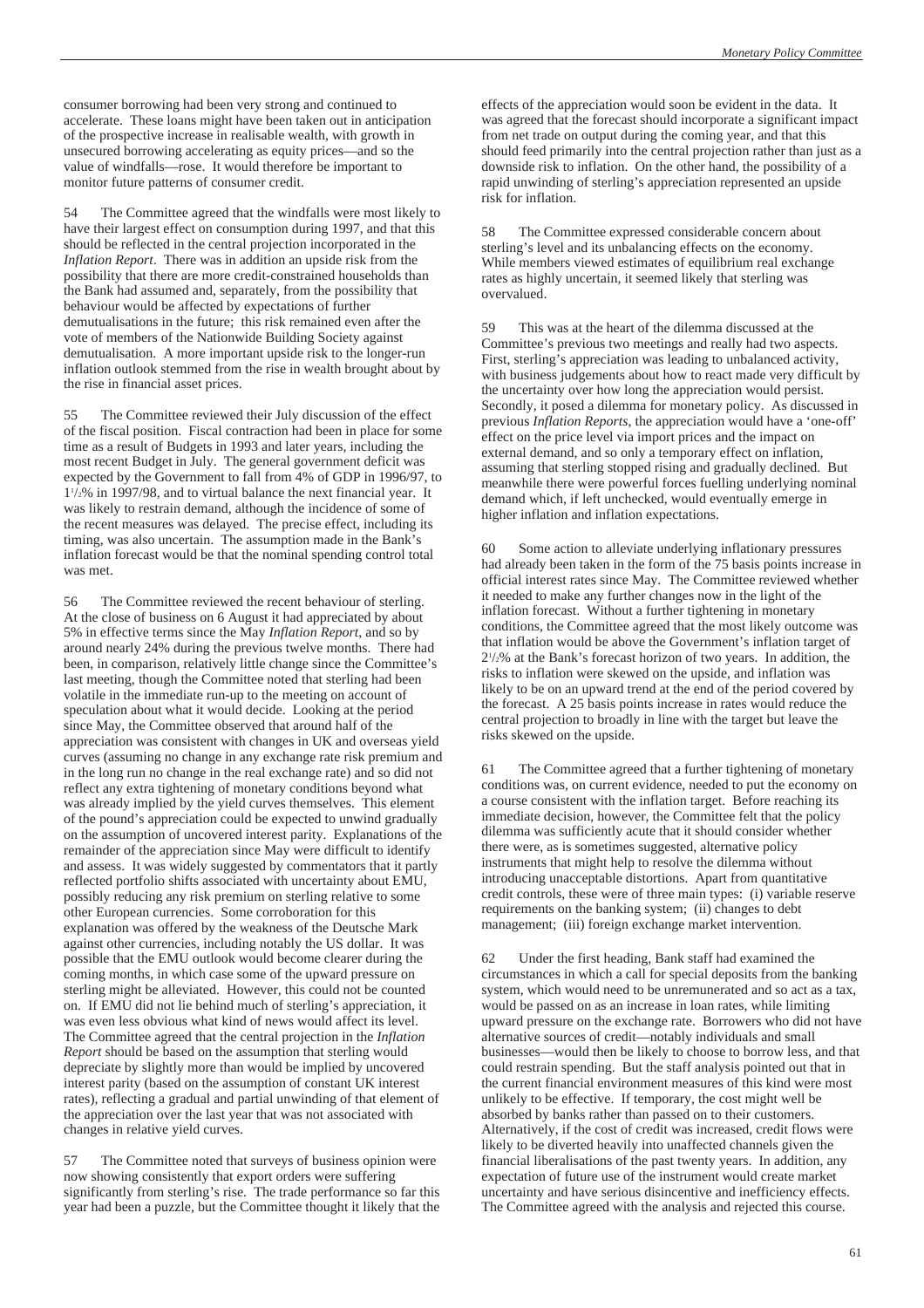consumer borrowing had been very strong and continued to accelerate. These loans might have been taken out in anticipation of the prospective increase in realisable wealth, with growth in unsecured borrowing accelerating as equity prices—and so the value of windfalls—rose. It would therefore be important to monitor future patterns of consumer credit.

54 The Committee agreed that the windfalls were most likely to have their largest effect on consumption during 1997, and that this should be reflected in the central projection incorporated in the *Inflation Report*. There was in addition an upside risk from the possibility that there are more credit-constrained households than the Bank had assumed and, separately, from the possibility that behaviour would be affected by expectations of further demutualisations in the future; this risk remained even after the vote of members of the Nationwide Building Society against demutualisation. A more important upside risk to the longer-run inflation outlook stemmed from the rise in wealth brought about by the rise in financial asset prices.

55 The Committee reviewed their July discussion of the effect of the fiscal position. Fiscal contraction had been in place for some time as a result of Budgets in 1993 and later years, including the most recent Budget in July. The general government deficit was expected by the Government to fall from 4% of GDP in 1996/97, to 11 /2% in 1997/98, and to virtual balance the next financial year. It was likely to restrain demand, although the incidence of some of the recent measures was delayed. The precise effect, including its timing, was also uncertain. The assumption made in the Bank's inflation forecast would be that the nominal spending control total was met.

56 The Committee reviewed the recent behaviour of sterling. At the close of business on 6 August it had appreciated by about 5% in effective terms since the May *Inflation Report*, and so by around nearly 24% during the previous twelve months. There had been, in comparison, relatively little change since the Committee's last meeting, though the Committee noted that sterling had been volatile in the immediate run-up to the meeting on account of speculation about what it would decide. Looking at the period since May, the Committee observed that around half of the appreciation was consistent with changes in UK and overseas yield curves (assuming no change in any exchange rate risk premium and in the long run no change in the real exchange rate) and so did not reflect any extra tightening of monetary conditions beyond what was already implied by the yield curves themselves. This element of the pound's appreciation could be expected to unwind gradually on the assumption of uncovered interest parity. Explanations of the remainder of the appreciation since May were difficult to identify and assess. It was widely suggested by commentators that it partly reflected portfolio shifts associated with uncertainty about EMU, possibly reducing any risk premium on sterling relative to some other European currencies. Some corroboration for this explanation was offered by the weakness of the Deutsche Mark against other currencies, including notably the US dollar. It was possible that the EMU outlook would become clearer during the coming months, in which case some of the upward pressure on sterling might be alleviated. However, this could not be counted on. If EMU did not lie behind much of sterling's appreciation, it was even less obvious what kind of news would affect its level. The Committee agreed that the central projection in the *Inflation Report* should be based on the assumption that sterling would depreciate by slightly more than would be implied by uncovered interest parity (based on the assumption of constant UK interest rates), reflecting a gradual and partial unwinding of that element of the appreciation over the last year that was not associated with changes in relative yield curves.

57 The Committee noted that surveys of business opinion were now showing consistently that export orders were suffering significantly from sterling's rise. The trade performance so far this year had been a puzzle, but the Committee thought it likely that the effects of the appreciation would soon be evident in the data. It was agreed that the forecast should incorporate a significant impact from net trade on output during the coming year, and that this should feed primarily into the central projection rather than just as a downside risk to inflation. On the other hand, the possibility of a rapid unwinding of sterling's appreciation represented an upside risk for inflation.

58 The Committee expressed considerable concern about sterling's level and its unbalancing effects on the economy. While members viewed estimates of equilibrium real exchange rates as highly uncertain, it seemed likely that sterling was overvalued.

59 This was at the heart of the dilemma discussed at the Committee's previous two meetings and really had two aspects. First, sterling's appreciation was leading to unbalanced activity, with business judgements about how to react made very difficult by the uncertainty over how long the appreciation would persist. Secondly, it posed a dilemma for monetary policy. As discussed in previous *Inflation Reports*, the appreciation would have a 'one-off' effect on the price level via import prices and the impact on external demand, and so only a temporary effect on inflation, assuming that sterling stopped rising and gradually declined. But meanwhile there were powerful forces fuelling underlying nominal demand which, if left unchecked, would eventually emerge in higher inflation and inflation expectations.

60 Some action to alleviate underlying inflationary pressures had already been taken in the form of the 75 basis points increase in official interest rates since May. The Committee reviewed whether it needed to make any further changes now in the light of the inflation forecast. Without a further tightening in monetary conditions, the Committee agreed that the most likely outcome was that inflation would be above the Government's inflation target of 21 /2% at the Bank's forecast horizon of two years. In addition, the risks to inflation were skewed on the upside, and inflation was likely to be on an upward trend at the end of the period covered by the forecast. A 25 basis points increase in rates would reduce the central projection to broadly in line with the target but leave the risks skewed on the upside.

61 The Committee agreed that a further tightening of monetary conditions was, on current evidence, needed to put the economy on a course consistent with the inflation target. Before reaching its immediate decision, however, the Committee felt that the policy dilemma was sufficiently acute that it should consider whether there were, as is sometimes suggested, alternative policy instruments that might help to resolve the dilemma without introducing unacceptable distortions. Apart from quantitative credit controls, these were of three main types: (i) variable reserve requirements on the banking system; (ii) changes to debt management; (iii) foreign exchange market intervention.

62 Under the first heading, Bank staff had examined the circumstances in which a call for special deposits from the banking system, which would need to be unremunerated and so act as a tax, would be passed on as an increase in loan rates, while limiting upward pressure on the exchange rate. Borrowers who did not have alternative sources of credit—notably individuals and small businesses—would then be likely to choose to borrow less, and that could restrain spending. But the staff analysis pointed out that in the current financial environment measures of this kind were most unlikely to be effective. If temporary, the cost might well be absorbed by banks rather than passed on to their customers. Alternatively, if the cost of credit was increased, credit flows were likely to be diverted heavily into unaffected channels given the financial liberalisations of the past twenty years. In addition, any expectation of future use of the instrument would create market uncertainty and have serious disincentive and inefficiency effects. The Committee agreed with the analysis and rejected this course.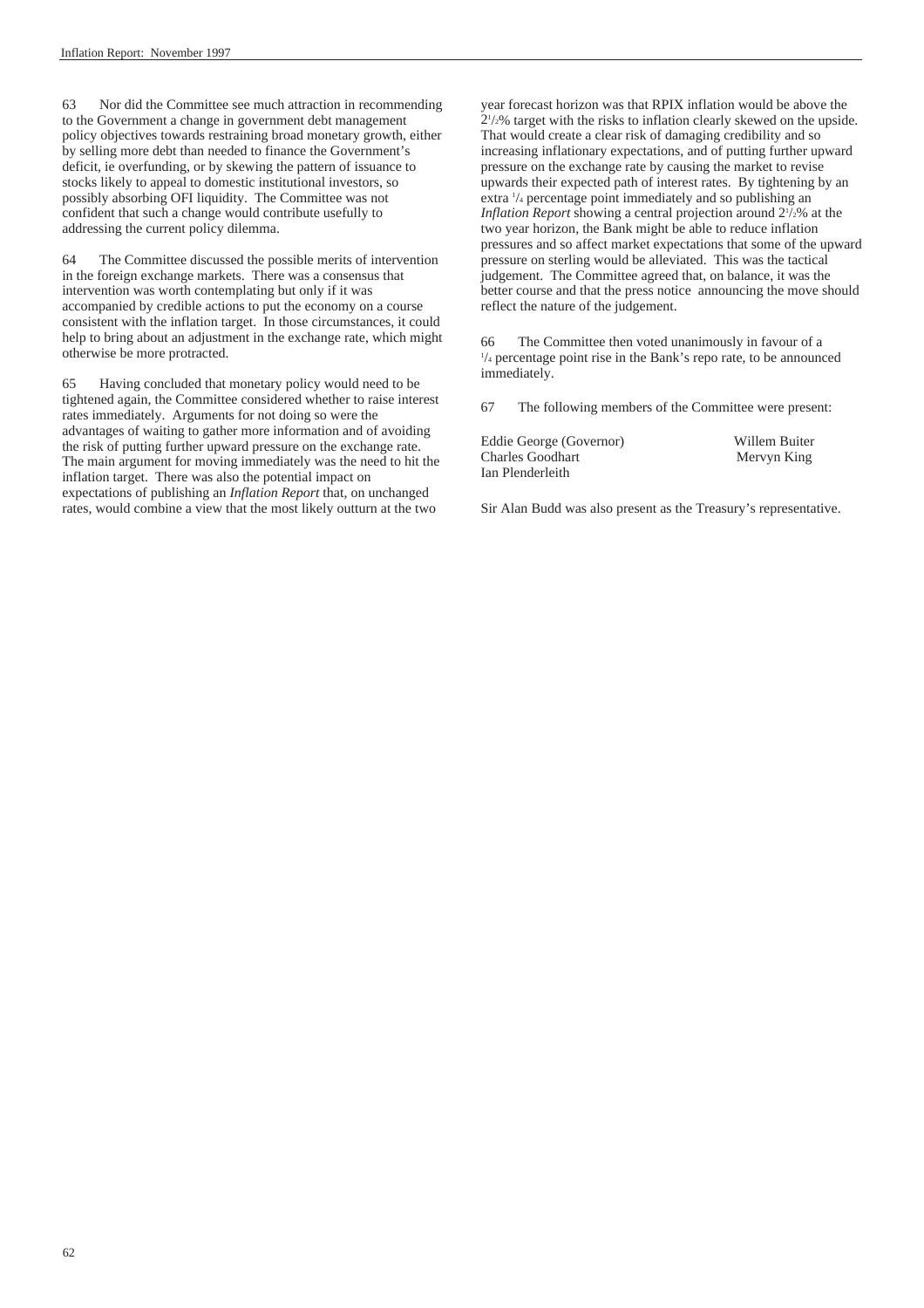63 Nor did the Committee see much attraction in recommending to the Government a change in government debt management policy objectives towards restraining broad monetary growth, either by selling more debt than needed to finance the Government's deficit, ie overfunding, or by skewing the pattern of issuance to stocks likely to appeal to domestic institutional investors, so possibly absorbing OFI liquidity. The Committee was not confident that such a change would contribute usefully to addressing the current policy dilemma.

64 The Committee discussed the possible merits of intervention in the foreign exchange markets. There was a consensus that intervention was worth contemplating but only if it was accompanied by credible actions to put the economy on a course consistent with the inflation target. In those circumstances, it could help to bring about an adjustment in the exchange rate, which might otherwise be more protracted.

65 Having concluded that monetary policy would need to be tightened again, the Committee considered whether to raise interest rates immediately. Arguments for not doing so were the advantages of waiting to gather more information and of avoiding the risk of putting further upward pressure on the exchange rate. The main argument for moving immediately was the need to hit the inflation target. There was also the potential impact on expectations of publishing an *Inflation Report* that, on unchanged rates, would combine a view that the most likely outturn at the two

year forecast horizon was that RPIX inflation would be above the 21 /2% target with the risks to inflation clearly skewed on the upside. That would create a clear risk of damaging credibility and so increasing inflationary expectations, and of putting further upward pressure on the exchange rate by causing the market to revise upwards their expected path of interest rates. By tightening by an extra  $\frac{1}{4}$  percentage point immediately and so publishing an Inflation Report showing a central projection around  $2^{1/2}\%$  at the two year horizon, the Bank might be able to reduce inflation pressures and so affect market expectations that some of the upward pressure on sterling would be alleviated. This was the tactical judgement. The Committee agreed that, on balance, it was the better course and that the press notice announcing the move should reflect the nature of the judgement.

<sup>66</sup> The Committee then voted unanimously in favour of a 1  $\frac{1}{4}$  percentage point rise in the Bank's repo rate, to be announced immediately.

67 The following members of the Committee were present:

Eddie George (Governor) Willem Buiter Charles Goodhart Mervyn King Ian Plenderleith

Sir Alan Budd was also present as the Treasury's representative.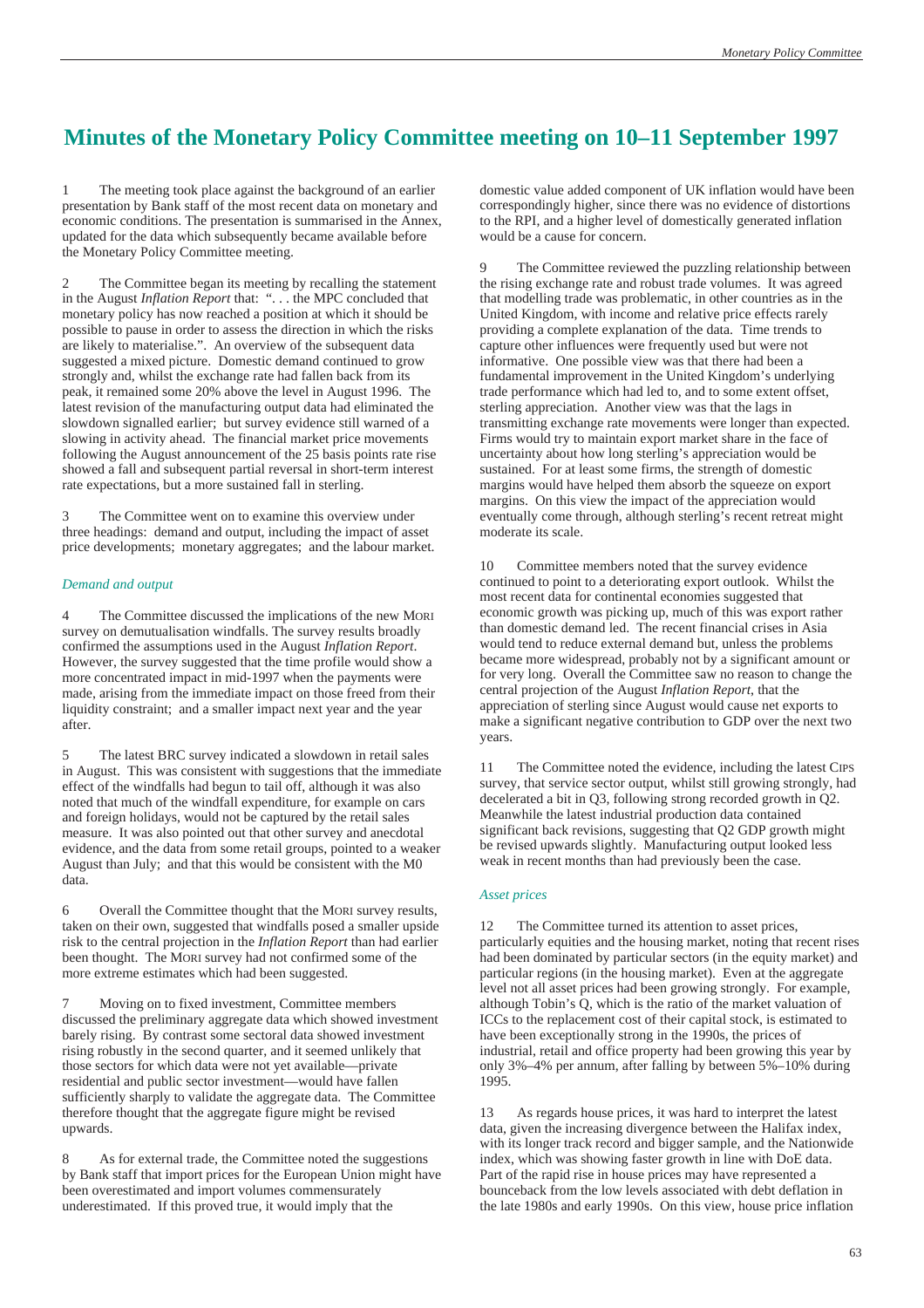# **Minutes of the Monetary Policy Committee meeting on 10–11 September 1997**

1 The meeting took place against the background of an earlier presentation by Bank staff of the most recent data on monetary and economic conditions. The presentation is summarised in the Annex, updated for the data which subsequently became available before the Monetary Policy Committee meeting.

2 The Committee began its meeting by recalling the statement in the August *Inflation Report* that: ". . . the MPC concluded that monetary policy has now reached a position at which it should be possible to pause in order to assess the direction in which the risks are likely to materialise.". An overview of the subsequent data suggested a mixed picture. Domestic demand continued to grow strongly and, whilst the exchange rate had fallen back from its peak, it remained some 20% above the level in August 1996. The latest revision of the manufacturing output data had eliminated the slowdown signalled earlier; but survey evidence still warned of a slowing in activity ahead. The financial market price movements following the August announcement of the 25 basis points rate rise showed a fall and subsequent partial reversal in short-term interest rate expectations, but a more sustained fall in sterling.

3 The Committee went on to examine this overview under three headings: demand and output, including the impact of asset price developments; monetary aggregates; and the labour market.

#### *Demand and output*

4 The Committee discussed the implications of the new MORI survey on demutualisation windfalls. The survey results broadly confirmed the assumptions used in the August *Inflation Report*. However, the survey suggested that the time profile would show a more concentrated impact in mid-1997 when the payments were made, arising from the immediate impact on those freed from their liquidity constraint; and a smaller impact next year and the year after.

5 The latest BRC survey indicated a slowdown in retail sales in August. This was consistent with suggestions that the immediate effect of the windfalls had begun to tail off, although it was also noted that much of the windfall expenditure, for example on cars and foreign holidays, would not be captured by the retail sales measure. It was also pointed out that other survey and anecdotal evidence, and the data from some retail groups, pointed to a weaker August than July; and that this would be consistent with the M0 data.

6 Overall the Committee thought that the MORI survey results, taken on their own, suggested that windfalls posed a smaller upside risk to the central projection in the *Inflation Report* than had earlier been thought. The MORI survey had not confirmed some of the more extreme estimates which had been suggested.

7 Moving on to fixed investment, Committee members discussed the preliminary aggregate data which showed investment barely rising. By contrast some sectoral data showed investment rising robustly in the second quarter, and it seemed unlikely that those sectors for which data were not yet available—private residential and public sector investment—would have fallen sufficiently sharply to validate the aggregate data. The Committee therefore thought that the aggregate figure might be revised upwards.

As for external trade, the Committee noted the suggestions by Bank staff that import prices for the European Union might have been overestimated and import volumes commensurately underestimated. If this proved true, it would imply that the

domestic value added component of UK inflation would have been correspondingly higher, since there was no evidence of distortions to the RPI, and a higher level of domestically generated inflation would be a cause for concern.

The Committee reviewed the puzzling relationship between the rising exchange rate and robust trade volumes. It was agreed that modelling trade was problematic, in other countries as in the United Kingdom, with income and relative price effects rarely providing a complete explanation of the data. Time trends to capture other influences were frequently used but were not informative. One possible view was that there had been a fundamental improvement in the United Kingdom's underlying trade performance which had led to, and to some extent offset, sterling appreciation. Another view was that the lags in transmitting exchange rate movements were longer than expected. Firms would try to maintain export market share in the face of uncertainty about how long sterling's appreciation would be sustained. For at least some firms, the strength of domestic margins would have helped them absorb the squeeze on export margins. On this view the impact of the appreciation would eventually come through, although sterling's recent retreat might moderate its scale.

10 Committee members noted that the survey evidence continued to point to a deteriorating export outlook. Whilst the most recent data for continental economies suggested that economic growth was picking up, much of this was export rather than domestic demand led. The recent financial crises in Asia would tend to reduce external demand but, unless the problems became more widespread, probably not by a significant amount or for very long. Overall the Committee saw no reason to change the central projection of the August *Inflation Report*, that the appreciation of sterling since August would cause net exports to make a significant negative contribution to GDP over the next two years.

11 The Committee noted the evidence, including the latest CIPS survey, that service sector output, whilst still growing strongly, had decelerated a bit in Q3, following strong recorded growth in Q2. Meanwhile the latest industrial production data contained significant back revisions, suggesting that Q2 GDP growth might be revised upwards slightly. Manufacturing output looked less weak in recent months than had previously been the case.

#### *Asset prices*

12 The Committee turned its attention to asset prices, particularly equities and the housing market, noting that recent rises had been dominated by particular sectors (in the equity market) and particular regions (in the housing market). Even at the aggregate level not all asset prices had been growing strongly. For example, although Tobin's Q, which is the ratio of the market valuation of ICCs to the replacement cost of their capital stock, is estimated to have been exceptionally strong in the 1990s, the prices of industrial, retail and office property had been growing this year by only 3%–4% per annum, after falling by between 5%–10% during 1995.

13 As regards house prices, it was hard to interpret the latest data, given the increasing divergence between the Halifax index, with its longer track record and bigger sample, and the Nationwide index, which was showing faster growth in line with DoE data. Part of the rapid rise in house prices may have represented a bounceback from the low levels associated with debt deflation in the late 1980s and early 1990s. On this view, house price inflation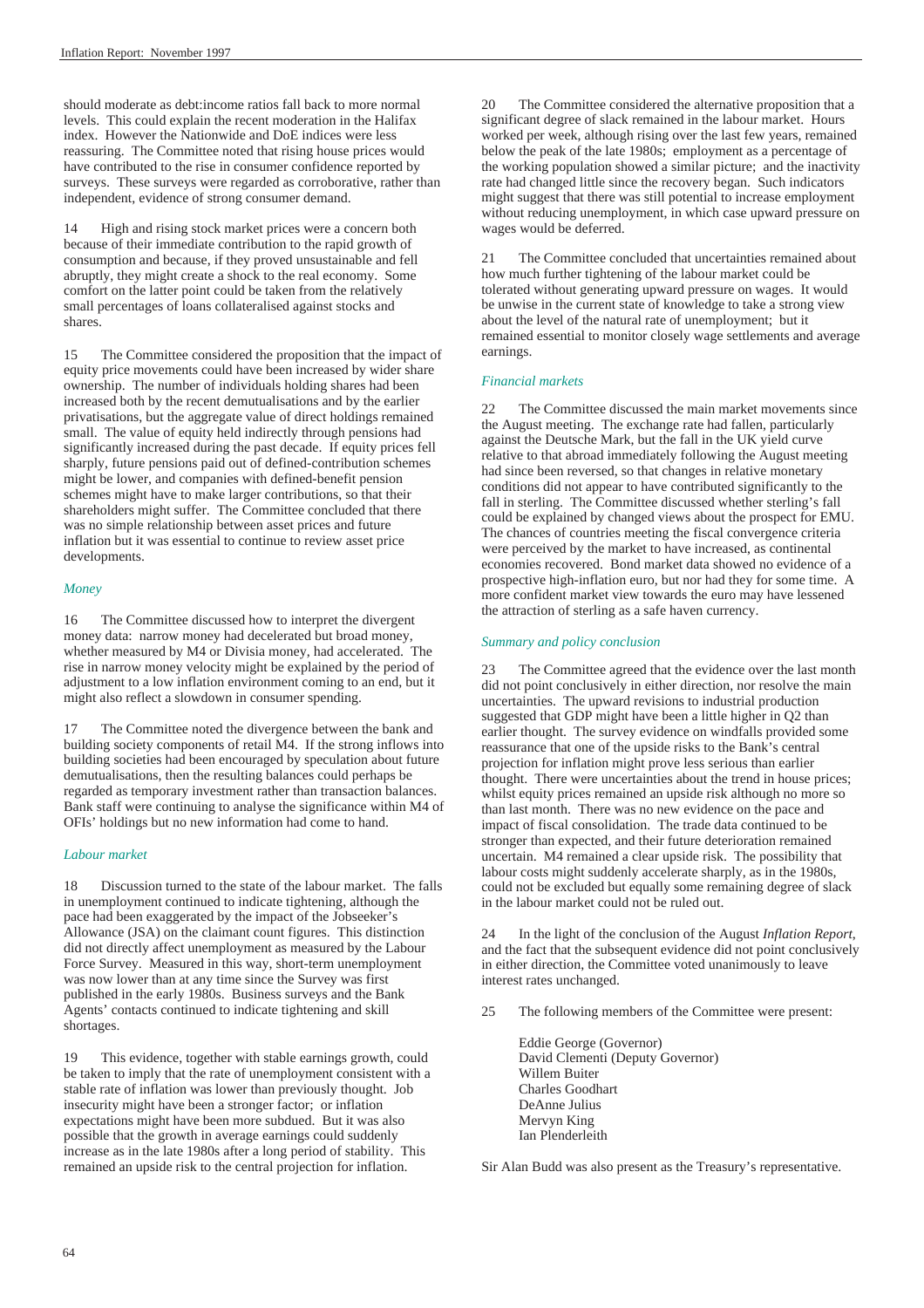should moderate as debt:income ratios fall back to more normal levels. This could explain the recent moderation in the Halifax index. However the Nationwide and DoE indices were less reassuring. The Committee noted that rising house prices would have contributed to the rise in consumer confidence reported by surveys. These surveys were regarded as corroborative, rather than independent, evidence of strong consumer demand.

14 High and rising stock market prices were a concern both because of their immediate contribution to the rapid growth of consumption and because, if they proved unsustainable and fell abruptly, they might create a shock to the real economy. Some comfort on the latter point could be taken from the relatively small percentages of loans collateralised against stocks and shares.

15 The Committee considered the proposition that the impact of equity price movements could have been increased by wider share ownership. The number of individuals holding shares had been increased both by the recent demutualisations and by the earlier privatisations, but the aggregate value of direct holdings remained small. The value of equity held indirectly through pensions had significantly increased during the past decade. If equity prices fell sharply, future pensions paid out of defined-contribution schemes might be lower, and companies with defined-benefit pension schemes might have to make larger contributions, so that their shareholders might suffer. The Committee concluded that there was no simple relationship between asset prices and future inflation but it was essential to continue to review asset price developments.

#### *Money*

16 The Committee discussed how to interpret the divergent money data: narrow money had decelerated but broad money, whether measured by M4 or Divisia money, had accelerated. The rise in narrow money velocity might be explained by the period of adjustment to a low inflation environment coming to an end, but it might also reflect a slowdown in consumer spending.

17 The Committee noted the divergence between the bank and building society components of retail M4. If the strong inflows into building societies had been encouraged by speculation about future demutualisations, then the resulting balances could perhaps be regarded as temporary investment rather than transaction balances. Bank staff were continuing to analyse the significance within M4 of OFIs' holdings but no new information had come to hand.

#### *Labour market*

18 Discussion turned to the state of the labour market. The falls in unemployment continued to indicate tightening, although the pace had been exaggerated by the impact of the Jobseeker's Allowance (JSA) on the claimant count figures. This distinction did not directly affect unemployment as measured by the Labour Force Survey. Measured in this way, short-term unemployment was now lower than at any time since the Survey was first published in the early 1980s. Business surveys and the Bank Agents' contacts continued to indicate tightening and skill shortages.

19 This evidence, together with stable earnings growth, could be taken to imply that the rate of unemployment consistent with a stable rate of inflation was lower than previously thought. Job insecurity might have been a stronger factor; or inflation expectations might have been more subdued. But it was also possible that the growth in average earnings could suddenly increase as in the late 1980s after a long period of stability. This remained an upside risk to the central projection for inflation.

The Committee considered the alternative proposition that a significant degree of slack remained in the labour market. Hours worked per week, although rising over the last few years, remained below the peak of the late 1980s; employment as a percentage of the working population showed a similar picture; and the inactivity rate had changed little since the recovery began. Such indicators might suggest that there was still potential to increase employment without reducing unemployment, in which case upward pressure on wages would be deferred.

21 The Committee concluded that uncertainties remained about how much further tightening of the labour market could be tolerated without generating upward pressure on wages. It would be unwise in the current state of knowledge to take a strong view about the level of the natural rate of unemployment; but it remained essential to monitor closely wage settlements and average earnings.

#### *Financial markets*

22 The Committee discussed the main market movements since the August meeting. The exchange rate had fallen, particularly against the Deutsche Mark, but the fall in the UK yield curve relative to that abroad immediately following the August meeting had since been reversed, so that changes in relative monetary conditions did not appear to have contributed significantly to the fall in sterling. The Committee discussed whether sterling's fall could be explained by changed views about the prospect for EMU. The chances of countries meeting the fiscal convergence criteria were perceived by the market to have increased, as continental economies recovered. Bond market data showed no evidence of a prospective high-inflation euro, but nor had they for some time. A more confident market view towards the euro may have lessened the attraction of sterling as a safe haven currency.

#### *Summary and policy conclusion*

23 The Committee agreed that the evidence over the last month did not point conclusively in either direction, nor resolve the main uncertainties. The upward revisions to industrial production suggested that GDP might have been a little higher in Q2 than earlier thought. The survey evidence on windfalls provided some reassurance that one of the upside risks to the Bank's central projection for inflation might prove less serious than earlier thought. There were uncertainties about the trend in house prices; whilst equity prices remained an upside risk although no more so than last month. There was no new evidence on the pace and impact of fiscal consolidation. The trade data continued to be stronger than expected, and their future deterioration remained uncertain. M4 remained a clear upside risk. The possibility that labour costs might suddenly accelerate sharply, as in the 1980s, could not be excluded but equally some remaining degree of slack in the labour market could not be ruled out.

24 In the light of the conclusion of the August *Inflation Report*, and the fact that the subsequent evidence did not point conclusively in either direction, the Committee voted unanimously to leave interest rates unchanged.

25 The following members of the Committee were present:

Eddie George (Governor) David Clementi (Deputy Governor) Willem Buiter Charles Goodhart DeAnne Julius Mervyn King Ian Plenderleith

Sir Alan Budd was also present as the Treasury's representative.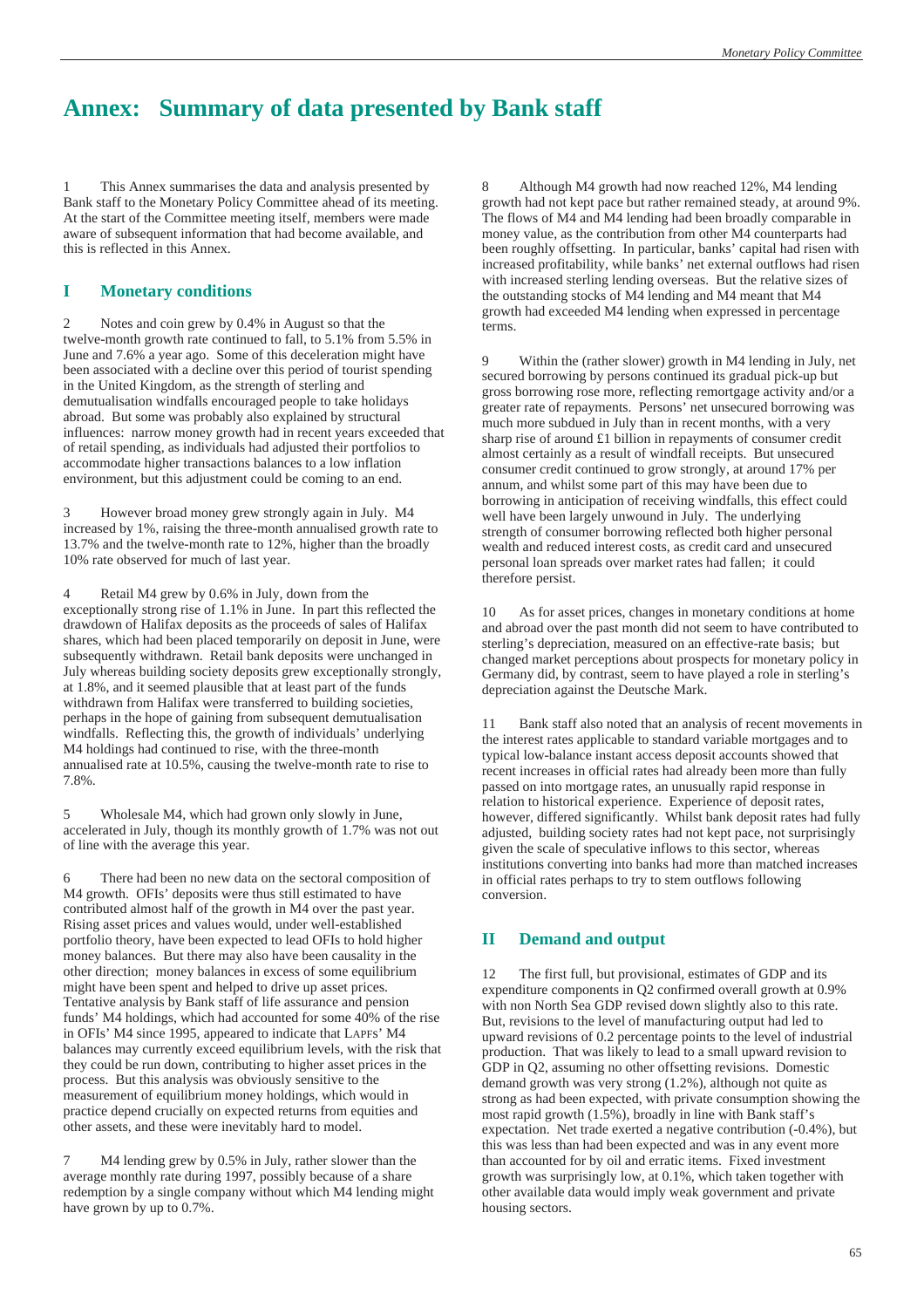# **Annex: Summary of data presented by Bank staff**

This Annex summarises the data and analysis presented by Bank staff to the Monetary Policy Committee ahead of its meeting. At the start of the Committee meeting itself, members were made aware of subsequent information that had become available, and this is reflected in this Annex.

#### **I Monetary conditions**

2 Notes and coin grew by 0.4% in August so that the twelve-month growth rate continued to fall, to 5.1% from 5.5% in June and 7.6% a year ago. Some of this deceleration might have been associated with a decline over this period of tourist spending in the United Kingdom, as the strength of sterling and demutualisation windfalls encouraged people to take holidays abroad. But some was probably also explained by structural influences: narrow money growth had in recent years exceeded that of retail spending, as individuals had adjusted their portfolios to accommodate higher transactions balances to a low inflation environment, but this adjustment could be coming to an end.

3 However broad money grew strongly again in July. M4 increased by 1%, raising the three-month annualised growth rate to 13.7% and the twelve-month rate to 12%, higher than the broadly 10% rate observed for much of last year.

4 Retail M4 grew by 0.6% in July, down from the exceptionally strong rise of 1.1% in June. In part this reflected the drawdown of Halifax deposits as the proceeds of sales of Halifax shares, which had been placed temporarily on deposit in June, were subsequently withdrawn. Retail bank deposits were unchanged in July whereas building society deposits grew exceptionally strongly, at 1.8%, and it seemed plausible that at least part of the funds withdrawn from Halifax were transferred to building societies, perhaps in the hope of gaining from subsequent demutualisation windfalls. Reflecting this, the growth of individuals' underlying M4 holdings had continued to rise, with the three-month annualised rate at 10.5%, causing the twelve-month rate to rise to 7.8%.

5 Wholesale M4, which had grown only slowly in June, accelerated in July, though its monthly growth of 1.7% was not out of line with the average this year.

There had been no new data on the sectoral composition of M4 growth. OFIs' deposits were thus still estimated to have contributed almost half of the growth in M4 over the past year. Rising asset prices and values would, under well-established portfolio theory, have been expected to lead OFIs to hold higher money balances. But there may also have been causality in the other direction; money balances in excess of some equilibrium might have been spent and helped to drive up asset prices. Tentative analysis by Bank staff of life assurance and pension funds' M4 holdings, which had accounted for some 40% of the rise in OFIs' M4 since 1995, appeared to indicate that LAPFs' M4 balances may currently exceed equilibrium levels, with the risk that they could be run down, contributing to higher asset prices in the process. But this analysis was obviously sensitive to the measurement of equilibrium money holdings, which would in practice depend crucially on expected returns from equities and other assets, and these were inevitably hard to model.

7 M4 lending grew by 0.5% in July, rather slower than the average monthly rate during 1997, possibly because of a share redemption by a single company without which M4 lending might have grown by up to 0.7%.

8 Although M4 growth had now reached 12%, M4 lending growth had not kept pace but rather remained steady, at around 9%. The flows of M4 and M4 lending had been broadly comparable in money value, as the contribution from other M4 counterparts had been roughly offsetting. In particular, banks' capital had risen with increased profitability, while banks' net external outflows had risen with increased sterling lending overseas. But the relative sizes of the outstanding stocks of M4 lending and M4 meant that M4 growth had exceeded M4 lending when expressed in percentage terms.

9 Within the (rather slower) growth in M4 lending in July, net secured borrowing by persons continued its gradual pick-up but gross borrowing rose more, reflecting remortgage activity and/or a greater rate of repayments. Persons' net unsecured borrowing was much more subdued in July than in recent months, with a very sharp rise of around £1 billion in repayments of consumer credit almost certainly as a result of windfall receipts. But unsecured consumer credit continued to grow strongly, at around 17% per annum, and whilst some part of this may have been due to borrowing in anticipation of receiving windfalls, this effect could well have been largely unwound in July. The underlying strength of consumer borrowing reflected both higher personal wealth and reduced interest costs, as credit card and unsecured personal loan spreads over market rates had fallen; it could therefore persist.

10 As for asset prices, changes in monetary conditions at home and abroad over the past month did not seem to have contributed to sterling's depreciation, measured on an effective-rate basis; but changed market perceptions about prospects for monetary policy in Germany did, by contrast, seem to have played a role in sterling's depreciation against the Deutsche Mark.

11 Bank staff also noted that an analysis of recent movements in the interest rates applicable to standard variable mortgages and to typical low-balance instant access deposit accounts showed that recent increases in official rates had already been more than fully passed on into mortgage rates, an unusually rapid response in relation to historical experience. Experience of deposit rates, however, differed significantly. Whilst bank deposit rates had fully adjusted, building society rates had not kept pace, not surprisingly given the scale of speculative inflows to this sector, whereas institutions converting into banks had more than matched increases in official rates perhaps to try to stem outflows following conversion.

#### **II Demand and output**

12 The first full, but provisional, estimates of GDP and its expenditure components in Q2 confirmed overall growth at 0.9% with non North Sea GDP revised down slightly also to this rate. But, revisions to the level of manufacturing output had led to upward revisions of 0.2 percentage points to the level of industrial production. That was likely to lead to a small upward revision to GDP in Q2, assuming no other offsetting revisions. Domestic demand growth was very strong (1.2%), although not quite as strong as had been expected, with private consumption showing the most rapid growth (1.5%), broadly in line with Bank staff's expectation. Net trade exerted a negative contribution (-0.4%), but this was less than had been expected and was in any event more than accounted for by oil and erratic items. Fixed investment growth was surprisingly low, at 0.1%, which taken together with other available data would imply weak government and private housing sectors.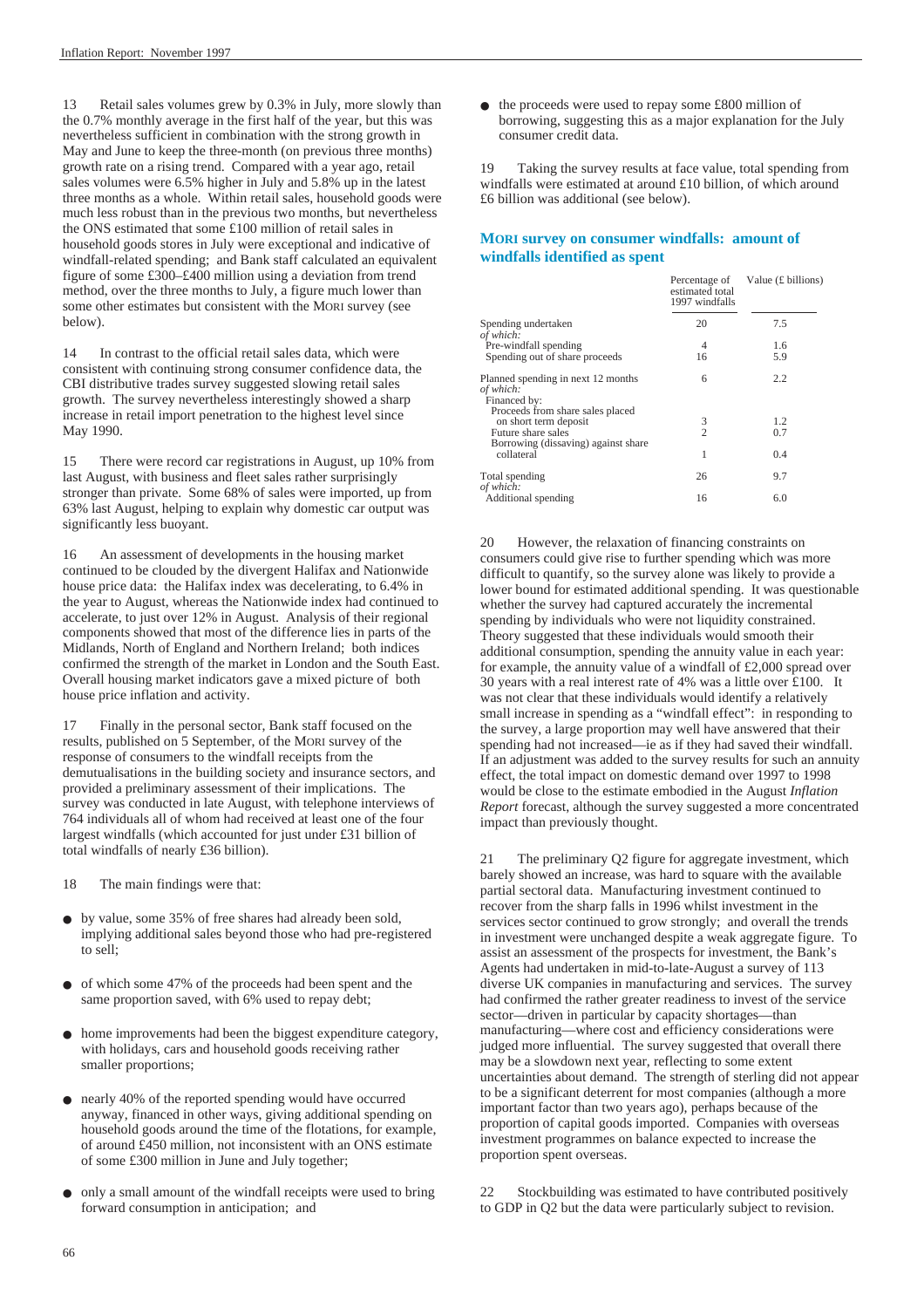13 Retail sales volumes grew by 0.3% in July, more slowly than the 0.7% monthly average in the first half of the year, but this was nevertheless sufficient in combination with the strong growth in May and June to keep the three-month (on previous three months) growth rate on a rising trend. Compared with a year ago, retail sales volumes were 6.5% higher in July and 5.8% up in the latest three months as a whole. Within retail sales, household goods were much less robust than in the previous two months, but nevertheless the ONS estimated that some £100 million of retail sales in household goods stores in July were exceptional and indicative of windfall-related spending; and Bank staff calculated an equivalent figure of some £300–£400 million using a deviation from trend method, over the three months to July, a figure much lower than some other estimates but consistent with the MORI survey (see below).

14 In contrast to the official retail sales data, which were consistent with continuing strong consumer confidence data, the CBI distributive trades survey suggested slowing retail sales growth. The survey nevertheless interestingly showed a sharp increase in retail import penetration to the highest level since May 1990.

15 There were record car registrations in August, up 10% from last August, with business and fleet sales rather surprisingly stronger than private. Some 68% of sales were imported, up from 63% last August, helping to explain why domestic car output was significantly less buoyant.

16 An assessment of developments in the housing market continued to be clouded by the divergent Halifax and Nationwide house price data: the Halifax index was decelerating, to 6.4% in the year to August, whereas the Nationwide index had continued to accelerate, to just over 12% in August. Analysis of their regional components showed that most of the difference lies in parts of the Midlands, North of England and Northern Ireland; both indices confirmed the strength of the market in London and the South East. Overall housing market indicators gave a mixed picture of both house price inflation and activity.

17 Finally in the personal sector, Bank staff focused on the results, published on 5 September, of the MORI survey of the response of consumers to the windfall receipts from the demutualisations in the building society and insurance sectors, and provided a preliminary assessment of their implications. The survey was conducted in late August, with telephone interviews of 764 individuals all of whom had received at least one of the four largest windfalls (which accounted for just under £31 billion of total windfalls of nearly £36 billion).

18 The main findings were that:

- by value, some 35% of free shares had already been sold, implying additional sales beyond those who had pre-registered to sell;
- of which some 47% of the proceeds had been spent and the same proportion saved, with 6% used to repay debt;
- home improvements had been the biggest expenditure category, with holidays, cars and household goods receiving rather smaller proportions;
- nearly 40% of the reported spending would have occurred anyway, financed in other ways, giving additional spending on household goods around the time of the flotations, for example, of around £450 million, not inconsistent with an ONS estimate of some £300 million in June and July together;
- only a small amount of the windfall receipts were used to bring forward consumption in anticipation; and

● the proceeds were used to repay some £800 million of borrowing, suggesting this as a major explanation for the July consumer credit data.

19 Taking the survey results at face value, total spending from windfalls were estimated at around £10 billion, of which around £6 billion was additional (see below).

#### **MORI survey on consumer windfalls: amount of windfalls identified as spent**

|                                                                                                                        | Percentage of<br>estimated total<br>1997 windfalls | Value $(E$ billions) |
|------------------------------------------------------------------------------------------------------------------------|----------------------------------------------------|----------------------|
| Spending undertaken<br>of which:                                                                                       | 20                                                 | 7.5                  |
| Pre-windfall spending                                                                                                  | 4                                                  | 1.6                  |
| Spending out of share proceeds                                                                                         | 16                                                 | 5.9                  |
| Planned spending in next 12 months<br>of which:<br>Financed by:                                                        | 6                                                  | 2.2                  |
| Proceeds from share sales placed<br>on short term deposit<br>Future share sales<br>Borrowing (dissaving) against share | $\frac{3}{2}$                                      | 1.2<br>0.7           |
| collateral                                                                                                             | 1                                                  | 0.4                  |
| Total spending<br>of which:                                                                                            | 26                                                 | 9.7                  |
| Additional spending                                                                                                    | 16                                                 | 6.0                  |

20 However, the relaxation of financing constraints on consumers could give rise to further spending which was more difficult to quantify, so the survey alone was likely to provide a lower bound for estimated additional spending. It was questionable whether the survey had captured accurately the incremental spending by individuals who were not liquidity constrained. Theory suggested that these individuals would smooth their additional consumption, spending the annuity value in each year: for example, the annuity value of a windfall of £2,000 spread over 30 years with a real interest rate of 4% was a little over £100. It was not clear that these individuals would identify a relatively small increase in spending as a "windfall effect": in responding to the survey, a large proportion may well have answered that their spending had not increased—ie as if they had saved their windfall. If an adjustment was added to the survey results for such an annuity effect, the total impact on domestic demand over 1997 to 1998 would be close to the estimate embodied in the August *Inflation Report* forecast, although the survey suggested a more concentrated impact than previously thought.

21 The preliminary Q2 figure for aggregate investment, which barely showed an increase, was hard to square with the available partial sectoral data. Manufacturing investment continued to recover from the sharp falls in 1996 whilst investment in the services sector continued to grow strongly; and overall the trends in investment were unchanged despite a weak aggregate figure. To assist an assessment of the prospects for investment, the Bank's Agents had undertaken in mid-to-late-August a survey of 113 diverse UK companies in manufacturing and services. The survey had confirmed the rather greater readiness to invest of the service sector—driven in particular by capacity shortages—than manufacturing—where cost and efficiency considerations were judged more influential. The survey suggested that overall there may be a slowdown next year, reflecting to some extent uncertainties about demand. The strength of sterling did not appear to be a significant deterrent for most companies (although a more important factor than two years ago), perhaps because of the proportion of capital goods imported. Companies with overseas investment programmes on balance expected to increase the proportion spent overseas.

22 Stockbuilding was estimated to have contributed positively to GDP in Q2 but the data were particularly subject to revision.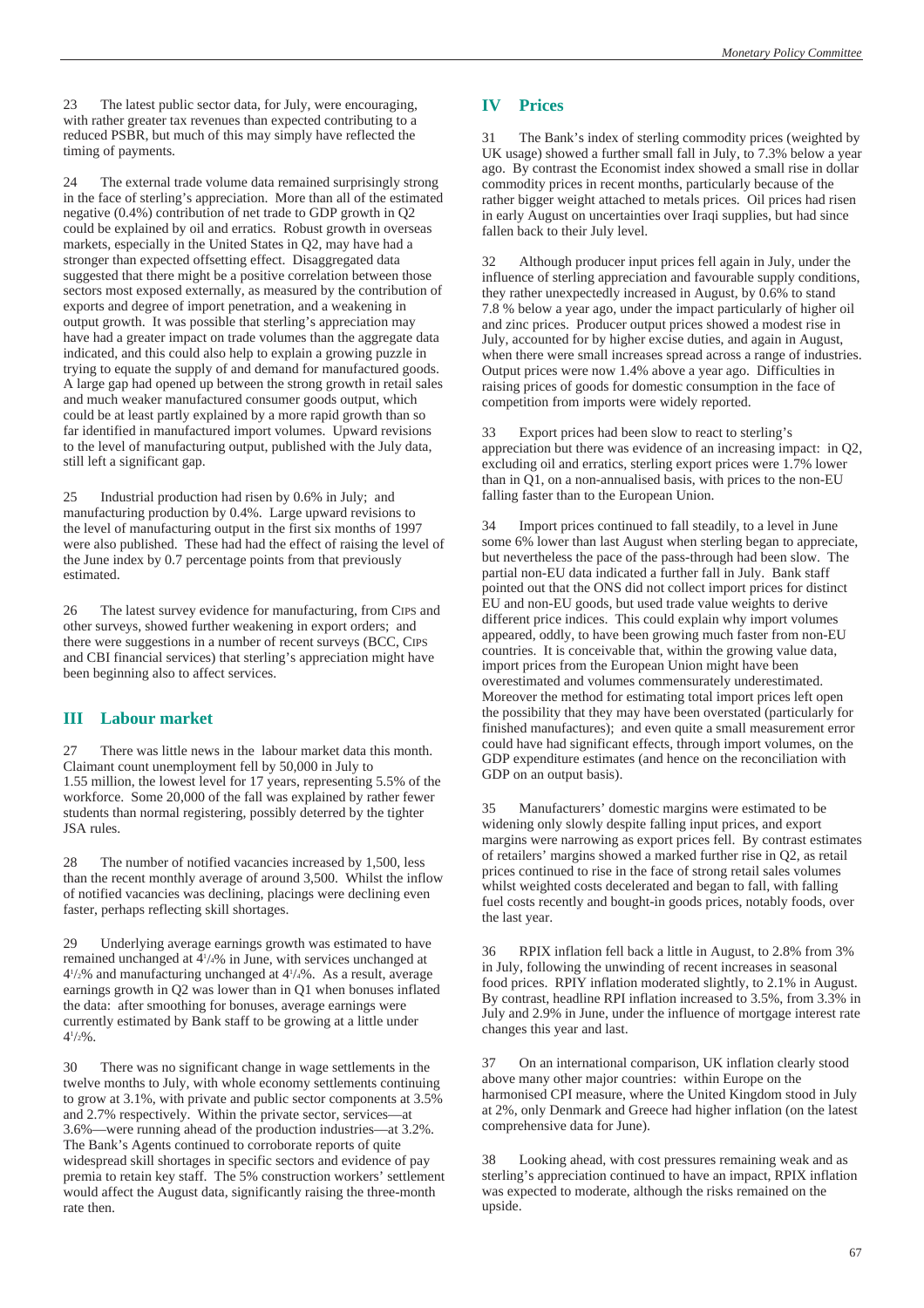23 The latest public sector data, for July, were encouraging, with rather greater tax revenues than expected contributing to a reduced PSBR, but much of this may simply have reflected the timing of payments.

24 The external trade volume data remained surprisingly strong in the face of sterling's appreciation. More than all of the estimated negative (0.4%) contribution of net trade to GDP growth in Q2 could be explained by oil and erratics. Robust growth in overseas markets, especially in the United States in Q2, may have had a stronger than expected offsetting effect. Disaggregated data suggested that there might be a positive correlation between those sectors most exposed externally, as measured by the contribution of exports and degree of import penetration, and a weakening in output growth. It was possible that sterling's appreciation may have had a greater impact on trade volumes than the aggregate data indicated, and this could also help to explain a growing puzzle in trying to equate the supply of and demand for manufactured goods. A large gap had opened up between the strong growth in retail sales and much weaker manufactured consumer goods output, which could be at least partly explained by a more rapid growth than so far identified in manufactured import volumes. Upward revisions to the level of manufacturing output, published with the July data, still left a significant gap.

25 Industrial production had risen by 0.6% in July; and manufacturing production by 0.4%. Large upward revisions to the level of manufacturing output in the first six months of 1997 were also published. These had had the effect of raising the level of the June index by 0.7 percentage points from that previously estimated.

26 The latest survey evidence for manufacturing, from CIPS and other surveys, showed further weakening in export orders; and there were suggestions in a number of recent surveys (BCC, CIPS and CBI financial services) that sterling's appreciation might have been beginning also to affect services.

#### **III Labour market**

27 There was little news in the labour market data this month. Claimant count unemployment fell by 50,000 in July to 1.55 million, the lowest level for 17 years, representing 5.5% of the workforce. Some 20,000 of the fall was explained by rather fewer students than normal registering, possibly deterred by the tighter JSA rules.

28 The number of notified vacancies increased by 1,500, less than the recent monthly average of around 3,500. Whilst the inflow of notified vacancies was declining, placings were declining even faster, perhaps reflecting skill shortages.

29 Underlying average earnings growth was estimated to have remained unchanged at 41 /4% in June, with services unchanged at 41 /2% and manufacturing unchanged at 41 /4%. As a result, average earnings growth in Q2 was lower than in Q1 when bonuses inflated the data: after smoothing for bonuses, average earnings were currently estimated by Bank staff to be growing at a little under  $4\frac{1}{2}\%$ .

30 There was no significant change in wage settlements in the twelve months to July, with whole economy settlements continuing to grow at 3.1%, with private and public sector components at 3.5% and 2.7% respectively. Within the private sector, services—at 3.6%—were running ahead of the production industries—at 3.2%. The Bank's Agents continued to corroborate reports of quite widespread skill shortages in specific sectors and evidence of pay premia to retain key staff. The 5% construction workers' settlement would affect the August data, significantly raising the three-month rate then.

#### **IV Prices**

31 The Bank's index of sterling commodity prices (weighted by UK usage) showed a further small fall in July, to 7.3% below a year ago. By contrast the Economist index showed a small rise in dollar commodity prices in recent months, particularly because of the rather bigger weight attached to metals prices. Oil prices had risen in early August on uncertainties over Iraqi supplies, but had since fallen back to their July level.

32 Although producer input prices fell again in July, under the influence of sterling appreciation and favourable supply conditions, they rather unexpectedly increased in August, by 0.6% to stand 7.8 % below a year ago, under the impact particularly of higher oil and zinc prices. Producer output prices showed a modest rise in July, accounted for by higher excise duties, and again in August, when there were small increases spread across a range of industries. Output prices were now 1.4% above a year ago. Difficulties in raising prices of goods for domestic consumption in the face of competition from imports were widely reported.

33 Export prices had been slow to react to sterling's appreciation but there was evidence of an increasing impact: in Q2, excluding oil and erratics, sterling export prices were 1.7% lower than in Q1, on a non-annualised basis, with prices to the non-EU falling faster than to the European Union.

34 Import prices continued to fall steadily, to a level in June some 6% lower than last August when sterling began to appreciate, but nevertheless the pace of the pass-through had been slow. The partial non-EU data indicated a further fall in July. Bank staff pointed out that the ONS did not collect import prices for distinct EU and non-EU goods, but used trade value weights to derive different price indices. This could explain why import volumes appeared, oddly, to have been growing much faster from non-EU countries. It is conceivable that, within the growing value data, import prices from the European Union might have been overestimated and volumes commensurately underestimated. Moreover the method for estimating total import prices left open the possibility that they may have been overstated (particularly for finished manufactures); and even quite a small measurement error could have had significant effects, through import volumes, on the GDP expenditure estimates (and hence on the reconciliation with GDP on an output basis).

35 Manufacturers' domestic margins were estimated to be widening only slowly despite falling input prices, and export margins were narrowing as export prices fell. By contrast estimates of retailers' margins showed a marked further rise in Q2, as retail prices continued to rise in the face of strong retail sales volumes whilst weighted costs decelerated and began to fall, with falling fuel costs recently and bought-in goods prices, notably foods, over the last year.

36 RPIX inflation fell back a little in August, to 2.8% from 3% in July, following the unwinding of recent increases in seasonal food prices. RPIY inflation moderated slightly, to 2.1% in August. By contrast, headline RPI inflation increased to 3.5%, from 3.3% in July and 2.9% in June, under the influence of mortgage interest rate changes this year and last.

37 On an international comparison, UK inflation clearly stood above many other major countries: within Europe on the harmonised CPI measure, where the United Kingdom stood in July at 2%, only Denmark and Greece had higher inflation (on the latest comprehensive data for June).

38 Looking ahead, with cost pressures remaining weak and as sterling's appreciation continued to have an impact, RPIX inflation was expected to moderate, although the risks remained on the upside.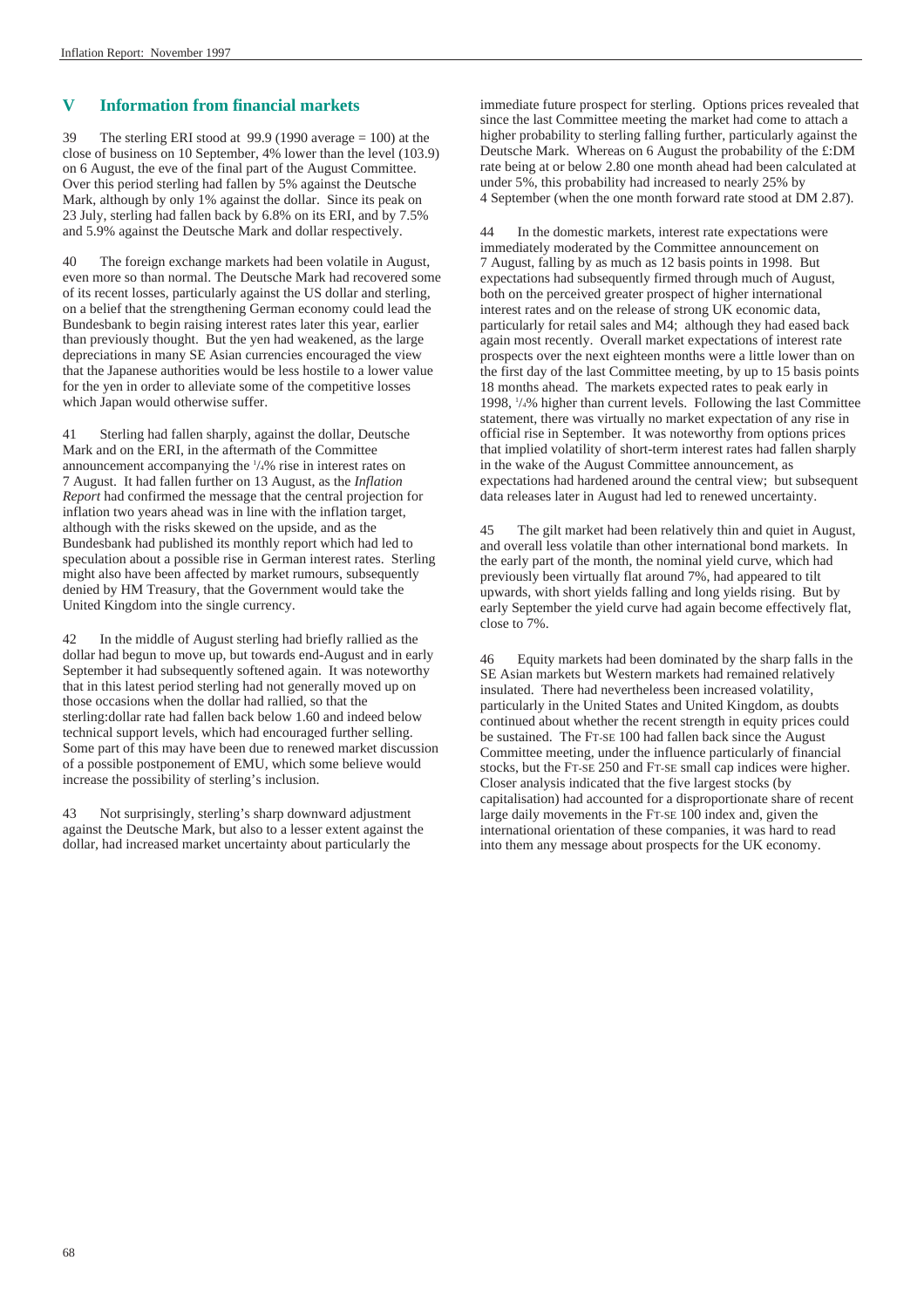#### **V Information from financial markets**

39 The sterling ERI stood at 99.9 (1990 average = 100) at the close of business on 10 September, 4% lower than the level (103.9) on 6 August, the eve of the final part of the August Committee. Over this period sterling had fallen by 5% against the Deutsche Mark, although by only 1% against the dollar. Since its peak on 23 July, sterling had fallen back by 6.8% on its ERI, and by 7.5% and 5.9% against the Deutsche Mark and dollar respectively.

40 The foreign exchange markets had been volatile in August, even more so than normal. The Deutsche Mark had recovered some of its recent losses, particularly against the US dollar and sterling, on a belief that the strengthening German economy could lead the Bundesbank to begin raising interest rates later this year, earlier than previously thought. But the yen had weakened, as the large depreciations in many SE Asian currencies encouraged the view that the Japanese authorities would be less hostile to a lower value for the yen in order to alleviate some of the competitive losses which Japan would otherwise suffer.

41 Sterling had fallen sharply, against the dollar, Deutsche Mark and on the ERI, in the aftermath of the Committee announcement accompanying the 1 /4% rise in interest rates on 7 August. It had fallen further on 13 August, as the *Inflation Report* had confirmed the message that the central projection for inflation two years ahead was in line with the inflation target, although with the risks skewed on the upside, and as the Bundesbank had published its monthly report which had led to speculation about a possible rise in German interest rates. Sterling might also have been affected by market rumours, subsequently denied by HM Treasury, that the Government would take the United Kingdom into the single currency.

42 In the middle of August sterling had briefly rallied as the dollar had begun to move up, but towards end-August and in early September it had subsequently softened again. It was noteworthy that in this latest period sterling had not generally moved up on those occasions when the dollar had rallied, so that the sterling:dollar rate had fallen back below 1.60 and indeed below technical support levels, which had encouraged further selling. Some part of this may have been due to renewed market discussion of a possible postponement of EMU, which some believe would increase the possibility of sterling's inclusion.

43 Not surprisingly, sterling's sharp downward adjustment against the Deutsche Mark, but also to a lesser extent against the dollar, had increased market uncertainty about particularly the

immediate future prospect for sterling. Options prices revealed that since the last Committee meeting the market had come to attach a higher probability to sterling falling further, particularly against the Deutsche Mark. Whereas on 6 August the probability of the £:DM rate being at or below 2.80 one month ahead had been calculated at under 5%, this probability had increased to nearly 25% by 4 September (when the one month forward rate stood at DM 2.87).

44 In the domestic markets, interest rate expectations were immediately moderated by the Committee announcement on 7 August, falling by as much as 12 basis points in 1998. But expectations had subsequently firmed through much of August, both on the perceived greater prospect of higher international interest rates and on the release of strong UK economic data, particularly for retail sales and M4; although they had eased back again most recently. Overall market expectations of interest rate prospects over the next eighteen months were a little lower than on the first day of the last Committee meeting, by up to 15 basis points 18 months ahead. The markets expected rates to peak early in 1998, 1 /4% higher than current levels. Following the last Committee statement, there was virtually no market expectation of any rise in official rise in September. It was noteworthy from options prices that implied volatility of short-term interest rates had fallen sharply in the wake of the August Committee announcement, as expectations had hardened around the central view; but subsequent data releases later in August had led to renewed uncertainty.

45 The gilt market had been relatively thin and quiet in August, and overall less volatile than other international bond markets. In the early part of the month, the nominal yield curve, which had previously been virtually flat around 7%, had appeared to tilt upwards, with short yields falling and long yields rising. But by early September the yield curve had again become effectively flat, close to 7%.

46 Equity markets had been dominated by the sharp falls in the SE Asian markets but Western markets had remained relatively insulated. There had nevertheless been increased volatility, particularly in the United States and United Kingdom, as doubts continued about whether the recent strength in equity prices could be sustained. The FT-SE 100 had fallen back since the August Committee meeting, under the influence particularly of financial stocks, but the FT-SE 250 and FT-SE small cap indices were higher. Closer analysis indicated that the five largest stocks (by capitalisation) had accounted for a disproportionate share of recent large daily movements in the FT-SE 100 index and, given the international orientation of these companies, it was hard to read into them any message about prospects for the UK economy.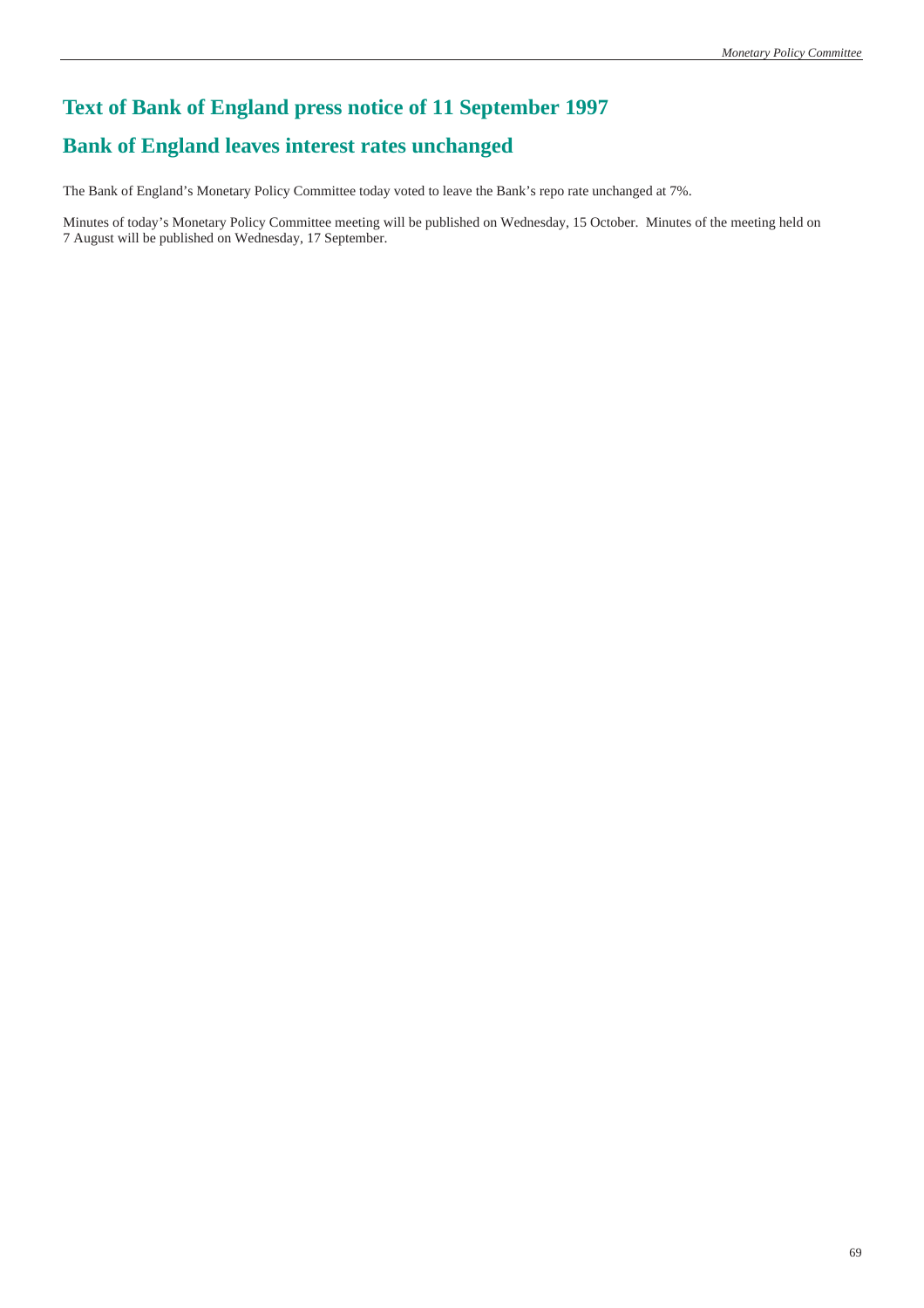# **Text of Bank of England press notice of 11 September 1997 Bank of England leaves interest rates unchanged**

The Bank of England's Monetary Policy Committee today voted to leave the Bank's repo rate unchanged at 7%.

Minutes of today's Monetary Policy Committee meeting will be published on Wednesday, 15 October. Minutes of the meeting held on 7 August will be published on Wednesday, 17 September.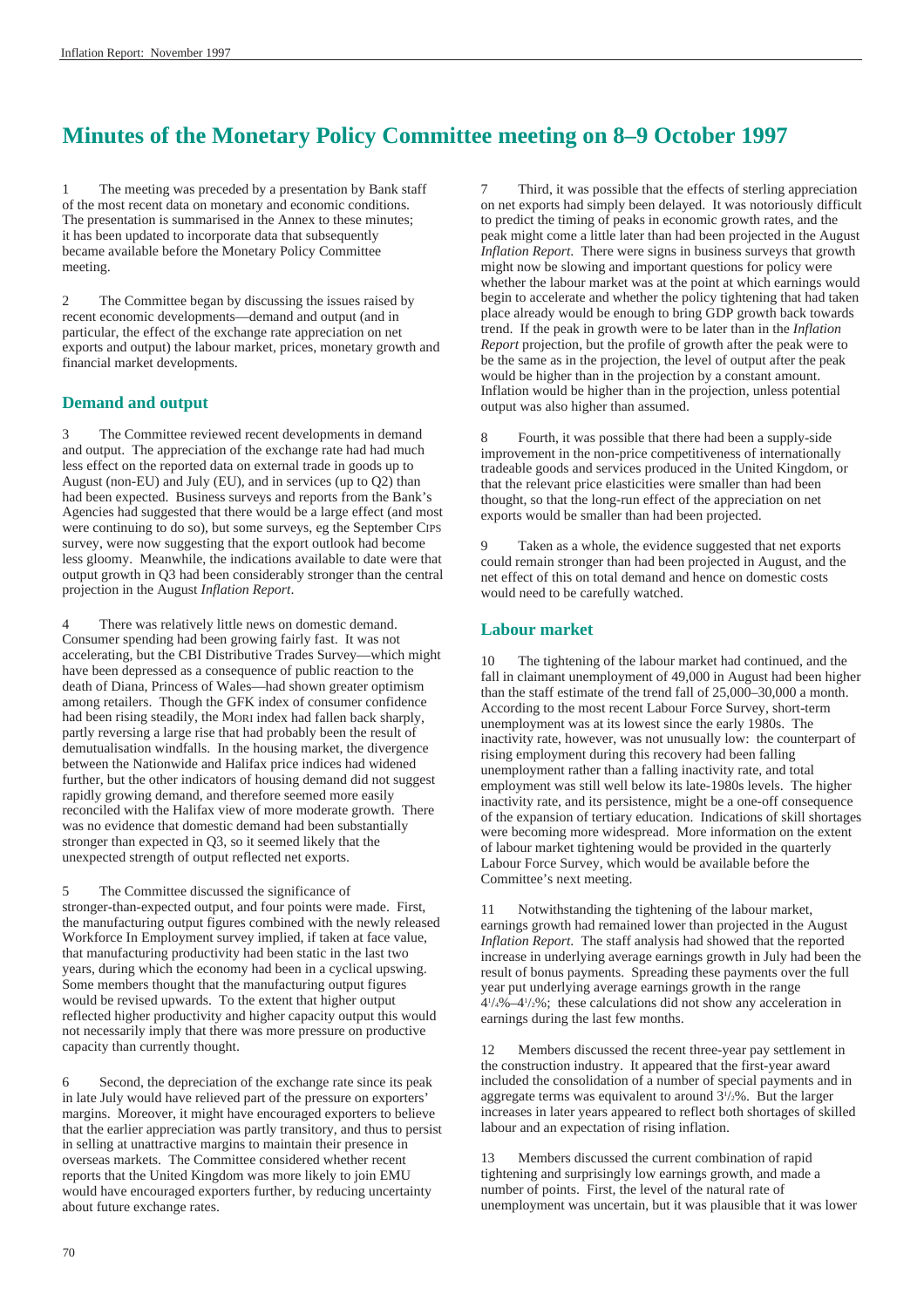# **Minutes of the Monetary Policy Committee meeting on 8–9 October 1997**

1 The meeting was preceded by a presentation by Bank staff of the most recent data on monetary and economic conditions. The presentation is summarised in the Annex to these minutes; it has been updated to incorporate data that subsequently became available before the Monetary Policy Committee meeting.

2 The Committee began by discussing the issues raised by recent economic developments—demand and output (and in particular, the effect of the exchange rate appreciation on net exports and output) the labour market, prices, monetary growth and financial market developments.

#### **Demand and output**

3 The Committee reviewed recent developments in demand and output. The appreciation of the exchange rate had had much less effect on the reported data on external trade in goods up to August (non-EU) and July (EU), and in services (up to Q2) than had been expected. Business surveys and reports from the Bank's Agencies had suggested that there would be a large effect (and most were continuing to do so), but some surveys, eg the September CIPS survey, were now suggesting that the export outlook had become less gloomy. Meanwhile, the indications available to date were that output growth in Q3 had been considerably stronger than the central projection in the August *Inflation Report*.

There was relatively little news on domestic demand. Consumer spending had been growing fairly fast. It was not accelerating, but the CBI Distributive Trades Survey—which might have been depressed as a consequence of public reaction to the death of Diana, Princess of Wales—had shown greater optimism among retailers. Though the GFK index of consumer confidence had been rising steadily, the MORI index had fallen back sharply, partly reversing a large rise that had probably been the result of demutualisation windfalls. In the housing market, the divergence between the Nationwide and Halifax price indices had widened further, but the other indicators of housing demand did not suggest rapidly growing demand, and therefore seemed more easily reconciled with the Halifax view of more moderate growth. There was no evidence that domestic demand had been substantially stronger than expected in Q3, so it seemed likely that the unexpected strength of output reflected net exports.

5 The Committee discussed the significance of stronger-than-expected output, and four points were made. First, the manufacturing output figures combined with the newly released Workforce In Employment survey implied, if taken at face value, that manufacturing productivity had been static in the last two years, during which the economy had been in a cyclical upswing. Some members thought that the manufacturing output figures would be revised upwards. To the extent that higher output reflected higher productivity and higher capacity output this would not necessarily imply that there was more pressure on productive capacity than currently thought.

6 Second, the depreciation of the exchange rate since its peak in late July would have relieved part of the pressure on exporters' margins. Moreover, it might have encouraged exporters to believe that the earlier appreciation was partly transitory, and thus to persist in selling at unattractive margins to maintain their presence in overseas markets. The Committee considered whether recent reports that the United Kingdom was more likely to join EMU would have encouraged exporters further, by reducing uncertainty about future exchange rates.

7 Third, it was possible that the effects of sterling appreciation on net exports had simply been delayed. It was notoriously difficult to predict the timing of peaks in economic growth rates, and the peak might come a little later than had been projected in the August *Inflation Report*. There were signs in business surveys that growth might now be slowing and important questions for policy were whether the labour market was at the point at which earnings would begin to accelerate and whether the policy tightening that had taken place already would be enough to bring GDP growth back towards trend. If the peak in growth were to be later than in the *Inflation Report* projection, but the profile of growth after the peak were to be the same as in the projection, the level of output after the peak would be higher than in the projection by a constant amount. Inflation would be higher than in the projection, unless potential output was also higher than assumed.

8 Fourth, it was possible that there had been a supply-side improvement in the non-price competitiveness of internationally tradeable goods and services produced in the United Kingdom, or that the relevant price elasticities were smaller than had been thought, so that the long-run effect of the appreciation on net exports would be smaller than had been projected.

Taken as a whole, the evidence suggested that net exports could remain stronger than had been projected in August, and the net effect of this on total demand and hence on domestic costs would need to be carefully watched.

#### **Labour market**

10 The tightening of the labour market had continued, and the fall in claimant unemployment of 49,000 in August had been higher than the staff estimate of the trend fall of 25,000–30,000 a month. According to the most recent Labour Force Survey, short-term unemployment was at its lowest since the early 1980s. The inactivity rate, however, was not unusually low: the counterpart of rising employment during this recovery had been falling unemployment rather than a falling inactivity rate, and total employment was still well below its late-1980s levels. The higher inactivity rate, and its persistence, might be a one-off consequence of the expansion of tertiary education. Indications of skill shortages were becoming more widespread. More information on the extent of labour market tightening would be provided in the quarterly Labour Force Survey, which would be available before the Committee's next meeting.

11 Notwithstanding the tightening of the labour market, earnings growth had remained lower than projected in the August *Inflation Report*. The staff analysis had showed that the reported increase in underlying average earnings growth in July had been the result of bonus payments. Spreading these payments over the full year put underlying average earnings growth in the range 41 /4%–41 /2%; these calculations did not show any acceleration in earnings during the last few months.

12 Members discussed the recent three-year pay settlement in the construction industry. It appeared that the first-year award included the consolidation of a number of special payments and in aggregate terms was equivalent to around 31 /2%. But the larger increases in later years appeared to reflect both shortages of skilled labour and an expectation of rising inflation.

13 Members discussed the current combination of rapid tightening and surprisingly low earnings growth, and made a number of points. First, the level of the natural rate of unemployment was uncertain, but it was plausible that it was lower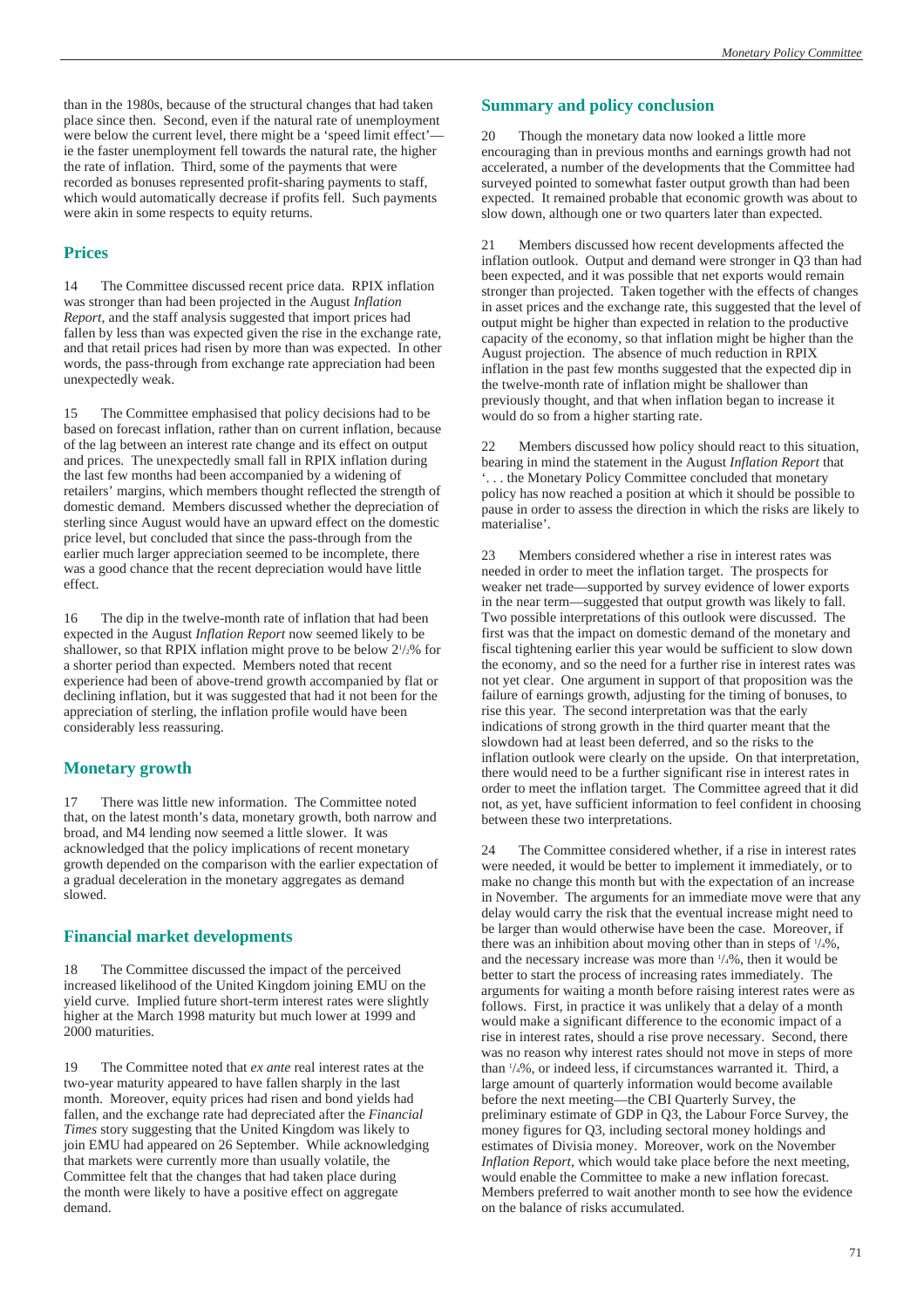than in the 1980s, because of the structural changes that had taken place since then. Second, even if the natural rate of unemployment were below the current level, there might be a 'speed limit effect'ie the faster unemployment fell towards the natural rate, the higher the rate of inflation. Third, some of the payments that were recorded as bonuses represented profit-sharing payments to staff, which would automatically decrease if profits fell. Such payments were akin in some respects to equity returns.

#### **Prices**

14 The Committee discussed recent price data. RPIX inflation was stronger than had been projected in the August *Inflation Report*, and the staff analysis suggested that import prices had fallen by less than was expected given the rise in the exchange rate, and that retail prices had risen by more than was expected. In other words, the pass-through from exchange rate appreciation had been unexpectedly weak.

15 The Committee emphasised that policy decisions had to be based on forecast inflation, rather than on current inflation, because of the lag between an interest rate change and its effect on output and prices. The unexpectedly small fall in RPIX inflation during the last few months had been accompanied by a widening of retailers' margins, which members thought reflected the strength of domestic demand. Members discussed whether the depreciation of sterling since August would have an upward effect on the domestic price level, but concluded that since the pass-through from the earlier much larger appreciation seemed to be incomplete, there was a good chance that the recent depreciation would have little effect.

16 The dip in the twelve-month rate of inflation that had been expected in the August *Inflation Report* now seemed likely to be shallower, so that RPIX inflation might prove to be below  $2\frac{1}{2}\%$  for a shorter period than expected. Members noted that recent experience had been of above-trend growth accompanied by flat or declining inflation, but it was suggested that had it not been for the appreciation of sterling, the inflation profile would have been considerably less reassuring.

#### **Monetary growth**

17 There was little new information. The Committee noted that, on the latest month's data, monetary growth, both narrow and broad, and M4 lending now seemed a little slower. It was acknowledged that the policy implications of recent monetary growth depended on the comparison with the earlier expectation of a gradual deceleration in the monetary aggregates as demand slowed.

#### **Financial market developments**

18 The Committee discussed the impact of the perceived increased likelihood of the United Kingdom joining EMU on the yield curve. Implied future short-term interest rates were slightly higher at the March 1998 maturity but much lower at 1999 and 2000 maturities.

19 The Committee noted that *ex ante* real interest rates at the two-year maturity appeared to have fallen sharply in the last month. Moreover, equity prices had risen and bond yields had fallen, and the exchange rate had depreciated after the *Financial Times* story suggesting that the United Kingdom was likely to join EMU had appeared on 26 September. While acknowledging that markets were currently more than usually volatile, the Committee felt that the changes that had taken place during the month were likely to have a positive effect on aggregate demand.

#### **Summary and policy conclusion**

20 Though the monetary data now looked a little more encouraging than in previous months and earnings growth had not accelerated, a number of the developments that the Committee had surveyed pointed to somewhat faster output growth than had been expected. It remained probable that economic growth was about to slow down, although one or two quarters later than expected.

21 Members discussed how recent developments affected the inflation outlook. Output and demand were stronger in Q3 than had been expected, and it was possible that net exports would remain stronger than projected. Taken together with the effects of changes in asset prices and the exchange rate, this suggested that the level of output might be higher than expected in relation to the productive capacity of the economy, so that inflation might be higher than the August projection. The absence of much reduction in RPIX inflation in the past few months suggested that the expected dip in the twelve-month rate of inflation might be shallower than previously thought, and that when inflation began to increase it would do so from a higher starting rate.

22 Members discussed how policy should react to this situation, bearing in mind the statement in the August *Inflation Report* that '. . . the Monetary Policy Committee concluded that monetary policy has now reached a position at which it should be possible to pause in order to assess the direction in which the risks are likely to materialise'.

23 Members considered whether a rise in interest rates was needed in order to meet the inflation target. The prospects for weaker net trade—supported by survey evidence of lower exports in the near term—suggested that output growth was likely to fall. Two possible interpretations of this outlook were discussed. The first was that the impact on domestic demand of the monetary and fiscal tightening earlier this year would be sufficient to slow down the economy, and so the need for a further rise in interest rates was not yet clear. One argument in support of that proposition was the failure of earnings growth, adjusting for the timing of bonuses, to rise this year. The second interpretation was that the early indications of strong growth in the third quarter meant that the slowdown had at least been deferred, and so the risks to the inflation outlook were clearly on the upside. On that interpretation, there would need to be a further significant rise in interest rates in order to meet the inflation target. The Committee agreed that it did not, as yet, have sufficient information to feel confident in choosing between these two interpretations.

24 The Committee considered whether, if a rise in interest rates were needed, it would be better to implement it immediately, or to make no change this month but with the expectation of an increase in November. The arguments for an immediate move were that any delay would carry the risk that the eventual increase might need to be larger than would otherwise have been the case. Moreover, if there was an inhibition about moving other than in steps of  $\frac{1}{4}\%$ , and the necessary increase was more than  $\frac{1}{4}\%$ , then it would be better to start the process of increasing rates immediately. The arguments for waiting a month before raising interest rates were as follows. First, in practice it was unlikely that a delay of a month would make a significant difference to the economic impact of a rise in interest rates, should a rise prove necessary. Second, there was no reason why interest rates should not move in steps of more than 1 /4%, or indeed less, if circumstances warranted it. Third, a large amount of quarterly information would become available before the next meeting—the CBI Quarterly Survey, the preliminary estimate of GDP in Q3, the Labour Force Survey, the money figures for Q3, including sectoral money holdings and estimates of Divisia money. Moreover, work on the November *Inflation Report*, which would take place before the next meeting, would enable the Committee to make a new inflation forecast. Members preferred to wait another month to see how the evidence on the balance of risks accumulated.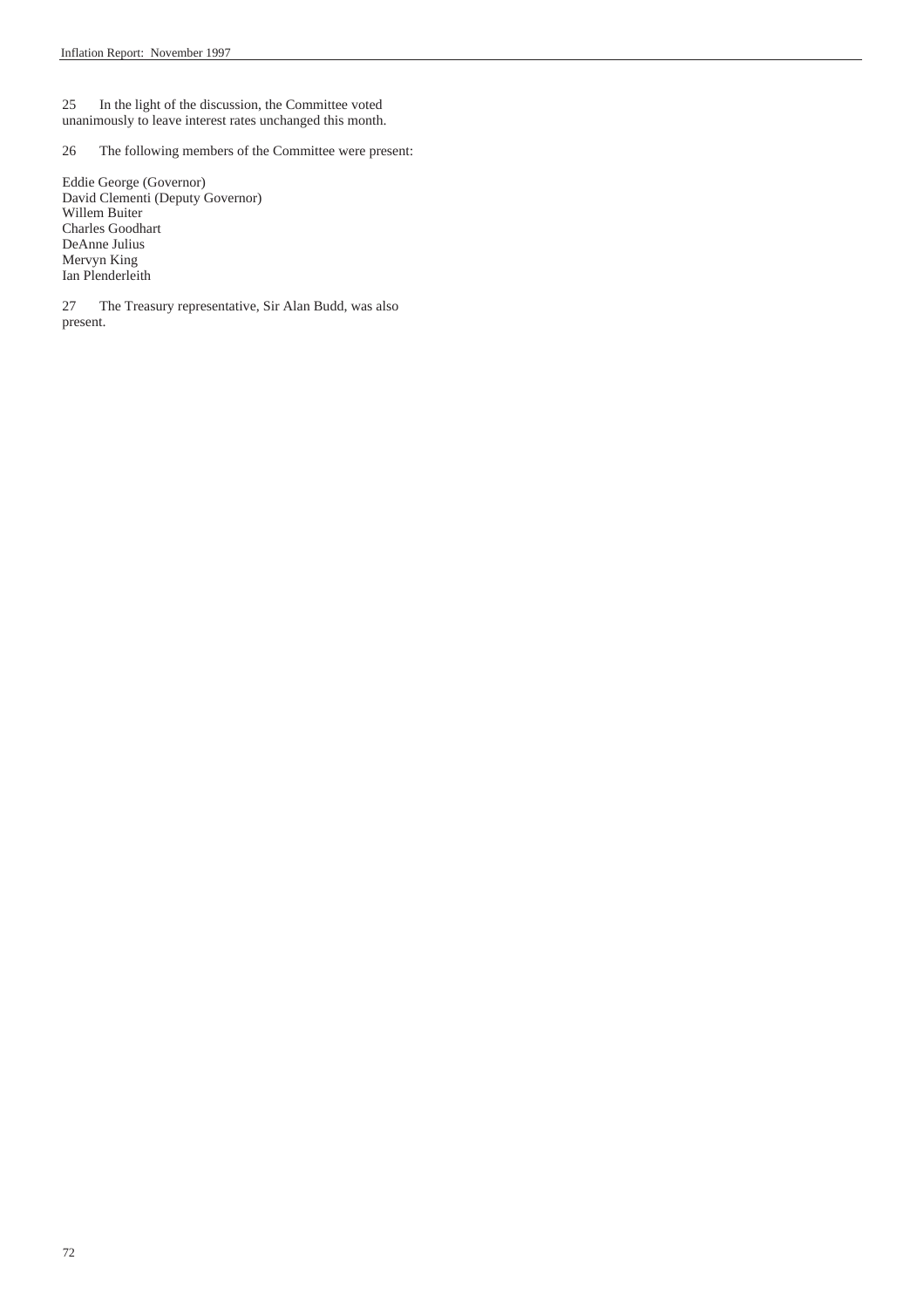25 In the light of the discussion, the Committee voted unanimously to leave interest rates unchanged this month.

26 The following members of the Committee were present:

Eddie George (Governor) David Clementi (Deputy Governor) Willem Buiter Charles Goodhart DeAnne Julius Mervyn King Ian Plenderleith

27 The Treasury representative, Sir Alan Budd, was also present.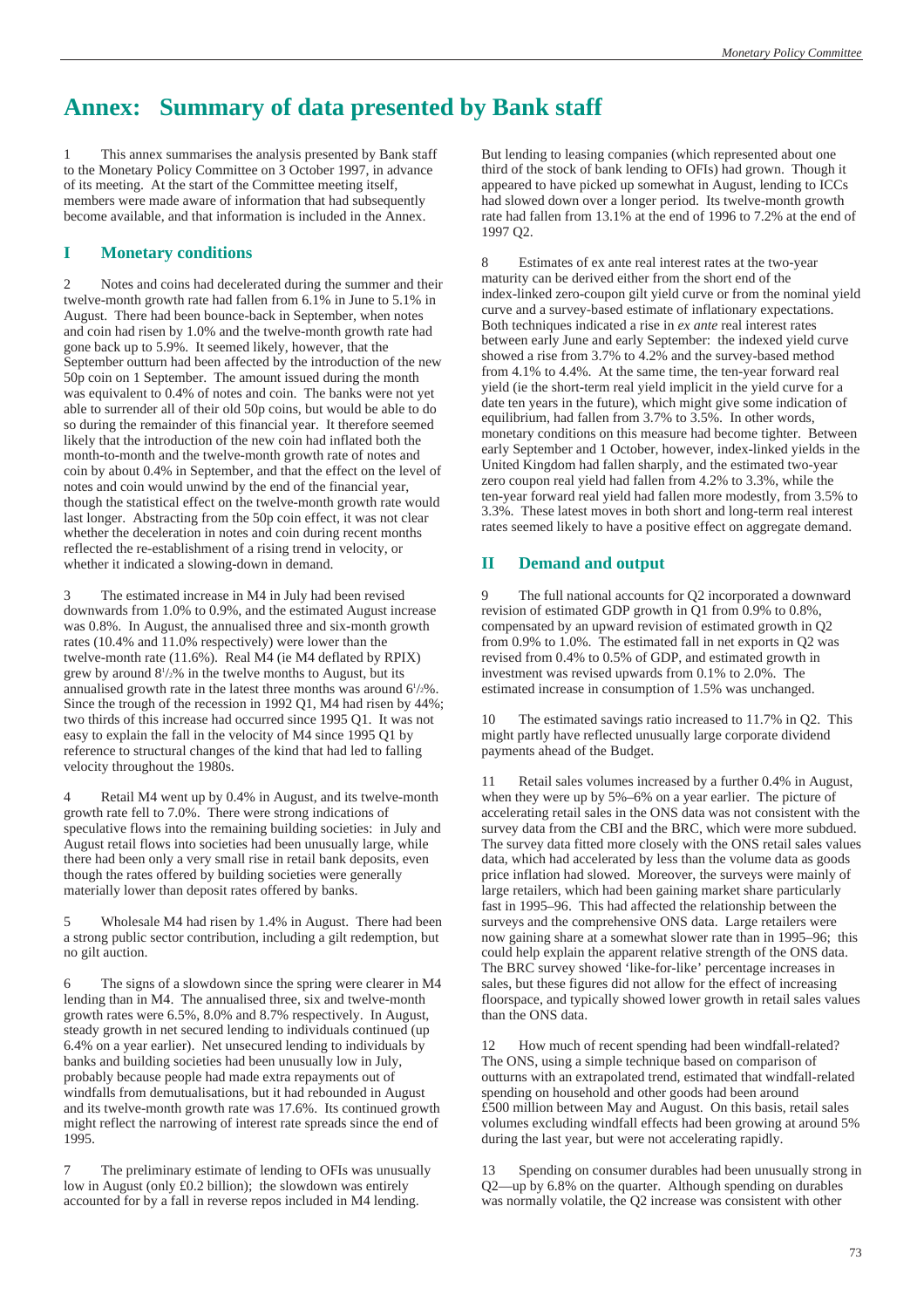### **Annex: Summary of data presented by Bank staff**

1 This annex summarises the analysis presented by Bank staff to the Monetary Policy Committee on 3 October 1997, in advance of its meeting. At the start of the Committee meeting itself, members were made aware of information that had subsequently become available, and that information is included in the Annex.

#### **I Monetary conditions**

2 Notes and coins had decelerated during the summer and their twelve-month growth rate had fallen from 6.1% in June to 5.1% in August. There had been bounce-back in September, when notes and coin had risen by 1.0% and the twelve-month growth rate had gone back up to 5.9%. It seemed likely, however, that the September outturn had been affected by the introduction of the new 50p coin on 1 September. The amount issued during the month was equivalent to 0.4% of notes and coin. The banks were not yet able to surrender all of their old 50p coins, but would be able to do so during the remainder of this financial year. It therefore seemed likely that the introduction of the new coin had inflated both the month-to-month and the twelve-month growth rate of notes and coin by about 0.4% in September, and that the effect on the level of notes and coin would unwind by the end of the financial year, though the statistical effect on the twelve-month growth rate would last longer. Abstracting from the 50p coin effect, it was not clear whether the deceleration in notes and coin during recent months reflected the re-establishment of a rising trend in velocity, or whether it indicated a slowing-down in demand.

3 The estimated increase in M4 in July had been revised downwards from 1.0% to 0.9%, and the estimated August increase was 0.8%. In August, the annualised three and six-month growth rates (10.4% and 11.0% respectively) were lower than the twelve-month rate (11.6%). Real M4 (ie M4 deflated by RPIX) grew by around 81 /2% in the twelve months to August, but its annualised growth rate in the latest three months was around  $6\frac{1}{2}\%$ . Since the trough of the recession in 1992 Q1, M4 had risen by 44%; two thirds of this increase had occurred since 1995 Q1. It was not easy to explain the fall in the velocity of M4 since 1995 Q1 by reference to structural changes of the kind that had led to falling velocity throughout the 1980s.

4 Retail M4 went up by 0.4% in August, and its twelve-month growth rate fell to 7.0%. There were strong indications of speculative flows into the remaining building societies: in July and August retail flows into societies had been unusually large, while there had been only a very small rise in retail bank deposits, even though the rates offered by building societies were generally materially lower than deposit rates offered by banks.

5 Wholesale M4 had risen by 1.4% in August. There had been a strong public sector contribution, including a gilt redemption, but no gilt auction.

6 The signs of a slowdown since the spring were clearer in M4 lending than in M4. The annualised three, six and twelve-month growth rates were 6.5%, 8.0% and 8.7% respectively. In August, steady growth in net secured lending to individuals continued (up 6.4% on a year earlier). Net unsecured lending to individuals by banks and building societies had been unusually low in July, probably because people had made extra repayments out of windfalls from demutualisations, but it had rebounded in August and its twelve-month growth rate was 17.6%. Its continued growth might reflect the narrowing of interest rate spreads since the end of 1995.

7 The preliminary estimate of lending to OFIs was unusually low in August (only £0.2 billion); the slowdown was entirely accounted for by a fall in reverse repos included in M4 lending.

But lending to leasing companies (which represented about one third of the stock of bank lending to OFIs) had grown. Though it appeared to have picked up somewhat in August, lending to ICCs had slowed down over a longer period. Its twelve-month growth rate had fallen from 13.1% at the end of 1996 to 7.2% at the end of 1997 Q2.

8 Estimates of ex ante real interest rates at the two-year maturity can be derived either from the short end of the index-linked zero-coupon gilt yield curve or from the nominal yield curve and a survey-based estimate of inflationary expectations. Both techniques indicated a rise in *ex ante* real interest rates between early June and early September: the indexed yield curve showed a rise from 3.7% to 4.2% and the survey-based method from 4.1% to 4.4%. At the same time, the ten-year forward real yield (ie the short-term real yield implicit in the yield curve for a date ten years in the future), which might give some indication of equilibrium, had fallen from 3.7% to 3.5%. In other words, monetary conditions on this measure had become tighter. Between early September and 1 October, however, index-linked yields in the United Kingdom had fallen sharply, and the estimated two-year zero coupon real yield had fallen from 4.2% to 3.3%, while the ten-year forward real yield had fallen more modestly, from 3.5% to 3.3%. These latest moves in both short and long-term real interest rates seemed likely to have a positive effect on aggregate demand.

#### **II Demand and output**

9 The full national accounts for Q2 incorporated a downward revision of estimated GDP growth in Q1 from 0.9% to 0.8%, compensated by an upward revision of estimated growth in Q2 from 0.9% to 1.0%. The estimated fall in net exports in Q2 was revised from 0.4% to 0.5% of GDP, and estimated growth in investment was revised upwards from 0.1% to 2.0%. The estimated increase in consumption of 1.5% was unchanged.

10 The estimated savings ratio increased to 11.7% in Q2. This might partly have reflected unusually large corporate dividend payments ahead of the Budget.

11 Retail sales volumes increased by a further 0.4% in August, when they were up by 5%–6% on a year earlier. The picture of accelerating retail sales in the ONS data was not consistent with the survey data from the CBI and the BRC, which were more subdued. The survey data fitted more closely with the ONS retail sales values data, which had accelerated by less than the volume data as goods price inflation had slowed. Moreover, the surveys were mainly of large retailers, which had been gaining market share particularly fast in 1995–96. This had affected the relationship between the surveys and the comprehensive ONS data. Large retailers were now gaining share at a somewhat slower rate than in 1995–96; this could help explain the apparent relative strength of the ONS data. The BRC survey showed 'like-for-like' percentage increases in sales, but these figures did not allow for the effect of increasing floorspace, and typically showed lower growth in retail sales values than the ONS data.

How much of recent spending had been windfall-related? The ONS, using a simple technique based on comparison of outturns with an extrapolated trend, estimated that windfall-related spending on household and other goods had been around £500 million between May and August. On this basis, retail sales volumes excluding windfall effects had been growing at around 5% during the last year, but were not accelerating rapidly.

13 Spending on consumer durables had been unusually strong in Q2—up by 6.8% on the quarter. Although spending on durables was normally volatile, the Q2 increase was consistent with other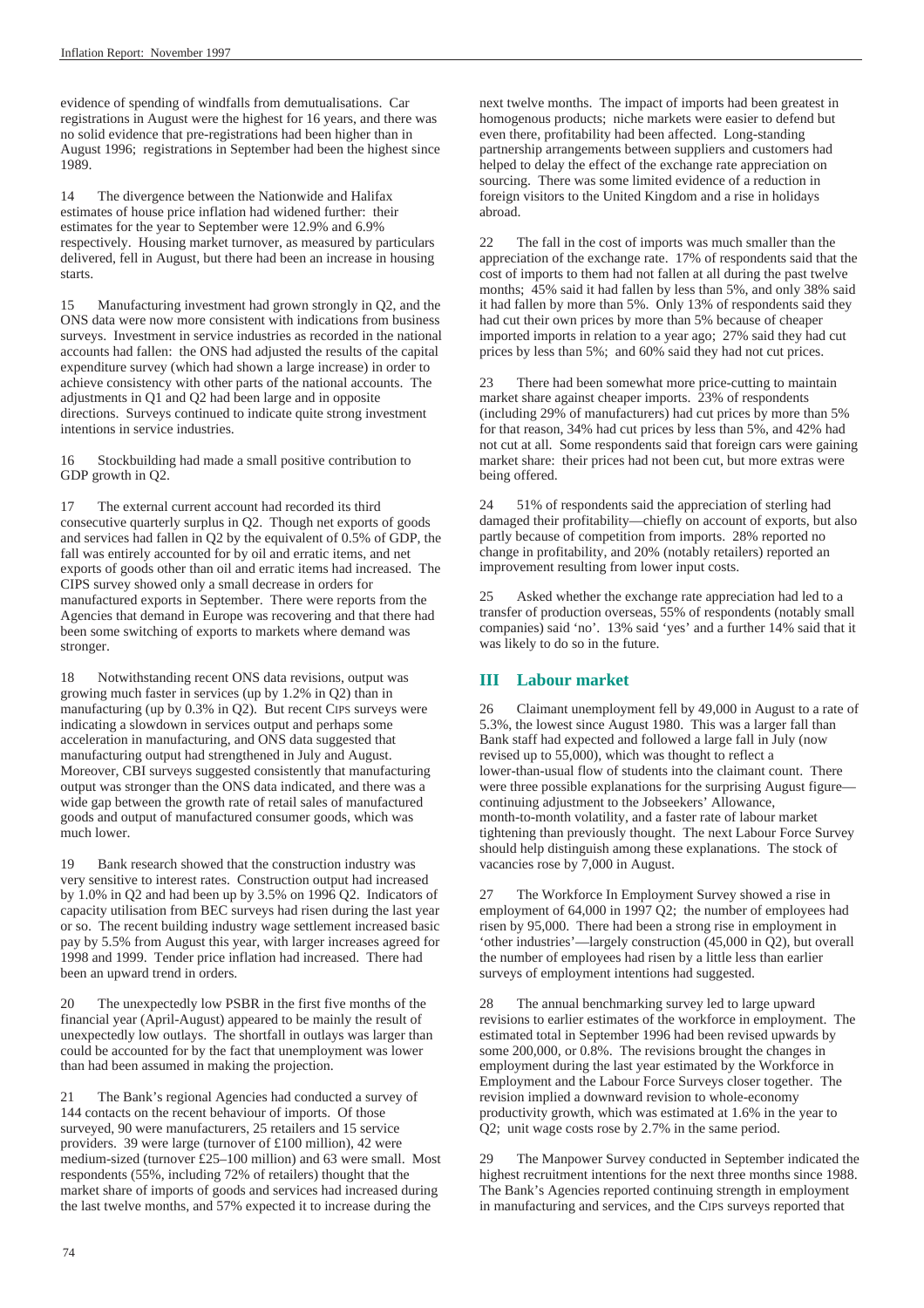evidence of spending of windfalls from demutualisations. Car registrations in August were the highest for 16 years, and there was no solid evidence that pre-registrations had been higher than in August 1996; registrations in September had been the highest since 1989.

14 The divergence between the Nationwide and Halifax estimates of house price inflation had widened further: their estimates for the year to September were 12.9% and 6.9% respectively. Housing market turnover, as measured by particulars delivered, fell in August, but there had been an increase in housing starts.

15 Manufacturing investment had grown strongly in Q2, and the ONS data were now more consistent with indications from business surveys. Investment in service industries as recorded in the national accounts had fallen: the ONS had adjusted the results of the capital expenditure survey (which had shown a large increase) in order to achieve consistency with other parts of the national accounts. The adjustments in Q1 and Q2 had been large and in opposite directions. Surveys continued to indicate quite strong investment intentions in service industries.

16 Stockbuilding had made a small positive contribution to GDP growth in Q2.

17 The external current account had recorded its third consecutive quarterly surplus in Q2. Though net exports of goods and services had fallen in Q2 by the equivalent of 0.5% of GDP, the fall was entirely accounted for by oil and erratic items, and net exports of goods other than oil and erratic items had increased. The CIPS survey showed only a small decrease in orders for manufactured exports in September. There were reports from the Agencies that demand in Europe was recovering and that there had been some switching of exports to markets where demand was stronger.

18 Notwithstanding recent ONS data revisions, output was growing much faster in services (up by 1.2% in Q2) than in manufacturing (up by 0.3% in Q2). But recent CIPS surveys were indicating a slowdown in services output and perhaps some acceleration in manufacturing, and ONS data suggested that manufacturing output had strengthened in July and August. Moreover, CBI surveys suggested consistently that manufacturing output was stronger than the ONS data indicated, and there was a wide gap between the growth rate of retail sales of manufactured goods and output of manufactured consumer goods, which was much lower.

19 Bank research showed that the construction industry was very sensitive to interest rates. Construction output had increased by 1.0% in Q2 and had been up by 3.5% on 1996 Q2. Indicators of capacity utilisation from BEC surveys had risen during the last year or so. The recent building industry wage settlement increased basic pay by 5.5% from August this year, with larger increases agreed for 1998 and 1999. Tender price inflation had increased. There had been an upward trend in orders.

20 The unexpectedly low PSBR in the first five months of the financial year (April-August) appeared to be mainly the result of unexpectedly low outlays. The shortfall in outlays was larger than could be accounted for by the fact that unemployment was lower than had been assumed in making the projection.

21 The Bank's regional Agencies had conducted a survey of 144 contacts on the recent behaviour of imports. Of those surveyed, 90 were manufacturers, 25 retailers and 15 service providers. 39 were large (turnover of £100 million), 42 were medium-sized (turnover £25–100 million) and 63 were small. Most respondents (55%, including 72% of retailers) thought that the market share of imports of goods and services had increased during the last twelve months, and 57% expected it to increase during the

next twelve months. The impact of imports had been greatest in homogenous products; niche markets were easier to defend but even there, profitability had been affected. Long-standing partnership arrangements between suppliers and customers had helped to delay the effect of the exchange rate appreciation on sourcing. There was some limited evidence of a reduction in foreign visitors to the United Kingdom and a rise in holidays abroad.

22 The fall in the cost of imports was much smaller than the appreciation of the exchange rate. 17% of respondents said that the cost of imports to them had not fallen at all during the past twelve months; 45% said it had fallen by less than 5%, and only 38% said it had fallen by more than 5%. Only 13% of respondents said they had cut their own prices by more than 5% because of cheaper imported imports in relation to a year ago; 27% said they had cut prices by less than 5%; and 60% said they had not cut prices.

23 There had been somewhat more price-cutting to maintain market share against cheaper imports. 23% of respondents (including 29% of manufacturers) had cut prices by more than 5% for that reason, 34% had cut prices by less than 5%, and 42% had not cut at all. Some respondents said that foreign cars were gaining market share: their prices had not been cut, but more extras were being offered.

24 51% of respondents said the appreciation of sterling had damaged their profitability—chiefly on account of exports, but also partly because of competition from imports. 28% reported no change in profitability, and 20% (notably retailers) reported an improvement resulting from lower input costs.

25 Asked whether the exchange rate appreciation had led to a transfer of production overseas, 55% of respondents (notably small companies) said 'no'. 13% said 'yes' and a further 14% said that it was likely to do so in the future.

#### **III Labour market**

26 Claimant unemployment fell by 49,000 in August to a rate of 5.3%, the lowest since August 1980. This was a larger fall than Bank staff had expected and followed a large fall in July (now revised up to 55,000), which was thought to reflect a lower-than-usual flow of students into the claimant count. There were three possible explanations for the surprising August figure continuing adjustment to the Jobseekers' Allowance, month-to-month volatility, and a faster rate of labour market tightening than previously thought. The next Labour Force Survey should help distinguish among these explanations. The stock of vacancies rose by 7,000 in August.

27 The Workforce In Employment Survey showed a rise in employment of 64,000 in 1997 Q2; the number of employees had risen by 95,000. There had been a strong rise in employment in 'other industries'—largely construction (45,000 in Q2), but overall the number of employees had risen by a little less than earlier surveys of employment intentions had suggested.

28 The annual benchmarking survey led to large upward revisions to earlier estimates of the workforce in employment. The estimated total in September 1996 had been revised upwards by some 200,000, or 0.8%. The revisions brought the changes in employment during the last year estimated by the Workforce in Employment and the Labour Force Surveys closer together. The revision implied a downward revision to whole-economy productivity growth, which was estimated at 1.6% in the year to Q2; unit wage costs rose by 2.7% in the same period.

The Manpower Survey conducted in September indicated the highest recruitment intentions for the next three months since 1988. The Bank's Agencies reported continuing strength in employment in manufacturing and services, and the CIPS surveys reported that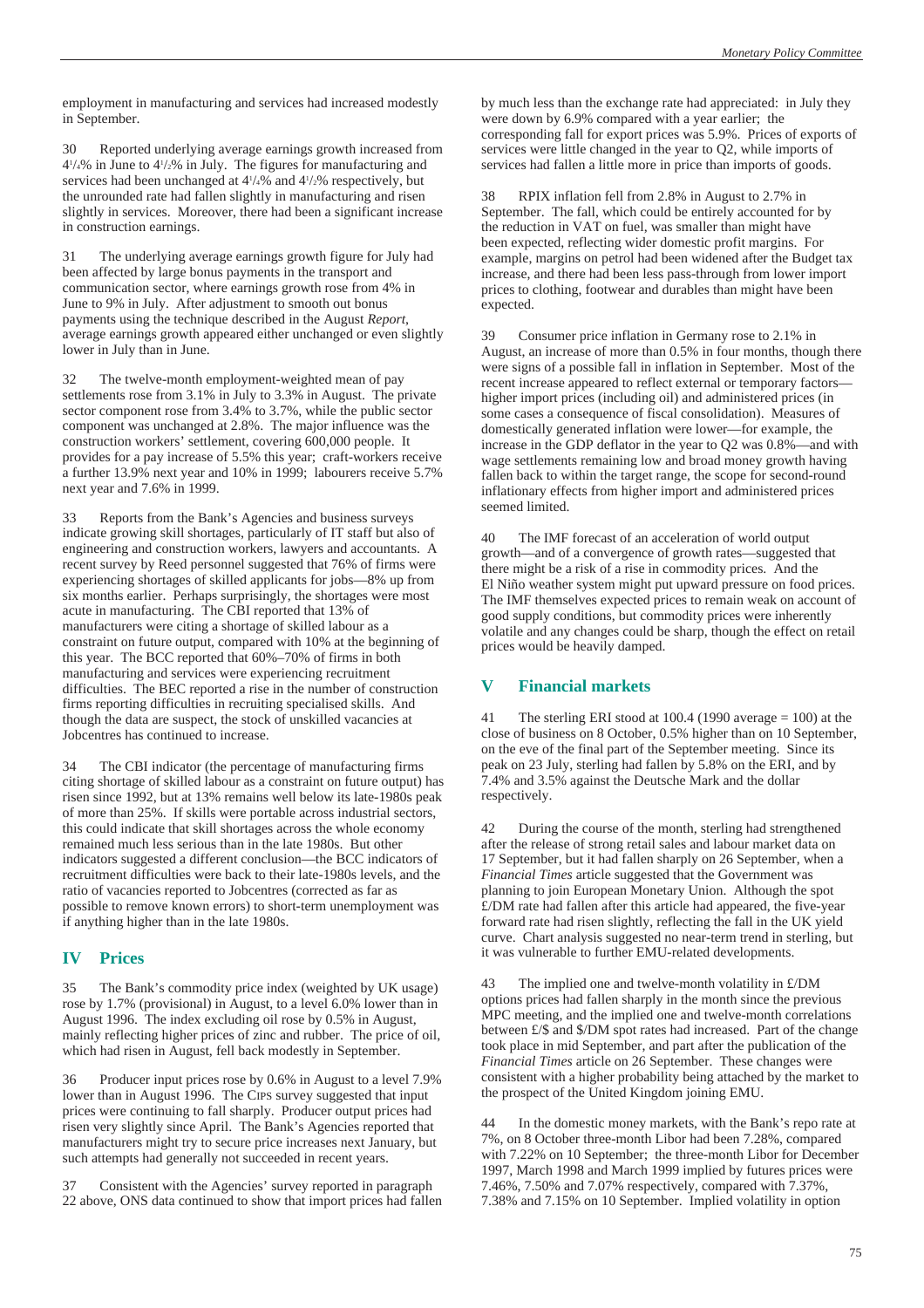employment in manufacturing and services had increased modestly in September.

30 Reported underlying average earnings growth increased from  $4\frac{1}{4}\%$  in June to  $4\frac{1}{2}\%$  in July. The figures for manufacturing and services had been unchanged at  $4\frac{1}{4}\%$  and  $4\frac{1}{2}\%$  respectively, but the unrounded rate had fallen slightly in manufacturing and risen slightly in services. Moreover, there had been a significant increase in construction earnings.

31 The underlying average earnings growth figure for July had been affected by large bonus payments in the transport and communication sector, where earnings growth rose from 4% in June to 9% in July. After adjustment to smooth out bonus payments using the technique described in the August *Report*, average earnings growth appeared either unchanged or even slightly lower in July than in June.

32 The twelve-month employment-weighted mean of pay settlements rose from 3.1% in July to 3.3% in August. The private sector component rose from 3.4% to 3.7%, while the public sector component was unchanged at 2.8%. The major influence was the construction workers' settlement, covering 600,000 people. It provides for a pay increase of 5.5% this year; craft-workers receive a further 13.9% next year and 10% in 1999; labourers receive 5.7% next year and 7.6% in 1999.

33 Reports from the Bank's Agencies and business surveys indicate growing skill shortages, particularly of IT staff but also of engineering and construction workers, lawyers and accountants. A recent survey by Reed personnel suggested that 76% of firms were experiencing shortages of skilled applicants for jobs—8% up from six months earlier. Perhaps surprisingly, the shortages were most acute in manufacturing. The CBI reported that 13% of manufacturers were citing a shortage of skilled labour as a constraint on future output, compared with 10% at the beginning of this year. The BCC reported that 60%–70% of firms in both manufacturing and services were experiencing recruitment difficulties. The BEC reported a rise in the number of construction firms reporting difficulties in recruiting specialised skills. And though the data are suspect, the stock of unskilled vacancies at Jobcentres has continued to increase.

34 The CBI indicator (the percentage of manufacturing firms citing shortage of skilled labour as a constraint on future output) has risen since 1992, but at 13% remains well below its late-1980s peak of more than 25%. If skills were portable across industrial sectors, this could indicate that skill shortages across the whole economy remained much less serious than in the late 1980s. But other indicators suggested a different conclusion—the BCC indicators of recruitment difficulties were back to their late-1980s levels, and the ratio of vacancies reported to Jobcentres (corrected as far as possible to remove known errors) to short-term unemployment was if anything higher than in the late 1980s.

#### **IV Prices**

35 The Bank's commodity price index (weighted by UK usage) rose by 1.7% (provisional) in August, to a level 6.0% lower than in August 1996. The index excluding oil rose by 0.5% in August, mainly reflecting higher prices of zinc and rubber. The price of oil, which had risen in August, fell back modestly in September.

36 Producer input prices rose by 0.6% in August to a level 7.9% lower than in August 1996. The CIPS survey suggested that input prices were continuing to fall sharply. Producer output prices had risen very slightly since April. The Bank's Agencies reported that manufacturers might try to secure price increases next January, but such attempts had generally not succeeded in recent years.

37 Consistent with the Agencies' survey reported in paragraph 22 above, ONS data continued to show that import prices had fallen by much less than the exchange rate had appreciated: in July they were down by 6.9% compared with a year earlier; the corresponding fall for export prices was 5.9%. Prices of exports of services were little changed in the year to Q2, while imports of services had fallen a little more in price than imports of goods.

38 RPIX inflation fell from 2.8% in August to 2.7% in September. The fall, which could be entirely accounted for by the reduction in VAT on fuel, was smaller than might have been expected, reflecting wider domestic profit margins. For example, margins on petrol had been widened after the Budget tax increase, and there had been less pass-through from lower import prices to clothing, footwear and durables than might have been expected.

39 Consumer price inflation in Germany rose to 2.1% in August, an increase of more than 0.5% in four months, though there were signs of a possible fall in inflation in September. Most of the recent increase appeared to reflect external or temporary factors higher import prices (including oil) and administered prices (in some cases a consequence of fiscal consolidation). Measures of domestically generated inflation were lower—for example, the increase in the GDP deflator in the year to Q2 was 0.8%—and with wage settlements remaining low and broad money growth having fallen back to within the target range, the scope for second-round inflationary effects from higher import and administered prices seemed limited.

40 The IMF forecast of an acceleration of world output growth—and of a convergence of growth rates—suggested that there might be a risk of a rise in commodity prices. And the El Niño weather system might put upward pressure on food prices. The IMF themselves expected prices to remain weak on account of good supply conditions, but commodity prices were inherently volatile and any changes could be sharp, though the effect on retail prices would be heavily damped.

#### **V Financial markets**

41 The sterling ERI stood at 100.4 (1990 average = 100) at the close of business on 8 October, 0.5% higher than on 10 September, on the eve of the final part of the September meeting. Since its peak on 23 July, sterling had fallen by 5.8% on the ERI, and by 7.4% and 3.5% against the Deutsche Mark and the dollar respectively.

42 During the course of the month, sterling had strengthened after the release of strong retail sales and labour market data on 17 September, but it had fallen sharply on 26 September, when a *Financial Times* article suggested that the Government was planning to join European Monetary Union. Although the spot £/DM rate had fallen after this article had appeared, the five-year forward rate had risen slightly, reflecting the fall in the UK yield curve. Chart analysis suggested no near-term trend in sterling, but it was vulnerable to further EMU-related developments.

43 The implied one and twelve-month volatility in £/DM options prices had fallen sharply in the month since the previous MPC meeting, and the implied one and twelve-month correlations between £/\$ and \$/DM spot rates had increased. Part of the change took place in mid September, and part after the publication of the *Financial Times* article on 26 September. These changes were consistent with a higher probability being attached by the market to the prospect of the United Kingdom joining EMU.

44 In the domestic money markets, with the Bank's repo rate at 7%, on 8 October three-month Libor had been 7.28%, compared with 7.22% on 10 September; the three-month Libor for December 1997, March 1998 and March 1999 implied by futures prices were 7.46%, 7.50% and 7.07% respectively, compared with 7.37%, 7.38% and 7.15% on 10 September. Implied volatility in option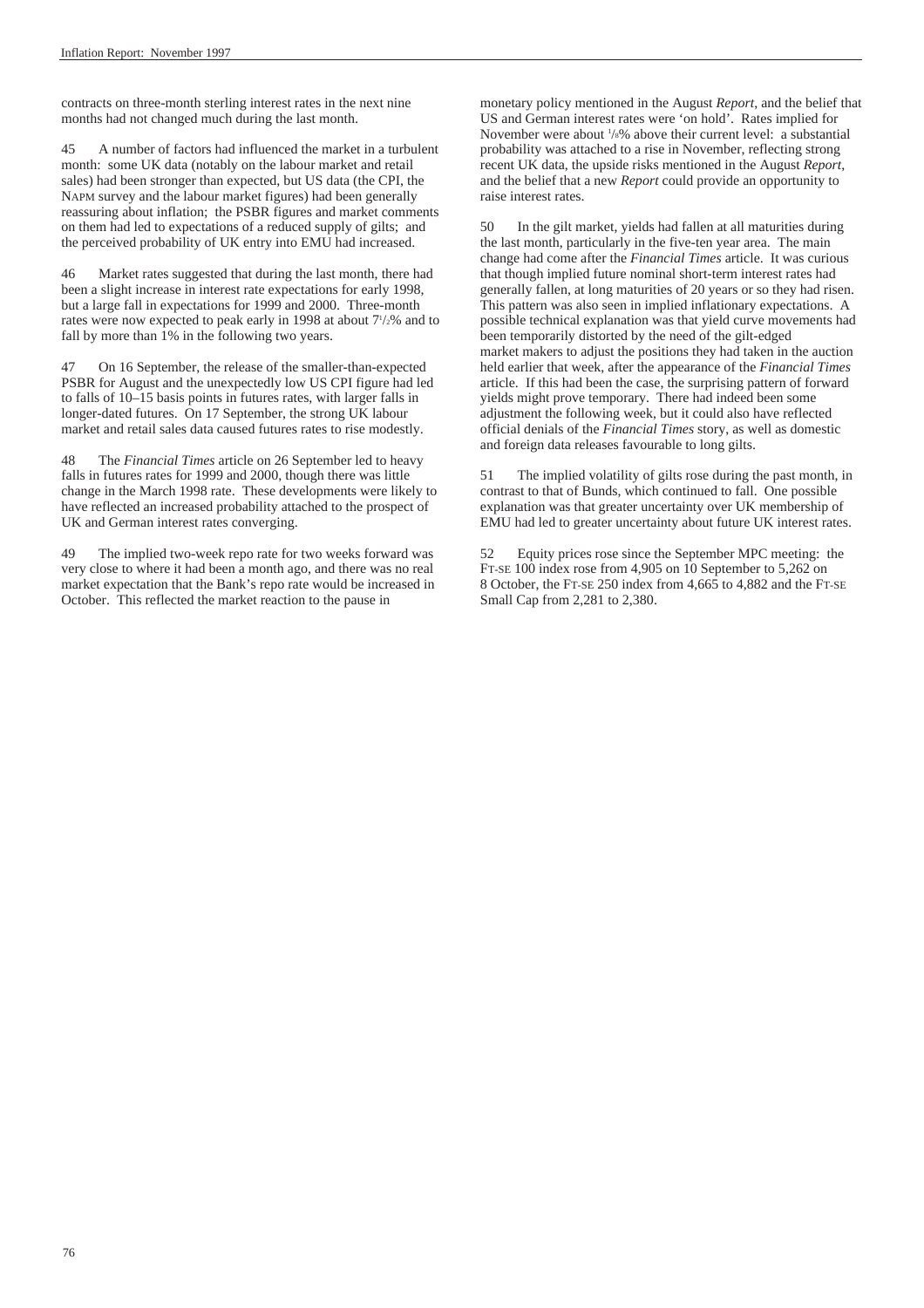contracts on three-month sterling interest rates in the next nine months had not changed much during the last month.

45 A number of factors had influenced the market in a turbulent month: some UK data (notably on the labour market and retail sales) had been stronger than expected, but US data (the CPI, the NAPM survey and the labour market figures) had been generally reassuring about inflation; the PSBR figures and market comments on them had led to expectations of a reduced supply of gilts; and the perceived probability of UK entry into EMU had increased.

46 Market rates suggested that during the last month, there had been a slight increase in interest rate expectations for early 1998, but a large fall in expectations for 1999 and 2000. Three-month rates were now expected to peak early in 1998 at about  $7\frac{1}{2}\%$  and to fall by more than 1% in the following two years.

47 On 16 September, the release of the smaller-than-expected PSBR for August and the unexpectedly low US CPI figure had led to falls of 10–15 basis points in futures rates, with larger falls in longer-dated futures. On 17 September, the strong UK labour market and retail sales data caused futures rates to rise modestly.

48 The *Financial Times* article on 26 September led to heavy falls in futures rates for 1999 and 2000, though there was little change in the March 1998 rate. These developments were likely to have reflected an increased probability attached to the prospect of UK and German interest rates converging.

49 The implied two-week repo rate for two weeks forward was very close to where it had been a month ago, and there was no real market expectation that the Bank's repo rate would be increased in October. This reflected the market reaction to the pause in

monetary policy mentioned in the August *Report*, and the belief that US and German interest rates were 'on hold'. Rates implied for November were about <sup>1</sup>/<sub>8</sub>% above their current level: a substantial probability was attached to a rise in November, reflecting strong recent UK data, the upside risks mentioned in the August *Report*, and the belief that a new *Report* could provide an opportunity to raise interest rates.

50 In the gilt market, yields had fallen at all maturities during the last month, particularly in the five-ten year area. The main change had come after the *Financial Times* article. It was curious that though implied future nominal short-term interest rates had generally fallen, at long maturities of 20 years or so they had risen. This pattern was also seen in implied inflationary expectations. A possible technical explanation was that yield curve movements had been temporarily distorted by the need of the gilt-edged market makers to adjust the positions they had taken in the auction held earlier that week, after the appearance of the *Financial Times* article. If this had been the case, the surprising pattern of forward yields might prove temporary. There had indeed been some adjustment the following week, but it could also have reflected official denials of the *Financial Times* story, as well as domestic and foreign data releases favourable to long gilts.

The implied volatility of gilts rose during the past month, in contrast to that of Bunds, which continued to fall. One possible explanation was that greater uncertainty over UK membership of EMU had led to greater uncertainty about future UK interest rates.

52 Equity prices rose since the September MPC meeting: the FT-SE 100 index rose from 4,905 on 10 September to 5,262 on 8 October, the FT-SE 250 index from 4,665 to 4,882 and the FT-SE Small Cap from 2,281 to 2,380.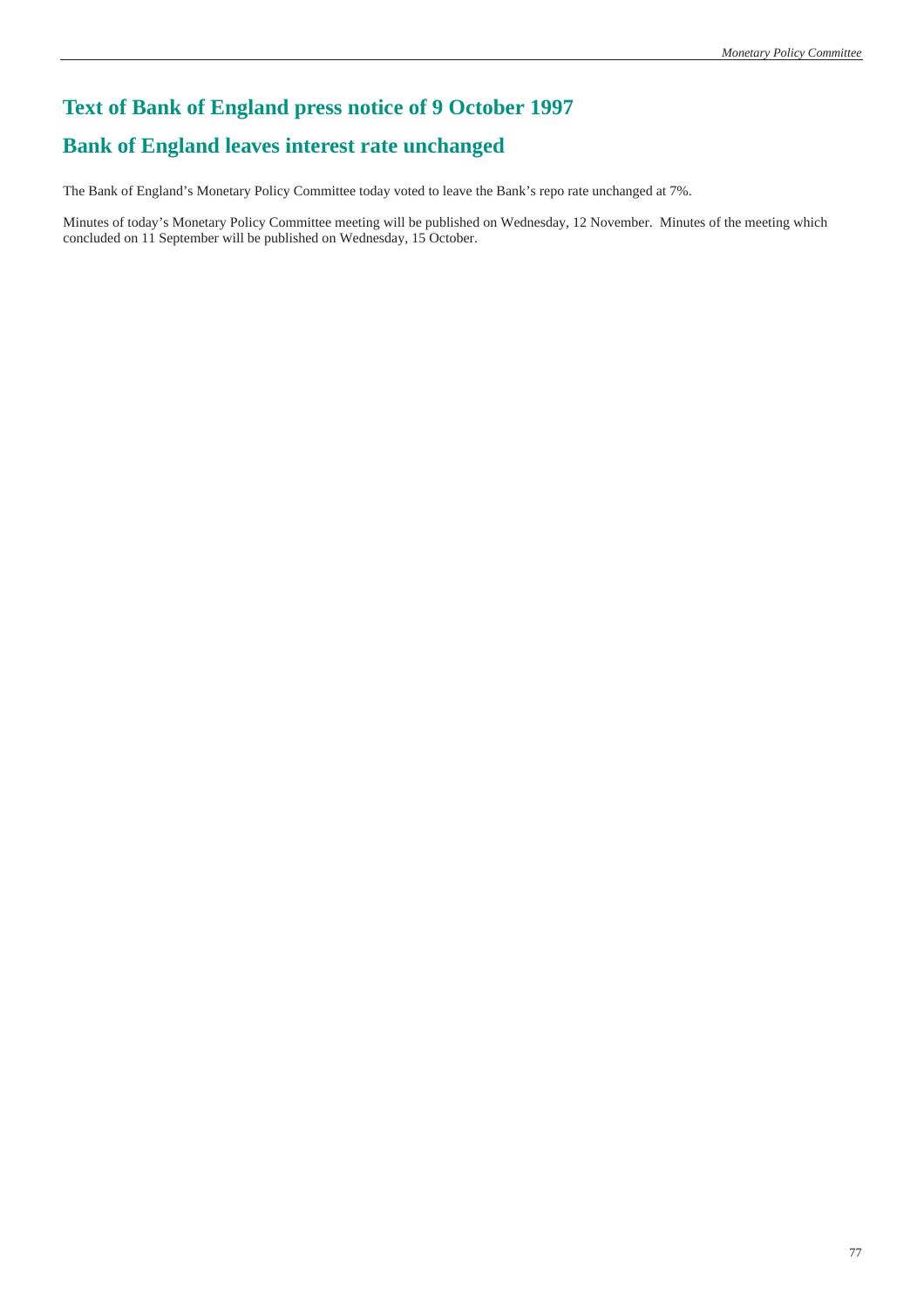# **Text of Bank of England press notice of 9 October 1997**

### **Bank of England leaves interest rate unchanged**

The Bank of England's Monetary Policy Committee today voted to leave the Bank's repo rate unchanged at 7%.

Minutes of today's Monetary Policy Committee meeting will be published on Wednesday, 12 November. Minutes of the meeting which concluded on 11 September will be published on Wednesday, 15 October.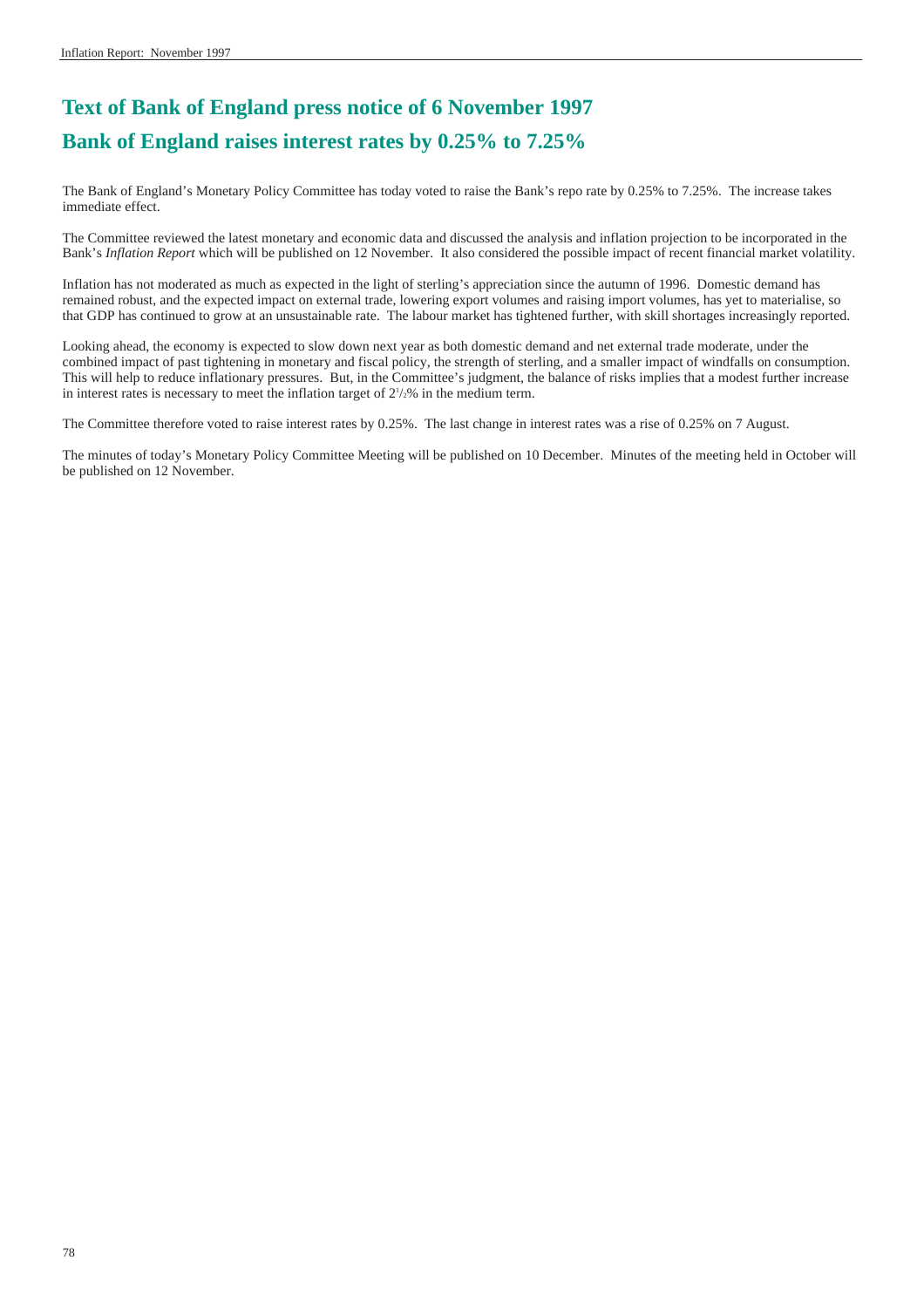## **Text of Bank of England press notice of 6 November 1997 Bank of England raises interest rates by 0.25% to 7.25%**

The Bank of England's Monetary Policy Committee has today voted to raise the Bank's repo rate by 0.25% to 7.25%. The increase takes immediate effect.

The Committee reviewed the latest monetary and economic data and discussed the analysis and inflation projection to be incorporated in the Bank's *Inflation Report* which will be published on 12 November. It also considered the possible impact of recent financial market volatility.

Inflation has not moderated as much as expected in the light of sterling's appreciation since the autumn of 1996. Domestic demand has remained robust, and the expected impact on external trade, lowering export volumes and raising import volumes, has yet to materialise, so that GDP has continued to grow at an unsustainable rate. The labour market has tightened further, with skill shortages increasingly reported.

Looking ahead, the economy is expected to slow down next year as both domestic demand and net external trade moderate, under the combined impact of past tightening in monetary and fiscal policy, the strength of sterling, and a smaller impact of windfalls on consumption. This will help to reduce inflationary pressures. But, in the Committee's judgment, the balance of risks implies that a modest further increase in interest rates is necessary to meet the inflation target of  $2\frac{1}{2}\%$  in the medium term.

The Committee therefore voted to raise interest rates by 0.25%. The last change in interest rates was a rise of 0.25% on 7 August.

The minutes of today's Monetary Policy Committee Meeting will be published on 10 December. Minutes of the meeting held in October will be published on 12 November.